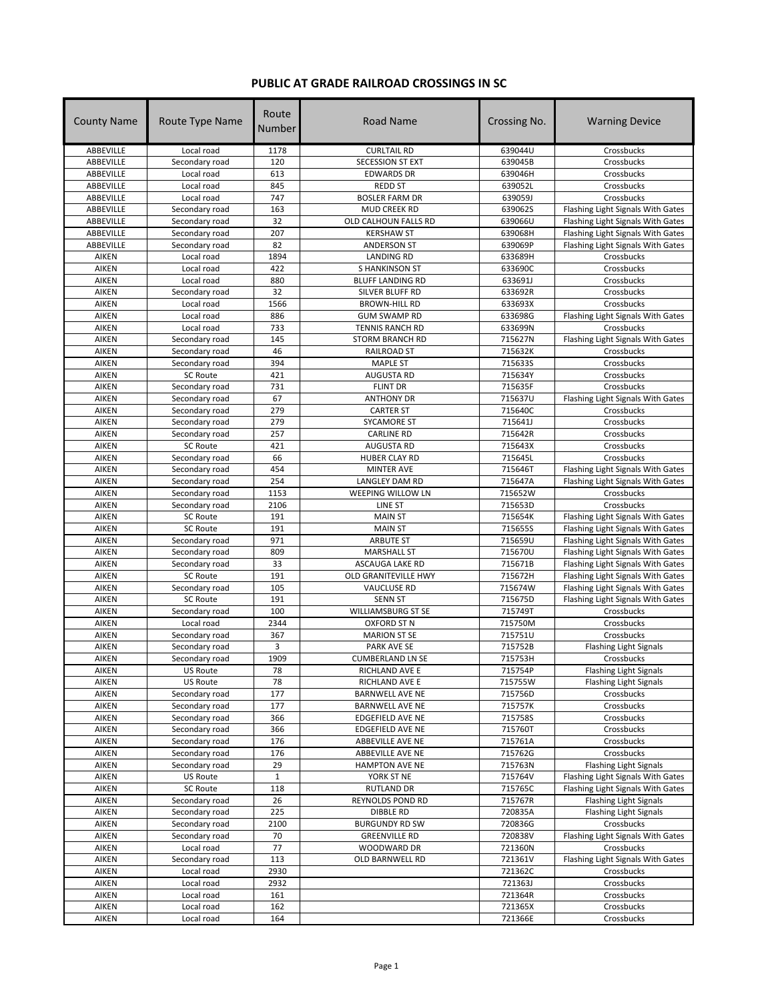## **PUBLIC AT GRADE RAILROAD CROSSINGS IN SC**

| <b>County Name</b> | Route Type Name                  | Route<br>Number   | Road Name                           | Crossing No.       | <b>Warning Device</b>                                                  |
|--------------------|----------------------------------|-------------------|-------------------------------------|--------------------|------------------------------------------------------------------------|
| ABBEVILLE          | Local road                       | 1178              | <b>CURLTAIL RD</b>                  | 639044U            | Crossbucks                                                             |
| ABBEVILLE          | Secondary road                   | 120               | <b>SECESSION ST EXT</b>             | 639045B            | Crossbucks                                                             |
| ABBEVILLE          | Local road                       | 613               | <b>EDWARDS DR</b>                   | 639046H            | Crossbucks                                                             |
| ABBEVILLE          | Local road                       | 845               | <b>REDD ST</b>                      | 639052L            | Crossbucks                                                             |
| ABBEVILLE          | Local road                       | 747               | <b>BOSLER FARM DR</b>               | 639059J            | Crossbucks                                                             |
| ABBEVILLE          | Secondary road                   | 163               | <b>MUD CREEK RD</b>                 | 639062S            | Flashing Light Signals With Gates                                      |
| ABBEVILLE          | Secondary road                   | 32                | OLD CALHOUN FALLS RD                | 639066U            | Flashing Light Signals With Gates                                      |
| ABBEVILLE          | Secondary road                   | 207               | <b>KERSHAW ST</b>                   | 639068H            | Flashing Light Signals With Gates                                      |
| ABBEVILLE          | Secondary road                   | 82                | <b>ANDERSON ST</b>                  | 639069P            | Flashing Light Signals With Gates                                      |
| AIKEN              | Local road                       | 1894              | <b>LANDING RD</b>                   | 633689H            | Crossbucks                                                             |
| <b>AIKEN</b>       | Local road                       | 422               | <b>SHANKINSON ST</b>                | 633690C            | Crossbucks                                                             |
| AIKEN              | Local road                       | 880               | <b>BLUFF LANDING RD</b>             | 633691J            | Crossbucks                                                             |
| AIKEN              | Secondary road                   | 32                | SILVER BLUFF RD                     | 633692R            | Crossbucks                                                             |
| AIKEN              | Local road                       | 1566              | <b>BROWN-HILL RD</b>                | 633693X            | Crossbucks                                                             |
| AIKEN              | Local road                       | 886               | <b>GUM SWAMP RD</b>                 | 633698G            | Flashing Light Signals With Gates                                      |
| AIKEN              | Local road                       | 733<br>145        | TENNIS RANCH RD                     | 633699N<br>715627N | Crossbucks                                                             |
| AIKEN<br>AIKEN     | Secondary road<br>Secondary road | 46                | STORM BRANCH RD<br>RAILROAD ST      | 715632K            | Flashing Light Signals With Gates<br>Crossbucks                        |
| AIKEN              | Secondary road                   | 394               | <b>MAPLE ST</b>                     | 715633S            | Crossbucks                                                             |
| <b>AIKEN</b>       | <b>SC Route</b>                  | 421               | <b>AUGUSTA RD</b>                   | 715634Y            | Crossbucks                                                             |
| AIKEN              | Secondary road                   | 731               | <b>FLINT DR</b>                     | 715635F            | Crossbucks                                                             |
| AIKEN              | Secondary road                   | 67                | <b>ANTHONY DR</b>                   | 715637U            | Flashing Light Signals With Gates                                      |
| AIKEN              | Secondary road                   | 279               | <b>CARTER ST</b>                    | 715640C            | Crossbucks                                                             |
| AIKEN              | Secondary road                   | 279               | <b>SYCAMORE ST</b>                  | 715641J            | Crossbucks                                                             |
| AIKEN              | Secondary road                   | 257               | <b>CARLINE RD</b>                   | 715642R            | Crossbucks                                                             |
| AIKEN              | <b>SC Route</b>                  | 421               | <b>AUGUSTA RD</b>                   | 715643X            | Crossbucks                                                             |
| AIKEN              | Secondary road                   | 66                | HUBER CLAY RD                       | 715645L            | Crossbucks                                                             |
| AIKEN              | Secondary road                   | 454               | <b>MINTER AVE</b>                   | 715646T            | Flashing Light Signals With Gates                                      |
| AIKEN              | Secondary road                   | 254               | LANGLEY DAM RD                      | 715647A            | Flashing Light Signals With Gates                                      |
| AIKEN              | Secondary road                   | 1153              | WEEPING WILLOW LN                   | 715652W            | Crossbucks                                                             |
| AIKEN              | Secondary road                   | 2106              | LINE ST                             | 715653D            | Crossbucks                                                             |
| AIKEN              | SC Route                         | 191               | <b>MAIN ST</b>                      | 715654K            | Flashing Light Signals With Gates                                      |
| AIKEN              | SC Route                         | 191               | <b>MAIN ST</b>                      | 715655S            | Flashing Light Signals With Gates                                      |
| AIKEN              | Secondary road                   | 971               | <b>ARBUTE ST</b>                    | 715659U            | Flashing Light Signals With Gates                                      |
| AIKEN              | Secondary road                   | 809               | <b>MARSHALL ST</b>                  | 715670U            | Flashing Light Signals With Gates                                      |
| AIKEN              | Secondary road                   | 33                | ASCAUGA LAKE RD                     | 715671B            | Flashing Light Signals With Gates                                      |
| AIKEN              | <b>SC Route</b>                  | 191               | OLD GRANITEVILLE HWY                | 715672H            | Flashing Light Signals With Gates                                      |
| AIKEN              | Secondary road                   | 105               | <b>VAUCLUSE RD</b>                  | 715674W            | Flashing Light Signals With Gates                                      |
| AIKEN              | <b>SC Route</b>                  | 191               | <b>SENN ST</b>                      | 715675D            | Flashing Light Signals With Gates                                      |
| AIKEN              | Secondary road                   | 100               | WILLIAMSBURG ST SE                  | 715749T            | Crossbucks                                                             |
| AIKEN              | Local road                       | 2344              | <b>OXFORD ST N</b>                  | 715750M            | Crossbucks                                                             |
| AIKEN              | Secondary road                   | 367               | <b>MARION ST SE</b>                 | 715751U            | Crossbucks                                                             |
| AIKEN              | Secondary road                   | 3                 | <b>PARK AVE SE</b>                  | 715752B            | <b>Flashing Light Signals</b>                                          |
| AIKEN              | Secondary road                   | 1909              | <b>CUMBERLAND LN SE</b>             | 715753H            | Crossbucks                                                             |
| AIKEN              | <b>US Route</b>                  | 78                | RICHLAND AVE E                      | 715754P            | <b>Flashing Light Signals</b>                                          |
| AIKEN              | <b>US Route</b>                  | 78                | RICHLAND AVE E                      | 715755W            | <b>Flashing Light Signals</b>                                          |
| AIKEN              | Secondary road                   | 177               | <b>BARNWELL AVE NE</b>              | 715756D            | Crossbucks                                                             |
| AIKEN              | Secondary road                   | 177<br>366        | <b>BARNWELL AVE NE</b>              | 715757K            | Crossbucks                                                             |
| AIKEN              | Secondary road<br>Secondary road |                   | EDGEFIELD AVE NE                    | 715758S            | Crossbucks                                                             |
| <b>AIKEN</b>       |                                  | 366               | EDGEFIELD AVE NE                    | 715760T            | Crossbucks                                                             |
| AIKEN              | Secondary road<br>Secondary road | 176<br>176        | ABBEVILLE AVE NE                    | 715761A<br>715762G | Crossbucks                                                             |
| AIKEN              |                                  |                   | ABBEVILLE AVE NE                    |                    | Crossbucks                                                             |
| AIKEN<br>AIKEN     | Secondary road                   | 29<br>$\mathbf 1$ | <b>HAMPTON AVE NE</b><br>YORK ST NE | 715763N            | Flashing Light Signals                                                 |
| AIKEN              | <b>US Route</b><br>SC Route      | 118               | <b>RUTLAND DR</b>                   | 715764V<br>715765C | Flashing Light Signals With Gates<br>Flashing Light Signals With Gates |
| AIKEN              | Secondary road                   | 26                | REYNOLDS POND RD                    | 715767R            | <b>Flashing Light Signals</b>                                          |
| AIKEN              | Secondary road                   | 225               | <b>DIBBLE RD</b>                    | 720835A            | <b>Flashing Light Signals</b>                                          |
| AIKEN              | Secondary road                   | 2100              | <b>BURGUNDY RD SW</b>               | 720836G            | Crossbucks                                                             |
| AIKEN              | Secondary road                   | 70                | <b>GREENVILLE RD</b>                | 720838V            | Flashing Light Signals With Gates                                      |
| AIKEN              | Local road                       | 77                | WOODWARD DR                         | 721360N            | Crossbucks                                                             |
| AIKEN              | Secondary road                   | 113               | OLD BARNWELL RD                     | 721361V            | Flashing Light Signals With Gates                                      |
| AIKEN              | Local road                       | 2930              |                                     | 721362C            | Crossbucks                                                             |
| AIKEN              | Local road                       | 2932              |                                     | 721363J            | Crossbucks                                                             |
| AIKEN              | Local road                       | 161               |                                     | 721364R            | Crossbucks                                                             |
| AIKEN              | Local road                       | 162               |                                     | 721365X            | Crossbucks                                                             |
| AIKEN              | Local road                       | 164               |                                     | 721366E            | Crossbucks                                                             |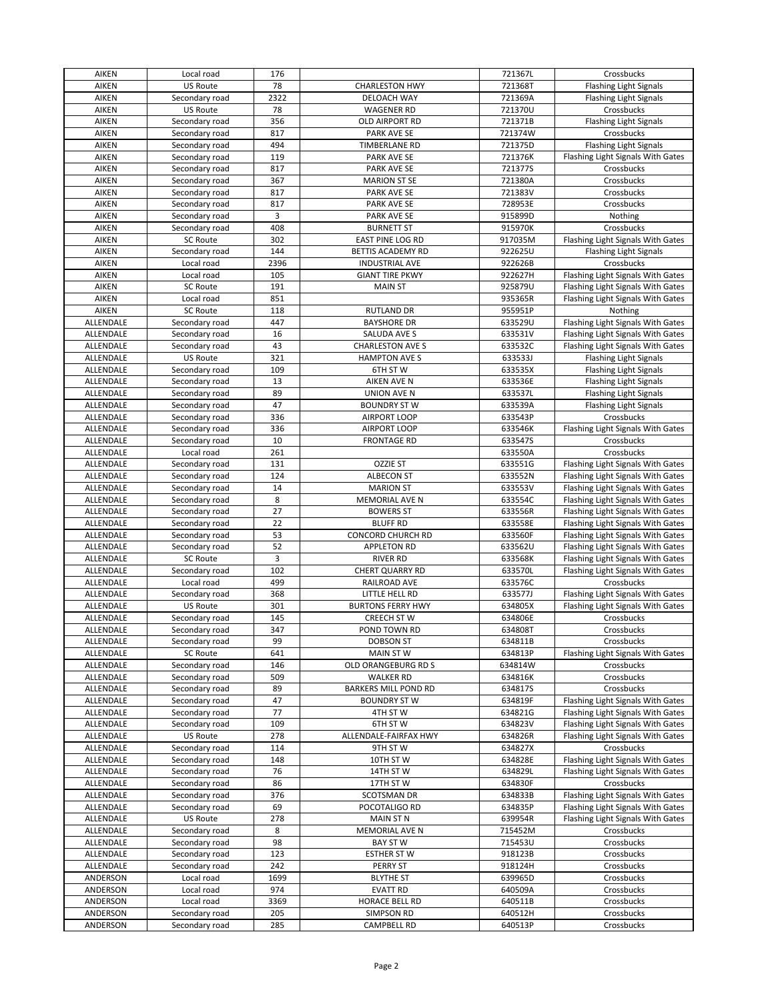| <b>AIKEN</b>     | Local road      | 176  |                          | 721367L | Crossbucks                        |
|------------------|-----------------|------|--------------------------|---------|-----------------------------------|
| <b>AIKEN</b>     | <b>US Route</b> | 78   | <b>CHARLESTON HWY</b>    | 721368T | <b>Flashing Light Signals</b>     |
| <b>AIKEN</b>     | Secondary road  | 2322 | DELOACH WAY              | 721369A | <b>Flashing Light Signals</b>     |
| <b>AIKEN</b>     | US Route        | 78   | <b>WAGENER RD</b>        | 721370U | Crossbucks                        |
| AIKEN            | Secondary road  | 356  | OLD AIRPORT RD           | 721371B | Flashing Light Signals            |
| AIKEN            | Secondary road  | 817  | PARK AVE SE              | 721374W | Crossbucks                        |
| <b>AIKEN</b>     | Secondary road  | 494  | <b>TIMBERLANE RD</b>     | 721375D | <b>Flashing Light Signals</b>     |
| <b>AIKEN</b>     | Secondary road  | 119  | <b>PARK AVE SE</b>       | 721376K | Flashing Light Signals With Gates |
| <b>AIKEN</b>     | Secondary road  | 817  | PARK AVE SE              | 721377S | Crossbucks                        |
| <b>AIKEN</b>     | Secondary road  | 367  | <b>MARION ST SE</b>      | 721380A | Crossbucks                        |
| <b>AIKEN</b>     | Secondary road  | 817  | PARK AVE SE              | 721383V | Crossbucks                        |
| <b>AIKEN</b>     | Secondary road  | 817  | PARK AVE SE              | 728953E | Crossbucks                        |
| AIKEN            | Secondary road  | 3    | PARK AVE SE              | 915899D | Nothing                           |
| <b>AIKEN</b>     | Secondary road  | 408  | <b>BURNETT ST</b>        | 915970K | Crossbucks                        |
| AIKEN            | <b>SC Route</b> | 302  | <b>EAST PINE LOG RD</b>  | 917035M | Flashing Light Signals With Gates |
| <b>AIKEN</b>     | Secondary road  | 144  | BETTIS ACADEMY RD        | 922625U | <b>Flashing Light Signals</b>     |
| <b>AIKEN</b>     | Local road      | 2396 | <b>INDUSTRIAL AVE</b>    | 922626B | Crossbucks                        |
| <b>AIKEN</b>     | Local road      | 105  | <b>GIANT TIRE PKWY</b>   | 922627H | Flashing Light Signals With Gates |
| <b>AIKEN</b>     | <b>SC Route</b> | 191  | <b>MAIN ST</b>           | 925879U | Flashing Light Signals With Gates |
| <b>AIKEN</b>     | Local road      | 851  |                          | 935365R | Flashing Light Signals With Gates |
| AIKEN            | SC Route        | 118  | <b>RUTLAND DR</b>        | 955951P | Nothing                           |
| ALLENDALE        | Secondary road  | 447  | <b>BAYSHORE DR</b>       | 633529U | Flashing Light Signals With Gates |
| ALLENDALE        | Secondary road  | 16   | SALUDA AVE S             | 633531V | Flashing Light Signals With Gates |
| ALLENDALE        | Secondary road  | 43   | <b>CHARLESTON AVE S</b>  | 633532C | Flashing Light Signals With Gates |
| ALLENDALE        | US Route        | 321  | <b>HAMPTON AVE S</b>     | 633533J | <b>Flashing Light Signals</b>     |
| ALLENDALE        | Secondary road  | 109  | 6TH ST W                 | 633535X | <b>Flashing Light Signals</b>     |
| ALLENDALE        | Secondary road  | 13   | <b>AIKEN AVE N</b>       | 633536E | <b>Flashing Light Signals</b>     |
| <b>ALLENDALE</b> | Secondary road  | 89   | <b>UNION AVE N</b>       | 633537L | <b>Flashing Light Signals</b>     |
| ALLENDALE        | Secondary road  | 47   | <b>BOUNDRY ST W</b>      | 633539A | Flashing Light Signals            |
| ALLENDALE        | Secondary road  | 336  | AIRPORT LOOP             | 633543P | Crossbucks                        |
| ALLENDALE        | Secondary road  | 336  | AIRPORT LOOP             | 633546K | Flashing Light Signals With Gates |
| ALLENDALE        | Secondary road  | 10   | <b>FRONTAGE RD</b>       | 633547S | Crossbucks                        |
| ALLENDALE        | Local road      | 261  |                          | 633550A | Crossbucks                        |
| ALLENDALE        | Secondary road  | 131  | <b>OZZIE ST</b>          | 633551G | Flashing Light Signals With Gates |
| ALLENDALE        | Secondary road  | 124  | <b>ALBECON ST</b>        | 633552N | Flashing Light Signals With Gates |
| ALLENDALE        | Secondary road  | 14   | <b>MARION ST</b>         | 633553V | Flashing Light Signals With Gates |
| ALLENDALE        | Secondary road  | 8    | MEMORIAL AVE N           | 633554C | Flashing Light Signals With Gates |
| ALLENDALE        | Secondary road  | 27   | <b>BOWERS ST</b>         | 633556R | Flashing Light Signals With Gates |
| ALLENDALE        | Secondary road  | 22   | <b>BLUFF RD</b>          | 633558E | Flashing Light Signals With Gates |
| ALLENDALE        | Secondary road  | 53   | CONCORD CHURCH RD        | 633560F | Flashing Light Signals With Gates |
| ALLENDALE        | Secondary road  | 52   | <b>APPLETON RD</b>       | 633562U | Flashing Light Signals With Gates |
| ALLENDALE        | <b>SC Route</b> | 3    | <b>RIVER RD</b>          | 633568K | Flashing Light Signals With Gates |
| ALLENDALE        | Secondary road  | 102  | CHERT QUARRY RD          | 633570L | Flashing Light Signals With Gates |
| ALLENDALE        | Local road      | 499  | RAILROAD AVE             | 633576C | Crossbucks                        |
| ALLENDALE        | Secondary road  | 368  | LITTLE HELL RD           | 633577J | Flashing Light Signals With Gates |
| ALLENDALE        | US Route        | 301  | <b>BURTONS FERRY HWY</b> | 634805X | Flashing Light Signals With Gates |
| ALLENDALE        | Secondary road  | 145  | <b>CREECH ST W</b>       | 634806E | Crossbucks                        |
| ALLENDALE        | Secondary road  | 347  | POND TOWN RD             | 634808T | Crossbucks                        |
| ALLENDALE        | Secondary road  | 99   | DOBSON ST                | 634811B | Crossbucks                        |
| ALLENDALE        | <b>SC Route</b> | 641  | MAIN ST W                | 634813P | Flashing Light Signals With Gates |
| ALLENDALE        | Secondary road  | 146  | OLD ORANGEBURG RD S      | 634814W | Crossbucks                        |
| ALLENDALE        | Secondary road  | 509  | <b>WALKER RD</b>         | 634816K | Crossbucks                        |
| ALLENDALE        | Secondary road  | 89   | BARKERS MILL POND RD     | 634817S | Crossbucks                        |
| ALLENDALE        | Secondary road  | 47   | <b>BOUNDRY ST W</b>      | 634819F | Flashing Light Signals With Gates |
| ALLENDALE        | Secondary road  | 77   | 4TH ST W                 | 634821G | Flashing Light Signals With Gates |
| ALLENDALE        | Secondary road  | 109  | 6TH ST W                 | 634823V | Flashing Light Signals With Gates |
| ALLENDALE        | US Route        | 278  | ALLENDALE-FAIRFAX HWY    | 634826R | Flashing Light Signals With Gates |
| ALLENDALE        | Secondary road  | 114  | 9TH ST W                 | 634827X | Crossbucks                        |
| ALLENDALE        | Secondary road  | 148  | 10TH ST W                | 634828E | Flashing Light Signals With Gates |
| ALLENDALE        | Secondary road  | 76   | 14TH ST W                | 634829L | Flashing Light Signals With Gates |
| ALLENDALE        | Secondary road  | 86   | 17TH ST W                | 634830F | Crossbucks                        |
| ALLENDALE        | Secondary road  | 376  | SCOTSMAN DR              | 634833B | Flashing Light Signals With Gates |
| ALLENDALE        | Secondary road  | 69   | POCOTALIGO RD            | 634835P | Flashing Light Signals With Gates |
| ALLENDALE        | US Route        | 278  | <b>MAIN ST N</b>         | 639954R | Flashing Light Signals With Gates |
| ALLENDALE        | Secondary road  | 8    | MEMORIAL AVE N           | 715452M | Crossbucks                        |
| ALLENDALE        | Secondary road  | 98   | <b>BAY ST W</b>          | 715453U | Crossbucks                        |
| ALLENDALE        | Secondary road  | 123  | <b>ESTHER ST W</b>       | 918123B | Crossbucks                        |
| ALLENDALE        | Secondary road  | 242  | <b>PERRY ST</b>          | 918124H | Crossbucks                        |
| ANDERSON         | Local road      | 1699 | <b>BLYTHE ST</b>         | 639965D | Crossbucks                        |
| ANDERSON         | Local road      | 974  | <b>EVATT RD</b>          | 640509A | Crossbucks                        |
| ANDERSON         | Local road      | 3369 | HORACE BELL RD           | 640511B | Crossbucks                        |
| ANDERSON         | Secondary road  | 205  | SIMPSON RD               | 640512H | Crossbucks                        |
| ANDERSON         | Secondary road  | 285  | CAMPBELL RD              | 640513P | Crossbucks                        |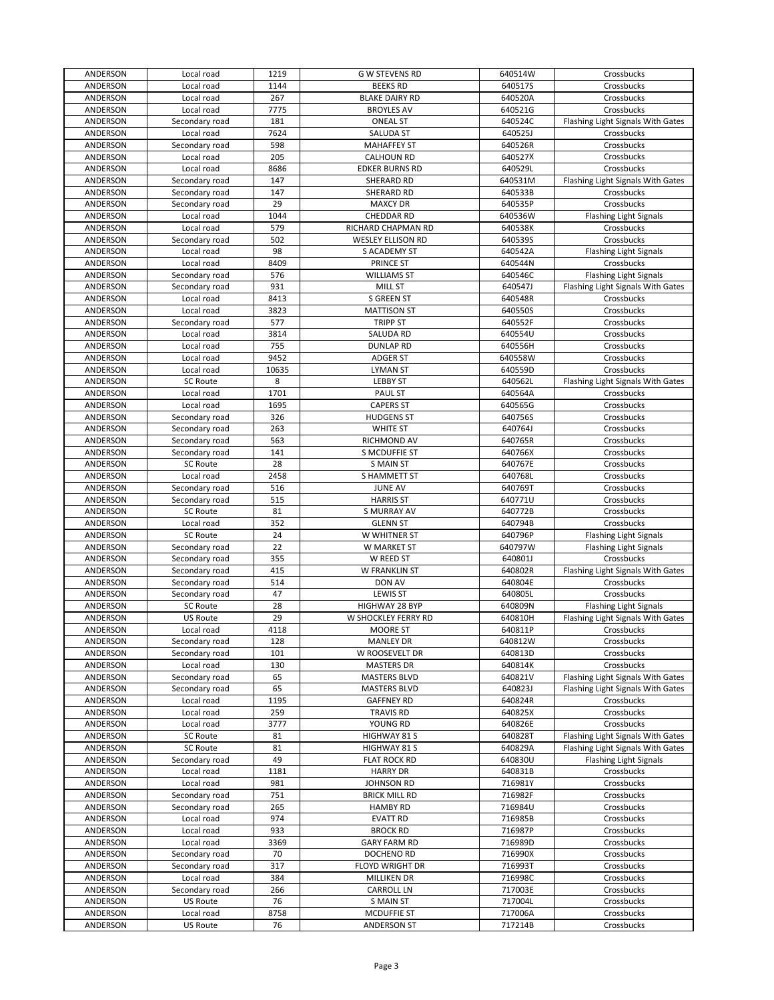| ANDERSON | Local road      | 1219      | <b>G W STEVENS RD</b>    | 640514W | Crossbucks                        |
|----------|-----------------|-----------|--------------------------|---------|-----------------------------------|
| ANDERSON | Local road      | 1144      | <b>BEEKS RD</b>          | 640517S | Crossbucks                        |
| ANDERSON | Local road      | 267       | <b>BLAKE DAIRY RD</b>    | 640520A | Crossbucks                        |
| ANDERSON | Local road      | 7775      | <b>BROYLES AV</b>        | 640521G | Crossbucks                        |
| ANDERSON | Secondary road  | 181       | <b>ONEAL ST</b>          | 640524C | Flashing Light Signals With Gates |
| ANDERSON | Local road      | 7624      | SALUDA ST                | 640525J | Crossbucks                        |
| ANDERSON | Secondary road  | 598       | <b>MAHAFFEY ST</b>       | 640526R | Crossbucks                        |
| ANDERSON | Local road      | 205       | <b>CALHOUN RD</b>        | 640527X | Crossbucks                        |
| ANDERSON | Local road      | 8686      | <b>EDKER BURNS RD</b>    | 640529L | Crossbucks                        |
| ANDERSON | Secondary road  | 147       | SHERARD RD               | 640531M | Flashing Light Signals With Gates |
| ANDERSON | Secondary road  | 147       | SHERARD RD               | 640533B | Crossbucks                        |
|          |                 | 29        |                          |         |                                   |
| ANDERSON | Secondary road  |           | <b>MAXCY DR</b>          | 640535P | Crossbucks                        |
| ANDERSON | Local road      | 1044      | CHEDDAR RD               | 640536W | <b>Flashing Light Signals</b>     |
| ANDERSON | Local road      | 579       | RICHARD CHAPMAN RD       | 640538K | Crossbucks                        |
| ANDERSON | Secondary road  | 502       | <b>WESLEY ELLISON RD</b> | 640539S | Crossbucks                        |
| ANDERSON | Local road      | 98        | S ACADEMY ST             | 640542A | <b>Flashing Light Signals</b>     |
| ANDERSON | Local road      | 8409      | PRINCE ST                | 640544N | Crossbucks                        |
| ANDERSON | Secondary road  | 576       | <b>WILLIAMS ST</b>       | 640546C | <b>Flashing Light Signals</b>     |
| ANDERSON | Secondary road  | 931       | MILL ST                  | 640547J | Flashing Light Signals With Gates |
| ANDERSON | Local road      | 8413      | S GREEN ST               | 640548R | Crossbucks                        |
| ANDERSON | Local road      | 3823      | <b>MATTISON ST</b>       | 640550S | Crossbucks                        |
| ANDERSON | Secondary road  | 577       | <b>TRIPP ST</b>          | 640552F | Crossbucks                        |
| ANDERSON | Local road      | 3814      | SALUDA RD                | 640554U | Crossbucks                        |
| ANDERSON | Local road      | 755       | <b>DUNLAP RD</b>         | 640556H | Crossbucks                        |
| ANDERSON | Local road      | 9452      | <b>ADGER ST</b>          | 640558W | Crossbucks                        |
| ANDERSON | Local road      | 10635     | <b>LYMAN ST</b>          | 640559D | Crossbucks                        |
| ANDERSON | SC Route        | 8         | <b>LEBBY ST</b>          | 640562L | Flashing Light Signals With Gates |
| ANDERSON | Local road      | 1701      | PAUL ST                  | 640564A | Crossbucks                        |
| ANDERSON | Local road      | 1695      | <b>CAPERS ST</b>         | 640565G | Crossbucks                        |
| ANDERSON | Secondary road  | 326       | <b>HUDGENS ST</b>        | 640756S | Crossbucks                        |
|          |                 |           |                          |         |                                   |
| ANDERSON | Secondary road  | 263       | WHITE ST                 | 640764J | Crossbucks                        |
| ANDERSON | Secondary road  | 563       | RICHMOND AV              | 640765R | Crossbucks                        |
| ANDERSON | Secondary road  | 141       | S MCDUFFIE ST            | 640766X | Crossbucks                        |
| ANDERSON | SC Route        | 28        | <b>S MAIN ST</b>         | 640767E | Crossbucks                        |
| ANDERSON | Local road      | 2458      | S HAMMETT ST             | 640768L | Crossbucks                        |
| ANDERSON | Secondary road  | 516       | <b>JUNE AV</b>           | 640769T | Crossbucks                        |
| ANDERSON | Secondary road  | 515       | <b>HARRIS ST</b>         | 640771U | Crossbucks                        |
| ANDERSON | <b>SC Route</b> | 81        | S MURRAY AV              | 640772B | Crossbucks                        |
| ANDERSON | Local road      | 352       | <b>GLENN ST</b>          | 640794B | Crossbucks                        |
| ANDERSON | <b>SC Route</b> | 24        | W WHITNER ST             | 640796P | <b>Flashing Light Signals</b>     |
| ANDERSON | Secondary road  | 22        | W MARKET ST              | 640797W | Flashing Light Signals            |
| ANDERSON | Secondary road  | 355       | W REED ST                | 640801J | Crossbucks                        |
| ANDERSON | Secondary road  | 415       | W FRANKLIN ST            | 640802R | Flashing Light Signals With Gates |
| ANDERSON | Secondary road  | 514       | DON AV                   | 640804E | Crossbucks                        |
| ANDERSON | Secondary road  | 47        | <b>LEWIS ST</b>          | 640805L | Crossbucks                        |
| ANDERSON | <b>SC Route</b> | 28        | HIGHWAY 28 BYP           | 640809N | Flashing Light Signals            |
| ANDERSON | <b>US Route</b> | 29        | W SHOCKLEY FERRY RD      | 640810H | Flashing Light Signals With Gates |
| ANDERSON | Local road      | 4118      | MOORE ST                 | 640811P | Crossbucks                        |
| ANDERSON | Secondary road  | 128       | <b>MANLEY DR</b>         | 640812W | Crossbucks                        |
| ANDERSON | Secondary road  | 101       | W ROOSEVELT DR           | 640813D | Crossbucks                        |
|          |                 |           |                          |         |                                   |
| ANDERSON | Local road      | 130<br>65 | <b>MASTERS DR</b>        | 640814K | Crossbucks                        |
| ANDERSON | Secondary road  |           | <b>MASTERS BLVD</b>      | 640821V | Flashing Light Signals With Gates |
| ANDERSON | Secondary road  | 65        | MASTERS BLVD             | 640823J | Flashing Light Signals With Gates |
| ANDERSON | Local road      | 1195      | <b>GAFFNEY RD</b>        | 640824R | Crossbucks                        |
| ANDERSON | Local road      | 259       | <b>TRAVIS RD</b>         | 640825X | Crossbucks                        |
| ANDERSON | Local road      | 3777      | YOUNG RD                 | 640826E | Crossbucks                        |
| ANDERSON | <b>SC Route</b> | 81        | HIGHWAY 81 S             | 640828T | Flashing Light Signals With Gates |
| ANDERSON | <b>SC Route</b> | 81        | HIGHWAY 81 S             | 640829A | Flashing Light Signals With Gates |
| ANDERSON | Secondary road  | 49        | <b>FLAT ROCK RD</b>      | 640830U | Flashing Light Signals            |
| ANDERSON | Local road      | 1181      | <b>HARRY DR</b>          | 640831B | Crossbucks                        |
| ANDERSON | Local road      | 981       | JOHNSON RD               | 716981Y | Crossbucks                        |
| ANDERSON | Secondary road  | 751       | <b>BRICK MILL RD</b>     | 716982F | Crossbucks                        |
| ANDERSON | Secondary road  | 265       | <b>HAMBY RD</b>          | 716984U | Crossbucks                        |
| ANDERSON | Local road      | 974       | <b>EVATT RD</b>          | 716985B | Crossbucks                        |
| ANDERSON | Local road      | 933       | <b>BROCK RD</b>          | 716987P | Crossbucks                        |
| ANDERSON | Local road      | 3369      | <b>GARY FARM RD</b>      | 716989D | Crossbucks                        |
| ANDERSON | Secondary road  | 70        | DOCHENO RD               | 716990X | Crossbucks                        |
| ANDERSON | Secondary road  | 317       | FLOYD WRIGHT DR          | 716993T | Crossbucks                        |
| ANDERSON | Local road      | 384       | MILLIKEN DR              | 716998C | Crossbucks                        |
| ANDERSON | Secondary road  | 266       | <b>CARROLL LN</b>        | 717003E | Crossbucks                        |
| ANDERSON | US Route        | 76        | <b>S MAIN ST</b>         | 717004L | Crossbucks                        |
| ANDERSON | Local road      | 8758      | <b>MCDUFFIE ST</b>       | 717006A | Crossbucks                        |
|          |                 |           |                          |         |                                   |
| ANDERSON | US Route        | 76        | <b>ANDERSON ST</b>       | 717214B | Crossbucks                        |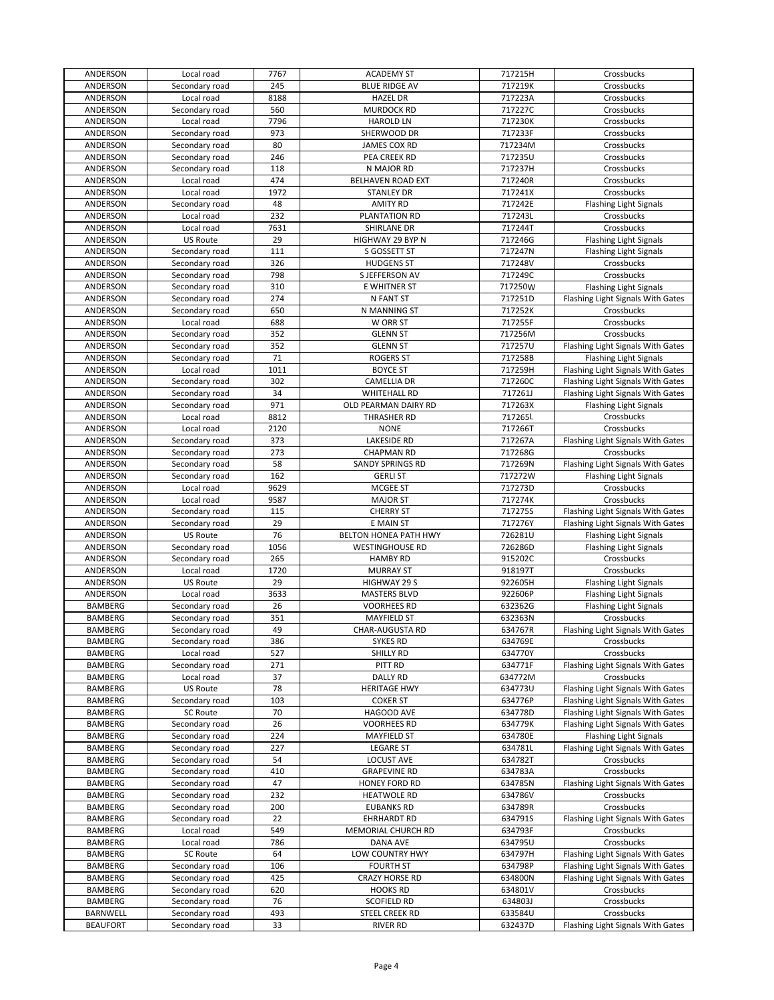| ANDERSON       | Local road      | 7767 | <b>ACADEMY ST</b>       | 717215H | Crossbucks                        |
|----------------|-----------------|------|-------------------------|---------|-----------------------------------|
| ANDERSON       | Secondary road  | 245  | <b>BLUE RIDGE AV</b>    | 717219K | Crossbucks                        |
| ANDERSON       | Local road      | 8188 | <b>HAZEL DR</b>         | 717223A | Crossbucks                        |
| ANDERSON       | Secondary road  | 560  | <b>MURDOCK RD</b>       | 717227C | Crossbucks                        |
|                |                 |      |                         |         |                                   |
| ANDERSON       | Local road      | 7796 | <b>HAROLD LN</b>        | 717230K | Crossbucks                        |
| ANDERSON       | Secondary road  | 973  | SHERWOOD DR             | 717233F | Crossbucks                        |
| ANDERSON       | Secondary road  | 80   | JAMES COX RD            | 717234M | Crossbucks                        |
| ANDERSON       | Secondary road  | 246  | PEA CREEK RD            | 717235U | Crossbucks                        |
| ANDERSON       | Secondary road  | 118  | N MAJOR RD              | 717237H | Crossbucks                        |
| ANDERSON       | Local road      | 474  | BELHAVEN ROAD EXT       | 717240R | Crossbucks                        |
| ANDERSON       | Local road      | 1972 | <b>STANLEY DR</b>       | 717241X | Crossbucks                        |
| ANDERSON       | Secondary road  | 48   | <b>AMITY RD</b>         | 717242E | <b>Flashing Light Signals</b>     |
| ANDERSON       | Local road      | 232  | PLANTATION RD           | 717243L | Crossbucks                        |
| ANDERSON       | Local road      | 7631 | SHIRLANE DR             | 717244T | Crossbucks                        |
| ANDERSON       | <b>US Route</b> | 29   | HIGHWAY 29 BYP N        | 717246G | <b>Flashing Light Signals</b>     |
|                |                 | 111  |                         |         |                                   |
| ANDERSON       | Secondary road  |      | S GOSSETT ST            | 717247N | Flashing Light Signals            |
| ANDERSON       | Secondary road  | 326  | <b>HUDGENS ST</b>       | 717248V | Crossbucks                        |
| ANDERSON       | Secondary road  | 798  | S JEFFERSON AV          | 717249C | Crossbucks                        |
| ANDERSON       | Secondary road  | 310  | E WHITNER ST            | 717250W | Flashing Light Signals            |
| ANDERSON       | Secondary road  | 274  | N FANT ST               | 717251D | Flashing Light Signals With Gates |
| ANDERSON       | Secondary road  | 650  | N MANNING ST            | 717252K | Crossbucks                        |
| ANDERSON       | Local road      | 688  | W ORR ST                | 717255F | Crossbucks                        |
| ANDERSON       | Secondary road  | 352  | <b>GLENN ST</b>         | 717256M | Crossbucks                        |
| ANDERSON       | Secondary road  | 352  | <b>GLENN ST</b>         | 717257U | Flashing Light Signals With Gates |
| ANDERSON       | Secondary road  | 71   | <b>ROGERS ST</b>        | 717258B | Flashing Light Signals            |
| ANDERSON       | Local road      | 1011 | <b>BOYCE ST</b>         | 717259H | Flashing Light Signals With Gates |
| ANDERSON       | Secondary road  | 302  | <b>CAMELLIA DR</b>      | 717260C | Flashing Light Signals With Gates |
| ANDERSON       | Secondary road  | 34   | <b>WHITEHALL RD</b>     | 717261J | Flashing Light Signals With Gates |
|                |                 | 971  | OLD PEARMAN DAIRY RD    | 717263X |                                   |
| ANDERSON       | Secondary road  |      |                         |         | <b>Flashing Light Signals</b>     |
| ANDERSON       | Local road      | 8812 | THRASHER RD             | 717265L | Crossbucks                        |
| ANDERSON       | Local road      | 2120 | <b>NONE</b>             | 717266T | Crossbucks                        |
| ANDERSON       | Secondary road  | 373  | <b>LAKESIDE RD</b>      | 717267A | Flashing Light Signals With Gates |
| ANDERSON       | Secondary road  | 273  | <b>CHAPMAN RD</b>       | 717268G | Crossbucks                        |
| ANDERSON       | Secondary road  | 58   | <b>SANDY SPRINGS RD</b> | 717269N | Flashing Light Signals With Gates |
| ANDERSON       | Secondary road  | 162  | <b>GERLI ST</b>         | 717272W | <b>Flashing Light Signals</b>     |
| ANDERSON       | Local road      | 9629 | MCGEE ST                | 717273D | Crossbucks                        |
| ANDERSON       | Local road      | 9587 | <b>MAJOR ST</b>         | 717274K | Crossbucks                        |
| ANDERSON       | Secondary road  | 115  | <b>CHERRY ST</b>        | 717275S | Flashing Light Signals With Gates |
| ANDERSON       | Secondary road  | 29   | E MAIN ST               | 717276Y | Flashing Light Signals With Gates |
| ANDERSON       | <b>US Route</b> | 76   | BELTON HONEA PATH HWY   | 726281U | Flashing Light Signals            |
| ANDERSON       | Secondary road  | 1056 | <b>WESTINGHOUSE RD</b>  | 726286D | <b>Flashing Light Signals</b>     |
| ANDERSON       | Secondary road  | 265  | <b>HAMBY RD</b>         | 915202C | Crossbucks                        |
| ANDERSON       | Local road      | 1720 | <b>MURRAY ST</b>        | 918197T | Crossbucks                        |
| ANDERSON       | <b>US Route</b> | 29   | HIGHWAY 29 S            | 922605H |                                   |
| ANDERSON       |                 |      |                         |         |                                   |
|                |                 |      |                         |         | Flashing Light Signals            |
|                | Local road      | 3633 | <b>MASTERS BLVD</b>     | 922606P | <b>Flashing Light Signals</b>     |
| BAMBERG        | Secondary road  | 26   | <b>VOORHEES RD</b>      | 632362G | <b>Flashing Light Signals</b>     |
| <b>BAMBERG</b> | Secondary road  | 351  | <b>MAYFIELD ST</b>      | 632363N | Crossbucks                        |
| BAMBERG        | Secondary road  | 49   | <b>CHAR-AUGUSTA RD</b>  | 634767R | Flashing Light Signals With Gates |
| BAMBERG        | Secondary road  | 386  | <b>SYKES RD</b>         | 634769E | Crossbucks                        |
| BAMBERG        | Local road      | 527  | SHILLY RD               | 634770Y | Crossbucks                        |
| <b>BAMBERG</b> | Secondary road  | 271  | PITT RD                 | 634771F | Flashing Light Signals With Gates |
| BAMBERG        | Local road      | 37   | <b>DALLY RD</b>         | 634772M | Crossbucks                        |
| BAMBERG        | <b>US Route</b> | 78   | <b>HERITAGE HWY</b>     | 634773U | Flashing Light Signals With Gates |
| BAMBERG        | Secondary road  | 103  | <b>COKER ST</b>         | 634776P | Flashing Light Signals With Gates |
| BAMBERG        | <b>SC Route</b> | 70   | HAGOOD AVE              | 634778D | Flashing Light Signals With Gates |
| BAMBERG        | Secondary road  | 26   | <b>VOORHEES RD</b>      | 634779K | Flashing Light Signals With Gates |
|                |                 |      | <b>MAYFIELD ST</b>      |         |                                   |
| BAMBERG        | Secondary road  | 224  |                         | 634780E | <b>Flashing Light Signals</b>     |
| BAMBERG        | Secondary road  | 227  | <b>LEGARE ST</b>        | 634781L | Flashing Light Signals With Gates |
| BAMBERG        | Secondary road  | 54   | <b>LOCUST AVE</b>       | 634782T | Crossbucks                        |
| <b>BAMBERG</b> | Secondary road  | 410  | <b>GRAPEVINE RD</b>     | 634783A | Crossbucks                        |
| BAMBERG        | Secondary road  | 47   | HONEY FORD RD           | 634785N | Flashing Light Signals With Gates |
| BAMBERG        | Secondary road  | 232  | <b>HEATWOLE RD</b>      | 634786V | Crossbucks                        |
| BAMBERG        | Secondary road  | 200  | <b>EUBANKS RD</b>       | 634789R | Crossbucks                        |
| BAMBERG        | Secondary road  | 22   | <b>EHRHARDT RD</b>      | 634791S | Flashing Light Signals With Gates |
| BAMBERG        | Local road      | 549  | MEMORIAL CHURCH RD      | 634793F | Crossbucks                        |
| BAMBERG        | Local road      | 786  | DANA AVE                | 634795U | Crossbucks                        |
| BAMBERG        | SC Route        | 64   | LOW COUNTRY HWY         | 634797H | Flashing Light Signals With Gates |
| BAMBERG        | Secondary road  | 106  | <b>FOURTH ST</b>        | 634798P | Flashing Light Signals With Gates |
| BAMBERG        | Secondary road  | 425  | <b>CRAZY HORSE RD</b>   | 634800N | Flashing Light Signals With Gates |
| BAMBERG        | Secondary road  | 620  | <b>HOOKS RD</b>         | 634801V | Crossbucks                        |
| <b>BAMBERG</b> | Secondary road  | 76   | <b>SCOFIELD RD</b>      | 634803J | Crossbucks                        |
| BARNWELL       | Secondary road  | 493  | STEEL CREEK RD          | 633584U | Crossbucks                        |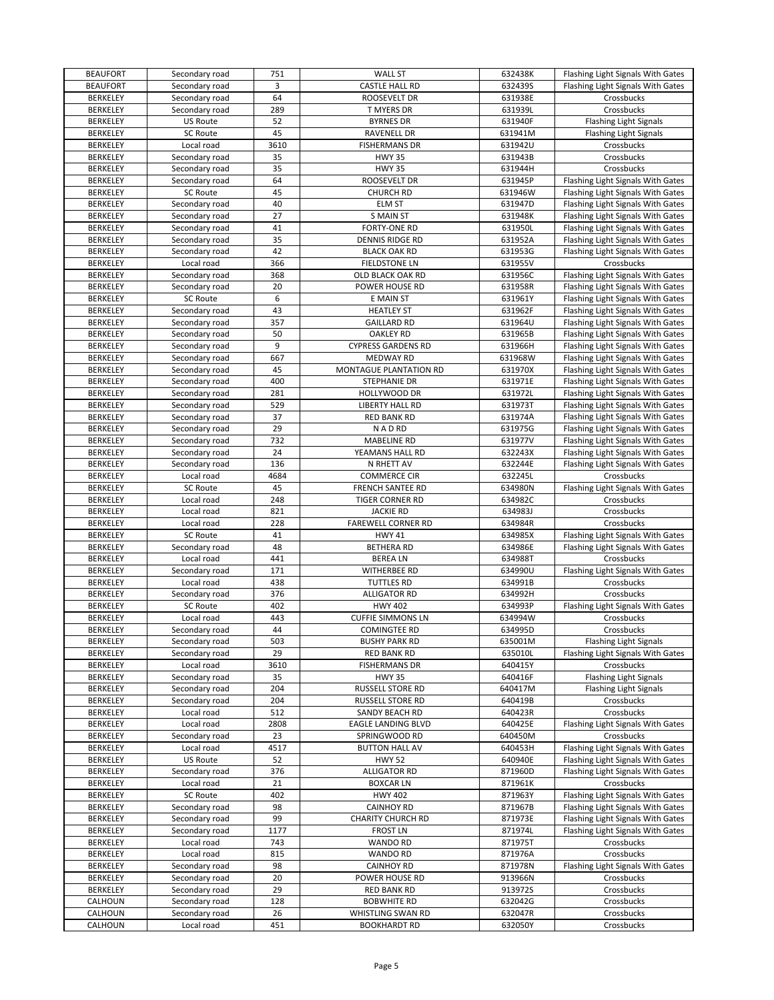| <b>BEAUFORT</b> | Secondary road  | 751  | <b>WALL ST</b>            | 632438K | Flashing Light Signals With Gates |
|-----------------|-----------------|------|---------------------------|---------|-----------------------------------|
| <b>BEAUFORT</b> | Secondary road  | 3    | CASTLE HALL RD            | 632439S | Flashing Light Signals With Gates |
| <b>BERKELEY</b> | Secondary road  | 64   | ROOSEVELT DR              | 631938E | Crossbucks                        |
| <b>BERKELEY</b> | Secondary road  | 289  | T MYERS DR                | 631939L | Crossbucks                        |
| <b>BERKELEY</b> | <b>US Route</b> | 52   | <b>BYRNES DR</b>          | 631940F | <b>Flashing Light Signals</b>     |
| <b>BERKELEY</b> | SC Route        | 45   | <b>RAVENELL DR</b>        | 631941M | Flashing Light Signals            |
| <b>BERKELEY</b> | Local road      | 3610 | <b>FISHERMANS DR</b>      | 631942U | Crossbucks                        |
| <b>BERKELEY</b> | Secondary road  | 35   | <b>HWY 35</b>             | 631943B | Crossbucks                        |
| <b>BERKELEY</b> |                 | 35   | <b>HWY 35</b>             | 631944H | Crossbucks                        |
|                 | Secondary road  |      |                           |         |                                   |
| <b>BERKELEY</b> | Secondary road  | 64   | ROOSEVELT DR              | 631945P | Flashing Light Signals With Gates |
| <b>BERKELEY</b> | <b>SC Route</b> | 45   | <b>CHURCH RD</b>          | 631946W | Flashing Light Signals With Gates |
| <b>BERKELEY</b> | Secondary road  | 40   | <b>ELM ST</b>             | 631947D | Flashing Light Signals With Gates |
| <b>BERKELEY</b> | Secondary road  | 27   | <b>S MAIN ST</b>          | 631948K | Flashing Light Signals With Gates |
| <b>BERKELEY</b> | Secondary road  | 41   | FORTY-ONE RD              | 631950L | Flashing Light Signals With Gates |
| BERKELEY        | Secondary road  | 35   | DENNIS RIDGE RD           | 631952A | Flashing Light Signals With Gates |
| <b>BERKELEY</b> | Secondary road  | 42   | <b>BLACK OAK RD</b>       | 631953G | Flashing Light Signals With Gates |
| <b>BERKELEY</b> | Local road      | 366  | <b>FIELDSTONE LN</b>      | 631955V | Crossbucks                        |
| <b>BERKELEY</b> | Secondary road  | 368  | OLD BLACK OAK RD          | 631956C | Flashing Light Signals With Gates |
| <b>BERKELEY</b> | Secondary road  | 20   | POWER HOUSE RD            | 631958R | Flashing Light Signals With Gates |
| <b>BERKELEY</b> | SC Route        | 6    | E MAIN ST                 | 631961Y | Flashing Light Signals With Gates |
| <b>BERKELEY</b> | Secondary road  | 43   | <b>HEATLEY ST</b>         | 631962F | Flashing Light Signals With Gates |
| <b>BERKELEY</b> | Secondary road  | 357  | <b>GAILLARD RD</b>        | 631964U | Flashing Light Signals With Gates |
|                 | Secondary road  | 50   |                           |         |                                   |
| <b>BERKELEY</b> |                 |      | <b>OAKLEY RD</b>          | 631965B | Flashing Light Signals With Gates |
| <b>BERKELEY</b> | Secondary road  | 9    | <b>CYPRESS GARDENS RD</b> | 631966H | Flashing Light Signals With Gates |
| <b>BERKELEY</b> | Secondary road  | 667  | <b>MEDWAY RD</b>          | 631968W | Flashing Light Signals With Gates |
| <b>BERKELEY</b> | Secondary road  | 45   | MONTAGUE PLANTATION RD    | 631970X | Flashing Light Signals With Gates |
| <b>BERKELEY</b> | Secondary road  | 400  | STEPHANIE DR              | 631971E | Flashing Light Signals With Gates |
| <b>BERKELEY</b> | Secondary road  | 281  | HOLLYWOOD DR              | 631972L | Flashing Light Signals With Gates |
| <b>BERKELEY</b> | Secondary road  | 529  | LIBERTY HALL RD           | 631973T | Flashing Light Signals With Gates |
| <b>BERKELEY</b> | Secondary road  | 37   | <b>RED BANK RD</b>        | 631974A | Flashing Light Signals With Gates |
| <b>BERKELEY</b> | Secondary road  | 29   | <b>NADRD</b>              | 631975G | Flashing Light Signals With Gates |
| <b>BERKELEY</b> | Secondary road  | 732  | <b>MABELINE RD</b>        | 631977V | Flashing Light Signals With Gates |
| <b>BERKELEY</b> | Secondary road  | 24   | YEAMANS HALL RD           | 632243X | Flashing Light Signals With Gates |
| <b>BERKELEY</b> | Secondary road  | 136  | N RHETT AV                | 632244E | Flashing Light Signals With Gates |
| <b>BERKELEY</b> | Local road      | 4684 | <b>COMMERCE CIR</b>       | 632245L | Crossbucks                        |
| <b>BERKELEY</b> | SC Route        | 45   | <b>FRENCH SANTEE RD</b>   | 634980N | Flashing Light Signals With Gates |
|                 |                 | 248  |                           |         |                                   |
| <b>BERKELEY</b> | Local road      |      | TIGER CORNER RD           | 634982C | Crossbucks                        |
| <b>BERKELEY</b> | Local road      | 821  | <b>JACKIE RD</b>          | 634983J | Crossbucks                        |
| <b>BERKELEY</b> | Local road      | 228  | <b>FAREWELL CORNER RD</b> | 634984R | Crossbucks                        |
| <b>BERKELEY</b> | SC Route        | 41   | <b>HWY 41</b>             | 634985X | Flashing Light Signals With Gates |
| <b>BERKELEY</b> | Secondary road  | 48   | <b>BETHERA RD</b>         | 634986E | Flashing Light Signals With Gates |
| <b>BERKELEY</b> | Local road      | 441  | <b>BEREALN</b>            | 634988T | Crossbucks                        |
| <b>BERKELEY</b> | Secondary road  | 171  | WITHERBEE RD              | 634990U | Flashing Light Signals With Gates |
| <b>BERKELEY</b> | Local road      | 438  | <b>TUTTLES RD</b>         | 634991B | Crossbucks                        |
| <b>BERKELEY</b> | Secondary road  | 376  | <b>ALLIGATOR RD</b>       | 634992H | Crossbucks                        |
| <b>BERKELEY</b> | <b>SC Route</b> | 402  | <b>HWY 402</b>            | 634993P | Flashing Light Signals With Gates |
| <b>BERKELEY</b> | Local road      | 443  | <b>CUFFIE SIMMONS LN</b>  | 634994W | Crossbucks                        |
| <b>BERKELEY</b> | Secondary road  | 44   | <b>COMINGTEE RD</b>       | 634995D | Crossbucks                        |
| <b>BERKELEY</b> | Secondary road  | 503  | <b>BUSHY PARK RD</b>      | 635001M | <b>Flashing Light Signals</b>     |
| <b>BERKELEY</b> | Secondary road  | 29   | <b>RED BANK RD</b>        | 635010L | Flashing Light Signals With Gates |
| <b>BERKELEY</b> | Local road      | 3610 | <b>FISHERMANS DR</b>      | 640415Y | Crossbucks                        |
| <b>BERKELEY</b> | Secondary road  | 35   | <b>HWY 35</b>             | 640416F | <b>Flashing Light Signals</b>     |
| BERKELEY        | Secondary road  | 204  | RUSSELL STORE RD          | 640417M | <b>Flashing Light Signals</b>     |
|                 |                 |      |                           | 640419B |                                   |
| <b>BERKELEY</b> | Secondary road  | 204  | RUSSELL STORE RD          |         | Crossbucks                        |
| <b>BERKELEY</b> | Local road      | 512  | SANDY BEACH RD            | 640423R | Crossbucks                        |
| <b>BERKELEY</b> | Local road      | 2808 | EAGLE LANDING BLVD        | 640425E | Flashing Light Signals With Gates |
| BERKELEY        | Secondary road  | 23   | SPRINGWOOD RD             | 640450M | Crossbucks                        |
| <b>BERKELEY</b> | Local road      | 4517 | <b>BUTTON HALL AV</b>     | 640453H | Flashing Light Signals With Gates |
| <b>BERKELEY</b> | <b>US Route</b> | 52   | <b>HWY 52</b>             | 640940E | Flashing Light Signals With Gates |
| <b>BERKELEY</b> | Secondary road  | 376  | <b>ALLIGATOR RD</b>       | 871960D | Flashing Light Signals With Gates |
| <b>BERKELEY</b> | Local road      | 21   | <b>BOXCAR LN</b>          | 871961K | Crossbucks                        |
| <b>BERKELEY</b> | SC Route        | 402  | <b>HWY 402</b>            | 871963Y | Flashing Light Signals With Gates |
| <b>BERKELEY</b> | Secondary road  | 98   | <b>CAINHOY RD</b>         | 871967B | Flashing Light Signals With Gates |
| <b>BERKELEY</b> | Secondary road  | 99   | <b>CHARITY CHURCH RD</b>  | 871973E | Flashing Light Signals With Gates |
| <b>BERKELEY</b> | Secondary road  | 1177 | <b>FROST LN</b>           | 871974L | Flashing Light Signals With Gates |
| <b>BERKELEY</b> | Local road      | 743  | <b>WANDO RD</b>           | 871975T | Crossbucks                        |
| <b>BERKELEY</b> | Local road      | 815  | <b>WANDO RD</b>           | 871976A | Crossbucks                        |
|                 |                 |      |                           |         |                                   |
| <b>BERKELEY</b> | Secondary road  | 98   | <b>CAINHOY RD</b>         | 871978N | Flashing Light Signals With Gates |
| BERKELEY        | Secondary road  | 20   | POWER HOUSE RD            | 913966N | Crossbucks                        |
| <b>BERKELEY</b> | Secondary road  | 29   | <b>RED BANK RD</b>        | 913972S | Crossbucks                        |
| CALHOUN         | Secondary road  | 128  | <b>BOBWHITE RD</b>        | 632042G | Crossbucks                        |
| CALHOUN         | Secondary road  | 26   | WHISTLING SWAN RD         | 632047R | Crossbucks                        |
| CALHOUN         | Local road      | 451  | <b>BOOKHARDT RD</b>       | 632050Y | Crossbucks                        |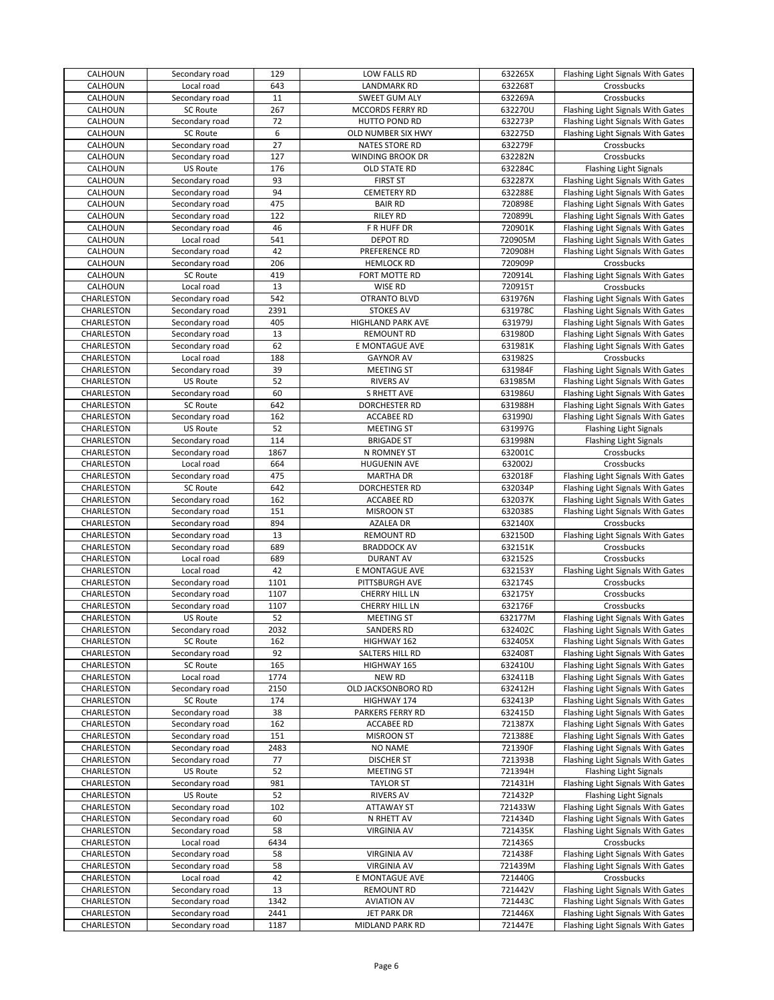| CALHOUN    | Secondary road               | 129  | LOW FALLS RD                       | 632265X | Flashing Light Signals With Gates               |
|------------|------------------------------|------|------------------------------------|---------|-------------------------------------------------|
| CALHOUN    | Local road                   | 643  | <b>LANDMARK RD</b>                 | 632268T | Crossbucks                                      |
| CALHOUN    | Secondary road               | 11   | SWEET GUM ALY                      | 632269A | Crossbucks                                      |
| CALHOUN    | <b>SC Route</b>              | 267  | MCCORDS FERRY RD                   | 632270U | Flashing Light Signals With Gates               |
| CALHOUN    | Secondary road               | 72   | HUTTO POND RD                      | 632273P | Flashing Light Signals With Gates               |
| CALHOUN    | <b>SC Route</b>              | 6    | OLD NUMBER SIX HWY                 | 632275D | Flashing Light Signals With Gates               |
| CALHOUN    | Secondary road               | 27   | <b>NATES STORE RD</b>              | 632279F | Crossbucks                                      |
| CALHOUN    | Secondary road               | 127  | WINDING BROOK DR                   | 632282N | Crossbucks                                      |
| CALHOUN    | US Route                     | 176  | OLD STATE RD                       | 632284C | <b>Flashing Light Signals</b>                   |
| CALHOUN    | Secondary road               | 93   | <b>FIRST ST</b>                    | 632287X | Flashing Light Signals With Gates               |
| CALHOUN    | Secondary road               | 94   | <b>CEMETERY RD</b>                 | 632288E | Flashing Light Signals With Gates               |
| CALHOUN    | Secondary road               | 475  | <b>BAIR RD</b>                     | 720898E | Flashing Light Signals With Gates               |
| CALHOUN    | Secondary road               | 122  | <b>RILEY RD</b>                    | 720899L | Flashing Light Signals With Gates               |
| CALHOUN    | Secondary road               | 46   | F R HUFF DR                        | 720901K | Flashing Light Signals With Gates               |
| CALHOUN    | Local road                   | 541  | <b>DEPOT RD</b>                    | 720905M | Flashing Light Signals With Gates               |
| CALHOUN    | Secondary road               | 42   | PREFERENCE RD                      | 720908H | Flashing Light Signals With Gates               |
| CALHOUN    | Secondary road               | 206  | <b>HEMLOCK RD</b>                  | 720909P | Crossbucks                                      |
| CALHOUN    | SC Route                     | 419  | FORT MOTTE RD                      | 720914L | Flashing Light Signals With Gates               |
| CALHOUN    | Local road                   | 13   | <b>WISE RD</b>                     | 720915T | Crossbucks                                      |
| CHARLESTON | Secondary road               | 542  | OTRANTO BLVD                       | 631976N | Flashing Light Signals With Gates               |
| CHARLESTON | Secondary road               | 2391 | <b>STOKES AV</b>                   | 631978C | Flashing Light Signals With Gates               |
| CHARLESTON | Secondary road               | 405  | HIGHLAND PARK AVE                  | 631979J | Flashing Light Signals With Gates               |
| CHARLESTON | Secondary road               | 13   | <b>REMOUNT RD</b>                  | 631980D | Flashing Light Signals With Gates               |
|            |                              | 62   |                                    |         |                                                 |
| CHARLESTON | Secondary road<br>Local road | 188  | E MONTAGUE AVE<br><b>GAYNOR AV</b> | 631981K | Flashing Light Signals With Gates<br>Crossbucks |
| CHARLESTON |                              | 39   |                                    | 631982S |                                                 |
| CHARLESTON | Secondary road               |      | MEETING ST                         | 631984F | Flashing Light Signals With Gates               |
| CHARLESTON | US Route                     | 52   | <b>RIVERS AV</b>                   | 631985M | Flashing Light Signals With Gates               |
| CHARLESTON | Secondary road               | 60   | <b>S RHETT AVE</b>                 | 631986U | Flashing Light Signals With Gates               |
| CHARLESTON | SC Route                     | 642  | DORCHESTER RD                      | 631988H | Flashing Light Signals With Gates               |
| CHARLESTON | Secondary road               | 162  | <b>ACCABEE RD</b>                  | 631990J | Flashing Light Signals With Gates               |
| CHARLESTON | US Route                     | 52   | MEETING ST                         | 631997G | <b>Flashing Light Signals</b>                   |
| CHARLESTON | Secondary road               | 114  | <b>BRIGADE ST</b>                  | 631998N | <b>Flashing Light Signals</b>                   |
| CHARLESTON | Secondary road               | 1867 | N ROMNEY ST                        | 632001C | Crossbucks                                      |
| CHARLESTON | Local road                   | 664  | <b>HUGUENIN AVE</b>                | 632002J | Crossbucks                                      |
| CHARLESTON | Secondary road               | 475  | <b>MARTHA DR</b>                   | 632018F | Flashing Light Signals With Gates               |
| CHARLESTON | SC Route                     | 642  | DORCHESTER RD                      | 632034P | Flashing Light Signals With Gates               |
| CHARLESTON | Secondary road               | 162  | <b>ACCABEE RD</b>                  | 632037K | Flashing Light Signals With Gates               |
| CHARLESTON | Secondary road               | 151  | <b>MISROON ST</b>                  | 632038S | Flashing Light Signals With Gates               |
| CHARLESTON | Secondary road               | 894  | AZALEA DR                          | 632140X | Crossbucks                                      |
| CHARLESTON | Secondary road               | 13   | <b>REMOUNT RD</b>                  | 632150D | Flashing Light Signals With Gates               |
| CHARLESTON | Secondary road               | 689  | <b>BRADDOCK AV</b>                 | 632151K | Crossbucks                                      |
| CHARLESTON | Local road                   | 689  | <b>DURANT AV</b>                   | 632152S | Crossbucks                                      |
| CHARLESTON | Local road                   | 42   | E MONTAGUE AVE                     | 632153Y | Flashing Light Signals With Gates               |
| CHARLESTON | Secondary road               | 1101 | PITTSBURGH AVE                     | 632174S | Crossbucks                                      |
| CHARLESTON | Secondary road               | 1107 | CHERRY HILL LN                     | 632175Y | Crossbucks                                      |
| CHARLESTON | Secondary road               | 1107 | CHERRY HILL LN                     | 632176F | Crossbucks                                      |
| CHARLESTON | US Route                     | 52   | <b>MEETING ST</b>                  | 632177M | Flashing Light Signals With Gates               |
| CHARLESTON | Secondary road               | 2032 | <b>SANDERS RD</b>                  | 632402C | Flashing Light Signals With Gates               |
| CHARLESTON | SC Route                     | 162  | HIGHWAY 162                        | 632405X | Flashing Light Signals With Gates               |
| CHARLESTON | Secondary road               | 92   | SALTERS HILL RD                    | 632408T | Flashing Light Signals With Gates               |
| CHARLESTON | SC Route                     | 165  | HIGHWAY 165                        | 632410U | Flashing Light Signals With Gates               |
| CHARLESTON | Local road                   | 1774 | <b>NEW RD</b>                      | 632411B | Flashing Light Signals With Gates               |
| CHARLESTON | Secondary road               | 2150 | OLD JACKSONBORO RD                 | 632412H | Flashing Light Signals With Gates               |
| CHARLESTON | SC Route                     | 174  | HIGHWAY 174                        | 632413P | Flashing Light Signals With Gates               |
| CHARLESTON | Secondary road               | 38   | PARKERS FERRY RD                   | 632415D | Flashing Light Signals With Gates               |
| CHARLESTON |                              |      |                                    |         |                                                 |
| CHARLESTON | Secondary road               | 162  | <b>ACCABEE RD</b>                  | 721387X | Flashing Light Signals With Gates               |
| CHARLESTON | Secondary road               | 151  | <b>MISROON ST</b>                  | 721388E | Flashing Light Signals With Gates               |
| CHARLESTON | Secondary road               | 2483 | <b>NO NAME</b>                     | 721390F | Flashing Light Signals With Gates               |
|            | Secondary road               | 77   | <b>DISCHER ST</b>                  | 721393B | Flashing Light Signals With Gates               |
| CHARLESTON | US Route                     | 52   | MEETING ST                         | 721394H | <b>Flashing Light Signals</b>                   |
| CHARLESTON | Secondary road               | 981  | <b>TAYLOR ST</b>                   | 721431H | Flashing Light Signals With Gates               |
| CHARLESTON | US Route                     | 52   | <b>RIVERS AV</b>                   | 721432P | Flashing Light Signals                          |
| CHARLESTON | Secondary road               | 102  | <b>ATTAWAY ST</b>                  | 721433W | Flashing Light Signals With Gates               |
| CHARLESTON | Secondary road               | 60   | N RHETT AV                         | 721434D | Flashing Light Signals With Gates               |
| CHARLESTON | Secondary road               | 58   | <b>VIRGINIA AV</b>                 | 721435K | Flashing Light Signals With Gates               |
| CHARLESTON | Local road                   | 6434 |                                    | 721436S | Crossbucks                                      |
| CHARLESTON | Secondary road               | 58   | <b>VIRGINIA AV</b>                 | 721438F | Flashing Light Signals With Gates               |
| CHARLESTON | Secondary road               | 58   | <b>VIRGINIA AV</b>                 | 721439M | Flashing Light Signals With Gates               |
| CHARLESTON | Local road                   | 42   | E MONTAGUE AVE                     | 721440G | Crossbucks                                      |
| CHARLESTON | Secondary road               | 13   | <b>REMOUNT RD</b>                  | 721442V | Flashing Light Signals With Gates               |
| CHARLESTON | Secondary road               | 1342 | <b>AVIATION AV</b>                 | 721443C | Flashing Light Signals With Gates               |
| CHARLESTON | Secondary road               | 2441 | <b>JET PARK DR</b>                 | 721446X | Flashing Light Signals With Gates               |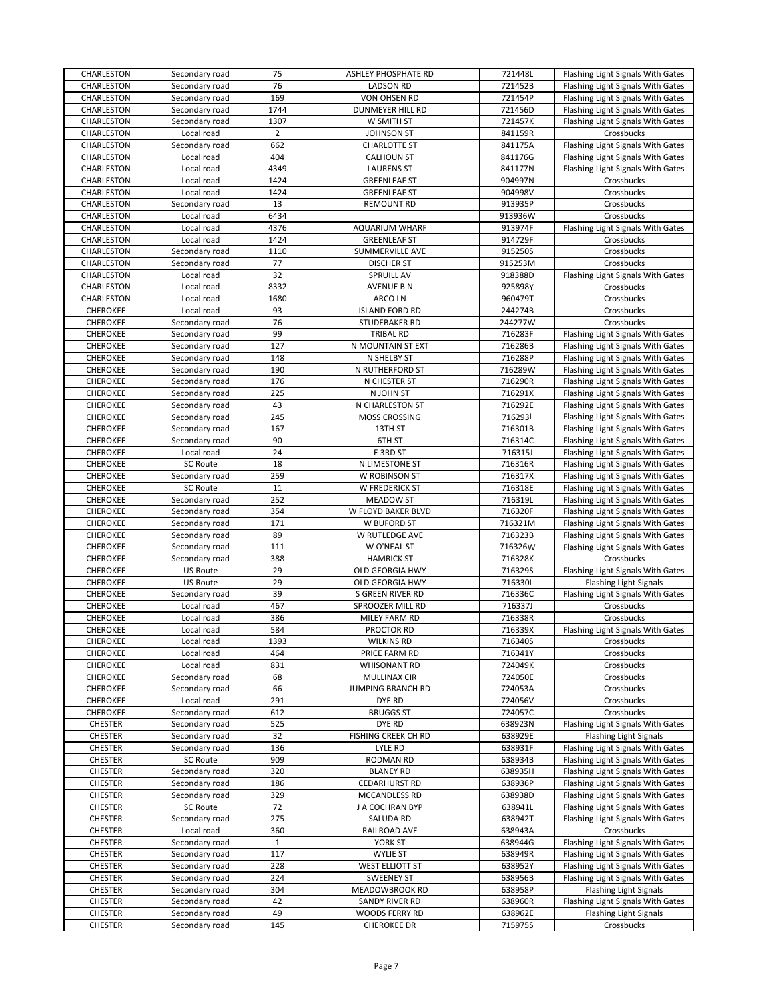|                                    | Secondary road                    | 75             | ASHLEY PHOSPHATE RD                  | 721448L            | Flashing Light Signals With Gates               |
|------------------------------------|-----------------------------------|----------------|--------------------------------------|--------------------|-------------------------------------------------|
| CHARLESTON                         | Secondary road                    | 76             | <b>LADSON RD</b>                     | 721452B            | Flashing Light Signals With Gates               |
| CHARLESTON                         | Secondary road                    | 169            | VON OHSEN RD                         | 721454P            | Flashing Light Signals With Gates               |
| CHARLESTON                         | Secondary road                    | 1744           | <b>DUNMEYER HILL RD</b>              | 721456D            | Flashing Light Signals With Gates               |
| CHARLESTON                         | Secondary road                    | 1307           | W SMITH ST                           | 721457K            | Flashing Light Signals With Gates               |
| CHARLESTON                         | Local road                        | $\overline{2}$ | <b>JOHNSON ST</b>                    | 841159R            | Crossbucks                                      |
| CHARLESTON                         | Secondary road                    | 662            | <b>CHARLOTTE ST</b>                  | 841175A            | Flashing Light Signals With Gates               |
| CHARLESTON                         | Local road                        | 404            | <b>CALHOUN ST</b>                    | 841176G            | Flashing Light Signals With Gates               |
| CHARLESTON                         | Local road                        | 4349           | <b>LAURENS ST</b>                    | 841177N            | Flashing Light Signals With Gates               |
| CHARLESTON                         | Local road                        | 1424           | <b>GREENLEAF ST</b>                  | 904997N            | Crossbucks                                      |
| CHARLESTON                         | Local road                        | 1424           | <b>GREENLEAF ST</b>                  | 904998V            | Crossbucks                                      |
| CHARLESTON                         | Secondary road                    | 13             | <b>REMOUNT RD</b>                    | 913935P            | Crossbucks                                      |
| CHARLESTON                         | Local road                        | 6434           |                                      | 913936W            | Crossbucks                                      |
| CHARLESTON                         | Local road                        | 4376           | <b>AQUARIUM WHARF</b>                | 913974F            | Flashing Light Signals With Gates               |
| CHARLESTON                         | Local road                        | 1424           | <b>GREENLEAF ST</b>                  | 914729F            | Crossbucks                                      |
| CHARLESTON                         | Secondary road                    | 1110           | SUMMERVILLE AVE                      | 915250S            | Crossbucks                                      |
| CHARLESTON                         | Secondary road                    | 77             | <b>DISCHER ST</b>                    | 915253M            | Crossbucks                                      |
| CHARLESTON                         | Local road                        | 32             | <b>SPRUILL AV</b>                    | 918388D            | Flashing Light Signals With Gates               |
| CHARLESTON                         | Local road                        | 8332           | <b>AVENUE B N</b>                    | 925898Y            | Crossbucks                                      |
| CHARLESTON                         | Local road                        | 1680           | ARCO LN                              | 960479T            | Crossbucks                                      |
| CHEROKEE                           | Local road                        | 93             | <b>ISLAND FORD RD</b>                | 244274B            | Crossbucks                                      |
| CHEROKEE                           | Secondary road                    | 76             | STUDEBAKER RD                        | 244277W            | Crossbucks                                      |
| <b>CHEROKEE</b>                    | Secondary road                    | 99             | <b>TRIBAL RD</b>                     | 716283F            | Flashing Light Signals With Gates               |
| CHEROKEE                           | Secondary road                    | 127            | N MOUNTAIN ST EXT                    | 716286B            | Flashing Light Signals With Gates               |
| CHEROKEE                           | Secondary road                    | 148            | N SHELBY ST                          | 716288P            | Flashing Light Signals With Gates               |
| CHEROKEE                           | Secondary road                    | 190            | N RUTHERFORD ST                      | 716289W            | Flashing Light Signals With Gates               |
| CHEROKEE                           | Secondary road                    | 176            | N CHESTER ST                         | 716290R            | Flashing Light Signals With Gates               |
| <b>CHEROKEE</b>                    | Secondary road                    | 225            | N JOHN ST                            | 716291X            | Flashing Light Signals With Gates               |
| CHEROKEE                           | Secondary road                    | 43             | N CHARLESTON ST                      | 716292E            | Flashing Light Signals With Gates               |
| <b>CHEROKEE</b>                    | Secondary road                    | 245            | MOSS CROSSING                        | 716293L            | Flashing Light Signals With Gates               |
| CHEROKEE                           | Secondary road                    | 167            | 13TH ST                              | 716301B            | Flashing Light Signals With Gates               |
| <b>CHEROKEE</b>                    | Secondary road                    | 90             | 6TH ST                               | 716314C            | Flashing Light Signals With Gates               |
| CHEROKEE                           | Local road                        | 24             | E 3RD ST                             | 716315J            | Flashing Light Signals With Gates               |
| CHEROKEE                           | <b>SC Route</b>                   | 18             | N LIMESTONE ST                       | 716316R            | Flashing Light Signals With Gates               |
| CHEROKEE                           | Secondary road                    | 259            | W ROBINSON ST                        | 716317X            | Flashing Light Signals With Gates               |
| <b>CHEROKEE</b>                    | SC Route                          | 11             | W FREDERICK ST                       | 716318E            | Flashing Light Signals With Gates               |
| CHEROKEE                           | Secondary road                    | 252            | MEADOW ST                            | 716319L            | Flashing Light Signals With Gates               |
| CHEROKEE                           | Secondary road                    | 354            | W FLOYD BAKER BLVD                   | 716320F            | Flashing Light Signals With Gates               |
| CHEROKEE                           | Secondary road                    | 171            | W BUFORD ST                          | 716321M            | Flashing Light Signals With Gates               |
| <b>CHEROKEE</b>                    | Secondary road                    | 89             | W RUTLEDGE AVE                       | 716323B            | Flashing Light Signals With Gates               |
| CHEROKEE                           |                                   |                | W O'NEAL ST                          | 716326W            | Flashing Light Signals With Gates               |
|                                    |                                   |                |                                      |                    |                                                 |
|                                    | Secondary road                    | 111            |                                      |                    |                                                 |
| <b>CHEROKEE</b>                    | Secondary road                    | 388            | <b>HAMRICK ST</b>                    | 716328K            | Crossbucks                                      |
| CHEROKEE                           | <b>US Route</b>                   | 29             | OLD GEORGIA HWY                      | 716329S            | Flashing Light Signals With Gates               |
| CHEROKEE                           | <b>US Route</b>                   | 29             | OLD GEORGIA HWY<br>S GREEN RIVER RD  | 716330L            | <b>Flashing Light Signals</b>                   |
| <b>CHEROKEE</b>                    | Secondary road                    | 39             |                                      | 716336C            | Flashing Light Signals With Gates               |
| CHEROKEE                           | Local road<br>Local road          | 467<br>386     | SPROOZER MILL RD<br>MILEY FARM RD    | 716337J            | Crossbucks<br>Crossbucks                        |
| CHEROKEE<br><b>CHEROKEE</b>        | Local road                        | 584            | PROCTOR RD                           | 716338R<br>716339X |                                                 |
|                                    |                                   |                |                                      |                    | Flashing Light Signals With Gates<br>Crossbucks |
| <b>CHEROKEE</b><br><b>CHEROKEE</b> | Local road                        | 1393<br>464    | <b>WILKINS RD</b>                    | 716340S            |                                                 |
| CHEROKEE                           | Local road<br>Local road          | 831            | PRICE FARM RD<br><b>WHISONANT RD</b> | 716341Y<br>724049K | Crossbucks<br>Crossbucks                        |
| CHEROKEE                           | Secondary road                    | 68             | <b>MULLINAX CIR</b>                  | 724050E            | Crossbucks                                      |
| <b>CHEROKEE</b>                    | Secondary road                    | 66             | JUMPING BRANCH RD                    | 724053A            | Crossbucks                                      |
| CHEROKEE                           | Local road                        | 291            | DYE RD                               | 724056V            | Crossbucks                                      |
| CHEROKEE                           | Secondary road                    | 612            | <b>BRUGGS ST</b>                     | 724057C            | Crossbucks                                      |
| CHESTER                            | Secondary road                    | 525            | DYE RD                               | 638923N            | Flashing Light Signals With Gates               |
|                                    | Secondary road                    | 32             |                                      | 638929E            | <b>Flashing Light Signals</b>                   |
| <b>CHESTER</b><br><b>CHESTER</b>   | Secondary road                    | 136            | FISHING CREEK CH RD<br>LYLE RD       | 638931F            | Flashing Light Signals With Gates               |
|                                    |                                   | 909            |                                      |                    | Flashing Light Signals With Gates               |
| <b>CHESTER</b><br><b>CHESTER</b>   | <b>SC Route</b><br>Secondary road | 320            | RODMAN RD<br><b>BLANEY RD</b>        | 638934B<br>638935H | Flashing Light Signals With Gates               |
| <b>CHESTER</b>                     | Secondary road                    | 186            | <b>CEDARHURST RD</b>                 | 638936P            | Flashing Light Signals With Gates               |
| <b>CHESTER</b>                     | Secondary road                    | 329            | MCCANDLESS RD                        | 638938D            | Flashing Light Signals With Gates               |
| <b>CHESTER</b>                     | <b>SC Route</b>                   | 72             | J A COCHRAN BYP                      | 638941L            | Flashing Light Signals With Gates               |
| <b>CHESTER</b>                     | Secondary road                    | 275            | SALUDA RD                            | 638942T            |                                                 |
| <b>CHESTER</b>                     | Local road                        | 360            | RAILROAD AVE                         | 638943A            | Flashing Light Signals With Gates<br>Crossbucks |
| <b>CHESTER</b>                     | Secondary road                    | 1              | YORK ST                              | 638944G            | Flashing Light Signals With Gates               |
| <b>CHESTER</b>                     | Secondary road                    | 117            | <b>WYLIE ST</b>                      | 638949R            | Flashing Light Signals With Gates               |
| <b>CHESTER</b>                     | Secondary road                    | 228            | <b>WEST ELLIOTT ST</b>               | 638952Y            | Flashing Light Signals With Gates               |
| <b>CHESTER</b>                     | Secondary road                    | 224            | <b>SWEENEY ST</b>                    | 638956B            | Flashing Light Signals With Gates               |
| <b>CHESTER</b>                     | Secondary road                    | 304            | MEADOWBROOK RD                       | 638958P            | <b>Flashing Light Signals</b>                   |
| <b>CHESTER</b>                     | Secondary road                    | 42             | SANDY RIVER RD                       | 638960R            | Flashing Light Signals With Gates               |
| <b>CHESTER</b>                     | Secondary road                    | 49             | WOODS FERRY RD                       | 638962E            | <b>Flashing Light Signals</b>                   |
| <b>CHESTER</b>                     | Secondary road                    | 145            | <b>CHEROKEE DR</b>                   | 715975S            | Crossbucks                                      |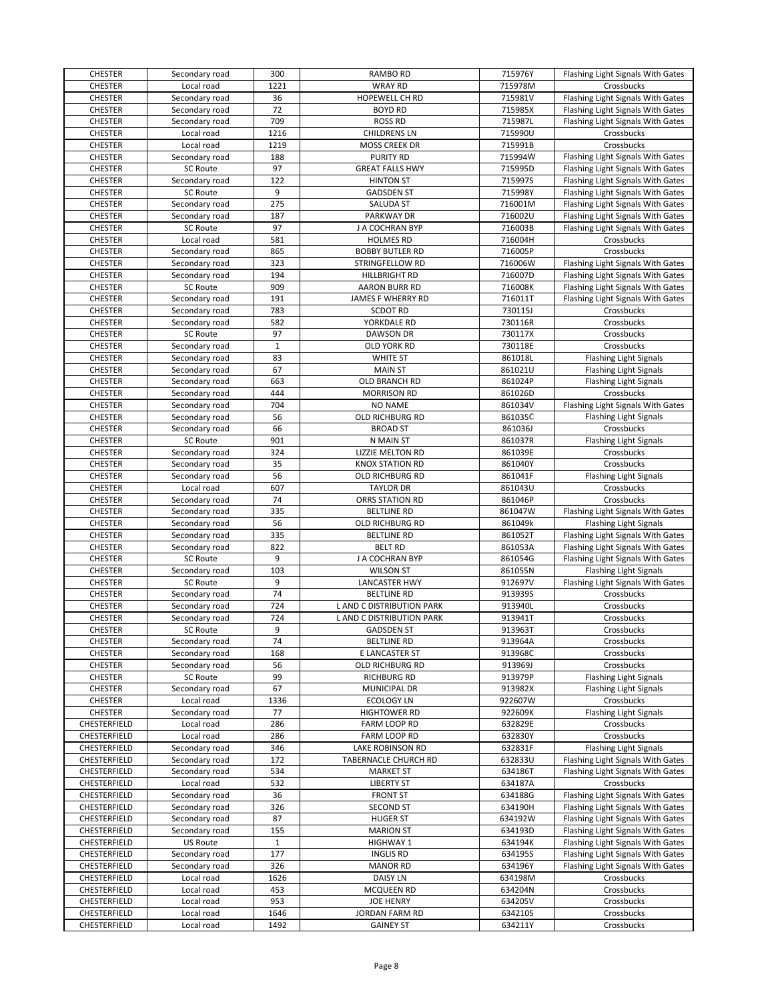| <b>CHESTER</b>               | Secondary road           | 300          | RAMBO RD                           | 715976Y            | Flashing Light Signals With Gates |
|------------------------------|--------------------------|--------------|------------------------------------|--------------------|-----------------------------------|
| <b>CHESTER</b>               | Local road               | 1221         | <b>WRAY RD</b>                     | 715978M            | Crossbucks                        |
| <b>CHESTER</b>               | Secondary road           | 36           | HOPEWELL CH RD                     | 715981V            | Flashing Light Signals With Gates |
| <b>CHESTER</b>               | Secondary road           | 72           | <b>BOYD RD</b>                     | 715985X            | Flashing Light Signals With Gates |
| <b>CHESTER</b>               | Secondary road           | 709          | <b>ROSS RD</b>                     | 715987L            | Flashing Light Signals With Gates |
| <b>CHESTER</b>               | Local road               | 1216         | <b>CHILDRENS LN</b>                | 715990U            | Crossbucks                        |
| <b>CHESTER</b>               | Local road               | 1219         | MOSS CREEK DR                      | 715991B            | Crossbucks                        |
| <b>CHESTER</b>               | Secondary road           | 188          | <b>PURITY RD</b>                   | 715994W            | Flashing Light Signals With Gates |
| <b>CHESTER</b>               | <b>SC Route</b>          | 97           | <b>GREAT FALLS HWY</b>             | 715995D            | Flashing Light Signals With Gates |
| <b>CHESTER</b>               |                          | 122          | <b>HINTON ST</b>                   | 715997S            |                                   |
|                              | Secondary road           | 9            |                                    |                    | Flashing Light Signals With Gates |
| <b>CHESTER</b>               | SC Route                 |              | <b>GADSDEN ST</b>                  | 715998Y            | Flashing Light Signals With Gates |
| <b>CHESTER</b>               | Secondary road           | 275          | SALUDA ST                          | 716001M            | Flashing Light Signals With Gates |
| <b>CHESTER</b>               | Secondary road           | 187          | PARKWAY DR                         | 716002U            | Flashing Light Signals With Gates |
| <b>CHESTER</b>               | <b>SC Route</b>          | 97           | J A COCHRAN BYP                    | 716003B            | Flashing Light Signals With Gates |
| <b>CHESTER</b>               | Local road               | 581          | <b>HOLMES RD</b>                   | 716004H            | Crossbucks                        |
| <b>CHESTER</b>               | Secondary road           | 865          | <b>BOBBY BUTLER RD</b>             | 716005P            | Crossbucks                        |
| <b>CHESTER</b>               | Secondary road           | 323          | <b>STRINGFELLOW RD</b>             | 716006W            | Flashing Light Signals With Gates |
| <b>CHESTER</b>               | Secondary road           | 194          | <b>HILLBRIGHT RD</b>               | 716007D            | Flashing Light Signals With Gates |
| <b>CHESTER</b>               | <b>SC Route</b>          | 909          | <b>AARON BURR RD</b>               | 716008K            | Flashing Light Signals With Gates |
| <b>CHESTER</b>               | Secondary road           | 191          | JAMES F WHERRY RD                  | 716011T            | Flashing Light Signals With Gates |
| <b>CHESTER</b>               | Secondary road           | 783          | <b>SCDOT RD</b>                    | 730115J            | Crossbucks                        |
| <b>CHESTER</b>               | Secondary road           | 582          | <b>YORKDALE RD</b>                 | 730116R            | Crossbucks                        |
| <b>CHESTER</b>               | <b>SC Route</b>          | 97           | <b>DAWSON DR</b>                   | 730117X            | Crossbucks                        |
| <b>CHESTER</b>               | Secondary road           | $\mathbf{1}$ | OLD YORK RD                        | 730118E            | Crossbucks                        |
| <b>CHESTER</b>               | Secondary road           | 83           | <b>WHITE ST</b>                    | 861018L            | <b>Flashing Light Signals</b>     |
|                              |                          |              |                                    |                    |                                   |
| <b>CHESTER</b>               | Secondary road           | 67           | <b>MAIN ST</b>                     | 861021U            | <b>Flashing Light Signals</b>     |
| <b>CHESTER</b>               | Secondary road           | 663          | OLD BRANCH RD                      | 861024P            | <b>Flashing Light Signals</b>     |
| <b>CHESTER</b>               | Secondary road           | 444          | <b>MORRISON RD</b>                 | 861026D            | Crossbucks                        |
| <b>CHESTER</b>               | Secondary road           | 704          | <b>NO NAME</b>                     | 861034V            | Flashing Light Signals With Gates |
| <b>CHESTER</b>               | Secondary road           | 56           | OLD RICHBURG RD                    | 861035C            | <b>Flashing Light Signals</b>     |
| <b>CHESTER</b>               | Secondary road           | 66           | <b>BROAD ST</b>                    | 861036J            | Crossbucks                        |
| <b>CHESTER</b>               | <b>SC Route</b>          | 901          | N MAIN ST                          | 861037R            | <b>Flashing Light Signals</b>     |
| <b>CHESTER</b>               | Secondary road           | 324          | LIZZIE MELTON RD                   | 861039E            | Crossbucks                        |
| <b>CHESTER</b>               | Secondary road           | 35           | <b>KNOX STATION RD</b>             | 861040Y            | Crossbucks                        |
| <b>CHESTER</b>               | Secondary road           | 56           | OLD RICHBURG RD                    | 861041F            | Flashing Light Signals            |
| <b>CHESTER</b>               | Local road               | 607          | <b>TAYLOR DR</b>                   | 861043U            | Crossbucks                        |
| <b>CHESTER</b>               | Secondary road           | 74           | ORRS STATION RD                    | 861046P            | Crossbucks                        |
| <b>CHESTER</b>               | Secondary road           | 335          | <b>BELTLINE RD</b>                 | 861047W            | Flashing Light Signals With Gates |
| <b>CHESTER</b>               | Secondary road           | 56           | OLD RICHBURG RD                    | 861049k            | Flashing Light Signals            |
|                              |                          |              |                                    |                    |                                   |
| <b>CHESTER</b>               | Secondary road           | 335          | <b>BELTLINE RD</b>                 | 861052T            | Flashing Light Signals With Gates |
| <b>CHESTER</b>               | Secondary road           | 822          | <b>BELT RD</b>                     | 861053A            | Flashing Light Signals With Gates |
| <b>CHESTER</b>               | SC Route                 | 9            | J A COCHRAN BYP                    | 861054G            | Flashing Light Signals With Gates |
| <b>CHESTER</b>               | Secondary road           | 103          | <b>WILSON ST</b>                   | 861055N            | <b>Flashing Light Signals</b>     |
| <b>CHESTER</b>               | SC Route                 | 9            | LANCASTER HWY                      | 912697V            | Flashing Light Signals With Gates |
| <b>CHESTER</b>               | Secondary road           | 74           | <b>BELTLINE RD</b>                 | 913939S            | Crossbucks                        |
| <b>CHESTER</b>               | Secondary road           | 724          | L AND C DISTRIBUTION PARK          | 913940L            | Crossbucks                        |
| <b>CHESTER</b>               | Secondary road           | 724          | L AND C DISTRIBUTION PARK          | 913941T            | Crossbucks                        |
| <b>CHESTER</b>               | <b>SC Route</b>          | 9            | <b>GADSDEN ST</b>                  | 913963T            | Crossbucks                        |
| <b>CHESTER</b>               | Secondary road           | 74           | <b>BELTLINE RD</b>                 | 913964A            | Crossbucks                        |
| <b>CHESTER</b>               | Secondary road           | 168          | E LANCASTER ST                     | 913968C            | Crossbucks                        |
| <b>CHESTER</b>               | Secondary road           | 56           | OLD RICHBURG RD                    | 913969J            | Crossbucks                        |
| <b>CHESTER</b>               | <b>SC Route</b>          | 99           | <b>RICHBURG RD</b>                 | 913979P            | <b>Flashing Light Signals</b>     |
| <b>CHESTER</b>               | Secondary road           | 67           | MUNICIPAL DR                       | 913982X            | <b>Flashing Light Signals</b>     |
| <b>CHESTER</b>               | Local road               | 1336         | <b>ECOLOGY LN</b>                  | 922607W            | Crossbucks                        |
| <b>CHESTER</b>               | Secondary road           | 77           | <b>HIGHTOWER RD</b>                | 922609K            | <b>Flashing Light Signals</b>     |
|                              |                          |              |                                    |                    |                                   |
| CHESTERFIELD                 | Local road               | 286          | FARM LOOP RD                       | 632829E            | Crossbucks                        |
| CHESTERFIELD                 | Local road               | 286          | FARM LOOP RD                       | 632830Y            | Crossbucks                        |
| CHESTERFIELD                 | Secondary road           | 346          | LAKE ROBINSON RD                   | 632831F            | <b>Flashing Light Signals</b>     |
| CHESTERFIELD                 | Secondary road           | 172          | TABERNACLE CHURCH RD               | 632833U            | Flashing Light Signals With Gates |
| CHESTERFIELD                 | Secondary road           | 534          | <b>MARKET ST</b>                   | 634186T            | Flashing Light Signals With Gates |
| CHESTERFIELD                 | Local road               | 532          | <b>LIBERTY ST</b>                  | 634187A            | Crossbucks                        |
| CHESTERFIELD                 | Secondary road           | 36           | <b>FRONT ST</b>                    | 634188G            | Flashing Light Signals With Gates |
| CHESTERFIELD                 | Secondary road           | 326          | <b>SECOND ST</b>                   | 634190H            | Flashing Light Signals With Gates |
| CHESTERFIELD                 | Secondary road           | 87           | <b>HUGER ST</b>                    | 634192W            | Flashing Light Signals With Gates |
| CHESTERFIELD                 | Secondary road           | 155          | <b>MARION ST</b>                   | 634193D            | Flashing Light Signals With Gates |
| CHESTERFIELD                 |                          |              |                                    | 634194K            | Flashing Light Signals With Gates |
|                              |                          |              |                                    |                    |                                   |
|                              | <b>US Route</b>          | 1            | HIGHWAY 1                          |                    |                                   |
| CHESTERFIELD                 | Secondary road           | 177          | <b>INGLIS RD</b>                   | 634195S            | Flashing Light Signals With Gates |
| CHESTERFIELD                 | Secondary road           | 326          | <b>MANOR RD</b>                    | 634196Y            | Flashing Light Signals With Gates |
| CHESTERFIELD                 | Local road               | 1626         | <b>DAISY LN</b>                    | 634198M            | Crossbucks                        |
| CHESTERFIELD                 | Local road               | 453          | MCQUEEN RD                         | 634204N            | Crossbucks                        |
| CHESTERFIELD                 | Local road               | 953          | <b>JOE HENRY</b>                   | 634205V            | Crossbucks                        |
| CHESTERFIELD<br>CHESTERFIELD | Local road<br>Local road | 1646<br>1492 | JORDAN FARM RD<br><b>GAINEY ST</b> | 634210S<br>634211Y | Crossbucks<br>Crossbucks          |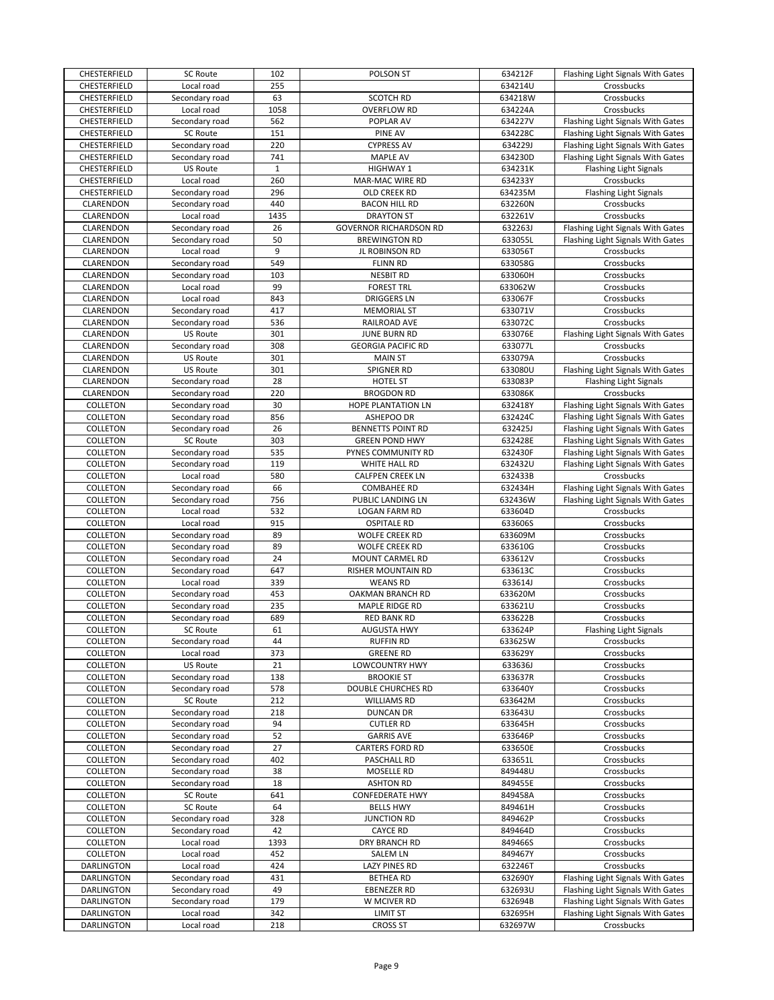| CHESTERFIELD      | SC Route        | 102   | POLSON ST                     | 634212F | Flashing Light Signals With Gates |
|-------------------|-----------------|-------|-------------------------------|---------|-----------------------------------|
| CHESTERFIELD      | Local road      | 255   |                               | 634214U | Crossbucks                        |
| CHESTERFIELD      | Secondary road  | 63    | <b>SCOTCH RD</b>              | 634218W | Crossbucks                        |
| CHESTERFIELD      | Local road      | 1058  | <b>OVERFLOW RD</b>            | 634224A | Crossbucks                        |
|                   |                 | 562   |                               |         |                                   |
| CHESTERFIELD      | Secondary road  |       | POPLAR AV                     | 634227V | Flashing Light Signals With Gates |
| CHESTERFIELD      | SC Route        | 151   | PINE AV                       | 634228C | Flashing Light Signals With Gates |
| CHESTERFIELD      | Secondary road  | 220   | <b>CYPRESS AV</b>             | 634229J | Flashing Light Signals With Gates |
| CHESTERFIELD      | Secondary road  | 741   | <b>MAPLE AV</b>               | 634230D | Flashing Light Signals With Gates |
| CHESTERFIELD      | <b>US Route</b> | $1\,$ | <b>HIGHWAY 1</b>              | 634231K | <b>Flashing Light Signals</b>     |
| CHESTERFIELD      | Local road      | 260   | MAR-MAC WIRE RD               | 634233Y | Crossbucks                        |
| CHESTERFIELD      | Secondary road  | 296   | OLD CREEK RD                  | 634235M | Flashing Light Signals            |
|                   |                 |       |                               |         |                                   |
| CLARENDON         | Secondary road  | 440   | <b>BACON HILL RD</b>          | 632260N | Crossbucks                        |
| CLARENDON         | Local road      | 1435  | <b>DRAYTON ST</b>             | 632261V | Crossbucks                        |
| CLARENDON         | Secondary road  | 26    | <b>GOVERNOR RICHARDSON RD</b> | 632263J | Flashing Light Signals With Gates |
| CLARENDON         | Secondary road  | 50    | <b>BREWINGTON RD</b>          | 633055L | Flashing Light Signals With Gates |
| CLARENDON         | Local road      | 9     | JL ROBINSON RD                | 633056T | Crossbucks                        |
| CLARENDON         | Secondary road  | 549   | <b>FLINN RD</b>               | 633058G | Crossbucks                        |
| CLARENDON         | Secondary road  | 103   | <b>NESBIT RD</b>              | 633060H | Crossbucks                        |
|                   |                 | 99    |                               |         |                                   |
| CLARENDON         | Local road      |       | <b>FOREST TRL</b>             | 633062W | Crossbucks                        |
| CLARENDON         | Local road      | 843   | <b>DRIGGERS LN</b>            | 633067F | Crossbucks                        |
| CLARENDON         | Secondary road  | 417   | <b>MEMORIAL ST</b>            | 633071V | Crossbucks                        |
| CLARENDON         | Secondary road  | 536   | RAILROAD AVE                  | 633072C | Crossbucks                        |
| CLARENDON         | <b>US Route</b> | 301   | <b>JUNE BURN RD</b>           | 633076E | Flashing Light Signals With Gates |
| CLARENDON         | Secondary road  | 308   | <b>GEORGIA PACIFIC RD</b>     | 633077L | Crossbucks                        |
| <b>CLARENDON</b>  | US Route        | 301   | <b>MAIN ST</b>                | 633079A | Crossbucks                        |
|                   |                 |       |                               |         |                                   |
| CLARENDON         | US Route        | 301   | <b>SPIGNER RD</b>             | 633080U | Flashing Light Signals With Gates |
| CLARENDON         | Secondary road  | 28    | HOTEL ST                      | 633083P | Flashing Light Signals            |
| CLARENDON         | Secondary road  | 220   | <b>BROGDON RD</b>             | 633086K | Crossbucks                        |
| COLLETON          | Secondary road  | 30    | HOPE PLANTATION LN            | 632418Y | Flashing Light Signals With Gates |
| COLLETON          | Secondary road  | 856   | ASHEPOO DR                    | 632424C | Flashing Light Signals With Gates |
| COLLETON          | Secondary road  | 26    | <b>BENNETTS POINT RD</b>      | 632425J | Flashing Light Signals With Gates |
|                   | <b>SC Route</b> |       | <b>GREEN POND HWY</b>         |         |                                   |
| COLLETON          |                 | 303   |                               | 632428E | Flashing Light Signals With Gates |
| COLLETON          | Secondary road  | 535   | PYNES COMMUNITY RD            | 632430F | Flashing Light Signals With Gates |
| COLLETON          | Secondary road  | 119   | WHITE HALL RD                 | 632432U | Flashing Light Signals With Gates |
| COLLETON          | Local road      | 580   | <b>CALFPEN CREEK LN</b>       | 632433B | Crossbucks                        |
| COLLETON          | Secondary road  | 66    | <b>COMBAHEE RD</b>            | 632434H | Flashing Light Signals With Gates |
| COLLETON          | Secondary road  | 756   | PUBLIC LANDING LN             | 632436W | Flashing Light Signals With Gates |
| COLLETON          | Local road      | 532   | LOGAN FARM RD                 | 633604D | Crossbucks                        |
|                   |                 |       |                               |         |                                   |
| COLLETON          | Local road      | 915   | <b>OSPITALE RD</b>            | 633606S | Crossbucks                        |
| COLLETON          | Secondary road  | 89    | <b>WOLFE CREEK RD</b>         | 633609M | Crossbucks                        |
| COLLETON          | Secondary road  | 89    | <b>WOLFE CREEK RD</b>         | 633610G | Crossbucks                        |
| COLLETON          | Secondary road  | 24    | MOUNT CARMEL RD               | 633612V | Crossbucks                        |
| COLLETON          | Secondary road  | 647   | RISHER MOUNTAIN RD            | 633613C | Crossbucks                        |
| COLLETON          | Local road      | 339   | <b>WEANS RD</b>               | 633614J | Crossbucks                        |
|                   |                 |       |                               |         |                                   |
| COLLETON          | Secondary road  | 453   | OAKMAN BRANCH RD              | 633620M | Crossbucks                        |
| COLLETON          | Secondary road  | 235   | MAPLE RIDGE RD                | 633621U | Crossbucks                        |
| <b>COLLETON</b>   | Secondary road  | 689   | <b>RED BANK RD</b>            | 633622B | Crossbucks                        |
| COLLETON          | SC Route        | 61    | <b>AUGUSTA HWY</b>            | 633624P | <b>Flashing Light Signals</b>     |
| COLLETON          | Secondary road  | 44    | <b>RUFFIN RD</b>              | 633625W | Crossbucks                        |
| COLLETON          | Local road      | 373   | <b>GREENE RD</b>              | 633629Y | Crossbucks                        |
| COLLETON          | US Route        | 21    | <b>LOWCOUNTRY HWY</b>         | 633636J | Crossbucks                        |
|                   |                 |       |                               |         |                                   |
| COLLETON          | Secondary road  | 138   | <b>BROOKIE ST</b>             | 633637R | Crossbucks                        |
| COLLETON          | Secondary road  | 578   | DOUBLE CHURCHES RD            | 633640Y | Crossbucks                        |
| COLLETON          | SC Route        | 212   | <b>WILLIAMS RD</b>            | 633642M | Crossbucks                        |
| COLLETON          | Secondary road  | 218   | DUNCAN DR                     | 633643U | Crossbucks                        |
| COLLETON          | Secondary road  | 94    | <b>CUTLER RD</b>              | 633645H | Crossbucks                        |
| COLLETON          | Secondary road  | 52    | <b>GARRIS AVE</b>             | 633646P | Crossbucks                        |
| COLLETON          | Secondary road  | 27    | CARTERS FORD RD               | 633650E | Crossbucks                        |
|                   |                 |       |                               |         |                                   |
| COLLETON          | Secondary road  | 402   | PASCHALL RD                   | 633651L | Crossbucks                        |
| COLLETON          | Secondary road  | 38    | MOSELLE RD                    | 849448U | Crossbucks                        |
| COLLETON          | Secondary road  | 18    | <b>ASHTON RD</b>              | 849455E | Crossbucks                        |
| COLLETON          | <b>SC Route</b> | 641   | <b>CONFEDERATE HWY</b>        | 849458A | Crossbucks                        |
| COLLETON          | SC Route        | 64    | <b>BELLS HWY</b>              | 849461H | Crossbucks                        |
| COLLETON          | Secondary road  | 328   | <b>JUNCTION RD</b>            | 849462P | Crossbucks                        |
| COLLETON          | Secondary road  | 42    | <b>CAYCE RD</b>               | 849464D | Crossbucks                        |
|                   |                 |       |                               |         |                                   |
| COLLETON          | Local road      | 1393  | DRY BRANCH RD                 | 849466S | Crossbucks                        |
| COLLETON          | Local road      | 452   | SALEM LN                      | 849467Y | Crossbucks                        |
| DARLINGTON        | Local road      | 424   | LAZY PINES RD                 | 632246T | Crossbucks                        |
| DARLINGTON        | Secondary road  | 431   | <b>BETHEARD</b>               | 632690Y | Flashing Light Signals With Gates |
| DARLINGTON        | Secondary road  | 49    | EBENEZER RD                   | 632693U | Flashing Light Signals With Gates |
| DARLINGTON        | Secondary road  | 179   | W MCIVER RD                   | 632694B | Flashing Light Signals With Gates |
|                   |                 |       |                               |         |                                   |
| <b>DARLINGTON</b> | Local road      | 342   | <b>LIMIT ST</b>               | 632695H | Flashing Light Signals With Gates |
| DARLINGTON        | Local road      | 218   | <b>CROSS ST</b>               | 632697W | Crossbucks                        |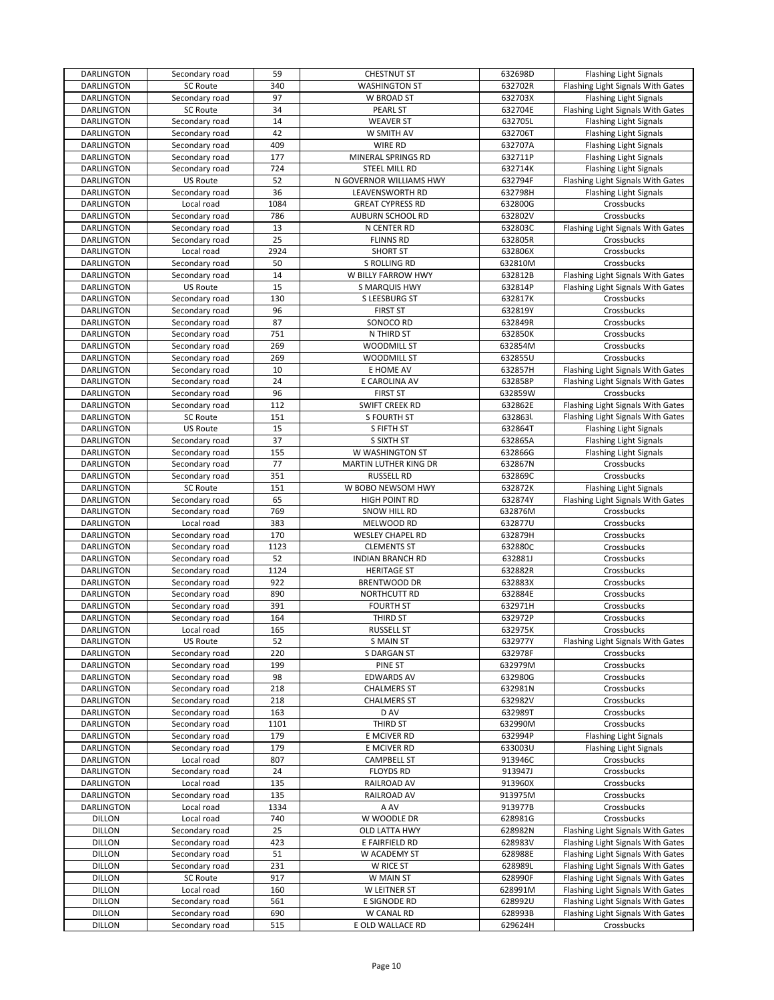| DARLINGTON        | Secondary road  | 59   | <b>CHESTNUT ST</b>      | 632698D | <b>Flashing Light Signals</b>     |
|-------------------|-----------------|------|-------------------------|---------|-----------------------------------|
| <b>DARLINGTON</b> | <b>SC Route</b> | 340  | <b>WASHINGTON ST</b>    | 632702R | Flashing Light Signals With Gates |
| DARLINGTON        | Secondary road  | 97   | W BROAD ST              | 632703X | <b>Flashing Light Signals</b>     |
| <b>DARLINGTON</b> | <b>SC Route</b> | 34   | PEARL ST                | 632704E | Flashing Light Signals With Gates |
| DARLINGTON        | Secondary road  | 14   | <b>WEAVER ST</b>        | 632705L | Flashing Light Signals            |
|                   |                 | 42   |                         | 632706T |                                   |
| DARLINGTON        | Secondary road  |      | W SMITH AV              |         | <b>Flashing Light Signals</b>     |
| DARLINGTON        | Secondary road  | 409  | WIRE RD                 | 632707A | <b>Flashing Light Signals</b>     |
| DARLINGTON        | Secondary road  | 177  | MINERAL SPRINGS RD      | 632711P | <b>Flashing Light Signals</b>     |
| <b>DARLINGTON</b> | Secondary road  | 724  | STEEL MILL RD           | 632714K | <b>Flashing Light Signals</b>     |
| <b>DARLINGTON</b> | <b>US Route</b> | 52   | N GOVERNOR WILLIAMS HWY | 632794F | Flashing Light Signals With Gates |
| DARLINGTON        | Secondary road  | 36   | LEAVENSWORTH RD         | 632798H | <b>Flashing Light Signals</b>     |
| DARLINGTON        | Local road      | 1084 | <b>GREAT CYPRESS RD</b> | 632800G | Crossbucks                        |
| DARLINGTON        | Secondary road  | 786  | AUBURN SCHOOL RD        | 632802V | Crossbucks                        |
| DARLINGTON        | Secondary road  | 13   | N CENTER RD             | 632803C | Flashing Light Signals With Gates |
| DARLINGTON        | Secondary road  | 25   | <b>FLINNS RD</b>        | 632805R | Crossbucks                        |
| DARLINGTON        | Local road      | 2924 | <b>SHORT ST</b>         | 632806X | Crossbucks                        |
| <b>DARLINGTON</b> | Secondary road  | 50   | S ROLLING RD            | 632810M | Crossbucks                        |
|                   |                 |      |                         |         |                                   |
| <b>DARLINGTON</b> | Secondary road  | 14   | W BILLY FARROW HWY      | 632812B | Flashing Light Signals With Gates |
| DARLINGTON        | <b>US Route</b> | 15   | S MARQUIS HWY           | 632814P | Flashing Light Signals With Gates |
| DARLINGTON        | Secondary road  | 130  | S LEESBURG ST           | 632817K | Crossbucks                        |
| DARLINGTON        | Secondary road  | 96   | <b>FIRST ST</b>         | 632819Y | Crossbucks                        |
| DARLINGTON        | Secondary road  | 87   | SONOCO RD               | 632849R | Crossbucks                        |
| DARLINGTON        | Secondary road  | 751  | N THIRD ST              | 632850K | Crossbucks                        |
| DARLINGTON        | Secondary road  | 269  | <b>WOODMILL ST</b>      | 632854M | Crossbucks                        |
| DARLINGTON        | Secondary road  | 269  | <b>WOODMILL ST</b>      | 632855U | Crossbucks                        |
| DARLINGTON        | Secondary road  | 10   | E HOME AV               | 632857H | Flashing Light Signals With Gates |
| <b>DARLINGTON</b> | Secondary road  | 24   | E CAROLINA AV           | 632858P | Flashing Light Signals With Gates |
| DARLINGTON        | Secondary road  | 96   | <b>FIRST ST</b>         | 632859W | Crossbucks                        |
| <b>DARLINGTON</b> | Secondary road  | 112  | SWIFT CREEK RD          | 632862E | Flashing Light Signals With Gates |
| DARLINGTON        | <b>SC Route</b> | 151  | S FOURTH ST             | 632863L | Flashing Light Signals With Gates |
| DARLINGTON        | <b>US Route</b> | 15   | S FIFTH ST              | 632864T | <b>Flashing Light Signals</b>     |
| DARLINGTON        | Secondary road  | 37   | S SIXTH ST              | 632865A | <b>Flashing Light Signals</b>     |
| DARLINGTON        |                 | 155  | W WASHINGTON ST         | 632866G |                                   |
|                   | Secondary road  |      |                         |         | <b>Flashing Light Signals</b>     |
| <b>DARLINGTON</b> | Secondary road  | 77   | MARTIN LUTHER KING DR   | 632867N | Crossbucks                        |
| DARLINGTON        | Secondary road  | 351  | <b>RUSSELL RD</b>       | 632869C | Crossbucks                        |
| DARLINGTON        | <b>SC Route</b> | 151  | W BOBO NEWSOM HWY       | 632872K | Flashing Light Signals            |
| DARLINGTON        | Secondary road  | 65   | HIGH POINT RD           | 632874Y | Flashing Light Signals With Gates |
| DARLINGTON        | Secondary road  | 769  | SNOW HILL RD            | 632876M | Crossbucks                        |
| DARLINGTON        | Local road      | 383  | MELWOOD RD              | 632877U | Crossbucks                        |
| DARLINGTON        | Secondary road  | 170  | <b>WESLEY CHAPEL RD</b> | 632879H | Crossbucks                        |
| DARLINGTON        | Secondary road  | 1123 | <b>CLEMENTS ST</b>      | 632880C | Crossbucks                        |
| <b>DARLINGTON</b> | Secondary road  | 52   | <b>INDIAN BRANCH RD</b> | 632881J | Crossbucks                        |
| <b>DARLINGTON</b> | Secondary road  | 1124 | <b>HERITAGE ST</b>      | 632882R | Crossbucks                        |
| DARLINGTON        | Secondary road  | 922  | <b>BRENTWOOD DR</b>     | 632883X | Crossbucks                        |
| DARLINGTON        | Secondary road  | 890  | NORTHCUTT RD            | 632884E | Crossbucks                        |
| DARLINGTON        | Secondary road  | 391  | <b>FOURTH ST</b>        | 632971H | Crossbucks                        |
| <b>DARLINGTON</b> | Secondary road  | 164  | THIRD ST                | 632972P | Crossbucks                        |
| DARLINGTON        | Local road      | 165  | <b>RUSSELL ST</b>       | 632975K | Crossbucks                        |
| DARLINGTON        | US Route        | 52   | S MAIN ST               | 632977Y | Flashing Light Signals With Gates |
| <b>DARLINGTON</b> | Secondary road  | 220  | <b>S DARGAN ST</b>      | 632978F | Crossbucks                        |
| <b>DARLINGTON</b> | Secondary road  | 199  | PINE ST                 | 632979M | Crossbucks                        |
| <b>DARLINGTON</b> | Secondary road  | 98   | <b>EDWARDS AV</b>       | 632980G | Crossbucks                        |
| DARLINGTON        | Secondary road  | 218  | <b>CHALMERS ST</b>      | 632981N | Crossbucks                        |
| <b>DARLINGTON</b> | Secondary road  | 218  | <b>CHALMERS ST</b>      | 632982V | Crossbucks                        |
| DARLINGTON        | Secondary road  | 163  | D AV                    | 632989T | Crossbucks                        |
| <b>DARLINGTON</b> | Secondary road  | 1101 | THIRD ST                | 632990M | Crossbucks                        |
| DARLINGTON        | Secondary road  | 179  | E MCIVER RD             | 632994P | Flashing Light Signals            |
| <b>DARLINGTON</b> | Secondary road  | 179  | E MCIVER RD             | 633003U | <b>Flashing Light Signals</b>     |
|                   | Local road      |      |                         |         |                                   |
| <b>DARLINGTON</b> |                 | 807  | <b>CAMPBELL ST</b>      | 913946C | Crossbucks                        |
| <b>DARLINGTON</b> | Secondary road  | 24   | <b>FLOYDS RD</b>        | 913947J | Crossbucks                        |
| <b>DARLINGTON</b> | Local road      | 135  | RAILROAD AV             | 913960X | Crossbucks                        |
| DARLINGTON        | Secondary road  | 135  | RAILROAD AV             | 913975M | Crossbucks                        |
| DARLINGTON        | Local road      | 1334 | A AV                    | 913977B | Crossbucks                        |
| <b>DILLON</b>     | Local road      | 740  | W WOODLE DR             | 628981G | Crossbucks                        |
| <b>DILLON</b>     | Secondary road  | 25   | OLD LATTA HWY           | 628982N | Flashing Light Signals With Gates |
| <b>DILLON</b>     | Secondary road  | 423  | E FAIRFIELD RD          | 628983V | Flashing Light Signals With Gates |
| <b>DILLON</b>     | Secondary road  | 51   | W ACADEMY ST            | 628988E | Flashing Light Signals With Gates |
| <b>DILLON</b>     | Secondary road  | 231  | W RICE ST               | 628989L | Flashing Light Signals With Gates |
| <b>DILLON</b>     | SC Route        | 917  | W MAIN ST               | 628990F | Flashing Light Signals With Gates |
| <b>DILLON</b>     | Local road      | 160  | W LEITNER ST            | 628991M | Flashing Light Signals With Gates |
| <b>DILLON</b>     | Secondary road  | 561  | E SIGNODE RD            | 628992U | Flashing Light Signals With Gates |
| <b>DILLON</b>     | Secondary road  | 690  | W CANAL RD              | 628993B | Flashing Light Signals With Gates |
| <b>DILLON</b>     | Secondary road  | 515  | E OLD WALLACE RD        | 629624H | Crossbucks                        |
|                   |                 |      |                         |         |                                   |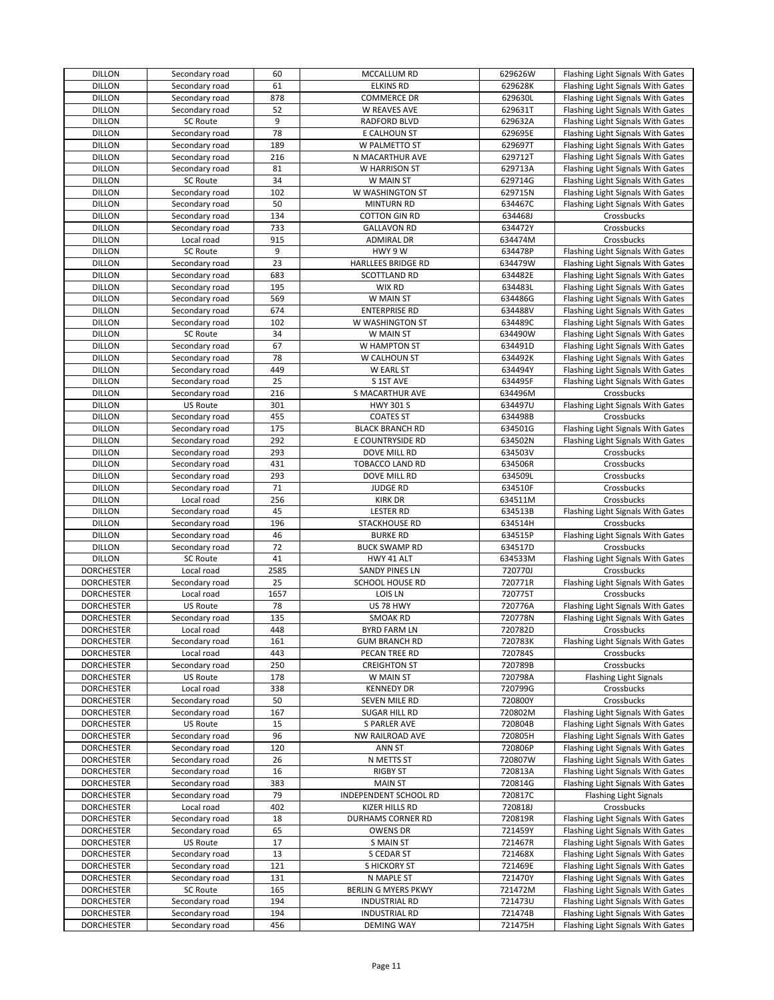| <b>DILLON</b>     | Secondary road  | 60   | MCCALLUM RD                | 629626W | Flashing Light Signals With Gates |
|-------------------|-----------------|------|----------------------------|---------|-----------------------------------|
| <b>DILLON</b>     | Secondary road  | 61   | <b>ELKINS RD</b>           | 629628K | Flashing Light Signals With Gates |
| <b>DILLON</b>     | Secondary road  | 878  | COMMERCE DR                | 629630L | Flashing Light Signals With Gates |
| <b>DILLON</b>     | Secondary road  | 52   | W REAVES AVE               | 629631T | Flashing Light Signals With Gates |
| <b>DILLON</b>     | <b>SC Route</b> | 9    | RADFORD BLVD               | 629632A | Flashing Light Signals With Gates |
| <b>DILLON</b>     | Secondary road  | 78   | E CALHOUN ST               | 629695E | Flashing Light Signals With Gates |
|                   |                 |      |                            |         |                                   |
| <b>DILLON</b>     | Secondary road  | 189  | W PALMETTO ST              | 629697T | Flashing Light Signals With Gates |
| <b>DILLON</b>     | Secondary road  | 216  | N MACARTHUR AVE            | 629712T | Flashing Light Signals With Gates |
| <b>DILLON</b>     | Secondary road  | 81   | W HARRISON ST              | 629713A | Flashing Light Signals With Gates |
| <b>DILLON</b>     | SC Route        | 34   | W MAIN ST                  | 629714G | Flashing Light Signals With Gates |
| <b>DILLON</b>     | Secondary road  | 102  | W WASHINGTON ST            | 629715N | Flashing Light Signals With Gates |
| <b>DILLON</b>     | Secondary road  | 50   | <b>MINTURN RD</b>          | 634467C | Flashing Light Signals With Gates |
| <b>DILLON</b>     | Secondary road  | 134  | <b>COTTON GIN RD</b>       | 634468J | Crossbucks                        |
| <b>DILLON</b>     | Secondary road  | 733  | <b>GALLAVON RD</b>         | 634472Y | Crossbucks                        |
| <b>DILLON</b>     | Local road      | 915  | <b>ADMIRAL DR</b>          | 634474M | Crossbucks                        |
| <b>DILLON</b>     | <b>SC Route</b> | 9    | HWY 9 W                    | 634478P | Flashing Light Signals With Gates |
| <b>DILLON</b>     | Secondary road  | 23   | <b>HARLLEES BRIDGE RD</b>  | 634479W | Flashing Light Signals With Gates |
| <b>DILLON</b>     | Secondary road  | 683  | <b>SCOTTLAND RD</b>        | 634482E | Flashing Light Signals With Gates |
| <b>DILLON</b>     | Secondary road  | 195  | WIX RD                     | 634483L | Flashing Light Signals With Gates |
| <b>DILLON</b>     | Secondary road  | 569  | W MAIN ST                  | 634486G | Flashing Light Signals With Gates |
|                   |                 | 674  |                            |         |                                   |
| <b>DILLON</b>     | Secondary road  |      | <b>ENTERPRISE RD</b>       | 634488V | Flashing Light Signals With Gates |
| <b>DILLON</b>     | Secondary road  | 102  | W WASHINGTON ST            | 634489C | Flashing Light Signals With Gates |
| <b>DILLON</b>     | <b>SC Route</b> | 34   | W MAIN ST                  | 634490W | Flashing Light Signals With Gates |
| <b>DILLON</b>     | Secondary road  | 67   | W HAMPTON ST               | 634491D | Flashing Light Signals With Gates |
| <b>DILLON</b>     | Secondary road  | 78   | W CALHOUN ST               | 634492K | Flashing Light Signals With Gates |
| <b>DILLON</b>     | Secondary road  | 449  | W EARL ST                  | 634494Y | Flashing Light Signals With Gates |
| <b>DILLON</b>     | Secondary road  | 25   | S 1ST AVE                  | 634495F | Flashing Light Signals With Gates |
| <b>DILLON</b>     | Secondary road  | 216  | S MACARTHUR AVE            | 634496M | Crossbucks                        |
| <b>DILLON</b>     | <b>US Route</b> | 301  | <b>HWY 301 S</b>           | 634497U | Flashing Light Signals With Gates |
| <b>DILLON</b>     | Secondary road  | 455  | <b>COATES ST</b>           | 634498B | Crossbucks                        |
| <b>DILLON</b>     | Secondary road  | 175  | <b>BLACK BRANCH RD</b>     | 634501G | Flashing Light Signals With Gates |
| <b>DILLON</b>     | Secondary road  | 292  | E COUNTRYSIDE RD           | 634502N | Flashing Light Signals With Gates |
| <b>DILLON</b>     | Secondary road  | 293  | DOVE MILL RD               | 634503V | Crossbucks                        |
| <b>DILLON</b>     | Secondary road  | 431  | TOBACCO LAND RD            | 634506R | Crossbucks                        |
|                   |                 |      |                            |         |                                   |
| <b>DILLON</b>     | Secondary road  | 293  | DOVE MILL RD               | 634509L | Crossbucks                        |
| <b>DILLON</b>     | Secondary road  | 71   | <b>JUDGE RD</b>            | 634510F | Crossbucks                        |
| <b>DILLON</b>     | Local road      | 256  | <b>KIRK DR</b>             | 634511M | Crossbucks                        |
| <b>DILLON</b>     | Secondary road  | 45   | <b>LESTER RD</b>           | 634513B | Flashing Light Signals With Gates |
| <b>DILLON</b>     | Secondary road  | 196  | STACKHOUSE RD              | 634514H | Crossbucks                        |
| <b>DILLON</b>     | Secondary road  | 46   | <b>BURKE RD</b>            | 634515P | Flashing Light Signals With Gates |
| <b>DILLON</b>     | Secondary road  | 72   | <b>BUCK SWAMP RD</b>       | 634517D | Crossbucks                        |
| <b>DILLON</b>     | <b>SC Route</b> | 41   | HWY 41 ALT                 | 634533M | Flashing Light Signals With Gates |
| <b>DORCHESTER</b> | Local road      | 2585 | SANDY PINES LN             | 720770J | Crossbucks                        |
| <b>DORCHESTER</b> | Secondary road  | 25   | SCHOOL HOUSE RD            | 720771R | Flashing Light Signals With Gates |
| <b>DORCHESTER</b> | Local road      | 1657 | LOIS LN                    | 720775T | Crossbucks                        |
| <b>DORCHESTER</b> | US Route        | 78   | US 78 HWY                  | 720776A | Flashing Light Signals With Gates |
| <b>DORCHESTER</b> | Secondary road  | 135  | <b>SMOAK RD</b>            | 720778N | Flashing Light Signals With Gates |
| <b>DORCHESTER</b> | Local road      | 448  | <b>BYRD FARM LN</b>        | 720782D | Crossbucks                        |
| <b>DORCHESTER</b> | Secondary road  | 161  | <b>GUM BRANCH RD</b>       | 720783K | Flashing Light Signals With Gates |
| <b>DORCHESTER</b> | Local road      |      | PECAN TREE RD              |         | Crossbucks                        |
|                   |                 | 443  |                            | 720784S |                                   |
| <b>DORCHESTER</b> | Secondary road  | 250  | <b>CREIGHTON ST</b>        | 720789B | Crossbucks                        |
| <b>DORCHESTER</b> | <b>US Route</b> | 178  | W MAIN ST                  | 720798A | <b>Flashing Light Signals</b>     |
| <b>DORCHESTER</b> | Local road      | 338  | <b>KENNEDY DR</b>          | 720799G | Crossbucks                        |
| <b>DORCHESTER</b> | Secondary road  | 50   | SEVEN MILE RD              | 720800Y | Crossbucks                        |
| <b>DORCHESTER</b> | Secondary road  | 167  | <b>SUGAR HILL RD</b>       | 720802M | Flashing Light Signals With Gates |
| <b>DORCHESTER</b> | <b>US Route</b> | 15   | S PARLER AVE               | 720804B | Flashing Light Signals With Gates |
| <b>DORCHESTER</b> | Secondary road  | 96   | <b>NW RAILROAD AVE</b>     | 720805H | Flashing Light Signals With Gates |
| <b>DORCHESTER</b> | Secondary road  | 120  | <b>ANN ST</b>              | 720806P | Flashing Light Signals With Gates |
| <b>DORCHESTER</b> | Secondary road  | 26   | N METTS ST                 | 720807W | Flashing Light Signals With Gates |
| <b>DORCHESTER</b> | Secondary road  | 16   | RIGBY ST                   | 720813A | Flashing Light Signals With Gates |
| <b>DORCHESTER</b> | Secondary road  | 383  | <b>MAIN ST</b>             | 720814G | Flashing Light Signals With Gates |
| <b>DORCHESTER</b> | Secondary road  | 79   | INDEPENDENT SCHOOL RD      | 720817C | <b>Flashing Light Signals</b>     |
| <b>DORCHESTER</b> | Local road      | 402  | KIZER HILLS RD             | 720818J | Crossbucks                        |
|                   |                 |      |                            |         |                                   |
| <b>DORCHESTER</b> | Secondary road  | 18   | DURHAMS CORNER RD          | 720819R | Flashing Light Signals With Gates |
| <b>DORCHESTER</b> | Secondary road  | 65   | <b>OWENS DR</b>            | 721459Y | Flashing Light Signals With Gates |
| <b>DORCHESTER</b> | <b>US Route</b> | 17   | <b>S MAIN ST</b>           | 721467R | Flashing Light Signals With Gates |
| <b>DORCHESTER</b> |                 | 13   | S CEDAR ST                 | 721468X | Flashing Light Signals With Gates |
|                   | Secondary road  |      |                            |         |                                   |
| <b>DORCHESTER</b> | Secondary road  | 121  | S HICKORY ST               | 721469E | Flashing Light Signals With Gates |
| <b>DORCHESTER</b> | Secondary road  | 131  | N MAPLE ST                 | 721470Y | Flashing Light Signals With Gates |
| <b>DORCHESTER</b> | <b>SC Route</b> | 165  | <b>BERLIN G MYERS PKWY</b> | 721472M | Flashing Light Signals With Gates |
| <b>DORCHESTER</b> | Secondary road  | 194  | <b>INDUSTRIAL RD</b>       | 721473U | Flashing Light Signals With Gates |
| <b>DORCHESTER</b> | Secondary road  | 194  | <b>INDUSTRIAL RD</b>       | 721474B | Flashing Light Signals With Gates |
| <b>DORCHESTER</b> | Secondary road  | 456  | <b>DEMING WAY</b>          | 721475H | Flashing Light Signals With Gates |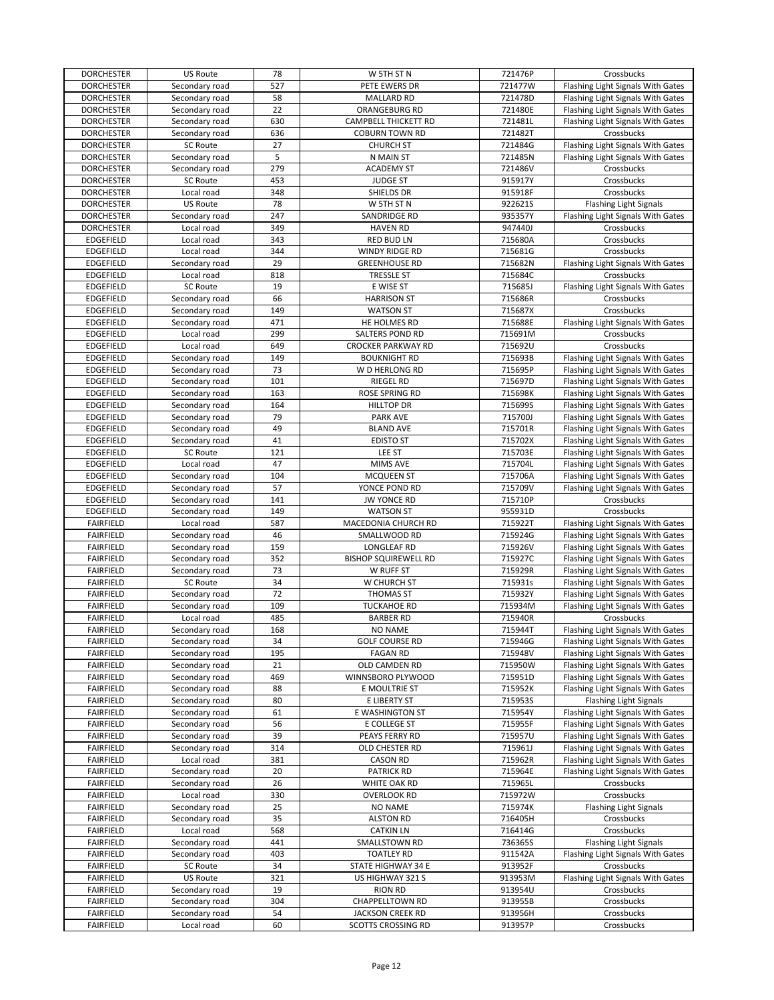| <b>DORCHESTER</b> | US Route        | 78  | W 5TH ST N                  | 721476P | Crossbucks                        |
|-------------------|-----------------|-----|-----------------------------|---------|-----------------------------------|
| <b>DORCHESTER</b> | Secondary road  | 527 | PETE EWERS DR               | 721477W | Flashing Light Signals With Gates |
| <b>DORCHESTER</b> | Secondary road  | 58  | <b>MALLARD RD</b>           | 721478D | Flashing Light Signals With Gates |
| <b>DORCHESTER</b> | Secondary road  | 22  | ORANGEBURG RD               | 721480E | Flashing Light Signals With Gates |
|                   |                 |     |                             |         |                                   |
| <b>DORCHESTER</b> | Secondary road  | 630 | <b>CAMPBELL THICKETT RD</b> | 721481L | Flashing Light Signals With Gates |
| <b>DORCHESTER</b> | Secondary road  | 636 | <b>COBURN TOWN RD</b>       | 721482T | Crossbucks                        |
| <b>DORCHESTER</b> | <b>SC Route</b> | 27  | <b>CHURCH ST</b>            | 721484G | Flashing Light Signals With Gates |
| <b>DORCHESTER</b> | Secondary road  | 5   | N MAIN ST                   | 721485N | Flashing Light Signals With Gates |
| <b>DORCHESTER</b> | Secondary road  | 279 | <b>ACADEMY ST</b>           | 721486V | Crossbucks                        |
| <b>DORCHESTER</b> | <b>SC Route</b> | 453 | <b>JUDGE ST</b>             | 915917Y | Crossbucks                        |
| <b>DORCHESTER</b> | Local road      | 348 | SHIELDS DR                  | 915918F | Crossbucks                        |
| <b>DORCHESTER</b> | <b>US Route</b> | 78  |                             | 922621S |                                   |
|                   |                 |     | W 5TH ST N                  |         | <b>Flashing Light Signals</b>     |
| <b>DORCHESTER</b> | Secondary road  | 247 | SANDRIDGE RD                | 935357Y | Flashing Light Signals With Gates |
| <b>DORCHESTER</b> | Local road      | 349 | <b>HAVEN RD</b>             | 947440J | Crossbucks                        |
| <b>EDGEFIELD</b>  | Local road      | 343 | <b>RED BUD LN</b>           | 715680A | Crossbucks                        |
| <b>EDGEFIELD</b>  | Local road      | 344 | <b>WINDY RIDGE RD</b>       | 715681G | Crossbucks                        |
| <b>EDGEFIELD</b>  | Secondary road  | 29  | <b>GREENHOUSE RD</b>        | 715682N | Flashing Light Signals With Gates |
| <b>EDGEFIELD</b>  | Local road      | 818 | TRESSLE ST                  | 715684C | Crossbucks                        |
| <b>EDGEFIELD</b>  | SC Route        | 19  | E WISE ST                   | 715685J | Flashing Light Signals With Gates |
| <b>EDGEFIELD</b>  | Secondary road  | 66  | <b>HARRISON ST</b>          | 715686R | Crossbucks                        |
|                   |                 |     |                             |         |                                   |
| EDGEFIELD         | Secondary road  | 149 | <b>WATSON ST</b>            | 715687X | Crossbucks                        |
| EDGEFIELD         | Secondary road  | 471 | HE HOLMES RD                | 715688E | Flashing Light Signals With Gates |
| <b>EDGEFIELD</b>  | Local road      | 299 | SALTERS POND RD             | 715691M | Crossbucks                        |
| <b>EDGEFIELD</b>  | Local road      | 649 | <b>CROCKER PARKWAY RD</b>   | 715692U | Crossbucks                        |
| <b>EDGEFIELD</b>  | Secondary road  | 149 | <b>BOUKNIGHT RD</b>         | 715693B | Flashing Light Signals With Gates |
| <b>EDGEFIELD</b>  | Secondary road  | 73  | W D HERLONG RD              | 715695P | Flashing Light Signals With Gates |
| <b>EDGEFIELD</b>  | Secondary road  | 101 | <b>RIEGEL RD</b>            | 715697D | Flashing Light Signals With Gates |
| <b>EDGEFIELD</b>  | Secondary road  | 163 | ROSE SPRING RD              | 715698K | Flashing Light Signals With Gates |
|                   |                 |     |                             |         |                                   |
| EDGEFIELD         | Secondary road  | 164 | <b>HILLTOP DR</b>           | 715699S | Flashing Light Signals With Gates |
| <b>EDGEFIELD</b>  | Secondary road  | 79  | <b>PARK AVE</b>             | 715700J | Flashing Light Signals With Gates |
| <b>EDGEFIELD</b>  | Secondary road  | 49  | <b>BLAND AVE</b>            | 715701R | Flashing Light Signals With Gates |
| <b>EDGEFIELD</b>  | Secondary road  | 41  | <b>EDISTO ST</b>            | 715702X | Flashing Light Signals With Gates |
| <b>EDGEFIELD</b>  | SC Route        | 121 | LEE ST                      | 715703E | Flashing Light Signals With Gates |
| <b>EDGEFIELD</b>  | Local road      | 47  | <b>MIMS AVE</b>             | 715704L | Flashing Light Signals With Gates |
|                   |                 | 104 |                             | 715706A |                                   |
| <b>EDGEFIELD</b>  | Secondary road  |     | <b>MCQUEEN ST</b>           |         | Flashing Light Signals With Gates |
| <b>EDGEFIELD</b>  | Secondary road  | 57  | YONCE POND RD               | 715709V | Flashing Light Signals With Gates |
| <b>EDGEFIELD</b>  | Secondary road  | 141 | <b>JW YONCE RD</b>          | 715710P | Crossbucks                        |
| <b>EDGEFIELD</b>  | Secondary road  | 149 | <b>WATSON ST</b>            | 955931D | Crossbucks                        |
| <b>FAIRFIELD</b>  | Local road      | 587 | MACEDONIA CHURCH RD         | 715922T | Flashing Light Signals With Gates |
| <b>FAIRFIELD</b>  | Secondary road  | 46  | SMALLWOOD RD                | 715924G | Flashing Light Signals With Gates |
| <b>FAIRFIELD</b>  | Secondary road  | 159 | LONGLEAF RD                 | 715926V | Flashing Light Signals With Gates |
| <b>FAIRFIELD</b>  | Secondary road  | 352 | <b>BISHOP SQUIREWELL RD</b> | 715927C | Flashing Light Signals With Gates |
|                   | Secondary road  | 73  |                             | 715929R |                                   |
| <b>FAIRFIELD</b>  |                 |     | W RUFF ST                   |         | Flashing Light Signals With Gates |
| <b>FAIRFIELD</b>  | <b>SC Route</b> | 34  | W CHURCH ST                 | 715931s | Flashing Light Signals With Gates |
| FAIRFIELD         | Secondary road  | 72  | <b>THOMAS ST</b>            | 715932Y | Flashing Light Signals With Gates |
| <b>FAIRFIELD</b>  | Secondary road  | 109 | <b>TUCKAHOE RD</b>          | 715934M | Flashing Light Signals With Gates |
| <b>FAIRFIELD</b>  | Local road      | 485 | <b>BARBER RD</b>            | 715940R | Crossbucks                        |
| <b>FAIRFIELD</b>  | Secondary road  | 168 | <b>NO NAME</b>              | 715944T | Flashing Light Signals With Gates |
| <b>FAIRFIELD</b>  | Secondary road  | 34  | <b>GOLF COURSE RD</b>       | 715946G | Flashing Light Signals With Gates |
| <b>FAIRFIELD</b>  | Secondary road  | 195 | <b>FAGAN RD</b>             | 715948V | Flashing Light Signals With Gates |
| FAIRFIELD         | Secondary road  | 21  | OLD CAMDEN RD               | 715950W | Flashing Light Signals With Gates |
|                   | Secondary road  | 469 |                             |         |                                   |
| <b>FAIRFIELD</b>  |                 |     | WINNSBORO PLYWOOD           | 715951D | Flashing Light Signals With Gates |
| <b>FAIRFIELD</b>  | Secondary road  | 88  | E MOULTRIE ST               | 715952K | Flashing Light Signals With Gates |
| <b>FAIRFIELD</b>  | Secondary road  | 80  | E LIBERTY ST                | 715953S | <b>Flashing Light Signals</b>     |
| <b>FAIRFIELD</b>  | Secondary road  | 61  | E WASHINGTON ST             | 715954Y | Flashing Light Signals With Gates |
| <b>FAIRFIELD</b>  | Secondary road  | 56  | E COLLEGE ST                | 715955F | Flashing Light Signals With Gates |
| <b>FAIRFIELD</b>  | Secondary road  | 39  | PEAYS FERRY RD              | 715957U | Flashing Light Signals With Gates |
| <b>FAIRFIELD</b>  | Secondary road  | 314 | OLD CHESTER RD              | 715961J | Flashing Light Signals With Gates |
| <b>FAIRFIELD</b>  | Local road      | 381 | CASON RD                    | 715962R | Flashing Light Signals With Gates |
|                   |                 | 20  |                             |         |                                   |
| <b>FAIRFIELD</b>  | Secondary road  |     | <b>PATRICK RD</b>           | 715964E | Flashing Light Signals With Gates |
| <b>FAIRFIELD</b>  | Secondary road  | 26  | WHITE OAK RD                | 715965L | Crossbucks                        |
| <b>FAIRFIELD</b>  | Local road      | 330 | <b>OVERLOOK RD</b>          | 715972W | Crossbucks                        |
| <b>FAIRFIELD</b>  | Secondary road  | 25  | <b>NO NAME</b>              | 715974K | Flashing Light Signals            |
| <b>FAIRFIELD</b>  | Secondary road  | 35  | <b>ALSTON RD</b>            | 716405H | Crossbucks                        |
| <b>FAIRFIELD</b>  | Local road      | 568 | <b>CATKIN LN</b>            | 716414G | Crossbucks                        |
| <b>FAIRFIELD</b>  | Secondary road  | 441 | SMALLSTOWN RD               | 736365S | <b>Flashing Light Signals</b>     |
| <b>FAIRFIELD</b>  | Secondary road  | 403 | <b>TOATLEY RD</b>           | 911542A | Flashing Light Signals With Gates |
|                   |                 |     |                             |         |                                   |
| <b>FAIRFIELD</b>  | SC Route        | 34  | STATE HIGHWAY 34 E          | 913952F | Crossbucks                        |
| FAIRFIELD         | <b>US Route</b> | 321 | US HIGHWAY 321 S            | 913953M | Flashing Light Signals With Gates |
| <b>FAIRFIELD</b>  | Secondary road  | 19  | <b>RION RD</b>              | 913954U | Crossbucks                        |
| <b>FAIRFIELD</b>  | Secondary road  | 304 | CHAPPELLTOWN RD             | 913955B | Crossbucks                        |
| <b>FAIRFIELD</b>  | Secondary road  | 54  | JACKSON CREEK RD            | 913956H | Crossbucks                        |
|                   | Local road      | 60  | <b>SCOTTS CROSSING RD</b>   | 913957P | Crossbucks                        |
| <b>FAIRFIELD</b>  |                 |     |                             |         |                                   |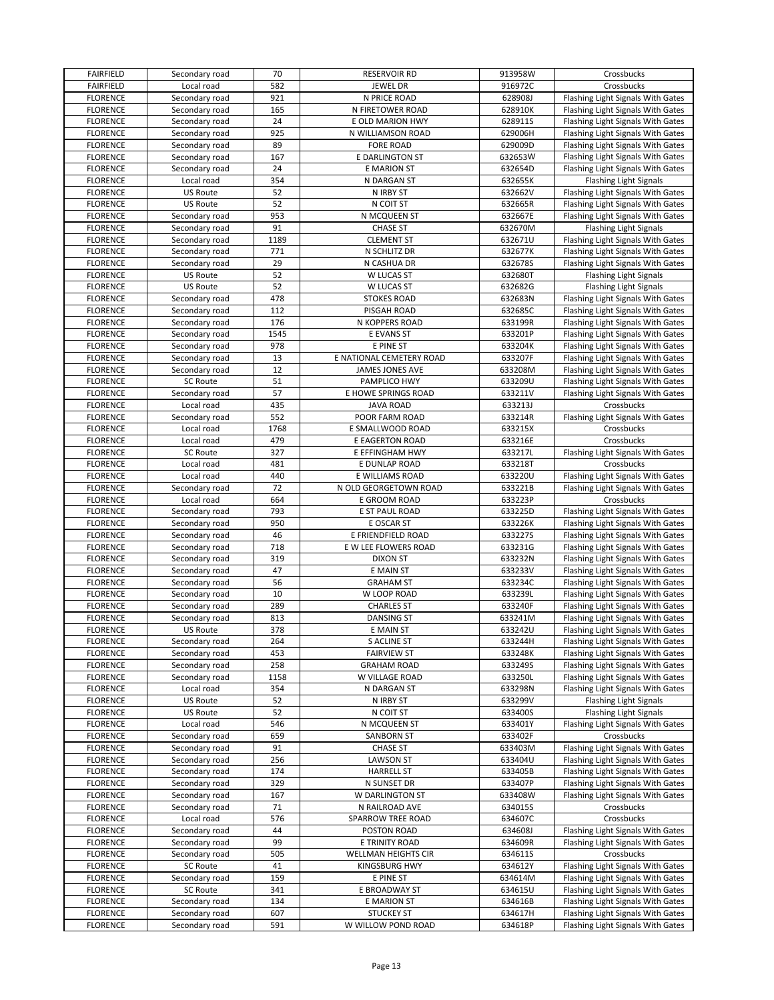| <b>FAIRFIELD</b> | Secondary road  | 70   | <b>RESERVOIR RD</b>        | 913958W | Crossbucks                        |
|------------------|-----------------|------|----------------------------|---------|-----------------------------------|
| <b>FAIRFIELD</b> | Local road      | 582  | <b>JEWEL DR</b>            | 916972C | Crossbucks                        |
| <b>FLORENCE</b>  | Secondary road  | 921  | N PRICE ROAD               | 628908J | Flashing Light Signals With Gates |
| <b>FLORENCE</b>  | Secondary road  | 165  | N FIRETOWER ROAD           | 628910K | Flashing Light Signals With Gates |
| <b>FLORENCE</b>  | Secondary road  | 24   | E OLD MARION HWY           | 628911S | Flashing Light Signals With Gates |
| <b>FLORENCE</b>  | Secondary road  | 925  | N WILLIAMSON ROAD          | 629006H | Flashing Light Signals With Gates |
| <b>FLORENCE</b>  |                 | 89   |                            |         | Flashing Light Signals With Gates |
|                  | Secondary road  |      | <b>FORE ROAD</b>           | 629009D |                                   |
| <b>FLORENCE</b>  | Secondary road  | 167  | E DARLINGTON ST            | 632653W | Flashing Light Signals With Gates |
| <b>FLORENCE</b>  | Secondary road  | 24   | <b>E MARION ST</b>         | 632654D | Flashing Light Signals With Gates |
| <b>FLORENCE</b>  | Local road      | 354  | N DARGAN ST                | 632655K | Flashing Light Signals            |
| <b>FLORENCE</b>  | US Route        | 52   | N IRBY ST                  | 632662V | Flashing Light Signals With Gates |
| <b>FLORENCE</b>  | US Route        | 52   | N COIT ST                  | 632665R | Flashing Light Signals With Gates |
| <b>FLORENCE</b>  | Secondary road  | 953  | N MCQUEEN ST               | 632667E | Flashing Light Signals With Gates |
| <b>FLORENCE</b>  | Secondary road  | 91   | <b>CHASE ST</b>            | 632670M | <b>Flashing Light Signals</b>     |
| <b>FLORENCE</b>  | Secondary road  | 1189 | <b>CLEMENT ST</b>          | 632671U | Flashing Light Signals With Gates |
| <b>FLORENCE</b>  | Secondary road  | 771  | N SCHLITZ DR               | 632677K | Flashing Light Signals With Gates |
| <b>FLORENCE</b>  | Secondary road  | 29   | N CASHUA DR                | 632678S | Flashing Light Signals With Gates |
| <b>FLORENCE</b>  | <b>US Route</b> | 52   | W LUCAS ST                 | 632680T | <b>Flashing Light Signals</b>     |
| <b>FLORENCE</b>  | US Route        | 52   | W LUCAS ST                 | 632682G | Flashing Light Signals            |
| <b>FLORENCE</b>  | Secondary road  | 478  | <b>STOKES ROAD</b>         | 632683N | Flashing Light Signals With Gates |
| <b>FLORENCE</b>  | Secondary road  | 112  | PISGAH ROAD                | 632685C | Flashing Light Signals With Gates |
|                  |                 |      |                            |         |                                   |
| <b>FLORENCE</b>  | Secondary road  | 176  | N KOPPERS ROAD             | 633199R | Flashing Light Signals With Gates |
| <b>FLORENCE</b>  | Secondary road  | 1545 | E EVANS ST                 | 633201P | Flashing Light Signals With Gates |
| <b>FLORENCE</b>  | Secondary road  | 978  | E PINE ST                  | 633204K | Flashing Light Signals With Gates |
| <b>FLORENCE</b>  | Secondary road  | 13   | E NATIONAL CEMETERY ROAD   | 633207F | Flashing Light Signals With Gates |
| <b>FLORENCE</b>  | Secondary road  | 12   | <b>JAMES JONES AVE</b>     | 633208M | Flashing Light Signals With Gates |
| <b>FLORENCE</b>  | <b>SC Route</b> | 51   | PAMPLICO HWY               | 633209U | Flashing Light Signals With Gates |
| <b>FLORENCE</b>  | Secondary road  | 57   | E HOWE SPRINGS ROAD        | 633211V | Flashing Light Signals With Gates |
| <b>FLORENCE</b>  | Local road      | 435  | <b>JAVA ROAD</b>           | 633213J | Crossbucks                        |
| <b>FLORENCE</b>  | Secondary road  | 552  | POOR FARM ROAD             | 633214R | Flashing Light Signals With Gates |
| <b>FLORENCE</b>  | Local road      | 1768 | E SMALLWOOD ROAD           | 633215X | Crossbucks                        |
| <b>FLORENCE</b>  | Local road      | 479  | E EAGERTON ROAD            | 633216E | Crossbucks                        |
| <b>FLORENCE</b>  | SC Route        | 327  | E EFFINGHAM HWY            | 633217L | Flashing Light Signals With Gates |
| <b>FLORENCE</b>  | Local road      | 481  | E DUNLAP ROAD              | 633218T | Crossbucks                        |
|                  |                 | 440  |                            |         |                                   |
| <b>FLORENCE</b>  | Local road      |      | E WILLIAMS ROAD            | 633220U | Flashing Light Signals With Gates |
| <b>FLORENCE</b>  | Secondary road  | 72   | N OLD GEORGETOWN ROAD      | 633221B | Flashing Light Signals With Gates |
| <b>FLORENCE</b>  | Local road      | 664  | E GROOM ROAD               | 633223P | Crossbucks                        |
| <b>FLORENCE</b>  | Secondary road  | 793  | E ST PAUL ROAD             | 633225D | Flashing Light Signals With Gates |
| <b>FLORENCE</b>  | Secondary road  | 950  | E OSCAR ST                 | 633226K | Flashing Light Signals With Gates |
| <b>FLORENCE</b>  | Secondary road  | 46   | E FRIENDFIELD ROAD         | 633227S | Flashing Light Signals With Gates |
| <b>FLORENCE</b>  | Secondary road  | 718  | E W LEE FLOWERS ROAD       | 633231G | Flashing Light Signals With Gates |
| <b>FLORENCE</b>  | Secondary road  | 319  | <b>DIXON ST</b>            | 633232N | Flashing Light Signals With Gates |
| <b>FLORENCE</b>  | Secondary road  | 47   | E MAIN ST                  | 633233V | Flashing Light Signals With Gates |
| <b>FLORENCE</b>  | Secondary road  | 56   | <b>GRAHAM ST</b>           | 633234C | Flashing Light Signals With Gates |
| <b>FLORENCE</b>  | Secondary road  | 10   | W LOOP ROAD                | 633239L | Flashing Light Signals With Gates |
| <b>FLORENCE</b>  | Secondary road  | 289  | <b>CHARLES ST</b>          | 633240F | Flashing Light Signals With Gates |
| <b>FLORENCE</b>  | Secondary road  | 813  | <b>DANSING ST</b>          | 633241M | Flashing Light Signals With Gates |
| <b>FLORENCE</b>  | <b>US Route</b> | 378  | E MAIN ST                  | 633242U | Flashing Light Signals With Gates |
| <b>FLORENCE</b>  |                 |      |                            | 633244H |                                   |
|                  | Secondary road  | 264  | S ACLINE ST                |         | Flashing Light Signals With Gates |
| <b>FLORENCE</b>  | Secondary road  | 453  | <b>FAIRVIEW ST</b>         | 633248K | Flashing Light Signals With Gates |
| <b>FLORENCE</b>  | Secondary road  | 258  | <b>GRAHAM ROAD</b>         | 633249S | Flashing Light Signals With Gates |
| <b>FLORENCE</b>  | Secondary road  | 1158 | W VILLAGE ROAD             | 633250L | Flashing Light Signals With Gates |
| <b>FLORENCE</b>  | Local road      | 354  | N DARGAN ST                | 633298N | Flashing Light Signals With Gates |
| <b>FLORENCE</b>  | <b>US Route</b> | 52   | N IRBY ST                  | 633299V | <b>Flashing Light Signals</b>     |
| <b>FLORENCE</b>  | US Route        | 52   | N COIT ST                  | 633400S | Flashing Light Signals            |
| <b>FLORENCE</b>  | Local road      | 546  | N MCQUEEN ST               | 633401Y | Flashing Light Signals With Gates |
| <b>FLORENCE</b>  | Secondary road  | 659  | <b>SANBORN ST</b>          | 633402F | Crossbucks                        |
| <b>FLORENCE</b>  | Secondary road  | 91   | <b>CHASE ST</b>            | 633403M | Flashing Light Signals With Gates |
| <b>FLORENCE</b>  | Secondary road  | 256  | <b>LAWSON ST</b>           | 633404U | Flashing Light Signals With Gates |
| <b>FLORENCE</b>  | Secondary road  | 174  | <b>HARRELL ST</b>          | 633405B | Flashing Light Signals With Gates |
| <b>FLORENCE</b>  | Secondary road  | 329  | N SUNSET DR                | 633407P | Flashing Light Signals With Gates |
| <b>FLORENCE</b>  | Secondary road  | 167  | W DARLINGTON ST            | 633408W | Flashing Light Signals With Gates |
| <b>FLORENCE</b>  | Secondary road  | 71   | N RAILROAD AVE             | 634015S | Crossbucks                        |
|                  |                 |      |                            |         |                                   |
| <b>FLORENCE</b>  | Local road      | 576  | SPARROW TREE ROAD          | 634607C | Crossbucks                        |
| <b>FLORENCE</b>  | Secondary road  | 44   | POSTON ROAD                | 634608J | Flashing Light Signals With Gates |
| <b>FLORENCE</b>  | Secondary road  | 99   | E TRINITY ROAD             | 634609R | Flashing Light Signals With Gates |
| <b>FLORENCE</b>  | Secondary road  | 505  | <b>WELLMAN HEIGHTS CIR</b> | 634611S | Crossbucks                        |
| <b>FLORENCE</b>  | SC Route        | 41   | <b>KINGSBURG HWY</b>       | 634612Y | Flashing Light Signals With Gates |
| <b>FLORENCE</b>  | Secondary road  | 159  | E PINE ST                  | 634614M | Flashing Light Signals With Gates |
| <b>FLORENCE</b>  | <b>SC Route</b> | 341  | E BROADWAY ST              | 634615U | Flashing Light Signals With Gates |
| <b>FLORENCE</b>  | Secondary road  | 134  | E MARION ST                | 634616B | Flashing Light Signals With Gates |
| <b>FLORENCE</b>  | Secondary road  | 607  | <b>STUCKEY ST</b>          | 634617H | Flashing Light Signals With Gates |
| <b>FLORENCE</b>  | Secondary road  | 591  | W WILLOW POND ROAD         | 634618P | Flashing Light Signals With Gates |
|                  |                 |      |                            |         |                                   |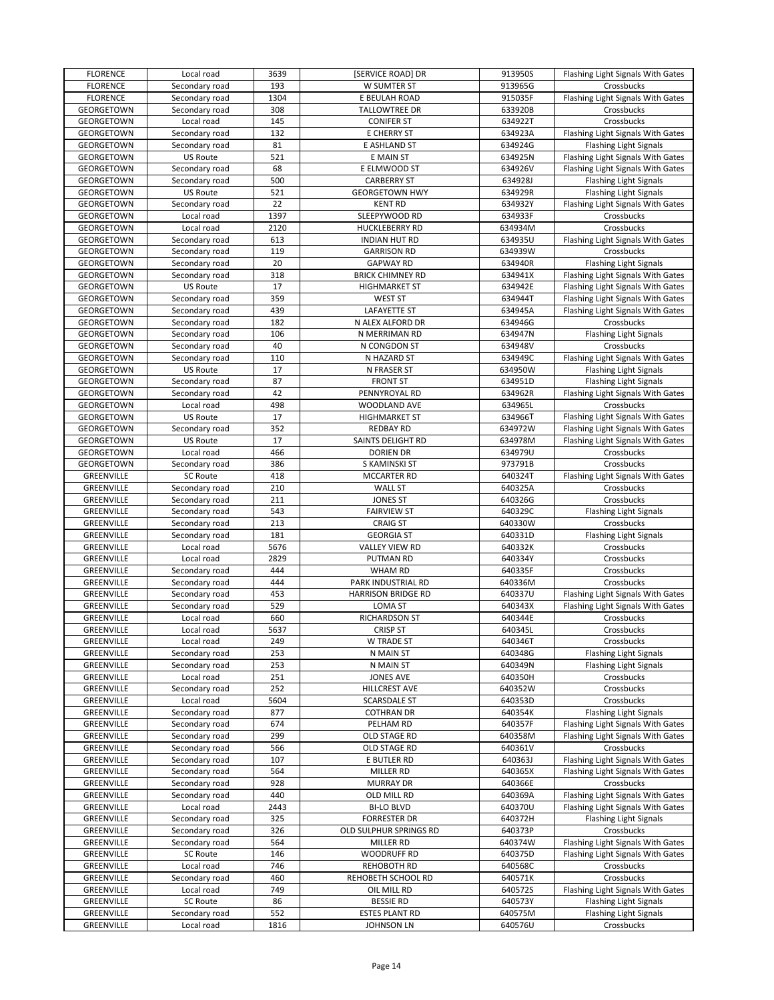| <b>FLORENCE</b>          | Local road                   | 3639        | [SERVICE ROAD] DR                          | 913950S            | Flashing Light Signals With Gates           |
|--------------------------|------------------------------|-------------|--------------------------------------------|--------------------|---------------------------------------------|
| <b>FLORENCE</b>          | Secondary road               | 193         | W SUMTER ST                                | 913965G            | Crossbucks                                  |
| <b>FLORENCE</b>          | Secondary road               | 1304        | E BEULAH ROAD                              | 915035F            | Flashing Light Signals With Gates           |
| GEORGETOWN               | Secondary road               | 308         | TALLOWTREE DR                              | 633920B            | Crossbucks                                  |
| GEORGETOWN               | Local road                   | 145         | <b>CONIFER ST</b>                          | 634922T            | Crossbucks                                  |
| GEORGETOWN               | Secondary road               | 132         | E CHERRY ST                                | 634923A            | Flashing Light Signals With Gates           |
| GEORGETOWN               | Secondary road               | 81          | E ASHLAND ST                               | 634924G            | <b>Flashing Light Signals</b>               |
| GEORGETOWN               | US Route                     | 521         | E MAIN ST                                  | 634925N            | Flashing Light Signals With Gates           |
| GEORGETOWN               | Secondary road               | 68          | E ELMWOOD ST                               | 634926V            | Flashing Light Signals With Gates           |
| GEORGETOWN               | Secondary road               | 500         | <b>CARBERRY ST</b>                         | 634928J            | <b>Flashing Light Signals</b>               |
| GEORGETOWN               | <b>US Route</b>              | 521         | <b>GEORGETOWN HWY</b>                      | 634929R            | Flashing Light Signals                      |
| GEORGETOWN               | Secondary road               | 22          | <b>KENT RD</b>                             | 634932Y            | Flashing Light Signals With Gates           |
| GEORGETOWN               | Local road                   | 1397        | SLEEPYWOOD RD                              | 634933F            | Crossbucks                                  |
| GEORGETOWN               | Local road                   | 2120        |                                            | 634934M            | Crossbucks                                  |
|                          |                              |             | <b>HUCKLEBERRY RD</b>                      |                    |                                             |
| GEORGETOWN               | Secondary road               | 613         | <b>INDIAN HUT RD</b>                       | 634935U            | Flashing Light Signals With Gates           |
| GEORGETOWN               | Secondary road               | 119         | <b>GARRISON RD</b>                         | 634939W            | Crossbucks                                  |
| GEORGETOWN               | Secondary road               | 20          | <b>GAPWAY RD</b>                           | 634940R            | <b>Flashing Light Signals</b>               |
| GEORGETOWN               | Secondary road               | 318         | <b>BRICK CHIMNEY RD</b>                    | 634941X            | Flashing Light Signals With Gates           |
| GEORGETOWN               | <b>US Route</b>              | 17          | <b>HIGHMARKET ST</b>                       | 634942E            | Flashing Light Signals With Gates           |
| GEORGETOWN               | Secondary road               | 359         | <b>WEST ST</b>                             | 634944T            | Flashing Light Signals With Gates           |
| GEORGETOWN               | Secondary road               | 439         | <b>LAFAYETTE ST</b>                        | 634945A            | Flashing Light Signals With Gates           |
| GEORGETOWN               | Secondary road               | 182         | N ALEX ALFORD DR                           | 634946G            | Crossbucks                                  |
| GEORGETOWN               | Secondary road               | 106         | N MERRIMAN RD                              | 634947N            | <b>Flashing Light Signals</b>               |
| GEORGETOWN               | Secondary road               | 40          | N CONGDON ST                               | 634948V            | Crossbucks                                  |
| GEORGETOWN               | Secondary road               | 110         | N HAZARD ST                                | 634949C            | Flashing Light Signals With Gates           |
| GEORGETOWN               | US Route                     | 17          | N FRASER ST                                | 634950W            | <b>Flashing Light Signals</b>               |
| GEORGETOWN               | Secondary road               | 87          | <b>FRONT ST</b>                            | 634951D            | <b>Flashing Light Signals</b>               |
| GEORGETOWN               | Secondary road               | 42          | PENNYROYAL RD                              | 634962R            | Flashing Light Signals With Gates           |
| GEORGETOWN               | Local road                   | 498         | WOODLAND AVE                               | 634965L            | Crossbucks                                  |
| GEORGETOWN               | US Route                     | 17          | <b>HIGHMARKET ST</b>                       | 634966T            | Flashing Light Signals With Gates           |
| GEORGETOWN               | Secondary road               | 352         | <b>REDBAY RD</b>                           | 634972W            | Flashing Light Signals With Gates           |
| GEORGETOWN               | <b>US Route</b>              | 17          | SAINTS DELIGHT RD                          | 634978M            | Flashing Light Signals With Gates           |
| GEORGETOWN               | Local road                   | 466         | <b>DORIEN DR</b>                           | 634979U            | Crossbucks                                  |
| GEORGETOWN               | Secondary road               | 386         | S KAMINSKI ST                              | 973791B            | Crossbucks                                  |
| GREENVILLE               | SC Route                     | 418         | MCCARTER RD                                | 640324T            | Flashing Light Signals With Gates           |
| GREENVILLE               | Secondary road               | 210         | <b>WALL ST</b>                             | 640325A            | Crossbucks                                  |
| GREENVILLE               | Secondary road               | 211         | <b>JONES ST</b>                            | 640326G            | Crossbucks                                  |
| GREENVILLE               | Secondary road               | 543         | <b>FAIRVIEW ST</b>                         | 640329C            | <b>Flashing Light Signals</b>               |
| GREENVILLE               | Secondary road               | 213         | <b>CRAIG ST</b>                            | 640330W            | Crossbucks                                  |
| GREENVILLE               | Secondary road               | 181         | <b>GEORGIA ST</b>                          | 640331D            | <b>Flashing Light Signals</b>               |
| GREENVILLE               | Local road                   | 5676        | VALLEY VIEW RD                             | 640332K            | Crossbucks                                  |
| GREENVILLE               | Local road                   | 2829        |                                            | 640334Y            | Crossbucks                                  |
|                          |                              |             | PUTMAN RD                                  |                    |                                             |
| GREENVILLE               | Secondary road               | 444<br>444  | <b>WHAM RD</b>                             | 640335F            | Crossbucks                                  |
| GREENVILLE               | Secondary road               |             | PARK INDUSTRIAL RD                         | 640336M            | Crossbucks                                  |
| GREENVILLE               | Secondary road               | 453         | <b>HARRISON BRIDGE RD</b>                  | 640337U            | Flashing Light Signals With Gates           |
| GREENVILLE               | Secondary road               | 529         | <b>LOMA ST</b>                             | 640343X            | Flashing Light Signals With Gates           |
| GREENVILLE               | Local road                   | 660         | RICHARDSON ST                              | 640344E            | Crossbucks                                  |
| GREENVILLE               | Local road                   | 5637        | <b>CRISP ST</b>                            | 640345L            | Crossbucks                                  |
| GREENVILLE               | Local road                   | 249         | W TRADE ST                                 | 640346T            | Crossbucks                                  |
| GREENVILLE               | Secondary road               | 253         | N MAIN ST                                  | 640348G            | <b>Flashing Light Signals</b>               |
| GREENVILLE               | Secondary road               | 253         | N MAIN ST                                  | 640349N            | <b>Flashing Light Signals</b>               |
| GREENVILLE               | Local road                   | 251         | JONES AVE                                  | 640350H            | Crossbucks                                  |
| GREENVILLE               |                              |             |                                            |                    |                                             |
| GREENVILLE               | Secondary road               | 252         | HILLCREST AVE                              | 640352W            | Crossbucks                                  |
|                          | Local road                   | 5604        | <b>SCARSDALE ST</b>                        | 640353D            | Crossbucks                                  |
| GREENVILLE               | Secondary road               | 877         | <b>COTHRAN DR</b>                          | 640354K            | <b>Flashing Light Signals</b>               |
| GREENVILLE               | Secondary road               | 674         | PELHAM RD                                  | 640357F            | Flashing Light Signals With Gates           |
| GREENVILLE               | Secondary road               | 299         | OLD STAGE RD                               | 640358M            | Flashing Light Signals With Gates           |
| GREENVILLE               | Secondary road               | 566         | OLD STAGE RD                               | 640361V            | Crossbucks                                  |
| GREENVILLE               | Secondary road               | 107         | E BUTLER RD                                | 640363J            | Flashing Light Signals With Gates           |
| GREENVILLE               | Secondary road               | 564         | MILLER RD                                  | 640365X            | Flashing Light Signals With Gates           |
| GREENVILLE               | Secondary road               | 928         | <b>MURRAY DR</b>                           | 640366E            | Crossbucks                                  |
| GREENVILLE               | Secondary road               | 440         | OLD MILL RD                                | 640369A            | Flashing Light Signals With Gates           |
| GREENVILLE               | Local road                   | 2443        | <b>BI-LO BLVD</b>                          | 640370U            | Flashing Light Signals With Gates           |
| GREENVILLE               | Secondary road               | 325         | <b>FORRESTER DR</b>                        | 640372H            | <b>Flashing Light Signals</b>               |
| GREENVILLE               | Secondary road               | 326         | OLD SULPHUR SPRINGS RD                     | 640373P            | Crossbucks                                  |
| GREENVILLE               | Secondary road               | 564         | MILLER RD                                  | 640374W            | Flashing Light Signals With Gates           |
| GREENVILLE               | <b>SC Route</b>              | 146         | <b>WOODRUFF RD</b>                         | 640375D            | Flashing Light Signals With Gates           |
|                          |                              | 746         | REHOBOTH RD                                |                    | Crossbucks                                  |
| GREENVILLE               | Local road                   | 460         |                                            | 640568C            |                                             |
| GREENVILLE               | Secondary road               |             | REHOBETH SCHOOL RD                         | 640571K            | Crossbucks                                  |
| GREENVILLE               | Local road                   | 749         | OIL MILL RD                                | 640572S            | Flashing Light Signals With Gates           |
| GREENVILLE               | SC Route                     | 86          | <b>BESSIE RD</b>                           | 640573Y            | <b>Flashing Light Signals</b>               |
| GREENVILLE<br>GREENVILLE | Secondary road<br>Local road | 552<br>1816 | <b>ESTES PLANT RD</b><br><b>JOHNSON LN</b> | 640575M<br>640576U | <b>Flashing Light Signals</b><br>Crossbucks |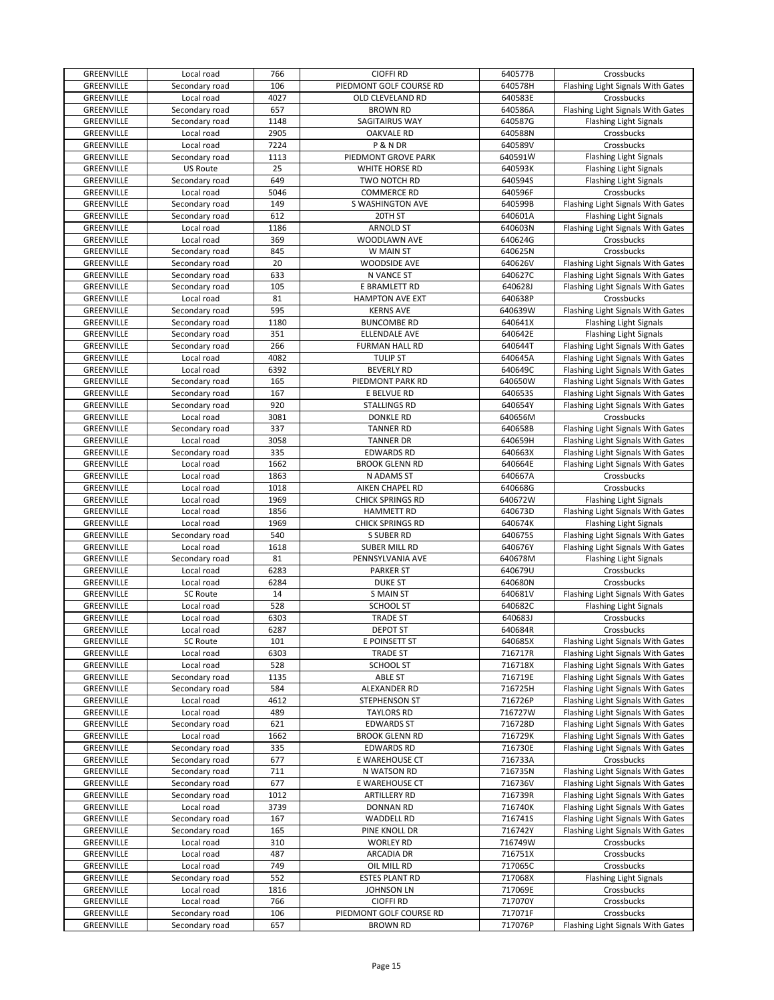| GREENVILLE        | Local road      | 766  | <b>CIOFFI RD</b>        | 640577B | Crossbucks                        |
|-------------------|-----------------|------|-------------------------|---------|-----------------------------------|
| GREENVILLE        | Secondary road  | 106  | PIEDMONT GOLF COURSE RD | 640578H | Flashing Light Signals With Gates |
| GREENVILLE        | Local road      | 4027 | OLD CLEVELAND RD        | 640583E | Crossbucks                        |
| GREENVILLE        | Secondary road  | 657  | <b>BROWN RD</b>         | 640586A | Flashing Light Signals With Gates |
|                   |                 | 1148 |                         | 640587G |                                   |
| GREENVILLE        | Secondary road  |      | SAGITAIRUS WAY          |         | <b>Flashing Light Signals</b>     |
| GREENVILLE        | Local road      | 2905 | <b>OAKVALE RD</b>       | 640588N | Crossbucks                        |
| GREENVILLE        | Local road      | 7224 | P & N DR                | 640589V | Crossbucks                        |
| GREENVILLE        | Secondary road  | 1113 | PIEDMONT GROVE PARK     | 640591W | <b>Flashing Light Signals</b>     |
| GREENVILLE        | <b>US Route</b> | 25   | WHITE HORSE RD          | 640593K | <b>Flashing Light Signals</b>     |
| GREENVILLE        | Secondary road  | 649  | TWO NOTCH RD            | 640594S | <b>Flashing Light Signals</b>     |
| GREENVILLE        | Local road      | 5046 | <b>COMMERCE RD</b>      | 640596F | Crossbucks                        |
| GREENVILLE        | Secondary road  | 149  | S WASHINGTON AVE        | 640599B | Flashing Light Signals With Gates |
|                   |                 | 612  |                         |         |                                   |
| GREENVILLE        | Secondary road  |      | 20TH ST                 | 640601A | <b>Flashing Light Signals</b>     |
| GREENVILLE        | Local road      | 1186 | <b>ARNOLD ST</b>        | 640603N | Flashing Light Signals With Gates |
| GREENVILLE        | Local road      | 369  | WOODLAWN AVE            | 640624G | Crossbucks                        |
| GREENVILLE        | Secondary road  | 845  | W MAIN ST               | 640625N | Crossbucks                        |
| GREENVILLE        | Secondary road  | 20   | <b>WOODSIDE AVE</b>     | 640626V | Flashing Light Signals With Gates |
| GREENVILLE        | Secondary road  | 633  | N VANCE ST              | 640627C | Flashing Light Signals With Gates |
| GREENVILLE        | Secondary road  | 105  | E BRAMLETT RD           | 640628J | Flashing Light Signals With Gates |
| GREENVILLE        | Local road      | 81   | <b>HAMPTON AVE EXT</b>  | 640638P | Crossbucks                        |
| GREENVILLE        | Secondary road  | 595  | <b>KERNS AVE</b>        | 640639W | Flashing Light Signals With Gates |
|                   |                 |      |                         |         |                                   |
| GREENVILLE        | Secondary road  | 1180 | <b>BUNCOMBE RD</b>      | 640641X | <b>Flashing Light Signals</b>     |
| GREENVILLE        | Secondary road  | 351  | <b>ELLENDALE AVE</b>    | 640642E | <b>Flashing Light Signals</b>     |
| GREENVILLE        | Secondary road  | 266  | <b>FURMAN HALL RD</b>   | 640644T | Flashing Light Signals With Gates |
| GREENVILLE        | Local road      | 4082 | <b>TULIP ST</b>         | 640645A | Flashing Light Signals With Gates |
| GREENVILLE        | Local road      | 6392 | <b>BEVERLY RD</b>       | 640649C | Flashing Light Signals With Gates |
| GREENVILLE        | Secondary road  | 165  | PIEDMONT PARK RD        | 640650W | Flashing Light Signals With Gates |
| GREENVILLE        | Secondary road  | 167  | E BELVUE RD             | 640653S | Flashing Light Signals With Gates |
| GREENVILLE        | Secondary road  | 920  | <b>STALLINGS RD</b>     | 640654Y | Flashing Light Signals With Gates |
|                   |                 |      |                         |         |                                   |
| GREENVILLE        | Local road      | 3081 | <b>DONKLE RD</b>        | 640656M | Crossbucks                        |
| GREENVILLE        | Secondary road  | 337  | <b>TANNER RD</b>        | 640658B | Flashing Light Signals With Gates |
| GREENVILLE        | Local road      | 3058 | <b>TANNER DR</b>        | 640659H | Flashing Light Signals With Gates |
| GREENVILLE        | Secondary road  | 335  | <b>EDWARDS RD</b>       | 640663X | Flashing Light Signals With Gates |
| GREENVILLE        | Local road      | 1662 | <b>BROOK GLENN RD</b>   | 640664E | Flashing Light Signals With Gates |
| GREENVILLE        | Local road      | 1863 | N ADAMS ST              | 640667A | Crossbucks                        |
| GREENVILLE        | Local road      | 1018 | AIKEN CHAPEL RD         | 640668G | Crossbucks                        |
| GREENVILLE        | Local road      | 1969 | CHICK SPRINGS RD        | 640672W | <b>Flashing Light Signals</b>     |
| GREENVILLE        | Local road      | 1856 | <b>HAMMETT RD</b>       | 640673D |                                   |
|                   |                 |      |                         |         | Flashing Light Signals With Gates |
| GREENVILLE        | Local road      | 1969 | <b>CHICK SPRINGS RD</b> | 640674K | <b>Flashing Light Signals</b>     |
| GREENVILLE        | Secondary road  | 540  | S SUBER RD              | 640675S | Flashing Light Signals With Gates |
| GREENVILLE        | Local road      | 1618 | <b>SUBER MILL RD</b>    | 640676Y | Flashing Light Signals With Gates |
| GREENVILLE        | Secondary road  | 81   | PENNSYLVANIA AVE        | 640678M | <b>Flashing Light Signals</b>     |
| GREENVILLE        | Local road      | 6283 | <b>PARKER ST</b>        | 640679U | Crossbucks                        |
| GREENVILLE        | Local road      | 6284 | <b>DUKE ST</b>          | 640680N | Crossbucks                        |
| GREENVILLE        | SC Route        | 14   | <b>S MAIN ST</b>        | 640681V | Flashing Light Signals With Gates |
| GREENVILLE        | Local road      | 528  | <b>SCHOOL ST</b>        | 640682C | <b>Flashing Light Signals</b>     |
| <b>GREENVILLE</b> | Local road      | 6303 | <b>TRADE ST</b>         | 640683J | Crossbucks                        |
|                   | Local road      |      |                         |         |                                   |
| GREENVILLE        |                 | 6287 | <b>DEPOT ST</b>         | 640684R | Crossbucks                        |
| GREENVILLE        | <b>SC Route</b> | 101  | E POINSETT ST           | 640685X | Flashing Light Signals With Gates |
| GREENVILLE        | Local road      | 6303 | <b>TRADE ST</b>         | 716717R | Flashing Light Signals With Gates |
| GREENVILLE        | Local road      | 528  | SCHOOL ST               | 716718X | Flashing Light Signals With Gates |
| GREENVILLE        | Secondary road  | 1135 | <b>ABLE ST</b>          | 716719E | Flashing Light Signals With Gates |
| GREENVILLE        | Secondary road  | 584  | ALEXANDER RD            | 716725H | Flashing Light Signals With Gates |
| GREENVILLE        | Local road      | 4612 | STEPHENSON ST           | 716726P | Flashing Light Signals With Gates |
| GREENVILLE        | Local road      | 489  | <b>TAYLORS RD</b>       | 716727W | Flashing Light Signals With Gates |
| GREENVILLE        | Secondary road  | 621  | <b>EDWARDS ST</b>       | 716728D | Flashing Light Signals With Gates |
| GREENVILLE        |                 |      |                         |         |                                   |
|                   | Local road      | 1662 | <b>BROOK GLENN RD</b>   | 716729K | Flashing Light Signals With Gates |
| GREENVILLE        | Secondary road  | 335  | <b>EDWARDS RD</b>       | 716730E | Flashing Light Signals With Gates |
| GREENVILLE        | Secondary road  | 677  | E WAREHOUSE CT          | 716733A | Crossbucks                        |
| GREENVILLE        | Secondary road  | 711  | N WATSON RD             | 716735N | Flashing Light Signals With Gates |
| GREENVILLE        | Secondary road  | 677  | E WAREHOUSE CT          | 716736V | Flashing Light Signals With Gates |
| GREENVILLE        | Secondary road  | 1012 | ARTILLERY RD            | 716739R | Flashing Light Signals With Gates |
| GREENVILLE        | Local road      | 3739 | DONNAN RD               | 716740K | Flashing Light Signals With Gates |
| GREENVILLE        | Secondary road  | 167  | WADDELL RD              | 716741S | Flashing Light Signals With Gates |
| GREENVILLE        | Secondary road  | 165  | PINE KNOLL DR           | 716742Y | Flashing Light Signals With Gates |
| GREENVILLE        | Local road      |      |                         |         |                                   |
|                   |                 | 310  | <b>WORLEY RD</b>        | 716749W | Crossbucks                        |
| GREENVILLE        | Local road      | 487  | <b>ARCADIA DR</b>       | 716751X | Crossbucks                        |
| GREENVILLE        | Local road      | 749  | OIL MILL RD             | 717065C | Crossbucks                        |
| GREENVILLE        | Secondary road  | 552  | <b>ESTES PLANT RD</b>   | 717068X | <b>Flashing Light Signals</b>     |
| GREENVILLE        | Local road      | 1816 | <b>JOHNSON LN</b>       | 717069E | Crossbucks                        |
| GREENVILLE        | Local road      | 766  | <b>CIOFFI RD</b>        | 717070Y | Crossbucks                        |
| GREENVILLE        | Secondary road  | 106  | PIEDMONT GOLF COURSE RD | 717071F | Crossbucks                        |
| GREENVILLE        | Secondary road  | 657  | <b>BROWN RD</b>         | 717076P | Flashing Light Signals With Gates |
|                   |                 |      |                         |         |                                   |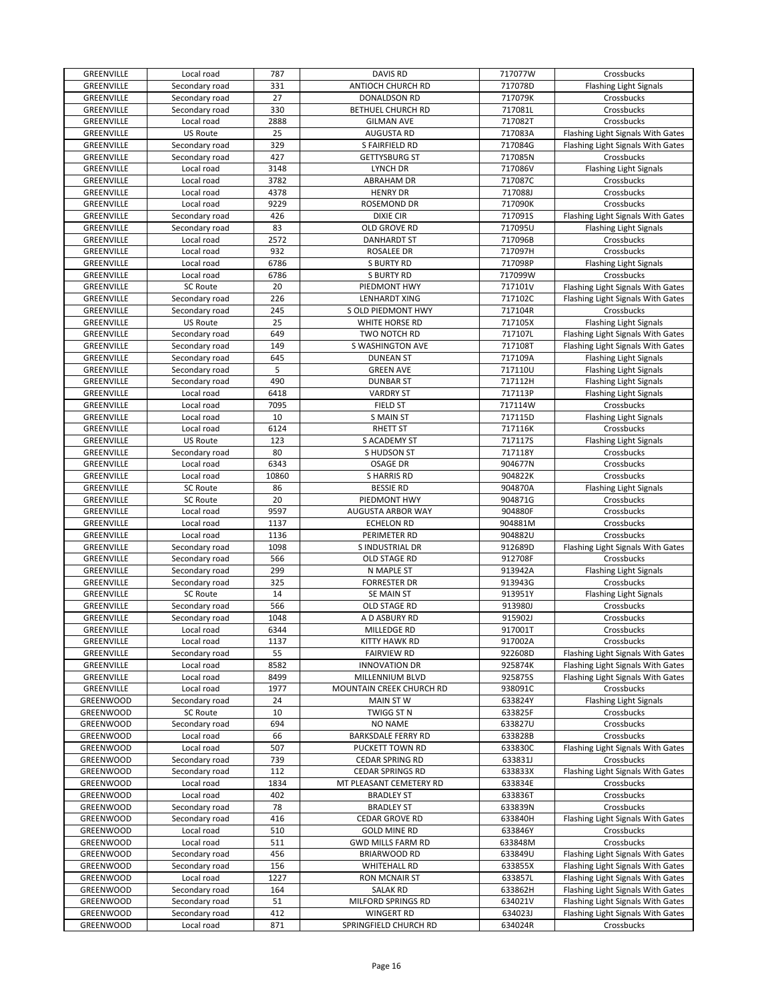| GREENVILLE        | Local road      | 787   | <b>DAVIS RD</b>           | 717077W | Crossbucks                        |
|-------------------|-----------------|-------|---------------------------|---------|-----------------------------------|
| GREENVILLE        | Secondary road  | 331   | <b>ANTIOCH CHURCH RD</b>  | 717078D | <b>Flashing Light Signals</b>     |
| GREENVILLE        | Secondary road  | 27    | DONALDSON RD              | 717079K | Crossbucks                        |
| GREENVILLE        | Secondary road  | 330   | BETHUEL CHURCH RD         | 717081L | Crossbucks                        |
| GREENVILLE        | Local road      | 2888  | <b>GILMAN AVE</b>         | 717082T | Crossbucks                        |
| GREENVILLE        | <b>US Route</b> | 25    | <b>AUGUSTA RD</b>         | 717083A | Flashing Light Signals With Gates |
| GREENVILLE        | Secondary road  | 329   | S FAIRFIELD RD            | 717084G | Flashing Light Signals With Gates |
| GREENVILLE        | Secondary road  | 427   | <b>GETTYSBURG ST</b>      | 717085N | Crossbucks                        |
| GREENVILLE        | Local road      | 3148  | LYNCH DR                  | 717086V | <b>Flashing Light Signals</b>     |
| GREENVILLE        | Local road      | 3782  | <b>ABRAHAM DR</b>         | 717087C | Crossbucks                        |
|                   |                 |       |                           |         |                                   |
| GREENVILLE        | Local road      | 4378  | <b>HENRY DR</b>           | 717088J | Crossbucks                        |
| GREENVILLE        | Local road      | 9229  | ROSEMOND DR               | 717090K | Crossbucks                        |
| GREENVILLE        | Secondary road  | 426   | <b>DIXIE CIR</b>          | 717091S | Flashing Light Signals With Gates |
| GREENVILLE        | Secondary road  | 83    | OLD GROVE RD              | 717095U | <b>Flashing Light Signals</b>     |
| GREENVILLE        | Local road      | 2572  | <b>DANHARDT ST</b>        | 717096B | Crossbucks                        |
| GREENVILLE        | Local road      | 932   | ROSALEE DR                | 717097H | Crossbucks                        |
| GREENVILLE        | Local road      | 6786  | <b>S BURTY RD</b>         | 717098P | <b>Flashing Light Signals</b>     |
| GREENVILLE        | Local road      | 6786  | <b>S BURTY RD</b>         | 717099W | Crossbucks                        |
| GREENVILLE        | <b>SC Route</b> | 20    | PIEDMONT HWY              | 717101V | Flashing Light Signals With Gates |
| GREENVILLE        | Secondary road  | 226   | <b>LENHARDT XING</b>      | 717102C | Flashing Light Signals With Gates |
| GREENVILLE        | Secondary road  | 245   | S OLD PIEDMONT HWY        | 717104R | Crossbucks                        |
| GREENVILLE        | <b>US Route</b> | 25    | WHITE HORSE RD            | 717105X | <b>Flashing Light Signals</b>     |
| GREENVILLE        | Secondary road  | 649   | TWO NOTCH RD              | 717107L | Flashing Light Signals With Gates |
| GREENVILLE        | Secondary road  | 149   | <b>S WASHINGTON AVE</b>   | 717108T | Flashing Light Signals With Gates |
| GREENVILLE        | Secondary road  | 645   | <b>DUNEAN ST</b>          | 717109A | <b>Flashing Light Signals</b>     |
| GREENVILLE        | Secondary road  | 5     | <b>GREEN AVE</b>          | 717110U | <b>Flashing Light Signals</b>     |
| <b>GREENVILLE</b> | Secondary road  | 490   | <b>DUNBAR ST</b>          | 717112H | <b>Flashing Light Signals</b>     |
| GREENVILLE        | Local road      | 6418  | <b>VARDRY ST</b>          | 717113P | <b>Flashing Light Signals</b>     |
| GREENVILLE        |                 | 7095  |                           | 717114W | Crossbucks                        |
|                   | Local road      |       | FIELD ST                  |         |                                   |
| GREENVILLE        | Local road      | 10    | <b>S MAIN ST</b>          | 717115D | <b>Flashing Light Signals</b>     |
| GREENVILLE        | Local road      | 6124  | <b>RHETT ST</b>           | 717116K | Crossbucks                        |
| GREENVILLE        | US Route        | 123   | S ACADEMY ST              | 717117S | <b>Flashing Light Signals</b>     |
| GREENVILLE        | Secondary road  | 80    | S HUDSON ST               | 717118Y | Crossbucks                        |
| GREENVILLE        | Local road      | 6343  | <b>OSAGE DR</b>           | 904677N | Crossbucks                        |
| GREENVILLE        | Local road      | 10860 | S HARRIS RD               | 904822K | Crossbucks                        |
| GREENVILLE        | SC Route        | 86    | <b>BESSIE RD</b>          | 904870A | <b>Flashing Light Signals</b>     |
| GREENVILLE        | <b>SC Route</b> | 20    | PIEDMONT HWY              | 904871G | Crossbucks                        |
| GREENVILLE        | Local road      | 9597  | AUGUSTA ARBOR WAY         | 904880F | Crossbucks                        |
| GREENVILLE        | Local road      | 1137  | <b>ECHELON RD</b>         | 904881M | Crossbucks                        |
| GREENVILLE        | Local road      | 1136  | PERIMETER RD              | 904882U | Crossbucks                        |
| GREENVILLE        | Secondary road  | 1098  | S INDUSTRIAL DR           | 912689D | Flashing Light Signals With Gates |
| GREENVILLE        | Secondary road  | 566   | OLD STAGE RD              | 912708F | Crossbucks                        |
| <b>GREENVILLE</b> | Secondary road  | 299   | N MAPLE ST                | 913942A | <b>Flashing Light Signals</b>     |
| GREENVILLE        | Secondary road  | 325   | <b>FORRESTER DR</b>       | 913943G | Crossbucks                        |
| GREENVILLE        | <b>SC Route</b> | 14    | SE MAIN ST                | 913951Y | <b>Flashing Light Signals</b>     |
| GREENVILLE        | Secondary road  | 566   | OLD STAGE RD              | 913980J | Crossbucks                        |
| GREENVILLE        | Secondary road  | 1048  | A D ASBURY RD             | 915902J | Crossbucks                        |
| GREENVILLE        | Local road      | 6344  | MILLEDGE RD               | 917001T | Crossbucks                        |
|                   |                 |       |                           |         |                                   |
| GREENVILLE        | Local road      | 1137  | KITTY HAWK RD             | 917002A | Crossbucks                        |
| GREENVILLE        | Secondary road  | 55    | <b>FAIRVIEW RD</b>        | 922608D | Flashing Light Signals With Gates |
| GREENVILLE        | Local road      | 8582  | <b>INNOVATION DR</b>      | 925874K | Flashing Light Signals With Gates |
| GREENVILLE        | Local road      | 8499  | MILLENNIUM BLVD           | 925875S | Flashing Light Signals With Gates |
| GREENVILLE        | Local road      | 1977  | MOUNTAIN CREEK CHURCH RD  | 938091C | Crossbucks                        |
| GREENWOOD         | Secondary road  | 24    | <b>MAIN ST W</b>          | 633824Y | Flashing Light Signals            |
| GREENWOOD         | <b>SC Route</b> | 10    | TWIGG ST N                | 633825F | Crossbucks                        |
| GREENWOOD         | Secondary road  | 694   | <b>NO NAME</b>            | 633827U | Crossbucks                        |
| GREENWOOD         | Local road      | 66    | <b>BARKSDALE FERRY RD</b> | 633828B | Crossbucks                        |
| GREENWOOD         | Local road      | 507   | PUCKETT TOWN RD           | 633830C | Flashing Light Signals With Gates |
| GREENWOOD         | Secondary road  | 739   | <b>CEDAR SPRING RD</b>    | 633831J | Crossbucks                        |
| GREENWOOD         | Secondary road  | 112   | <b>CEDAR SPRINGS RD</b>   | 633833X | Flashing Light Signals With Gates |
| GREENWOOD         | Local road      | 1834  | MT PLEASANT CEMETERY RD   | 633834E | Crossbucks                        |
| GREENWOOD         | Local road      | 402   | <b>BRADLEY ST</b>         | 633836T | Crossbucks                        |
| GREENWOOD         | Secondary road  | 78    | <b>BRADLEY ST</b>         | 633839N | Crossbucks                        |
| GREENWOOD         | Secondary road  | 416   | CEDAR GROVE RD            | 633840H | Flashing Light Signals With Gates |
| GREENWOOD         | Local road      | 510   | <b>GOLD MINE RD</b>       | 633846Y | Crossbucks                        |
| GREENWOOD         | Local road      | 511   | <b>GWD MILLS FARM RD</b>  | 633848M | Crossbucks                        |
| GREENWOOD         | Secondary road  | 456   | <b>BRIARWOOD RD</b>       | 633849U | Flashing Light Signals With Gates |
| GREENWOOD         | Secondary road  | 156   | <b>WHITEHALL RD</b>       | 633855X | Flashing Light Signals With Gates |
| GREENWOOD         | Local road      | 1227  | RON MCNAIR ST             | 633857L | Flashing Light Signals With Gates |
| GREENWOOD         | Secondary road  | 164   | <b>SALAK RD</b>           | 633862H | Flashing Light Signals With Gates |
| GREENWOOD         | Secondary road  | 51    | MILFORD SPRINGS RD        | 634021V |                                   |
|                   |                 | 412   |                           | 634023J | Flashing Light Signals With Gates |
| GREENWOOD         | Secondary road  |       | <b>WINGERT RD</b>         |         | Flashing Light Signals With Gates |
| GREENWOOD         | Local road      | 871   | SPRINGFIELD CHURCH RD     | 634024R | Crossbucks                        |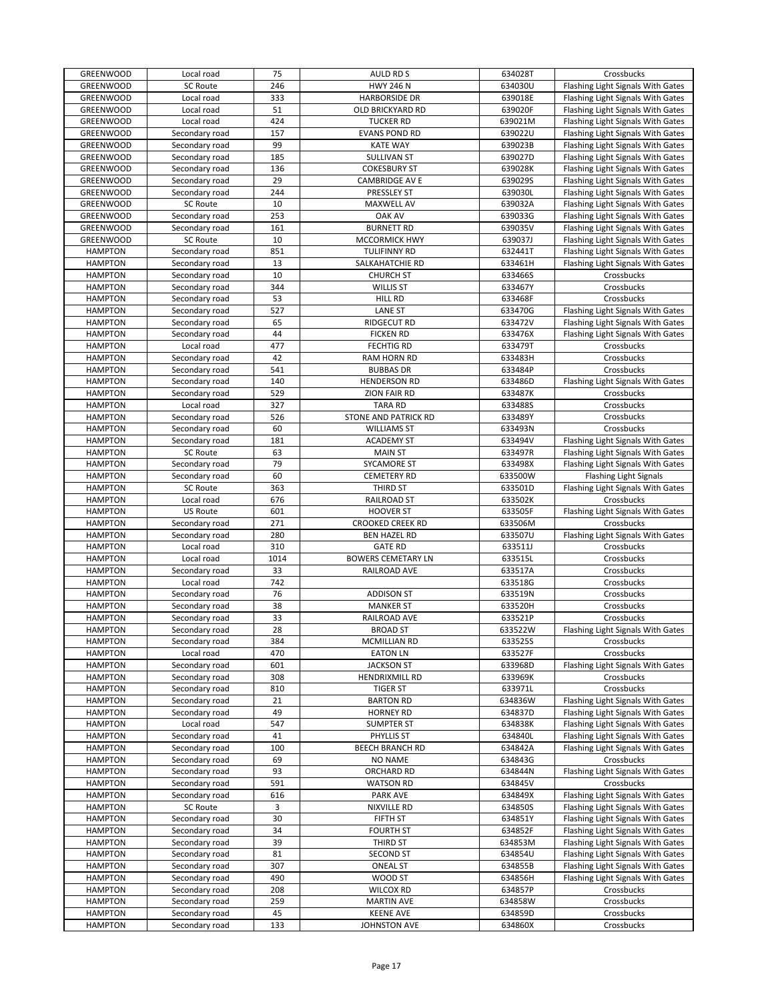| GREENWOOD        | Local road                       | 75   | AULD RD S                       | 634028T            | Crossbucks                        |
|------------------|----------------------------------|------|---------------------------------|--------------------|-----------------------------------|
| <b>GREENWOOD</b> | SC Route                         | 246  | <b>HWY 246 N</b>                | 634030U            | Flashing Light Signals With Gates |
| GREENWOOD        | Local road                       | 333  | <b>HARBORSIDE DR</b>            | 639018E            | Flashing Light Signals With Gates |
| GREENWOOD        | Local road                       | 51   | OLD BRICKYARD RD                | 639020F            | Flashing Light Signals With Gates |
| GREENWOOD        | Local road                       | 424  | <b>TUCKER RD</b>                | 639021M            | Flashing Light Signals With Gates |
| GREENWOOD        | Secondary road                   | 157  | <b>EVANS POND RD</b>            | 639022U            | Flashing Light Signals With Gates |
| GREENWOOD        | Secondary road                   | 99   | <b>KATE WAY</b>                 | 639023B            | Flashing Light Signals With Gates |
| GREENWOOD        | Secondary road                   | 185  | <b>SULLIVAN ST</b>              | 639027D            | Flashing Light Signals With Gates |
| GREENWOOD        | Secondary road                   | 136  | <b>COKESBURY ST</b>             | 639028K            | Flashing Light Signals With Gates |
| <b>GREENWOOD</b> | Secondary road                   | 29   | CAMBRIDGE AV E                  | 639029S            | Flashing Light Signals With Gates |
| GREENWOOD        | Secondary road                   | 244  | PRESSLEY ST                     | 639030L            | Flashing Light Signals With Gates |
| <b>GREENWOOD</b> | <b>SC Route</b>                  | 10   | MAXWELL AV                      | 639032A            | Flashing Light Signals With Gates |
| GREENWOOD        | Secondary road                   | 253  | <b>OAK AV</b>                   | 639033G            | Flashing Light Signals With Gates |
| <b>GREENWOOD</b> | Secondary road                   | 161  | <b>BURNETT RD</b>               | 639035V            | Flashing Light Signals With Gates |
| <b>GREENWOOD</b> | <b>SC Route</b>                  | 10   | MCCORMICK HWY                   | 639037J            | Flashing Light Signals With Gates |
| <b>HAMPTON</b>   | Secondary road                   | 851  | <b>TULIFINNY RD</b>             | 632441T            | Flashing Light Signals With Gates |
| <b>HAMPTON</b>   | Secondary road                   | 13   | SALKAHATCHIE RD                 | 633461H            | Flashing Light Signals With Gates |
| <b>HAMPTON</b>   | Secondary road                   | 10   | <b>CHURCH ST</b>                | 633466S            | Crossbucks                        |
| <b>HAMPTON</b>   | Secondary road                   | 344  | <b>WILLIS ST</b>                | 633467Y            | Crossbucks                        |
| <b>HAMPTON</b>   | Secondary road                   | 53   | HILL RD                         | 633468F            | Crossbucks                        |
| <b>HAMPTON</b>   | Secondary road                   | 527  | <b>LANE ST</b>                  | 633470G            | Flashing Light Signals With Gates |
| <b>HAMPTON</b>   |                                  | 65   |                                 |                    |                                   |
| <b>HAMPTON</b>   | Secondary road<br>Secondary road | 44   | RIDGECUT RD<br><b>FICKEN RD</b> | 633472V<br>633476X | Flashing Light Signals With Gates |
|                  |                                  | 477  |                                 |                    | Flashing Light Signals With Gates |
| <b>HAMPTON</b>   | Local road                       |      | <b>FECHTIG RD</b>               | 633479T            | Crossbucks                        |
| <b>HAMPTON</b>   | Secondary road                   | 42   | RAM HORN RD                     | 633483H            | Crossbucks                        |
| <b>HAMPTON</b>   | Secondary road                   | 541  | <b>BUBBAS DR</b>                | 633484P            | Crossbucks                        |
| <b>HAMPTON</b>   | Secondary road                   | 140  | <b>HENDERSON RD</b>             | 633486D            | Flashing Light Signals With Gates |
| <b>HAMPTON</b>   | Secondary road                   | 529  | <b>ZION FAIR RD</b>             | 633487K            | Crossbucks                        |
| <b>HAMPTON</b>   | Local road                       | 327  | <b>TARA RD</b>                  | 633488S            | Crossbucks                        |
| <b>HAMPTON</b>   | Secondary road                   | 526  | STONE AND PATRICK RD            | 633489Y            | Crossbucks                        |
| <b>HAMPTON</b>   | Secondary road                   | 60   | <b>WILLIAMS ST</b>              | 633493N            | Crossbucks                        |
| <b>HAMPTON</b>   | Secondary road                   | 181  | <b>ACADEMY ST</b>               | 633494V            | Flashing Light Signals With Gates |
| <b>HAMPTON</b>   | <b>SC Route</b>                  | 63   | <b>MAIN ST</b>                  | 633497R            | Flashing Light Signals With Gates |
| <b>HAMPTON</b>   | Secondary road                   | 79   | <b>SYCAMORE ST</b>              | 633498X            | Flashing Light Signals With Gates |
| <b>HAMPTON</b>   | Secondary road                   | 60   | <b>CEMETERY RD</b>              | 633500W            | <b>Flashing Light Signals</b>     |
| <b>HAMPTON</b>   | <b>SC Route</b>                  | 363  | THIRD ST                        | 633501D            | Flashing Light Signals With Gates |
| <b>HAMPTON</b>   | Local road                       | 676  | RAILROAD ST                     | 633502K            | Crossbucks                        |
| <b>HAMPTON</b>   | US Route                         | 601  | <b>HOOVER ST</b>                | 633505F            | Flashing Light Signals With Gates |
| <b>HAMPTON</b>   | Secondary road                   | 271  | <b>CROOKED CREEK RD</b>         | 633506M            | Crossbucks                        |
| <b>HAMPTON</b>   | Secondary road                   | 280  | <b>BEN HAZEL RD</b>             | 633507U            | Flashing Light Signals With Gates |
| <b>HAMPTON</b>   | Local road                       | 310  | <b>GATE RD</b>                  | 633511J            | Crossbucks                        |
| <b>HAMPTON</b>   | Local road                       | 1014 | <b>BOWERS CEMETARY LN</b>       | 633515L            | Crossbucks                        |
| <b>HAMPTON</b>   | Secondary road                   | 33   | RAILROAD AVE                    | 633517A            | Crossbucks                        |
| <b>HAMPTON</b>   | Local road                       | 742  |                                 | 633518G            | Crossbucks                        |
| <b>HAMPTON</b>   | Secondary road                   | 76   | <b>ADDISON ST</b>               | 633519N            | Crossbucks                        |
| <b>HAMPTON</b>   | Secondary road                   | 38   | <b>MANKER ST</b>                | 633520H            | Crossbucks                        |
| <b>HAMPTON</b>   | Secondary road                   | 33   | RAILROAD AVE                    | 633521P            | Crossbucks                        |
| <b>HAMPTON</b>   | Secondary road                   | 28   | <b>BROAD ST</b>                 | 633522W            | Flashing Light Signals With Gates |
| <b>HAMPTON</b>   | Secondary road                   | 384  | MCMILLIAN RD                    | 633525S            | Crossbucks                        |
| <b>HAMPTON</b>   | Local road                       | 470  | <b>EATON LN</b>                 | 633527F            | Crossbucks                        |
| <b>HAMPTON</b>   | Secondary road                   | 601  | <b>JACKSON ST</b>               | 633968D            | Flashing Light Signals With Gates |
| <b>HAMPTON</b>   | Secondary road                   | 308  | HENDRIXMILL RD                  | 633969K            | Crossbucks                        |
| <b>HAMPTON</b>   | Secondary road                   | 810  | <b>TIGER ST</b>                 | 633971L            | Crossbucks                        |
| <b>HAMPTON</b>   | Secondary road                   | 21   | <b>BARTON RD</b>                | 634836W            | Flashing Light Signals With Gates |
| <b>HAMPTON</b>   | Secondary road                   | 49   | <b>HORNEY RD</b>                | 634837D            | Flashing Light Signals With Gates |
| <b>HAMPTON</b>   | Local road                       | 547  | <b>SUMPTER ST</b>               | 634838K            | Flashing Light Signals With Gates |
| <b>HAMPTON</b>   | Secondary road                   | 41   | PHYLLIS ST                      | 634840L            | Flashing Light Signals With Gates |
| <b>HAMPTON</b>   | Secondary road                   | 100  | BEECH BRANCH RD                 | 634842A            | Flashing Light Signals With Gates |
| <b>HAMPTON</b>   | Secondary road                   | 69   | <b>NO NAME</b>                  | 634843G            | Crossbucks                        |
| <b>HAMPTON</b>   | Secondary road                   | 93   | ORCHARD RD                      | 634844N            | Flashing Light Signals With Gates |
| <b>HAMPTON</b>   | Secondary road                   | 591  | <b>WATSON RD</b>                | 634845V            | Crossbucks                        |
| <b>HAMPTON</b>   | Secondary road                   | 616  | <b>PARK AVE</b>                 | 634849X            | Flashing Light Signals With Gates |
| <b>HAMPTON</b>   | <b>SC Route</b>                  | 3    | NIXVILLE RD                     | 634850S            | Flashing Light Signals With Gates |
| <b>HAMPTON</b>   | Secondary road                   | 30   | FIFTH ST                        | 634851Y            | Flashing Light Signals With Gates |
| <b>HAMPTON</b>   | Secondary road                   | 34   | <b>FOURTH ST</b>                | 634852F            | Flashing Light Signals With Gates |
| <b>HAMPTON</b>   | Secondary road                   | 39   | THIRD ST                        | 634853M            | Flashing Light Signals With Gates |
| <b>HAMPTON</b>   | Secondary road                   | 81   | <b>SECOND ST</b>                | 634854U            | Flashing Light Signals With Gates |
| <b>HAMPTON</b>   |                                  |      | <b>ONEAL ST</b>                 | 634855B            |                                   |
|                  | Secondary road                   | 307  |                                 |                    | Flashing Light Signals With Gates |
| <b>HAMPTON</b>   | Secondary road                   | 490  | WOOD ST                         | 634856H            | Flashing Light Signals With Gates |
| <b>HAMPTON</b>   | Secondary road                   | 208  | <b>WILCOX RD</b>                | 634857P            | Crossbucks                        |
| <b>HAMPTON</b>   | Secondary road                   | 259  | <b>MARTIN AVE</b>               | 634858W            | Crossbucks                        |
| <b>HAMPTON</b>   | Secondary road                   | 45   | <b>KEENE AVE</b>                | 634859D            | Crossbucks                        |
| <b>HAMPTON</b>   | Secondary road                   | 133  | JOHNSTON AVE                    | 634860X            | Crossbucks                        |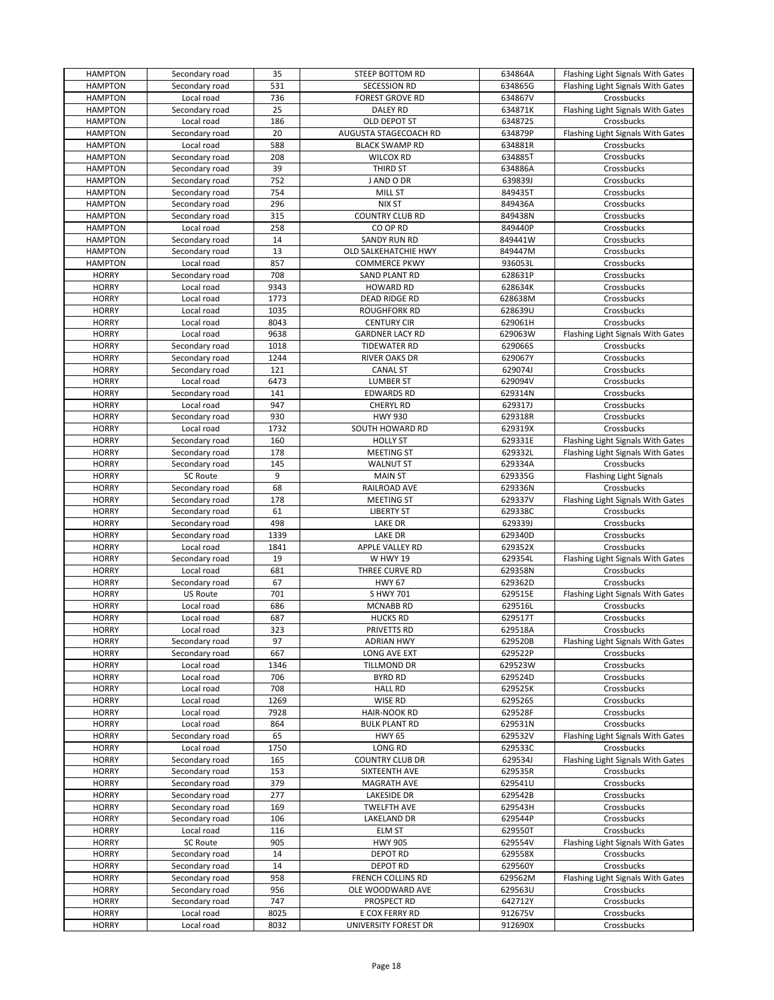| <b>HAMPTON</b> | Secondary road  | 35   | STEEP BOTTOM RD             | 634864A | Flashing Light Signals With Gates |
|----------------|-----------------|------|-----------------------------|---------|-----------------------------------|
| <b>HAMPTON</b> | Secondary road  | 531  | <b>SECESSION RD</b>         | 634865G | Flashing Light Signals With Gates |
| <b>HAMPTON</b> | Local road      | 736  | <b>FOREST GROVE RD</b>      | 634867V | Crossbucks                        |
| <b>HAMPTON</b> | Secondary road  | 25   | <b>DALEY RD</b>             | 634871K | Flashing Light Signals With Gates |
|                | Local road      | 186  |                             |         | Crossbucks                        |
| <b>HAMPTON</b> |                 |      | OLD DEPOT ST                | 634872S |                                   |
| <b>HAMPTON</b> | Secondary road  | 20   | AUGUSTA STAGECOACH RD       | 634879P | Flashing Light Signals With Gates |
| <b>HAMPTON</b> | Local road      | 588  | <b>BLACK SWAMP RD</b>       | 634881R | Crossbucks                        |
| <b>HAMPTON</b> | Secondary road  | 208  | <b>WILCOX RD</b>            | 634885T | Crossbucks                        |
| <b>HAMPTON</b> | Secondary road  | 39   | THIRD ST                    | 634886A | Crossbucks                        |
| <b>HAMPTON</b> | Secondary road  | 752  | J AND O DR                  | 639839J | Crossbucks                        |
| <b>HAMPTON</b> | Secondary road  | 754  | <b>MILL ST</b>              | 849435T | Crossbucks                        |
| <b>HAMPTON</b> | Secondary road  | 296  | <b>NIX ST</b>               | 849436A | Crossbucks                        |
| <b>HAMPTON</b> | Secondary road  | 315  | <b>COUNTRY CLUB RD</b>      | 849438N | Crossbucks                        |
| <b>HAMPTON</b> | Local road      | 258  | CO OP RD                    | 849440P | Crossbucks                        |
| <b>HAMPTON</b> | Secondary road  | 14   | SANDY RUN RD                | 849441W | Crossbucks                        |
| <b>HAMPTON</b> | Secondary road  | 13   | <b>OLD SALKEHATCHIE HWY</b> | 849447M | Crossbucks                        |
| <b>HAMPTON</b> | Local road      | 857  | <b>COMMERCE PKWY</b>        | 936053L | Crossbucks                        |
|                |                 | 708  |                             |         |                                   |
| <b>HORRY</b>   | Secondary road  |      | SAND PLANT RD               | 628631P | Crossbucks                        |
| <b>HORRY</b>   | Local road      | 9343 | <b>HOWARD RD</b>            | 628634K | Crossbucks                        |
| <b>HORRY</b>   | Local road      | 1773 | DEAD RIDGE RD               | 628638M | Crossbucks                        |
| <b>HORRY</b>   | Local road      | 1035 | <b>ROUGHFORK RD</b>         | 628639U | Crossbucks                        |
| <b>HORRY</b>   | Local road      | 8043 | <b>CENTURY CIR</b>          | 629061H | Crossbucks                        |
| <b>HORRY</b>   | Local road      | 9638 | <b>GARDNER LACY RD</b>      | 629063W | Flashing Light Signals With Gates |
| <b>HORRY</b>   | Secondary road  | 1018 | <b>TIDEWATER RD</b>         | 629066S | Crossbucks                        |
| <b>HORRY</b>   | Secondary road  | 1244 | <b>RIVER OAKS DR</b>        | 629067Y | Crossbucks                        |
| <b>HORRY</b>   | Secondary road  | 121  | <b>CANAL ST</b>             | 629074J | Crossbucks                        |
| <b>HORRY</b>   | Local road      | 6473 | <b>LUMBER ST</b>            | 629094V | Crossbucks                        |
| <b>HORRY</b>   | Secondary road  | 141  | <b>EDWARDS RD</b>           | 629314N | Crossbucks                        |
| <b>HORRY</b>   | Local road      | 947  | CHERYL RD                   | 629317J | Crossbucks                        |
| <b>HORRY</b>   | Secondary road  | 930  | <b>HWY 930</b>              | 629318R | Crossbucks                        |
| <b>HORRY</b>   | Local road      | 1732 | SOUTH HOWARD RD             | 629319X | Crossbucks                        |
| <b>HORRY</b>   | Secondary road  | 160  | <b>HOLLY ST</b>             | 629331E | Flashing Light Signals With Gates |
| <b>HORRY</b>   | Secondary road  | 178  | <b>MEETING ST</b>           | 629332L | Flashing Light Signals With Gates |
| <b>HORRY</b>   | Secondary road  | 145  | <b>WALNUT ST</b>            | 629334A | Crossbucks                        |
| <b>HORRY</b>   | <b>SC Route</b> | 9    | <b>MAIN ST</b>              | 629335G | <b>Flashing Light Signals</b>     |
| <b>HORRY</b>   | Secondary road  | 68   | RAILROAD AVE                | 629336N | Crossbucks                        |
| <b>HORRY</b>   | Secondary road  | 178  | <b>MEETING ST</b>           | 629337V |                                   |
|                |                 |      |                             |         | Flashing Light Signals With Gates |
| <b>HORRY</b>   | Secondary road  | 61   | <b>LIBERTY ST</b>           | 629338C | Crossbucks                        |
| <b>HORRY</b>   | Secondary road  | 498  | LAKE DR                     | 629339J | Crossbucks                        |
| <b>HORRY</b>   | Secondary road  | 1339 | <b>LAKE DR</b>              | 629340D | Crossbucks                        |
| <b>HORRY</b>   | Local road      | 1841 | APPLE VALLEY RD             | 629352X | Crossbucks                        |
| <b>HORRY</b>   | Secondary road  | 19   | <b>W HWY 19</b>             | 629354L | Flashing Light Signals With Gates |
| <b>HORRY</b>   | Local road      | 681  | THREE CURVE RD              | 629358N | Crossbucks                        |
| <b>HORRY</b>   | Secondary road  | 67   | <b>HWY 67</b>               | 629362D | Crossbucks                        |
| <b>HORRY</b>   | <b>US Route</b> | 701  | S HWY 701                   | 629515E | Flashing Light Signals With Gates |
| <b>HORRY</b>   | Local road      | 686  | <b>MCNABB RD</b>            | 629516L | Crossbucks                        |
| <b>HORRY</b>   | Local road      | 687  | <b>HUCKS RD</b>             | 629517T | Crossbucks                        |
| <b>HORRY</b>   | Local road      | 323  | PRIVETTS RD                 | 629518A | Crossbucks                        |
| <b>HORRY</b>   | Secondary road  | 97   | <b>ADRIAN HWY</b>           | 629520B | Flashing Light Signals With Gates |
| <b>HORRY</b>   | Secondary road  | 667  | LONG AVE EXT                | 629522P | Crossbucks                        |
| <b>HORRY</b>   | Local road      | 1346 | TILLMOND DR                 | 629523W | Crossbucks                        |
| <b>HORRY</b>   | Local road      | 706  | <b>BYRD RD</b>              | 629524D | Crossbucks                        |
| <b>HORRY</b>   | Local road      | 708  | <b>HALL RD</b>              | 629525K | Crossbucks                        |
| <b>HORRY</b>   | Local road      | 1269 | WISE RD                     | 629526S | Crossbucks                        |
| <b>HORRY</b>   | Local road      | 7928 | <b>HAIR-NOOK RD</b>         | 629528F | Crossbucks                        |
| <b>HORRY</b>   | Local road      | 864  | <b>BULK PLANT RD</b>        | 629531N | Crossbucks                        |
| <b>HORRY</b>   | Secondary road  | 65   | <b>HWY 65</b>               | 629532V | Flashing Light Signals With Gates |
| <b>HORRY</b>   | Local road      | 1750 | LONG RD                     | 629533C | Crossbucks                        |
| <b>HORRY</b>   | Secondary road  | 165  | <b>COUNTRY CLUB DR</b>      | 629534J | Flashing Light Signals With Gates |
| <b>HORRY</b>   | Secondary road  | 153  | SIXTEENTH AVE               | 629535R | Crossbucks                        |
|                | Secondary road  |      |                             |         |                                   |
| <b>HORRY</b>   |                 | 379  | MAGRATH AVE                 | 629541U | Crossbucks                        |
| <b>HORRY</b>   | Secondary road  | 277  | <b>LAKESIDE DR</b>          | 629542B | Crossbucks                        |
| <b>HORRY</b>   | Secondary road  | 169  | <b>TWELFTH AVE</b>          | 629543H | Crossbucks                        |
| <b>HORRY</b>   | Secondary road  | 106  | LAKELAND DR                 | 629544P | Crossbucks                        |
| <b>HORRY</b>   | Local road      | 116  | <b>ELM ST</b>               | 629550T | Crossbucks                        |
| <b>HORRY</b>   | <b>SC Route</b> | 905  | <b>HWY 905</b>              | 629554V | Flashing Light Signals With Gates |
| <b>HORRY</b>   | Secondary road  | 14   | <b>DEPOT RD</b>             | 629558X | Crossbucks                        |
| <b>HORRY</b>   | Secondary road  | 14   | <b>DEPOT RD</b>             | 629560Y | Crossbucks                        |
| <b>HORRY</b>   | Secondary road  | 958  | FRENCH COLLINS RD           | 629562M | Flashing Light Signals With Gates |
| <b>HORRY</b>   | Secondary road  | 956  | OLE WOODWARD AVE            | 629563U | Crossbucks                        |
| <b>HORRY</b>   | Secondary road  | 747  | PROSPECT RD                 | 642712Y | Crossbucks                        |
| <b>HORRY</b>   | Local road      | 8025 | E COX FERRY RD              | 912675V | Crossbucks                        |
| <b>HORRY</b>   | Local road      | 8032 | UNIVERSITY FOREST DR        | 912690X | Crossbucks                        |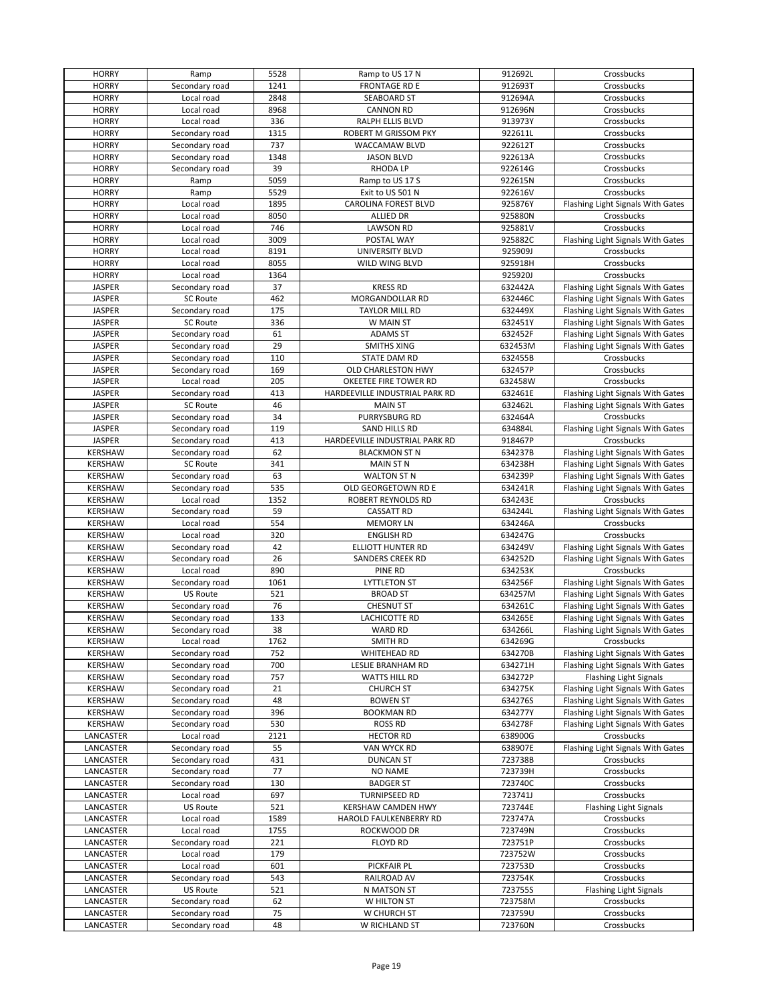| <b>HORRY</b>           | Ramp                             | 5528     | Ramp to US 17 N                | 912692L            | Crossbucks                        |
|------------------------|----------------------------------|----------|--------------------------------|--------------------|-----------------------------------|
| <b>HORRY</b>           | Secondary road                   | 1241     | <b>FRONTAGE RD E</b>           | 912693T            | Crossbucks                        |
| <b>HORRY</b>           | Local road                       | 2848     | SEABOARD ST                    | 912694A            | Crossbucks                        |
| <b>HORRY</b>           | Local road                       | 8968     | <b>CANNON RD</b>               | 912696N            | Crossbucks                        |
| <b>HORRY</b>           | Local road                       | 336      | RALPH ELLIS BLVD               | 913973Y            | Crossbucks                        |
| <b>HORRY</b>           | Secondary road                   | 1315     | ROBERT M GRISSOM PKY           | 922611L            | Crossbucks                        |
|                        |                                  |          |                                |                    |                                   |
| <b>HORRY</b>           | Secondary road                   | 737      | WACCAMAW BLVD                  | 922612T            | Crossbucks                        |
| <b>HORRY</b>           | Secondary road                   | 1348     | <b>JASON BLVD</b>              | 922613A            | Crossbucks                        |
| <b>HORRY</b>           | Secondary road                   | 39       | <b>RHODA LP</b>                | 922614G            | Crossbucks                        |
| <b>HORRY</b>           | Ramp                             | 5059     | Ramp to US 17 S                | 922615N            | Crossbucks                        |
| <b>HORRY</b>           | Ramp                             | 5529     | Exit to US 501 N               | 922616V            | Crossbucks                        |
| <b>HORRY</b>           | Local road                       | 1895     | CAROLINA FOREST BLVD           | 925876Y            | Flashing Light Signals With Gates |
| <b>HORRY</b>           | Local road                       | 8050     | <b>ALLIED DR</b>               | 925880N            | Crossbucks                        |
| <b>HORRY</b>           | Local road                       | 746      | <b>LAWSON RD</b>               | 925881V            | Crossbucks                        |
| <b>HORRY</b>           | Local road                       | 3009     | POSTAL WAY                     | 925882C            | Flashing Light Signals With Gates |
| <b>HORRY</b>           | Local road                       | 8191     | UNIVERSITY BLVD                | 925909J            | Crossbucks                        |
| <b>HORRY</b>           | Local road                       | 8055     | WILD WING BLVD                 | 925918H            | Crossbucks                        |
|                        |                                  |          |                                |                    |                                   |
| <b>HORRY</b>           | Local road                       | 1364     |                                | 925920J            | Crossbucks                        |
| <b>JASPER</b>          | Secondary road                   | 37       | <b>KRESS RD</b>                | 632442A            | Flashing Light Signals With Gates |
| <b>JASPER</b>          | <b>SC Route</b>                  | 462      | MORGANDOLLAR RD                | 632446C            | Flashing Light Signals With Gates |
| <b>JASPER</b>          | Secondary road                   | 175      | TAYLOR MILL RD                 | 632449X            | Flashing Light Signals With Gates |
| <b>JASPER</b>          | <b>SC Route</b>                  | 336      | W MAIN ST                      | 632451Y            | Flashing Light Signals With Gates |
| <b>JASPER</b>          | Secondary road                   | 61       | <b>ADAMS ST</b>                | 632452F            | Flashing Light Signals With Gates |
| <b>JASPER</b>          | Secondary road                   | 29       | <b>SMITHS XING</b>             | 632453M            | Flashing Light Signals With Gates |
| <b>JASPER</b>          | Secondary road                   | 110      | STATE DAM RD                   | 632455B            | Crossbucks                        |
| <b>JASPER</b>          | Secondary road                   | 169      | OLD CHARLESTON HWY             | 632457P            | Crossbucks                        |
| <b>JASPER</b>          | Local road                       | 205      | OKEETEE FIRE TOWER RD          | 632458W            | Crossbucks                        |
| JASPER                 | Secondary road                   | 413      | HARDEEVILLE INDUSTRIAL PARK RD | 632461E            | Flashing Light Signals With Gates |
| <b>JASPER</b>          | <b>SC Route</b>                  | 46       | <b>MAIN ST</b>                 | 632462L            | Flashing Light Signals With Gates |
|                        |                                  |          |                                |                    |                                   |
| <b>JASPER</b>          | Secondary road                   | 34       | PURRYSBURG RD                  | 632464A            | Crossbucks                        |
| <b>JASPER</b>          | Secondary road                   | 119      | SAND HILLS RD                  | 634884L            | Flashing Light Signals With Gates |
| <b>JASPER</b>          | Secondary road                   | 413      | HARDEEVILLE INDUSTRIAL PARK RD | 918467P            | Crossbucks                        |
| <b>KERSHAW</b>         | Secondary road                   | 62       | <b>BLACKMON ST N</b>           | 634237B            | Flashing Light Signals With Gates |
| <b>KERSHAW</b>         | <b>SC Route</b>                  | 341      | <b>MAIN ST N</b>               | 634238H            | Flashing Light Signals With Gates |
| <b>KERSHAW</b>         | Secondary road                   | 63       | <b>WALTON ST N</b>             | 634239P            | Flashing Light Signals With Gates |
| <b>KERSHAW</b>         | Secondary road                   | 535      | OLD GEORGETOWN RD E            | 634241R            | Flashing Light Signals With Gates |
| <b>KERSHAW</b>         | Local road                       | 1352     | ROBERT REYNOLDS RD             | 634243E            | Crossbucks                        |
| KERSHAW                | Secondary road                   | 59       | <b>CASSATT RD</b>              | 634244L            | Flashing Light Signals With Gates |
| KERSHAW                | Local road                       | 554      | <b>MEMORY LN</b>               | 634246A            | Crossbucks                        |
| KERSHAW                | Local road                       | 320      | <b>ENGLISH RD</b>              | 634247G            | Crossbucks                        |
| <b>KERSHAW</b>         | Secondary road                   | 42       | ELLIOTT HUNTER RD              | 634249V            | Flashing Light Signals With Gates |
| <b>KERSHAW</b>         | Secondary road                   | 26       | <b>SANDERS CREEK RD</b>        | 634252D            | Flashing Light Signals With Gates |
| <b>KERSHAW</b>         | Local road                       | 890      | PINE RD                        | 634253K            | Crossbucks                        |
| <b>KERSHAW</b>         | Secondary road                   | 1061     | <b>LYTTLETON ST</b>            | 634256F            | Flashing Light Signals With Gates |
| <b>KERSHAW</b>         | US Route                         | 521      | <b>BROAD ST</b>                | 634257M            | Flashing Light Signals With Gates |
| <b>KERSHAW</b>         | Secondary road                   | 76       | <b>CHESNUT ST</b>              | 634261C            | Flashing Light Signals With Gates |
| <b>KERSHAW</b>         | Secondary road                   | 133      | LACHICOTTE RD                  | 634265E            | Flashing Light Signals With Gates |
| <b>KERSHAW</b>         | Secondary road                   | 38       | <b>WARD RD</b>                 | 634266L            | Flashing Light Signals With Gates |
|                        |                                  |          | SMITH RD                       |                    |                                   |
| KERSHAW                | Local road                       | 1762     |                                | 634269G            | Crossbucks                        |
| KERSHAW                | Secondary road                   | 752      | WHITEHEAD RD                   | 634270B            | Flashing Light Signals With Gates |
| KERSHAW                | Secondary road                   | 700      | LESLIE BRANHAM RD              | 634271H            | Flashing Light Signals With Gates |
| <b>KERSHAW</b>         | Secondary road                   | 757      | <b>WATTS HILL RD</b>           | 634272P            | <b>Flashing Light Signals</b>     |
| KERSHAW                | Secondary road                   | 21       | <b>CHURCH ST</b>               | 634275K            | Flashing Light Signals With Gates |
| KERSHAW                | Secondary road                   | 48       | <b>BOWEN ST</b>                | 634276S            | Flashing Light Signals With Gates |
| <b>KERSHAW</b>         | Secondary road                   | 396      | <b>BOOKMAN RD</b>              | 634277Y            | Flashing Light Signals With Gates |
| KERSHAW                | Secondary road                   | 530      | <b>ROSS RD</b>                 | 634278F            | Flashing Light Signals With Gates |
| LANCASTER              | Local road                       | 2121     | <b>HECTOR RD</b>               | 638900G            | Crossbucks                        |
| LANCASTER              | Secondary road                   | 55       | VAN WYCK RD                    | 638907E            | Flashing Light Signals With Gates |
| LANCASTER              | Secondary road                   | 431      | <b>DUNCAN ST</b>               | 723738B            | Crossbucks                        |
| LANCASTER              | Secondary road                   | 77       | <b>NO NAME</b>                 | 723739H            | Crossbucks                        |
| LANCASTER              | Secondary road                   | 130      | <b>BADGER ST</b>               | 723740C            | Crossbucks                        |
| LANCASTER              | Local road                       | 697      | TURNIPSEED RD                  | 723741J            | Crossbucks                        |
| LANCASTER              | US Route                         | 521      | KERSHAW CAMDEN HWY             | 723744E            | Flashing Light Signals            |
| LANCASTER              | Local road                       | 1589     | HAROLD FAULKENBERRY RD         | 723747A            | Crossbucks                        |
| LANCASTER              | Local road                       | 1755     | ROCKWOOD DR                    | 723749N            | Crossbucks                        |
| LANCASTER              | Secondary road                   | 221      | <b>FLOYD RD</b>                | 723751P            | Crossbucks                        |
| LANCASTER              |                                  |          |                                | 723752W            | Crossbucks                        |
|                        |                                  |          |                                |                    |                                   |
|                        | Local road                       | 179      |                                |                    |                                   |
| LANCASTER              | Local road                       | 601      | PICKFAIR PL                    | 723753D            | Crossbucks                        |
| LANCASTER              | Secondary road                   | 543      | RAILROAD AV                    | 723754K            | Crossbucks                        |
| LANCASTER              | US Route                         | 521      | N MATSON ST                    | 723755S            | Flashing Light Signals            |
| LANCASTER              | Secondary road                   | 62       | W HILTON ST                    | 723758M            | Crossbucks                        |
| LANCASTER<br>LANCASTER | Secondary road<br>Secondary road | 75<br>48 | W CHURCH ST<br>W RICHLAND ST   | 723759U<br>723760N | Crossbucks<br>Crossbucks          |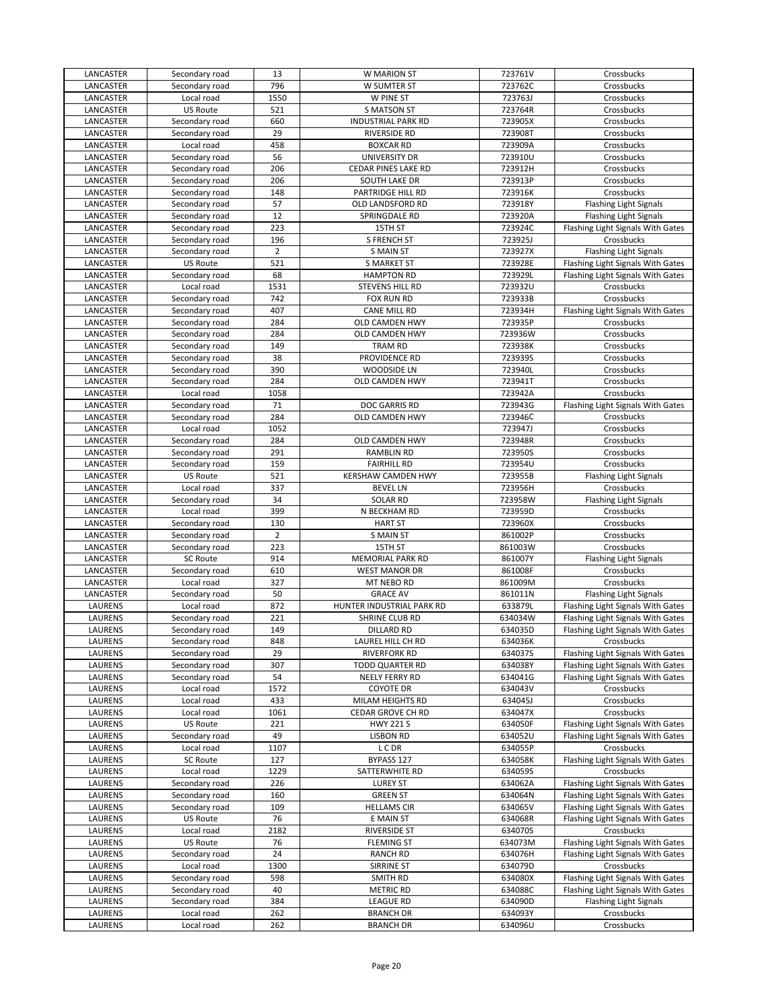| LANCASTER | Secondary road  | 13             | W MARION ST               | 723761V | Crossbucks                        |
|-----------|-----------------|----------------|---------------------------|---------|-----------------------------------|
| LANCASTER | Secondary road  | 796            | W SUMTER ST               | 723762C | Crossbucks                        |
| LANCASTER | Local road      | 1550           | W PINE ST                 | 723763J | Crossbucks                        |
| LANCASTER | <b>US Route</b> | 521            | <b>S MATSON ST</b>        | 723764R | Crossbucks                        |
| LANCASTER | Secondary road  | 660            | <b>INDUSTRIAL PARK RD</b> | 723905X | Crossbucks                        |
| LANCASTER | Secondary road  | 29             | <b>RIVERSIDE RD</b>       | 723908T | Crossbucks                        |
| LANCASTER | Local road      | 458            | <b>BOXCAR RD</b>          | 723909A | Crossbucks                        |
| LANCASTER | Secondary road  | 56             | UNIVERSITY DR             | 723910U | Crossbucks                        |
|           |                 |                |                           |         |                                   |
| LANCASTER | Secondary road  | 206            | CEDAR PINES LAKE RD       | 723912H | Crossbucks                        |
| LANCASTER | Secondary road  | 206            | SOUTH LAKE DR             | 723913P | Crossbucks                        |
| LANCASTER | Secondary road  | 148            | PARTRIDGE HILL RD         | 723916K | Crossbucks                        |
| LANCASTER | Secondary road  | 57             | OLD LANDSFORD RD          | 723918Y | Flashing Light Signals            |
| LANCASTER | Secondary road  | 12             | SPRINGDALE RD             | 723920A | <b>Flashing Light Signals</b>     |
| LANCASTER | Secondary road  | 223            | 15TH ST                   | 723924C | Flashing Light Signals With Gates |
| LANCASTER | Secondary road  | 196            | <b>S FRENCH ST</b>        | 723925J | Crossbucks                        |
| LANCASTER | Secondary road  | $\overline{2}$ | <b>S MAIN ST</b>          | 723927X | <b>Flashing Light Signals</b>     |
| LANCASTER | US Route        | 521            | S MARKET ST               | 723928E | Flashing Light Signals With Gates |
| LANCASTER | Secondary road  | 68             | <b>HAMPTON RD</b>         | 723929L | Flashing Light Signals With Gates |
| LANCASTER | Local road      | 1531           | STEVENS HILL RD           | 723932U | Crossbucks                        |
| LANCASTER | Secondary road  | 742            | FOX RUN RD                | 723933B | Crossbucks                        |
| LANCASTER | Secondary road  | 407            | <b>CANE MILL RD</b>       | 723934H | Flashing Light Signals With Gates |
| LANCASTER | Secondary road  | 284            | <b>OLD CAMDEN HWY</b>     | 723935P | Crossbucks                        |
|           |                 |                |                           |         |                                   |
| LANCASTER | Secondary road  | 284            | OLD CAMDEN HWY            | 723936W | Crossbucks                        |
| LANCASTER | Secondary road  | 149            | <b>TRAM RD</b>            | 723938K | Crossbucks                        |
| LANCASTER | Secondary road  | 38             | PROVIDENCE RD             | 723939S | Crossbucks                        |
| LANCASTER | Secondary road  | 390            | WOODSIDE LN               | 723940L | Crossbucks                        |
| LANCASTER | Secondary road  | 284            | OLD CAMDEN HWY            | 723941T | Crossbucks                        |
| LANCASTER | Local road      | 1058           |                           | 723942A | Crossbucks                        |
| LANCASTER | Secondary road  | 71             | DOC GARRIS RD             | 723943G | Flashing Light Signals With Gates |
| LANCASTER | Secondary road  | 284            | OLD CAMDEN HWY            | 723946C | Crossbucks                        |
| LANCASTER | Local road      | 1052           |                           | 723947J | Crossbucks                        |
| LANCASTER | Secondary road  | 284            | OLD CAMDEN HWY            | 723948R | Crossbucks                        |
| LANCASTER | Secondary road  | 291            | RAMBLIN RD                | 723950S | Crossbucks                        |
| LANCASTER | Secondary road  | 159            | <b>FAIRHILL RD</b>        | 723954U | Crossbucks                        |
| LANCASTER | <b>US Route</b> | 521            | KERSHAW CAMDEN HWY        | 723955B | Flashing Light Signals            |
| LANCASTER | Local road      | 337            | <b>BEVEL LN</b>           | 723956H | Crossbucks                        |
|           |                 | 34             |                           |         |                                   |
| LANCASTER | Secondary road  |                | <b>SOLAR RD</b>           | 723958W | <b>Flashing Light Signals</b>     |
| LANCASTER | Local road      | 399            | N BECKHAM RD              | 723959D | Crossbucks                        |
| LANCASTER | Secondary road  | 130            | <b>HART ST</b>            | 723960X | Crossbucks                        |
| LANCASTER | Secondary road  | $\overline{2}$ | <b>S MAIN ST</b>          | 861002P | Crossbucks                        |
| LANCASTER | Secondary road  | 223            | 15TH ST                   | 861003W | Crossbucks                        |
| LANCASTER | <b>SC Route</b> | 914            | <b>MEMORIAL PARK RD</b>   | 861007Y | <b>Flashing Light Signals</b>     |
| LANCASTER | Secondary road  | 610            | <b>WEST MANOR DR</b>      | 861008F | Crossbucks                        |
| LANCASTER | Local road      | 327            | MT NEBO RD                | 861009M | Crossbucks                        |
| LANCASTER | Secondary road  | 50             | <b>GRACE AV</b>           | 861011N | <b>Flashing Light Signals</b>     |
| LAURENS   | Local road      | 872            | HUNTER INDUSTRIAL PARK RD | 633879L | Flashing Light Signals With Gates |
| LAURENS   | Secondary road  | 221            | SHRINE CLUB RD            | 634034W | Flashing Light Signals With Gates |
| LAURENS   | Secondary road  | 149            | <b>DILLARD RD</b>         | 634035D | Flashing Light Signals With Gates |
| LAURENS   | Secondary road  | 848            | LAUREL HILL CH RD         | 634036K | Crossbucks                        |
| LAURENS   | Secondary road  | 29             | <b>RIVERFORK RD</b>       | 634037S | Flashing Light Signals With Gates |
| LAURENS   | Secondary road  | 307            |                           | 634038Y |                                   |
|           |                 | 54             | <b>TODD QUARTER RD</b>    |         | Flashing Light Signals With Gates |
| LAURENS   | Secondary road  |                | NEELY FERRY RD            | 634041G | Flashing Light Signals With Gates |
| LAURENS   | Local road      | 1572           | COYOTE DR                 | 634043V | Crossbucks                        |
| LAURENS   | Local road      | 433            | MILAM HEIGHTS RD          | 634045J | Crossbucks                        |
| LAURENS   | Local road      | 1061           | CEDAR GROVE CH RD         | 634047X | Crossbucks                        |
| LAURENS   | <b>US Route</b> | 221            | <b>HWY 221 S</b>          | 634050F | Flashing Light Signals With Gates |
| LAURENS   | Secondary road  | 49             | <b>LISBON RD</b>          | 634052U | Flashing Light Signals With Gates |
| LAURENS   | Local road      | 1107           | L C DR                    | 634055P | Crossbucks                        |
| LAURENS   | SC Route        | 127            | BYPASS 127                | 634058K | Flashing Light Signals With Gates |
| LAURENS   | Local road      | 1229           | SATTERWHITE RD            | 634059S | Crossbucks                        |
| LAURENS   | Secondary road  | 226            | <b>LUREY ST</b>           | 634062A | Flashing Light Signals With Gates |
| LAURENS   | Secondary road  | 160            | <b>GREEN ST</b>           | 634064N | Flashing Light Signals With Gates |
| LAURENS   | Secondary road  | 109            | <b>HELLAMS CIR</b>        | 634065V | Flashing Light Signals With Gates |
| LAURENS   | <b>US Route</b> | 76             | E MAIN ST                 | 634068R | Flashing Light Signals With Gates |
| LAURENS   | Local road      | 2182           | <b>RIVERSIDE ST</b>       | 634070S | Crossbucks                        |
|           |                 |                |                           |         |                                   |
| LAURENS   | <b>US Route</b> | 76             | <b>FLEMING ST</b>         | 634073M | Flashing Light Signals With Gates |
| LAURENS   | Secondary road  | 24             | <b>RANCH RD</b>           | 634076H | Flashing Light Signals With Gates |
| LAURENS   | Local road      | 1300           | SIRRINE ST                | 634079D | Crossbucks                        |
| LAURENS   | Secondary road  | 598            | SMITH RD                  | 634080X | Flashing Light Signals With Gates |
| LAURENS   | Secondary road  | 40             | <b>METRIC RD</b>          | 634088C | Flashing Light Signals With Gates |
| LAURENS   | Secondary road  | 384            | <b>LEAGUE RD</b>          | 634090D | <b>Flashing Light Signals</b>     |
|           |                 |                |                           |         |                                   |
| LAURENS   | Local road      | 262            | <b>BRANCH DR</b>          | 634093Y | Crossbucks                        |
| LAURENS   | Local road      | 262            | <b>BRANCH DR</b>          | 634096U | Crossbucks                        |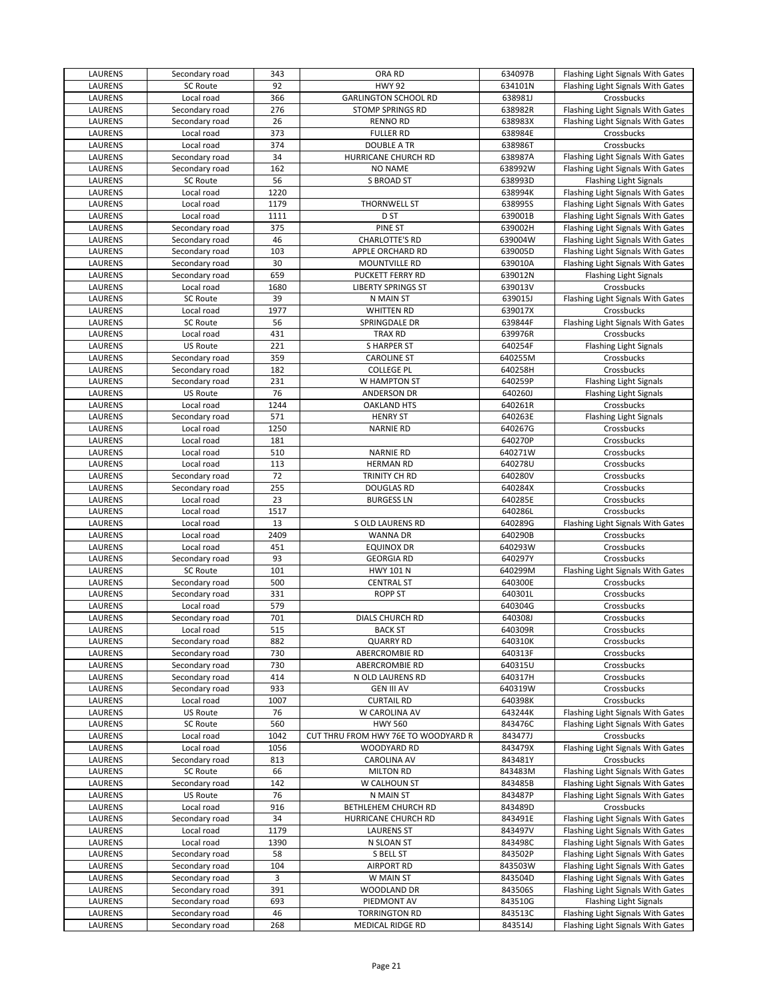| LAURENS        | Secondary road  | 343  | ORA RD                              | 634097B | Flashing Light Signals With Gates |
|----------------|-----------------|------|-------------------------------------|---------|-----------------------------------|
| LAURENS        | <b>SC Route</b> | 92   | <b>HWY 92</b>                       | 634101N | Flashing Light Signals With Gates |
| LAURENS        | Local road      | 366  | <b>GARLINGTON SCHOOL RD</b>         | 638981J | Crossbucks                        |
| LAURENS        | Secondary road  | 276  | <b>STOMP SPRINGS RD</b>             | 638982R | Flashing Light Signals With Gates |
| LAURENS        | Secondary road  | 26   | <b>RENNO RD</b>                     | 638983X | Flashing Light Signals With Gates |
| <b>LAURENS</b> | Local road      | 373  | <b>FULLER RD</b>                    | 638984E | Crossbucks                        |
| <b>LAURENS</b> | Local road      | 374  | <b>DOUBLE A TR</b>                  | 638986T | Crossbucks                        |
| LAURENS        | Secondary road  | 34   | HURRICANE CHURCH RD                 | 638987A | Flashing Light Signals With Gates |
| LAURENS        | Secondary road  | 162  | <b>NO NAME</b>                      | 638992W | Flashing Light Signals With Gates |
| LAURENS        | <b>SC Route</b> | 56   | <b>S BROAD ST</b>                   | 638993D | Flashing Light Signals            |
| LAURENS        | Local road      | 1220 |                                     | 638994K | Flashing Light Signals With Gates |
| LAURENS        | Local road      | 1179 | THORNWELL ST                        | 638995S | Flashing Light Signals With Gates |
| LAURENS        | Local road      | 1111 | D <sub>ST</sub>                     | 639001B | Flashing Light Signals With Gates |
| LAURENS        | Secondary road  | 375  | PINE ST                             | 639002H | Flashing Light Signals With Gates |
| LAURENS        | Secondary road  | 46   | <b>CHARLOTTE'S RD</b>               | 639004W | Flashing Light Signals With Gates |
| LAURENS        | Secondary road  | 103  | APPLE ORCHARD RD                    | 639005D | Flashing Light Signals With Gates |
| LAURENS        | Secondary road  | 30   | MOUNTVILLE RD                       | 639010A | Flashing Light Signals With Gates |
| LAURENS        | Secondary road  | 659  | PUCKETT FERRY RD                    | 639012N | Flashing Light Signals            |
| LAURENS        | Local road      | 1680 | <b>LIBERTY SPRINGS ST</b>           | 639013V | Crossbucks                        |
| LAURENS        | SC Route        | 39   | N MAIN ST                           | 639015J | Flashing Light Signals With Gates |
| LAURENS        | Local road      | 1977 | <b>WHITTEN RD</b>                   | 639017X | Crossbucks                        |
| LAURENS        | SC Route        | 56   | SPRINGDALE DR                       | 639844F | Flashing Light Signals With Gates |
| LAURENS        | Local road      | 431  | <b>TRAX RD</b>                      | 639976R | Crossbucks                        |
| LAURENS        | <b>US Route</b> | 221  | <b>SHARPER ST</b>                   | 640254F | Flashing Light Signals            |
| LAURENS        | Secondary road  | 359  | <b>CAROLINE ST</b>                  | 640255M | Crossbucks                        |
| <b>LAURENS</b> | Secondary road  | 182  | <b>COLLEGE PL</b>                   | 640258H | Crossbucks                        |
| LAURENS        | Secondary road  | 231  | W HAMPTON ST                        | 640259P | Flashing Light Signals            |
| LAURENS        | <b>US Route</b> | 76   | ANDERSON DR                         | 640260J | <b>Flashing Light Signals</b>     |
| LAURENS        | Local road      | 1244 | <b>OAKLAND HTS</b>                  | 640261R | Crossbucks                        |
| LAURENS        | Secondary road  | 571  | <b>HENRY ST</b>                     | 640263E | Flashing Light Signals            |
| <b>LAURENS</b> | Local road      | 1250 | <b>NARNIE RD</b>                    | 640267G | Crossbucks                        |
| LAURENS        | Local road      | 181  |                                     | 640270P | Crossbucks                        |
| LAURENS        | Local road      | 510  | <b>NARNIE RD</b>                    | 640271W | Crossbucks                        |
| LAURENS        | Local road      | 113  | <b>HERMAN RD</b>                    | 640278U | Crossbucks                        |
| LAURENS        | Secondary road  | 72   | TRINITY CH RD                       | 640280V | Crossbucks                        |
| LAURENS        | Secondary road  | 255  | <b>DOUGLAS RD</b>                   | 640284X | Crossbucks                        |
| LAURENS        | Local road      | 23   | <b>BURGESS LN</b>                   | 640285E | Crossbucks                        |
| LAURENS        | Local road      | 1517 |                                     | 640286L | Crossbucks                        |
| LAURENS        | Local road      | 13   | S OLD LAURENS RD                    | 640289G | Flashing Light Signals With Gates |
| LAURENS        | Local road      | 2409 | <b>WANNA DR</b>                     | 640290B | Crossbucks                        |
| LAURENS        | Local road      | 451  | <b>EQUINOX DR</b>                   | 640293W | Crossbucks                        |
| <b>LAURENS</b> | Secondary road  | 93   | <b>GEORGIA RD</b>                   | 640297Y | Crossbucks                        |
| LAURENS        | <b>SC Route</b> | 101  | <b>HWY 101 N</b>                    | 640299M | Flashing Light Signals With Gates |
| LAURENS        | Secondary road  | 500  | <b>CENTRAL ST</b>                   | 640300E | Crossbucks                        |
| LAURENS        | Secondary road  | 331  | ROPP ST                             | 640301L | Crossbucks                        |
| LAURENS        | Local road      | 579  |                                     | 640304G | Crossbucks                        |
| <b>LAURENS</b> | Secondary road  | 701  | DIALS CHURCH RD                     | 640308J | Crossbucks                        |
| LAURENS        | Local road      | 515  | <b>BACK ST</b>                      | 640309R | Crossbucks                        |
| <b>LAURENS</b> | Secondary road  | 882  | <b>QUARRY RD</b>                    | 640310K | Crossbucks                        |
| <b>LAURENS</b> | Secondary road  | 730  | ABERCROMBIE RD                      | 640313F | Crossbucks                        |
| LAURENS        | Secondary road  | 730  | ABERCROMBIE RD                      | 640315U | Crossbucks                        |
| LAURENS        | Secondary road  | 414  | N OLD LAURENS RD                    | 640317H | Crossbucks                        |
| LAURENS        | Secondary road  | 933  | <b>GEN III AV</b>                   | 640319W | Crossbucks                        |
| LAURENS        | Local road      | 1007 | <b>CURTAIL RD</b>                   | 640398K | Crossbucks                        |
| LAURENS        | US Route        | 76   | W CAROLINA AV                       | 643244K | Flashing Light Signals With Gates |
| LAURENS        | <b>SC Route</b> | 560  | <b>HWY 560</b>                      | 843476C | Flashing Light Signals With Gates |
| LAURENS        | Local road      | 1042 | CUT THRU FROM HWY 76E TO WOODYARD R | 843477J | Crossbucks                        |
| LAURENS        | Local road      | 1056 | WOODYARD RD                         | 843479X | Flashing Light Signals With Gates |
| LAURENS        | Secondary road  | 813  | <b>CAROLINA AV</b>                  | 843481Y | Crossbucks                        |
| LAURENS        | <b>SC Route</b> | 66   | <b>MILTON RD</b>                    | 843483M | Flashing Light Signals With Gates |
| LAURENS        | Secondary road  | 142  | W CALHOUN ST                        | 843485B | Flashing Light Signals With Gates |
| LAURENS        | US Route        | 76   | N MAIN ST                           | 843487P | Flashing Light Signals With Gates |
| LAURENS        | Local road      | 916  | BETHLEHEM CHURCH RD                 | 843489D | Crossbucks                        |
| LAURENS        | Secondary road  | 34   | HURRICANE CHURCH RD                 | 843491E | Flashing Light Signals With Gates |
| LAURENS        | Local road      | 1179 | <b>LAURENS ST</b>                   | 843497V | Flashing Light Signals With Gates |
| LAURENS        | Local road      | 1390 | N SLOAN ST                          | 843498C | Flashing Light Signals With Gates |
| LAURENS        | Secondary road  | 58   | S BELL ST                           | 843502P | Flashing Light Signals With Gates |
| LAURENS        | Secondary road  | 104  | <b>AIRPORT RD</b>                   | 843503W | Flashing Light Signals With Gates |
| LAURENS        | Secondary road  | 3    | W MAIN ST                           | 843504D | Flashing Light Signals With Gates |
| LAURENS        | Secondary road  | 391  | WOODLAND DR                         | 843506S | Flashing Light Signals With Gates |
| LAURENS        | Secondary road  | 693  | PIEDMONT AV                         | 843510G | Flashing Light Signals            |
| LAURENS        | Secondary road  | 46   | <b>TORRINGTON RD</b>                | 843513C | Flashing Light Signals With Gates |
| LAURENS        | Secondary road  | 268  | <b>MEDICAL RIDGE RD</b>             | 843514J | Flashing Light Signals With Gates |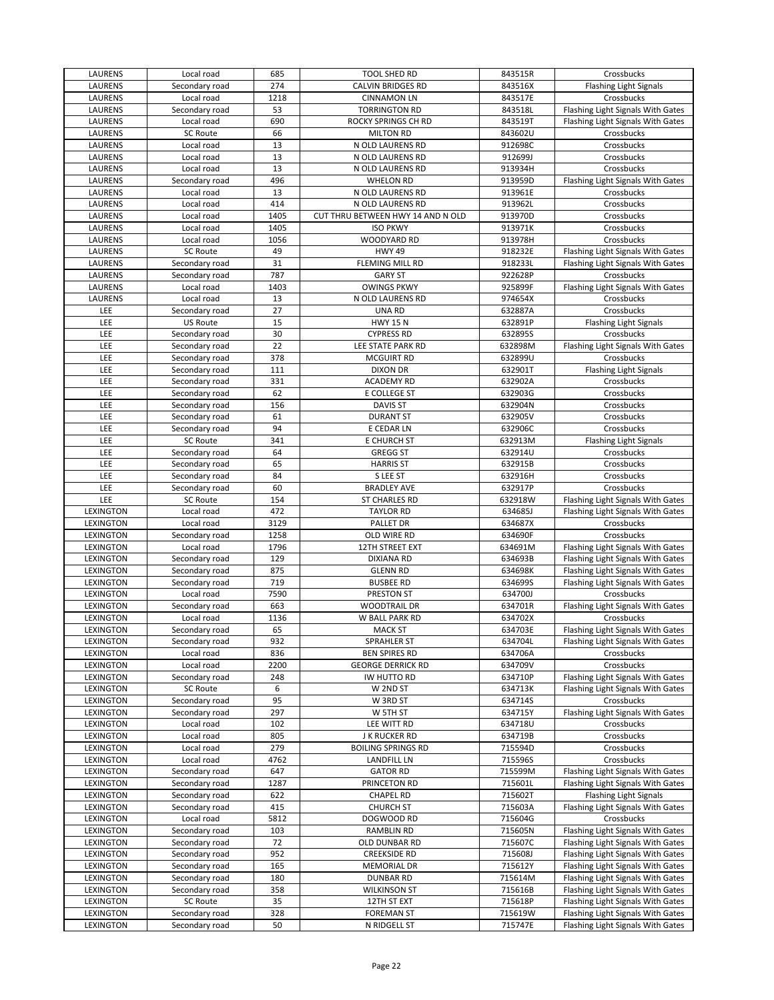| LAURENS          | Local road      | 685  | <b>TOOL SHED RD</b>               | 843515R | Crossbucks                        |
|------------------|-----------------|------|-----------------------------------|---------|-----------------------------------|
| LAURENS          | Secondary road  | 274  | CALVIN BRIDGES RD                 | 843516X | <b>Flashing Light Signals</b>     |
| LAURENS          | Local road      | 1218 | <b>CINNAMON LN</b>                | 843517E | Crossbucks                        |
| LAURENS          | Secondary road  | 53   | <b>TORRINGTON RD</b>              | 843518L | Flashing Light Signals With Gates |
| LAURENS          | Local road      | 690  | ROCKY SPRINGS CH RD               | 843519T | Flashing Light Signals With Gates |
| LAURENS          | <b>SC Route</b> | 66   | <b>MILTON RD</b>                  | 843602U | Crossbucks                        |
| LAURENS          | Local road      | 13   | N OLD LAURENS RD                  | 912698C | Crossbucks                        |
| LAURENS          | Local road      | 13   | N OLD LAURENS RD                  | 912699J | Crossbucks                        |
| LAURENS          | Local road      | 13   | N OLD LAURENS RD                  | 913934H | Crossbucks                        |
| LAURENS          |                 | 496  | <b>WHELON RD</b>                  | 913959D |                                   |
|                  | Secondary road  |      |                                   |         | Flashing Light Signals With Gates |
| LAURENS          | Local road      | 13   | N OLD LAURENS RD                  | 913961E | Crossbucks                        |
| LAURENS          | Local road      | 414  | N OLD LAURENS RD                  | 913962L | Crossbucks                        |
| LAURENS          | Local road      | 1405 | CUT THRU BETWEEN HWY 14 AND N OLD | 913970D | Crossbucks                        |
| LAURENS          | Local road      | 1405 | <b>ISO PKWY</b>                   | 913971K | Crossbucks                        |
| LAURENS          | Local road      | 1056 | WOODYARD RD                       | 913978H | Crossbucks                        |
| LAURENS          | <b>SC Route</b> | 49   | <b>HWY 49</b>                     | 918232E | Flashing Light Signals With Gates |
| LAURENS          | Secondary road  | 31   | FLEMING MILL RD                   | 918233L | Flashing Light Signals With Gates |
| LAURENS          | Secondary road  | 787  | <b>GARY ST</b>                    | 922628P | Crossbucks                        |
| LAURENS          | Local road      | 1403 | <b>OWINGS PKWY</b>                | 925899F | Flashing Light Signals With Gates |
| LAURENS          | Local road      | 13   | N OLD LAURENS RD                  | 974654X | Crossbucks                        |
| LEE              | Secondary road  | 27   | UNA RD                            | 632887A | Crossbucks                        |
| LEE              | <b>US Route</b> | 15   | <b>HWY 15 N</b>                   | 632891P | <b>Flashing Light Signals</b>     |
| LEE              | Secondary road  | 30   | <b>CYPRESS RD</b>                 | 632895S | Crossbucks                        |
| LEE              | Secondary road  | 22   | LEE STATE PARK RD                 | 632898M | Flashing Light Signals With Gates |
| LEE              | Secondary road  | 378  | <b>MCGUIRT RD</b>                 | 632899U | Crossbucks                        |
| LEE              | Secondary road  | 111  | <b>DIXON DR</b>                   | 632901T | Flashing Light Signals            |
|                  |                 |      |                                   |         |                                   |
| LEE              | Secondary road  | 331  | <b>ACADEMY RD</b>                 | 632902A | Crossbucks                        |
| LEE              | Secondary road  | 62   | E COLLEGE ST                      | 632903G | Crossbucks                        |
| LEE              | Secondary road  | 156  | <b>DAVIS ST</b>                   | 632904N | Crossbucks                        |
| LEE              | Secondary road  | 61   | <b>DURANT ST</b>                  | 632905V | Crossbucks                        |
| LEE              | Secondary road  | 94   | E CEDAR LN                        | 632906C | Crossbucks                        |
| LEE              | <b>SC Route</b> | 341  | E CHURCH ST                       | 632913M | <b>Flashing Light Signals</b>     |
| LEE              | Secondary road  | 64   | <b>GREGG ST</b>                   | 632914U | Crossbucks                        |
| LEE              | Secondary road  | 65   | <b>HARRIS ST</b>                  | 632915B | Crossbucks                        |
| LEE              | Secondary road  | 84   | S LEE ST                          | 632916H | Crossbucks                        |
| LEE              | Secondary road  | 60   | <b>BRADLEY AVE</b>                | 632917P | Crossbucks                        |
| LEE              | <b>SC Route</b> | 154  | ST CHARLES RD                     | 632918W | Flashing Light Signals With Gates |
| LEXINGTON        | Local road      | 472  | <b>TAYLOR RD</b>                  | 634685J | Flashing Light Signals With Gates |
| LEXINGTON        | Local road      | 3129 | PALLET DR                         | 634687X | Crossbucks                        |
| LEXINGTON        | Secondary road  | 1258 | OLD WIRE RD                       | 634690F | Crossbucks                        |
| LEXINGTON        | Local road      | 1796 | 12TH STREET EXT                   | 634691M | Flashing Light Signals With Gates |
| <b>LEXINGTON</b> |                 | 129  |                                   |         |                                   |
|                  | Secondary road  |      | <b>DIXIANA RD</b>                 | 634693B | Flashing Light Signals With Gates |
| LEXINGTON        | Secondary road  | 875  | <b>GLENN RD</b>                   | 634698K | Flashing Light Signals With Gates |
| LEXINGTON        | Secondary road  | 719  | <b>BUSBEE RD</b>                  | 634699S | Flashing Light Signals With Gates |
| LEXINGTON        | Local road      | 7590 | PRESTON ST                        | 634700J | Crossbucks                        |
| LEXINGTON        | Secondary road  | 663  | <b>WOODTRAIL DR</b>               | 634701R | Flashing Light Signals With Gates |
| <b>LEXINGTON</b> | Local road      | 1136 | W BALL PARK RD                    | 634702X | Crossbucks                        |
| LEXINGTON        | Secondary road  | 65   | <b>MACK ST</b>                    | 634703E | Flashing Light Signals With Gates |
| LEXINGTON        | Secondary road  | 932  | <b>SPRAHLER ST</b>                | 634704L | Flashing Light Signals With Gates |
| <b>LEXINGTON</b> | Local road      | 836  | <b>BEN SPIRES RD</b>              | 634706A | Crossbucks                        |
| LEXINGTON        | Local road      | 2200 | <b>GEORGE DERRICK RD</b>          | 634709V | Crossbucks                        |
| LEXINGTON        | Secondary road  | 248  | IW HUTTO RD                       | 634710P | Flashing Light Signals With Gates |
| LEXINGTON        | <b>SC Route</b> | 6    | W 2ND ST                          | 634713K | Flashing Light Signals With Gates |
| LEXINGTON        | Secondary road  | 95   | W 3RD ST                          | 634714S | Crossbucks                        |
| LEXINGTON        | Secondary road  | 297  | W 5TH ST                          | 634715Y | Flashing Light Signals With Gates |
| LEXINGTON        | Local road      | 102  | LEE WITT RD                       | 634718U | Crossbucks                        |
| LEXINGTON        | Local road      | 805  | J K RUCKER RD                     | 634719B | Crossbucks                        |
| LEXINGTON        | Local road      | 279  | <b>BOILING SPRINGS RD</b>         | 715594D | Crossbucks                        |
| LEXINGTON        | Local road      | 4762 | <b>LANDFILL LN</b>                | 715596S | Crossbucks                        |
| LEXINGTON        | Secondary road  | 647  | <b>GATOR RD</b>                   | 715599M | Flashing Light Signals With Gates |
| LEXINGTON        | Secondary road  | 1287 | PRINCETON RD                      | 715601L | Flashing Light Signals With Gates |
|                  |                 |      |                                   | 715602T | <b>Flashing Light Signals</b>     |
| LEXINGTON        | Secondary road  | 622  | <b>CHAPEL RD</b>                  |         |                                   |
| LEXINGTON        | Secondary road  | 415  | <b>CHURCH ST</b>                  | 715603A | Flashing Light Signals With Gates |
| LEXINGTON        | Local road      | 5812 | DOGWOOD RD                        | 715604G | Crossbucks                        |
| LEXINGTON        | Secondary road  | 103  | RAMBLIN RD                        | 715605N | Flashing Light Signals With Gates |
| LEXINGTON        | Secondary road  | 72   | OLD DUNBAR RD                     | 715607C | Flashing Light Signals With Gates |
| LEXINGTON        | Secondary road  | 952  | <b>CREEKSIDE RD</b>               | 715608J | Flashing Light Signals With Gates |
| LEXINGTON        | Secondary road  | 165  | <b>MEMORIAL DR</b>                | 715612Y | Flashing Light Signals With Gates |
| LEXINGTON        | Secondary road  | 180  | <b>DUNBAR RD</b>                  | 715614M | Flashing Light Signals With Gates |
| LEXINGTON        | Secondary road  | 358  | <b>WILKINSON ST</b>               | 715616B | Flashing Light Signals With Gates |
| LEXINGTON        | <b>SC Route</b> | 35   | 12TH ST EXT                       | 715618P | Flashing Light Signals With Gates |
| LEXINGTON        | Secondary road  | 328  | <b>FOREMAN ST</b>                 | 715619W | Flashing Light Signals With Gates |
| LEXINGTON        | Secondary road  | 50   | N RIDGELL ST                      | 715747E | Flashing Light Signals With Gates |
|                  |                 |      |                                   |         |                                   |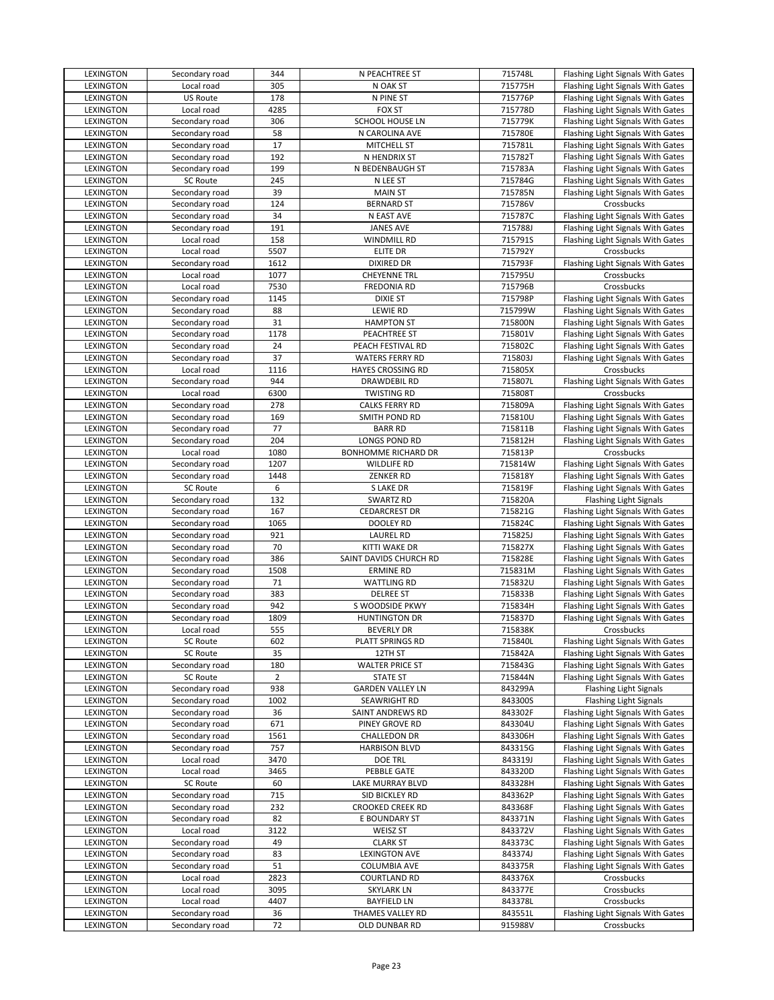| LEXINGTON        | Secondary road  | 344            | N PEACHTREE ST           | 715748L | Flashing Light Signals With Gates |
|------------------|-----------------|----------------|--------------------------|---------|-----------------------------------|
| <b>LEXINGTON</b> | Local road      | 305            | N OAK ST                 | 715775H | Flashing Light Signals With Gates |
| LEXINGTON        | US Route        | 178            | N PINE ST                | 715776P | Flashing Light Signals With Gates |
| LEXINGTON        | Local road      | 4285           | <b>FOX ST</b>            | 715778D | Flashing Light Signals With Gates |
| LEXINGTON        | Secondary road  | 306            | SCHOOL HOUSE LN          | 715779K | Flashing Light Signals With Gates |
| LEXINGTON        | Secondary road  | 58             | N CAROLINA AVE           | 715780E | Flashing Light Signals With Gates |
| LEXINGTON        | Secondary road  | 17             | MITCHELL ST              | 715781L | Flashing Light Signals With Gates |
| LEXINGTON        | Secondary road  | 192            | N HENDRIX ST             | 715782T | Flashing Light Signals With Gates |
| LEXINGTON        | Secondary road  | 199            | N BEDENBAUGH ST          | 715783A | Flashing Light Signals With Gates |
| <b>LEXINGTON</b> | <b>SC Route</b> | 245            | N LEE ST                 | 715784G | Flashing Light Signals With Gates |
| LEXINGTON        | Secondary road  | 39             | <b>MAIN ST</b>           | 715785N | Flashing Light Signals With Gates |
| LEXINGTON        | Secondary road  | 124            | <b>BERNARD ST</b>        | 715786V | Crossbucks                        |
| LEXINGTON        | Secondary road  | 34             | N EAST AVE               | 715787C | Flashing Light Signals With Gates |
|                  |                 | 191            | <b>JANES AVE</b>         | 715788J |                                   |
| LEXINGTON        | Secondary road  | 158            |                          | 715791S | Flashing Light Signals With Gates |
| LEXINGTON        | Local road      |                | WINDMILL RD              |         | Flashing Light Signals With Gates |
| LEXINGTON        | Local road      | 5507           | ELITE DR                 | 715792Y | Crossbucks                        |
| LEXINGTON        | Secondary road  | 1612           | <b>DIXIRED DR</b>        | 715793F | Flashing Light Signals With Gates |
| <b>LEXINGTON</b> | Local road      | 1077           | <b>CHEYENNE TRL</b>      | 715795U | Crossbucks                        |
| LEXINGTON        | Local road      | 7530           | <b>FREDONIA RD</b>       | 715796B | Crossbucks                        |
| LEXINGTON        | Secondary road  | 1145           | <b>DIXIE ST</b>          | 715798P | Flashing Light Signals With Gates |
| LEXINGTON        | Secondary road  | 88             | <b>LEWIE RD</b>          | 715799W | Flashing Light Signals With Gates |
| LEXINGTON        | Secondary road  | 31             | <b>HAMPTON ST</b>        | 715800N | Flashing Light Signals With Gates |
| LEXINGTON        | Secondary road  | 1178           | PEACHTREE ST             | 715801V | Flashing Light Signals With Gates |
| LEXINGTON        | Secondary road  | 24             | PEACH FESTIVAL RD        | 715802C | Flashing Light Signals With Gates |
| LEXINGTON        | Secondary road  | 37             | WATERS FERRY RD          | 715803J | Flashing Light Signals With Gates |
| LEXINGTON        | Local road      | 1116           | <b>HAYES CROSSING RD</b> | 715805X | Crossbucks                        |
| LEXINGTON        | Secondary road  | 944            | DRAWDEBIL RD             | 715807L | Flashing Light Signals With Gates |
| LEXINGTON        | Local road      | 6300           | <b>TWISTING RD</b>       | 715808T | Crossbucks                        |
| LEXINGTON        | Secondary road  | 278            | CALKS FERRY RD           | 715809A | Flashing Light Signals With Gates |
| LEXINGTON        | Secondary road  | 169            | SMITH POND RD            | 715810U | Flashing Light Signals With Gates |
| LEXINGTON        | Secondary road  | 77             | <b>BARR RD</b>           | 715811B | Flashing Light Signals With Gates |
| LEXINGTON        | Secondary road  | 204            | LONGS POND RD            | 715812H | Flashing Light Signals With Gates |
| LEXINGTON        | Local road      | 1080           | BONHOMME RICHARD DR      | 715813P | Crossbucks                        |
| LEXINGTON        | Secondary road  | 1207           | <b>WILDLIFE RD</b>       | 715814W | Flashing Light Signals With Gates |
| LEXINGTON        | Secondary road  | 1448           | <b>ZENKER RD</b>         | 715818Y | Flashing Light Signals With Gates |
| LEXINGTON        | <b>SC Route</b> | 6              | S LAKE DR                | 715819F | Flashing Light Signals With Gates |
| LEXINGTON        | Secondary road  | 132            | SWARTZ RD                | 715820A | <b>Flashing Light Signals</b>     |
| LEXINGTON        | Secondary road  | 167            | <b>CEDARCREST DR</b>     | 715821G | Flashing Light Signals With Gates |
| LEXINGTON        | Secondary road  | 1065           | DOOLEY RD                | 715824C | Flashing Light Signals With Gates |
| LEXINGTON        | Secondary road  | 921            | <b>LAUREL RD</b>         | 715825J | Flashing Light Signals With Gates |
| LEXINGTON        | Secondary road  | 70             | KITTI WAKE DR            | 715827X | Flashing Light Signals With Gates |
| LEXINGTON        | Secondary road  | 386            | SAINT DAVIDS CHURCH RD   | 715828E | Flashing Light Signals With Gates |
| LEXINGTON        | Secondary road  | 1508           | <b>ERMINE RD</b>         | 715831M | Flashing Light Signals With Gates |
| LEXINGTON        | Secondary road  | 71             | <b>WATTLING RD</b>       | 715832U | Flashing Light Signals With Gates |
| LEXINGTON        | Secondary road  | 383            | <b>DELREE ST</b>         | 715833B | Flashing Light Signals With Gates |
| LEXINGTON        | Secondary road  | 942            | S WOODSIDE PKWY          | 715834H | Flashing Light Signals With Gates |
| LEXINGTON        | Secondary road  | 1809           | <b>HUNTINGTON DR</b>     | 715837D |                                   |
| <b>LEXINGTON</b> | Local road      | 555            |                          |         |                                   |
| LEXINGTON        |                 |                |                          |         | Flashing Light Signals With Gates |
|                  |                 |                | <b>BEVERLY DR</b>        | 715838K | Crossbucks                        |
|                  | SC Route        | 602            | PLATT SPRINGS RD         | 715840L | Flashing Light Signals With Gates |
| LEXINGTON        | SC Route        | 35             | 12TH ST                  | 715842A | Flashing Light Signals With Gates |
| LEXINGTON        | Secondary road  | 180            | <b>WALTER PRICE ST</b>   | 715843G | Flashing Light Signals With Gates |
| LEXINGTON        | <b>SC Route</b> | $\overline{2}$ | <b>STATE ST</b>          | 715844N | Flashing Light Signals With Gates |
| LEXINGTON        | Secondary road  | 938            | <b>GARDEN VALLEY LN</b>  | 843299A | <b>Flashing Light Signals</b>     |
| LEXINGTON        | Secondary road  | 1002           | SEAWRIGHT RD             | 843300S | <b>Flashing Light Signals</b>     |
| LEXINGTON        | Secondary road  | 36             | SAINT ANDREWS RD         | 843302F | Flashing Light Signals With Gates |
| LEXINGTON        | Secondary road  | 671            | PINEY GROVE RD           | 843304U | Flashing Light Signals With Gates |
| LEXINGTON        | Secondary road  | 1561           | CHALLEDON DR             | 843306H | Flashing Light Signals With Gates |
| LEXINGTON        | Secondary road  | 757            | <b>HARBISON BLVD</b>     | 843315G | Flashing Light Signals With Gates |
| <b>LEXINGTON</b> | Local road      | 3470           | <b>DOE TRL</b>           | 843319J | Flashing Light Signals With Gates |
| LEXINGTON        | Local road      | 3465           | PEBBLE GATE              | 843320D | Flashing Light Signals With Gates |
| LEXINGTON        | SC Route        | 60             | LAKE MURRAY BLVD         | 843328H | Flashing Light Signals With Gates |
| LEXINGTON        | Secondary road  | 715            | SID BICKLEY RD           | 843362P | Flashing Light Signals With Gates |
| LEXINGTON        | Secondary road  | 232            | <b>CROOKED CREEK RD</b>  | 843368F | Flashing Light Signals With Gates |
| LEXINGTON        | Secondary road  | 82             | E BOUNDARY ST            | 843371N | Flashing Light Signals With Gates |
| LEXINGTON        | Local road      | 3122           | <b>WEISZ ST</b>          | 843372V | Flashing Light Signals With Gates |
| LEXINGTON        | Secondary road  | 49             | <b>CLARK ST</b>          | 843373C | Flashing Light Signals With Gates |
| LEXINGTON        | Secondary road  | 83             | <b>LEXINGTON AVE</b>     | 843374J | Flashing Light Signals With Gates |
| LEXINGTON        | Secondary road  | 51             | <b>COLUMBIA AVE</b>      | 843375R | Flashing Light Signals With Gates |
| LEXINGTON        | Local road      | 2823           | COURTLAND RD             | 843376X | Crossbucks                        |
| LEXINGTON        | Local road      | 3095           | <b>SKYLARK LN</b>        | 843377E | Crossbucks                        |
| LEXINGTON        | Local road      | 4407           | <b>BAYFIELD LN</b>       | 843378L | Crossbucks                        |
| LEXINGTON        | Secondary road  | 36             | THAMES VALLEY RD         | 843551L | Flashing Light Signals With Gates |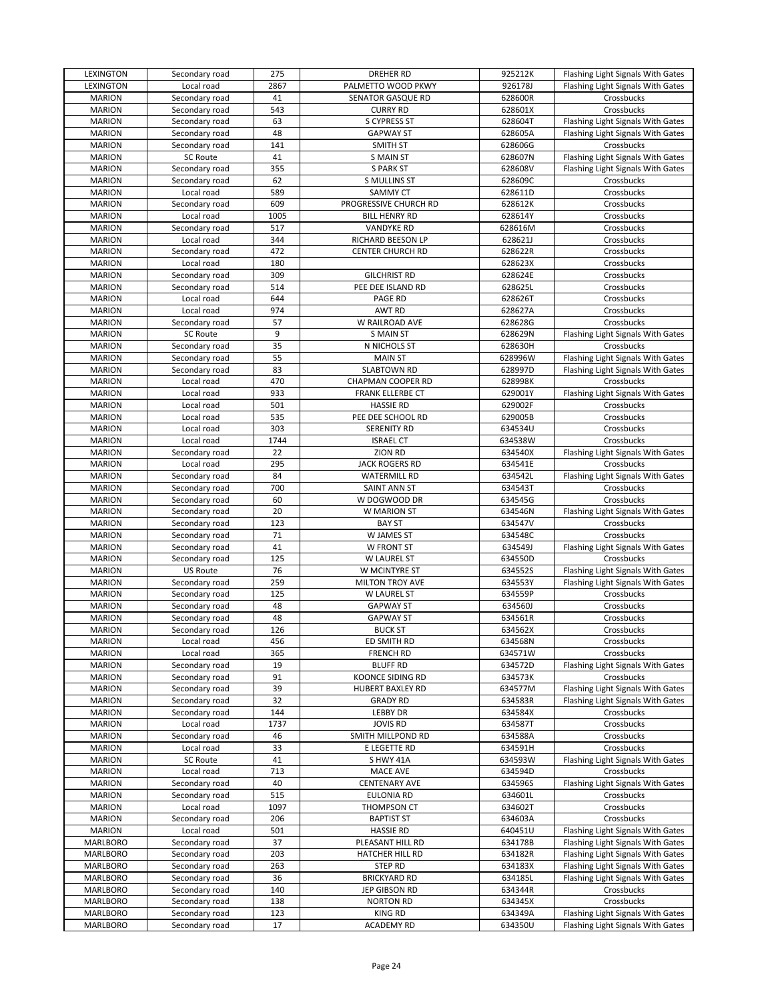| LEXINGTON       | Secondary road  | 275  | <b>DREHER RD</b>        | 925212K | Flashing Light Signals With Gates |
|-----------------|-----------------|------|-------------------------|---------|-----------------------------------|
| LEXINGTON       | Local road      | 2867 | PALMETTO WOOD PKWY      | 926178J | Flashing Light Signals With Gates |
| <b>MARION</b>   | Secondary road  | 41   | SENATOR GASQUE RD       | 628600R | Crossbucks                        |
| <b>MARION</b>   | Secondary road  | 543  | <b>CURRY RD</b>         | 628601X | Crossbucks                        |
| <b>MARION</b>   | Secondary road  | 63   | S CYPRESS ST            | 628604T | Flashing Light Signals With Gates |
| <b>MARION</b>   | Secondary road  | 48   | <b>GAPWAY ST</b>        | 628605A | Flashing Light Signals With Gates |
| <b>MARION</b>   | Secondary road  | 141  | <b>SMITH ST</b>         | 628606G | Crossbucks                        |
| <b>MARION</b>   | <b>SC Route</b> | 41   | <b>S MAIN ST</b>        | 628607N | Flashing Light Signals With Gates |
| <b>MARION</b>   | Secondary road  | 355  | <b>S PARK ST</b>        | 628608V | Flashing Light Signals With Gates |
| <b>MARION</b>   | Secondary road  | 62   | S MULLINS ST            | 628609C | Crossbucks                        |
| <b>MARION</b>   | Local road      | 589  | SAMMY CT                | 628611D | Crossbucks                        |
| <b>MARION</b>   | Secondary road  | 609  | PROGRESSIVE CHURCH RD   | 628612K | Crossbucks                        |
| <b>MARION</b>   | Local road      | 1005 | <b>BILL HENRY RD</b>    | 628614Y | Crossbucks                        |
|                 |                 | 517  |                         |         |                                   |
| <b>MARION</b>   | Secondary road  |      | <b>VANDYKE RD</b>       | 628616M | Crossbucks                        |
| <b>MARION</b>   | Local road      | 344  | RICHARD BEESON LP       | 628621J | Crossbucks                        |
| <b>MARION</b>   | Secondary road  | 472  | <b>CENTER CHURCH RD</b> | 628622R | Crossbucks                        |
| <b>MARION</b>   | Local road      | 180  |                         | 628623X | Crossbucks                        |
| <b>MARION</b>   | Secondary road  | 309  | <b>GILCHRIST RD</b>     | 628624E | Crossbucks                        |
| <b>MARION</b>   | Secondary road  | 514  | PEE DEE ISLAND RD       | 628625L | Crossbucks                        |
| <b>MARION</b>   | Local road      | 644  | PAGE RD                 | 628626T | Crossbucks                        |
| <b>MARION</b>   | Local road      | 974  | AWT RD                  | 628627A | Crossbucks                        |
| <b>MARION</b>   | Secondary road  | 57   | W RAILROAD AVE          | 628628G | Crossbucks                        |
| <b>MARION</b>   | <b>SC Route</b> | 9    | <b>S MAIN ST</b>        | 628629N | Flashing Light Signals With Gates |
| <b>MARION</b>   | Secondary road  | 35   | N NICHOLS ST            | 628630H | Crossbucks                        |
| <b>MARION</b>   | Secondary road  | 55   | <b>MAIN ST</b>          | 628996W | Flashing Light Signals With Gates |
| <b>MARION</b>   | Secondary road  | 83   | <b>SLABTOWN RD</b>      | 628997D | Flashing Light Signals With Gates |
| <b>MARION</b>   | Local road      | 470  | CHAPMAN COOPER RD       | 628998K | Crossbucks                        |
| <b>MARION</b>   | Local road      | 933  | <b>FRANK ELLERBE CT</b> | 629001Y | Flashing Light Signals With Gates |
| <b>MARION</b>   | Local road      | 501  | <b>HASSIE RD</b>        | 629002F | Crossbucks                        |
| <b>MARION</b>   | Local road      | 535  | PEE DEE SCHOOL RD       | 629005B | Crossbucks                        |
| <b>MARION</b>   | Local road      | 303  | <b>SERENITY RD</b>      | 634534U | Crossbucks                        |
| <b>MARION</b>   | Local road      | 1744 | <b>ISRAEL CT</b>        | 634538W | Crossbucks                        |
| <b>MARION</b>   | Secondary road  | 22   | <b>ZION RD</b>          | 634540X | Flashing Light Signals With Gates |
| <b>MARION</b>   | Local road      | 295  | <b>JACK ROGERS RD</b>   | 634541E | Crossbucks                        |
| <b>MARION</b>   |                 | 84   | <b>WATERMILL RD</b>     | 634542L |                                   |
|                 | Secondary road  |      |                         |         | Flashing Light Signals With Gates |
| <b>MARION</b>   | Secondary road  | 700  | SAINT ANN ST            | 634543T | Crossbucks                        |
| <b>MARION</b>   | Secondary road  | 60   | W DOGWOOD DR            | 634545G | Crossbucks                        |
| <b>MARION</b>   | Secondary road  | 20   | W MARION ST             | 634546N | Flashing Light Signals With Gates |
| <b>MARION</b>   | Secondary road  | 123  | <b>BAY ST</b>           | 634547V | Crossbucks                        |
| <b>MARION</b>   | Secondary road  | 71   | W JAMES ST              | 634548C | Crossbucks                        |
| <b>MARION</b>   | Secondary road  | 41   | W FRONT ST              | 634549J | Flashing Light Signals With Gates |
| <b>MARION</b>   | Secondary road  | 125  | W LAUREL ST             | 634550D | Crossbucks                        |
| <b>MARION</b>   | <b>US Route</b> | 76   | W MCINTYRE ST           | 634552S | Flashing Light Signals With Gates |
| <b>MARION</b>   | Secondary road  | 259  | MILTON TROY AVE         | 634553Y | Flashing Light Signals With Gates |
| <b>MARION</b>   | Secondary road  | 125  | W LAUREL ST             | 634559P | Crossbucks                        |
| <b>MARION</b>   | Secondary road  | 48   | <b>GAPWAY ST</b>        | 634560J | Crossbucks                        |
| <b>MARION</b>   | Secondary road  | 48   | <b>GAPWAY ST</b>        | 634561R | Crossbucks                        |
| <b>MARION</b>   | Secondary road  | 126  | <b>BUCK ST</b>          | 634562X | Crossbucks                        |
| <b>MARION</b>   | Local road      | 456  | ED SMITH RD             | 634568N | Crossbucks                        |
| <b>MARION</b>   | Local road      | 365  | <b>FRENCH RD</b>        | 634571W | Crossbucks                        |
| <b>MARION</b>   | Secondary road  | 19   | <b>BLUFF RD</b>         | 634572D | Flashing Light Signals With Gates |
| <b>MARION</b>   | Secondary road  | 91   | <b>KOONCE SIDING RD</b> | 634573K | Crossbucks                        |
| <b>MARION</b>   | Secondary road  | 39   | <b>HUBERT BAXLEY RD</b> | 634577M | Flashing Light Signals With Gates |
| <b>MARION</b>   | Secondary road  | 32   | <b>GRADY RD</b>         | 634583R | Flashing Light Signals With Gates |
| <b>MARION</b>   | Secondary road  | 144  | <b>LEBBY DR</b>         | 634584X | Crossbucks                        |
| <b>MARION</b>   | Local road      | 1737 | <b>JOVIS RD</b>         | 634587T | Crossbucks                        |
| <b>MARION</b>   | Secondary road  | 46   | SMITH MILLPOND RD       | 634588A | Crossbucks                        |
| <b>MARION</b>   | Local road      | 33   | E LEGETTE RD            | 634591H | Crossbucks                        |
| <b>MARION</b>   | <b>SC Route</b> | 41   | S HWY 41A               | 634593W | Flashing Light Signals With Gates |
| <b>MARION</b>   | Local road      | 713  | MACE AVE                | 634594D | Crossbucks                        |
| <b>MARION</b>   | Secondary road  | 40   | <b>CENTENARY AVE</b>    | 634596S | Flashing Light Signals With Gates |
| <b>MARION</b>   | Secondary road  | 515  | EULONIA RD              | 634601L | Crossbucks                        |
|                 |                 |      |                         |         |                                   |
| <b>MARION</b>   | Local road      | 1097 | THOMPSON CT             | 634602T | Crossbucks                        |
| <b>MARION</b>   | Secondary road  | 206  | <b>BAPTIST ST</b>       | 634603A | Crossbucks                        |
| <b>MARION</b>   | Local road      | 501  | <b>HASSIE RD</b>        | 640451U | Flashing Light Signals With Gates |
| <b>MARLBORO</b> | Secondary road  | 37   | PLEASANT HILL RD        | 634178B | Flashing Light Signals With Gates |
| <b>MARLBORO</b> | Secondary road  | 203  | HATCHER HILL RD         | 634182R | Flashing Light Signals With Gates |
| <b>MARLBORO</b> | Secondary road  | 263  | <b>STEP RD</b>          | 634183X | Flashing Light Signals With Gates |
| MARLBORO        | Secondary road  | 36   | <b>BRICKYARD RD</b>     | 634185L | Flashing Light Signals With Gates |
| MARLBORO        | Secondary road  | 140  | JEP GIBSON RD           | 634344R | Crossbucks                        |
| MARLBORO        | Secondary road  | 138  | <b>NORTON RD</b>        | 634345X | Crossbucks                        |
| MARLBORO        | Secondary road  | 123  | <b>KING RD</b>          | 634349A | Flashing Light Signals With Gates |
| <b>MARLBORO</b> | Secondary road  | 17   | <b>ACADEMY RD</b>       | 634350U | Flashing Light Signals With Gates |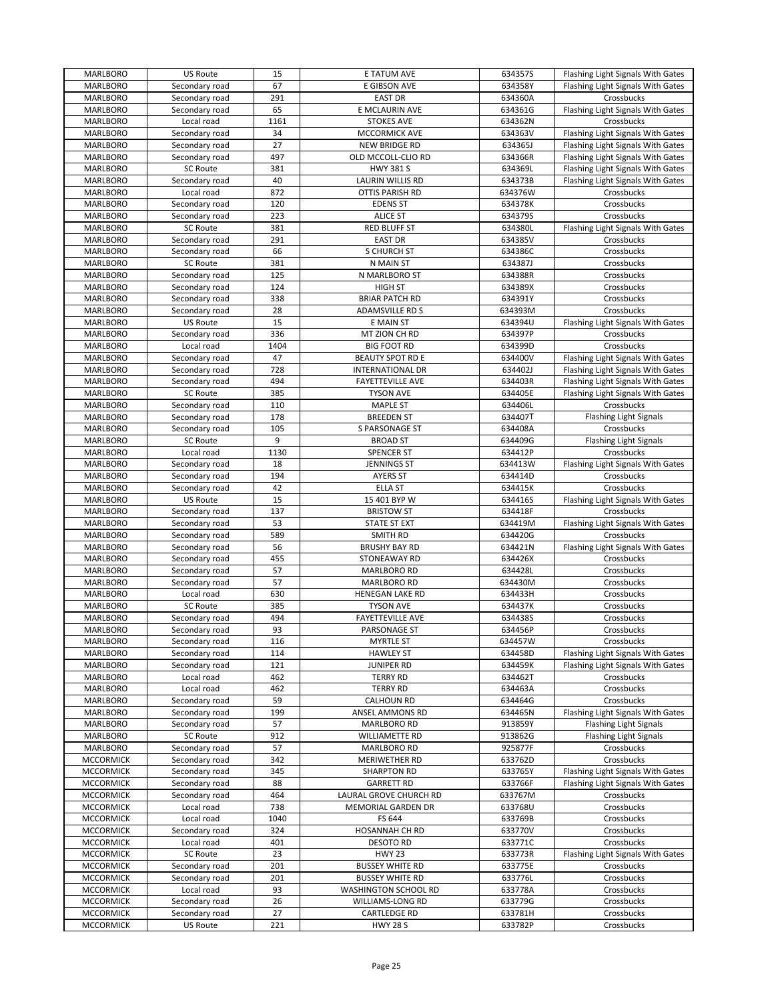| <b>MARLBORO</b>  | <b>US Route</b> | 15   | E TATUM AVE             | 634357S | Flashing Light Signals With Gates |
|------------------|-----------------|------|-------------------------|---------|-----------------------------------|
| MARLBORO         | Secondary road  | 67   | E GIBSON AVE            | 634358Y | Flashing Light Signals With Gates |
| MARLBORO         | Secondary road  | 291  | EAST DR                 | 634360A | Crossbucks                        |
| MARLBORO         | Secondary road  | 65   | E MCLAURIN AVE          | 634361G | Flashing Light Signals With Gates |
| MARLBORO         | Local road      | 1161 | <b>STOKES AVE</b>       | 634362N | Crossbucks                        |
| MARLBORO         | Secondary road  | 34   | MCCORMICK AVE           | 634363V | Flashing Light Signals With Gates |
| <b>MARLBORO</b>  | Secondary road  | 27   | <b>NEW BRIDGE RD</b>    | 634365J | Flashing Light Signals With Gates |
| <b>MARLBORO</b>  | Secondary road  | 497  | OLD MCCOLL-CLIO RD      | 634366R | Flashing Light Signals With Gates |
| <b>MARLBORO</b>  | <b>SC Route</b> | 381  | <b>HWY 381 S</b>        | 634369L | Flashing Light Signals With Gates |
| <b>MARLBORO</b>  | Secondary road  | 40   | LAURIN WILLIS RD        | 634373B | Flashing Light Signals With Gates |
| MARLBORO         | Local road      | 872  | OTTIS PARISH RD         | 634376W | Crossbucks                        |
|                  | Secondary road  | 120  | <b>EDENS ST</b>         | 634378K | Crossbucks                        |
| MARLBORO         |                 |      |                         |         |                                   |
| MARLBORO         | Secondary road  | 223  | <b>ALICE ST</b>         | 634379S | Crossbucks                        |
| <b>MARLBORO</b>  | <b>SC Route</b> | 381  | RED BLUFF ST            | 634380L | Flashing Light Signals With Gates |
| <b>MARLBORO</b>  | Secondary road  | 291  | <b>EAST DR</b>          | 634385V | Crossbucks                        |
| <b>MARLBORO</b>  | Secondary road  | 66   | <b>S CHURCH ST</b>      | 634386C | Crossbucks                        |
| <b>MARLBORO</b>  | <b>SC Route</b> | 381  | N MAIN ST               | 634387J | Crossbucks                        |
| MARLBORO         | Secondary road  | 125  | N MARLBORO ST           | 634388R | Crossbucks                        |
| MARLBORO         | Secondary road  | 124  | <b>HIGH ST</b>          | 634389X | Crossbucks                        |
| MARLBORO         | Secondary road  | 338  | <b>BRIAR PATCH RD</b>   | 634391Y | Crossbucks                        |
| MARLBORO         | Secondary road  | 28   | <b>ADAMSVILLE RD S</b>  | 634393M | Crossbucks                        |
| <b>MARLBORO</b>  | <b>US Route</b> | 15   | E MAIN ST               | 634394U | Flashing Light Signals With Gates |
| <b>MARLBORO</b>  | Secondary road  | 336  | MT ZION CH RD           | 634397P | Crossbucks                        |
| <b>MARLBORO</b>  | Local road      | 1404 | <b>BIG FOOT RD</b>      | 634399D | Crossbucks                        |
| <b>MARLBORO</b>  | Secondary road  | 47   | <b>BEAUTY SPOT RD E</b> | 634400V | Flashing Light Signals With Gates |
| <b>MARLBORO</b>  | Secondary road  | 728  | <b>INTERNATIONAL DR</b> | 634402J | Flashing Light Signals With Gates |
| MARLBORO         | Secondary road  | 494  | <b>FAYETTEVILLE AVE</b> | 634403R | Flashing Light Signals With Gates |
| MARLBORO         | SC Route        | 385  | <b>TYSON AVE</b>        | 634405E | Flashing Light Signals With Gates |
| MARLBORO         | Secondary road  | 110  | <b>MAPLE ST</b>         | 634406L | Crossbucks                        |
|                  | Secondary road  | 178  | <b>BREEDEN ST</b>       | 634407T |                                   |
| MARLBORO         |                 |      |                         |         | Flashing Light Signals            |
| MARLBORO         | Secondary road  | 105  | S PARSONAGE ST          | 634408A | Crossbucks                        |
| <b>MARLBORO</b>  | SC Route        | 9    | <b>BROAD ST</b>         | 634409G | <b>Flashing Light Signals</b>     |
| <b>MARLBORO</b>  | Local road      | 1130 | <b>SPENCER ST</b>       | 634412P | Crossbucks                        |
| <b>MARLBORO</b>  | Secondary road  | 18   | <b>JENNINGS ST</b>      | 634413W | Flashing Light Signals With Gates |
| MARLBORO         | Secondary road  | 194  | <b>AYERS ST</b>         | 634414D | Crossbucks                        |
| MARLBORO         | Secondary road  | 42   | <b>ELLA ST</b>          | 634415K | Crossbucks                        |
| MARLBORO         | US Route        | 15   | 15 401 BYP W            | 634416S | Flashing Light Signals With Gates |
| <b>MARLBORO</b>  | Secondary road  | 137  | <b>BRISTOW ST</b>       | 634418F | Crossbucks                        |
| MARLBORO         | Secondary road  | 53   | STATE ST EXT            | 634419M | Flashing Light Signals With Gates |
| MARLBORO         | Secondary road  | 589  | SMITH RD                | 634420G | Crossbucks                        |
| <b>MARLBORO</b>  | Secondary road  | 56   | <b>BRUSHY BAY RD</b>    | 634421N | Flashing Light Signals With Gates |
| <b>MARLBORO</b>  | Secondary road  | 455  | STONEAWAY RD            | 634426X | Crossbucks                        |
| MARLBORO         | Secondary road  | 57   | <b>MARLBORO RD</b>      | 634428L | Crossbucks                        |
| MARLBORO         | Secondary road  | 57   | MARLBORO RD             | 634430M | Crossbucks                        |
| <b>MARLBORO</b>  | Local road      | 630  | HENEGAN LAKE RD         | 634433H | Crossbucks                        |
| <b>MARLBORO</b>  | <b>SC Route</b> | 385  | <b>TYSON AVE</b>        | 634437K | Crossbucks                        |
| <b>MARLBORO</b>  | Secondary road  | 494  | <b>FAYETTEVILLE AVE</b> | 634438S | Crossbucks                        |
| MARLBORO         | Secondary road  | 93   | PARSONAGE ST            | 634456P | Crossbucks                        |
|                  |                 |      |                         |         |                                   |
| MARLBORO         | Secondary road  | 116  | <b>MYRTLE ST</b>        | 634457W | Crossbucks                        |
| MARLBORO         | Secondary road  | 114  | <b>HAWLEY ST</b>        | 634458D | Flashing Light Signals With Gates |
| MARLBORO         | Secondary road  | 121  | <b>JUNIPER RD</b>       | 634459K | Flashing Light Signals With Gates |
| MARLBORO         | Local road      | 462  | <b>TERRY RD</b>         | 634462T | Crossbucks                        |
| MARLBORO         | Local road      | 462  | <b>TERRY RD</b>         | 634463A | Crossbucks                        |
| MARLBORO         | Secondary road  | 59   | <b>CALHOUN RD</b>       | 634464G | Crossbucks                        |
| MARLBORO         | Secondary road  | 199  | ANSEL AMMONS RD         | 634465N | Flashing Light Signals With Gates |
| MARLBORO         | Secondary road  | 57   | <b>MARLBORO RD</b>      | 913859Y | <b>Flashing Light Signals</b>     |
| <b>MARLBORO</b>  | <b>SC Route</b> | 912  | WILLIAMETTE RD          | 913862G | <b>Flashing Light Signals</b>     |
| <b>MARLBORO</b>  | Secondary road  | 57   | <b>MARLBORO RD</b>      | 925877F | Crossbucks                        |
| <b>MCCORMICK</b> | Secondary road  | 342  | MERIWETHER RD           | 633762D | Crossbucks                        |
| <b>MCCORMICK</b> | Secondary road  | 345  | SHARPTON RD             | 633765Y | Flashing Light Signals With Gates |
| <b>MCCORMICK</b> | Secondary road  | 88   | <b>GARRETT RD</b>       | 633766F | Flashing Light Signals With Gates |
| <b>MCCORMICK</b> | Secondary road  | 464  | LAURAL GROVE CHURCH RD  | 633767M | Crossbucks                        |
| <b>MCCORMICK</b> | Local road      | 738  | MEMORIAL GARDEN DR      | 633768U | Crossbucks                        |
| <b>MCCORMICK</b> | Local road      | 1040 | FS 644                  | 633769B | Crossbucks                        |
| <b>MCCORMICK</b> | Secondary road  | 324  | HOSANNAH CH RD          | 633770V | Crossbucks                        |
| <b>MCCORMICK</b> | Local road      | 401  | <b>DESOTO RD</b>        | 633771C | Crossbucks                        |
| <b>MCCORMICK</b> | SC Route        | 23   | <b>HWY 23</b>           | 633773R | Flashing Light Signals With Gates |
| <b>MCCORMICK</b> | Secondary road  | 201  |                         |         |                                   |
|                  |                 | 201  | <b>BUSSEY WHITE RD</b>  | 633775E | Crossbucks                        |
| <b>MCCORMICK</b> | Secondary road  |      | <b>BUSSEY WHITE RD</b>  | 633776L | Crossbucks                        |
| <b>MCCORMICK</b> | Local road      | 93   | WASHINGTON SCHOOL RD    | 633778A | Crossbucks                        |
| <b>MCCORMICK</b> | Secondary road  | 26   | WILLIAMS-LONG RD        | 633779G | Crossbucks                        |
| <b>MCCORMICK</b> | Secondary road  | 27   | CARTLEDGE RD            | 633781H | Crossbucks                        |
| <b>MCCORMICK</b> | US Route        | 221  | <b>HWY 28 S</b>         | 633782P | Crossbucks                        |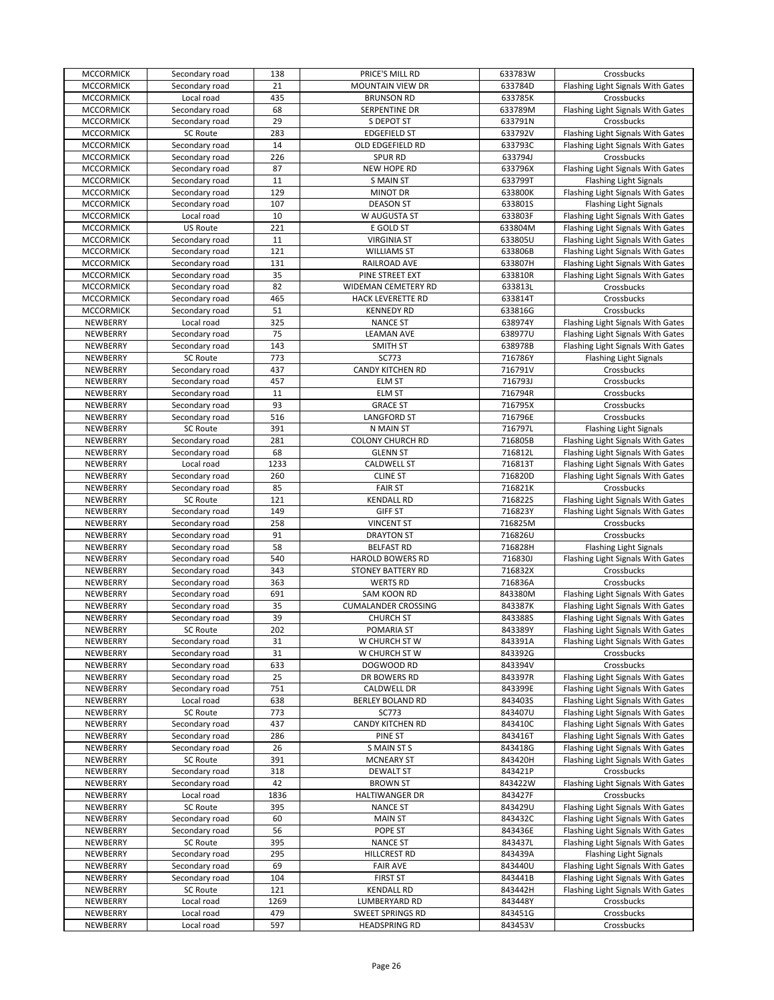| <b>MCCORMICK</b> | Secondary road  | 138  | PRICE'S MILL RD            | 633783W | Crossbucks                        |
|------------------|-----------------|------|----------------------------|---------|-----------------------------------|
| <b>MCCORMICK</b> | Secondary road  | 21   | <b>MOUNTAIN VIEW DR</b>    | 633784D | Flashing Light Signals With Gates |
| <b>MCCORMICK</b> | Local road      | 435  | <b>BRUNSON RD</b>          | 633785K | Crossbucks                        |
| <b>MCCORMICK</b> | Secondary road  | 68   | SERPENTINE DR              | 633789M | Flashing Light Signals With Gates |
| <b>MCCORMICK</b> | Secondary road  | 29   | S DEPOT ST                 | 633791N | Crossbucks                        |
| <b>MCCORMICK</b> | <b>SC Route</b> | 283  | <b>EDGEFIELD ST</b>        | 633792V | Flashing Light Signals With Gates |
|                  |                 | 14   |                            | 633793C | Flashing Light Signals With Gates |
| <b>MCCORMICK</b> | Secondary road  |      | OLD EDGEFIELD RD           |         |                                   |
| <b>MCCORMICK</b> | Secondary road  | 226  | <b>SPUR RD</b>             | 633794J | Crossbucks                        |
| <b>MCCORMICK</b> | Secondary road  | 87   | NEW HOPE RD                | 633796X | Flashing Light Signals With Gates |
| <b>MCCORMICK</b> | Secondary road  | 11   | <b>S MAIN ST</b>           | 633799T | <b>Flashing Light Signals</b>     |
| <b>MCCORMICK</b> | Secondary road  | 129  | <b>MINOT DR</b>            | 633800K | Flashing Light Signals With Gates |
| <b>MCCORMICK</b> | Secondary road  | 107  | <b>DEASON ST</b>           | 633801S | <b>Flashing Light Signals</b>     |
| <b>MCCORMICK</b> | Local road      | 10   | W AUGUSTA ST               | 633803F | Flashing Light Signals With Gates |
| <b>MCCORMICK</b> | US Route        | 221  | E GOLD ST                  | 633804M | Flashing Light Signals With Gates |
| <b>MCCORMICK</b> | Secondary road  | 11   | <b>VIRGINIA ST</b>         | 633805U | Flashing Light Signals With Gates |
| <b>MCCORMICK</b> | Secondary road  | 121  | <b>WILLIAMS ST</b>         | 633806B | Flashing Light Signals With Gates |
| <b>MCCORMICK</b> | Secondary road  | 131  | RAILROAD AVE               | 633807H | Flashing Light Signals With Gates |
|                  |                 |      |                            | 633810R |                                   |
| <b>MCCORMICK</b> | Secondary road  | 35   | PINE STREET EXT            |         | Flashing Light Signals With Gates |
| <b>MCCORMICK</b> | Secondary road  | 82   | WIDEMAN CEMETERY RD        | 633813L | Crossbucks                        |
| <b>MCCORMICK</b> | Secondary road  | 465  | HACK LEVERETTE RD          | 633814T | Crossbucks                        |
| <b>MCCORMICK</b> | Secondary road  | 51   | <b>KENNEDY RD</b>          | 633816G | Crossbucks                        |
| NEWBERRY         | Local road      | 325  | <b>NANCE ST</b>            | 638974Y | Flashing Light Signals With Gates |
| NEWBERRY         | Secondary road  | 75   | <b>LEAMAN AVE</b>          | 638977U | Flashing Light Signals With Gates |
| NEWBERRY         | Secondary road  | 143  | SMITH ST                   | 638978B | Flashing Light Signals With Gates |
| NEWBERRY         | <b>SC Route</b> | 773  | SC773                      | 716786Y | <b>Flashing Light Signals</b>     |
| NEWBERRY         | Secondary road  | 437  | <b>CANDY KITCHEN RD</b>    | 716791V | Crossbucks                        |
| NEWBERRY         | Secondary road  | 457  | ELM ST                     | 716793J | Crossbucks                        |
| NEWBERRY         | Secondary road  | 11   | <b>ELM ST</b>              | 716794R | Crossbucks                        |
|                  |                 |      |                            |         |                                   |
| NEWBERRY         | Secondary road  | 93   | <b>GRACE ST</b>            | 716795X | Crossbucks                        |
| NEWBERRY         | Secondary road  | 516  | <b>LANGFORD ST</b>         | 716796E | Crossbucks                        |
| NEWBERRY         | <b>SC Route</b> | 391  | N MAIN ST                  | 716797L | <b>Flashing Light Signals</b>     |
| NEWBERRY         | Secondary road  | 281  | <b>COLONY CHURCH RD</b>    | 716805B | Flashing Light Signals With Gates |
| NEWBERRY         | Secondary road  | 68   | <b>GLENN ST</b>            | 716812L | Flashing Light Signals With Gates |
| NEWBERRY         | Local road      | 1233 | <b>CALDWELL ST</b>         | 716813T | Flashing Light Signals With Gates |
| NEWBERRY         | Secondary road  | 260  | <b>CLINE ST</b>            | 716820D | Flashing Light Signals With Gates |
| NEWBERRY         | Secondary road  | 85   | <b>FAIR ST</b>             | 716821K | Crossbucks                        |
| NEWBERRY         | <b>SC Route</b> | 121  | <b>KENDALL RD</b>          | 716822S | Flashing Light Signals With Gates |
| NEWBERRY         | Secondary road  | 149  | <b>GIFF ST</b>             | 716823Y | Flashing Light Signals With Gates |
| NEWBERRY         |                 | 258  |                            |         |                                   |
|                  | Secondary road  |      | <b>VINCENT ST</b>          | 716825M | Crossbucks                        |
| NEWBERRY         | Secondary road  | 91   | <b>DRAYTON ST</b>          | 716826U | Crossbucks                        |
| NEWBERRY         | Secondary road  | 58   | <b>BELFAST RD</b>          | 716828H | <b>Flashing Light Signals</b>     |
| NEWBERRY         | Secondary road  | 540  | <b>HAROLD BOWERS RD</b>    | 716830J | Flashing Light Signals With Gates |
| NEWBERRY         | Secondary road  | 343  | <b>STONEY BATTERY RD</b>   | 716832X | Crossbucks                        |
| NEWBERRY         | Secondary road  | 363  | <b>WERTS RD</b>            | 716836A | Crossbucks                        |
| NEWBERRY         | Secondary road  | 691  | SAM KOON RD                | 843380M | Flashing Light Signals With Gates |
| NEWBERRY         | Secondary road  | 35   | <b>CUMALANDER CROSSING</b> | 843387K | Flashing Light Signals With Gates |
| NEWBERRY         | Secondary road  | 39   | <b>CHURCH ST</b>           | 843388S | Flashing Light Signals With Gates |
| NEWBERRY         | <b>SC Route</b> | 202  | <b>POMARIA ST</b>          | 843389Y | Flashing Light Signals With Gates |
| NEWBERRY         | Secondary road  | 31   | W CHURCH ST W              | 843391A | Flashing Light Signals With Gates |
| NEWBERRY         | Secondary road  | 31   | W CHURCH ST W              | 843392G | Crossbucks                        |
| NEWBERRY         | Secondary road  | 633  | DOGWOOD RD                 | 843394V | Crossbucks                        |
| NEWBERRY         | Secondary road  | 25   | DR BOWERS RD               | 843397R | Flashing Light Signals With Gates |
|                  | Secondary road  | 751  |                            | 843399E |                                   |
| NEWBERRY         |                 |      | CALDWELL DR                |         | Flashing Light Signals With Gates |
| NEWBERRY         | Local road      | 638  | <b>BERLEY BOLAND RD</b>    | 8434035 | Flashing Light Signals With Gates |
| NEWBERRY         | <b>SC Route</b> | 773  | SC773                      | 843407U | Flashing Light Signals With Gates |
| NEWBERRY         | Secondary road  | 437  | CANDY KITCHEN RD           | 843410C | Flashing Light Signals With Gates |
| NEWBERRY         | Secondary road  | 286  | PINE ST                    | 843416T | Flashing Light Signals With Gates |
| NEWBERRY         | Secondary road  | 26   | S MAIN ST S                | 843418G | Flashing Light Signals With Gates |
| NEWBERRY         | SC Route        | 391  | <b>MCNEARY ST</b>          | 843420H | Flashing Light Signals With Gates |
| NEWBERRY         | Secondary road  | 318  | <b>DEWALT ST</b>           | 843421P | Crossbucks                        |
| NEWBERRY         | Secondary road  | 42   | <b>BROWN ST</b>            | 843422W | Flashing Light Signals With Gates |
| NEWBERRY         | Local road      | 1836 | <b>HALTIWANGER DR</b>      | 843427F | Crossbucks                        |
| NEWBERRY         | SC Route        | 395  | <b>NANCE ST</b>            | 843429U | Flashing Light Signals With Gates |
| NEWBERRY         | Secondary road  | 60   | <b>MAIN ST</b>             | 843432C | Flashing Light Signals With Gates |
|                  |                 | 56   |                            |         |                                   |
| NEWBERRY         | Secondary road  |      | POPE ST                    | 843436E | Flashing Light Signals With Gates |
| NEWBERRY         | <b>SC Route</b> | 395  | <b>NANCE ST</b>            | 843437L | Flashing Light Signals With Gates |
| NEWBERRY         | Secondary road  | 295  | HILLCREST RD               | 843439A | <b>Flashing Light Signals</b>     |
| NEWBERRY         | Secondary road  | 69   | <b>FAIR AVE</b>            | 843440U | Flashing Light Signals With Gates |
| NEWBERRY         | Secondary road  | 104  | <b>FIRST ST</b>            | 843441B | Flashing Light Signals With Gates |
| NEWBERRY         | SC Route        | 121  | <b>KENDALL RD</b>          | 843442H | Flashing Light Signals With Gates |
| NEWBERRY         | Local road      | 1269 | LUMBERYARD RD              | 843448Y | Crossbucks                        |
| NEWBERRY         | Local road      | 479  | SWEET SPRINGS RD           | 843451G | Crossbucks                        |
| NEWBERRY         | Local road      | 597  | <b>HEADSPRING RD</b>       | 843453V | Crossbucks                        |
|                  |                 |      |                            |         |                                   |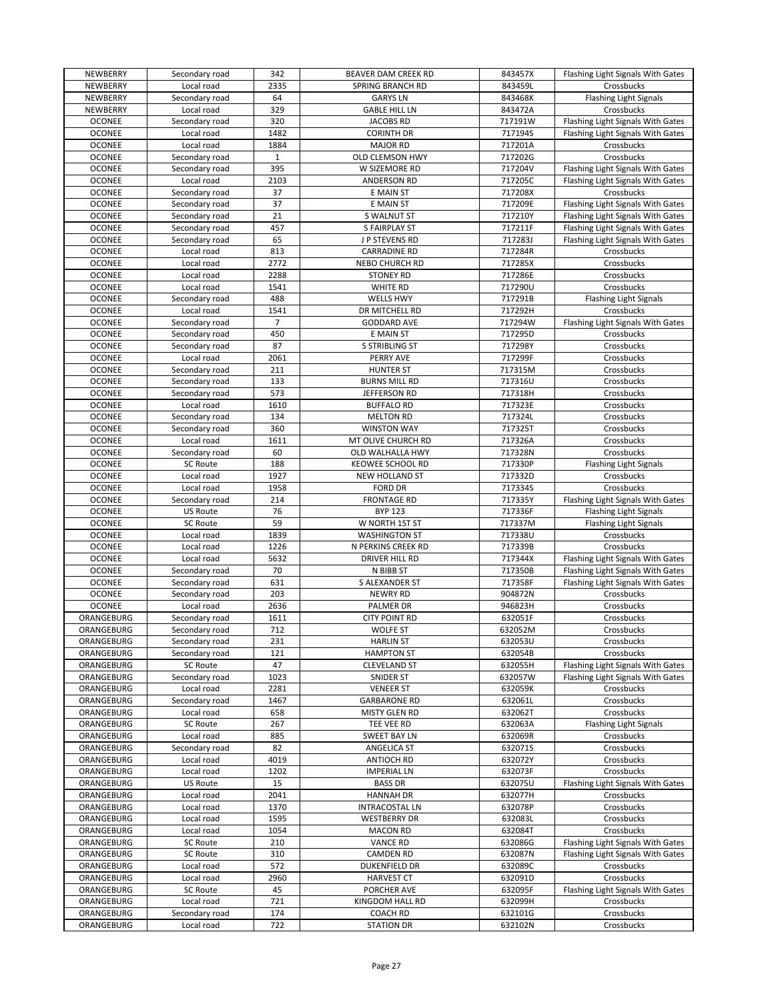| NEWBERRY                 | Secondary road               | 342            | BEAVER DAM CREEK RD                  | 843457X            | Flashing Light Signals With Gates |
|--------------------------|------------------------------|----------------|--------------------------------------|--------------------|-----------------------------------|
| NEWBERRY                 | Local road                   | 2335           | <b>SPRING BRANCH RD</b>              | 843459L            | Crossbucks                        |
| NEWBERRY                 | Secondary road               | 64             | <b>GARYS LN</b>                      | 843468K            | <b>Flashing Light Signals</b>     |
| NEWBERRY                 | Local road                   | 329            | <b>GABLE HILL LN</b>                 | 843472A            | Crossbucks                        |
| <b>OCONEE</b>            | Secondary road               | 320            | JACOBS RD                            | 717191W            | Flashing Light Signals With Gates |
| <b>OCONEE</b>            | Local road                   | 1482           | <b>CORINTH DR</b>                    | 717194S            | Flashing Light Signals With Gates |
| <b>OCONEE</b>            | Local road                   | 1884           | <b>MAJOR RD</b>                      | 717201A            | Crossbucks                        |
| <b>OCONEE</b>            | Secondary road               | $\mathbf{1}$   | OLD CLEMSON HWY                      | 717202G            | Crossbucks                        |
| <b>OCONEE</b>            | Secondary road               | 395            | W SIZEMORE RD                        | 717204V            | Flashing Light Signals With Gates |
| <b>OCONEE</b>            | Local road                   | 2103           | ANDERSON RD                          | 717205C            | Flashing Light Signals With Gates |
| <b>OCONEE</b>            | Secondary road               | 37             | E MAIN ST                            | 717208X            | Crossbucks                        |
| <b>OCONEE</b>            | Secondary road               | 37             | E MAIN ST                            | 717209E            | Flashing Light Signals With Gates |
| <b>OCONEE</b>            | Secondary road               | 21             | S WALNUT ST                          | 717210Y            | Flashing Light Signals With Gates |
| <b>OCONEE</b>            | Secondary road               | 457            | S FAIRPLAY ST                        | 717211F            | Flashing Light Signals With Gates |
| <b>OCONEE</b>            | Secondary road               | 65             | J P STEVENS RD                       | 717283J            | Flashing Light Signals With Gates |
| <b>OCONEE</b>            | Local road                   | 813            | <b>CARRADINE RD</b>                  | 717284R            | Crossbucks                        |
| <b>OCONEE</b>            | Local road                   | 2772           | NEBO CHURCH RD                       | 717285X            | Crossbucks                        |
| <b>OCONEE</b>            | Local road                   | 2288           | <b>STONEY RD</b>                     | 717286E            | Crossbucks                        |
| <b>OCONEE</b>            | Local road                   | 1541           | WHITE RD                             | 717290U            | Crossbucks                        |
| <b>OCONEE</b>            | Secondary road               | 488            | <b>WELLS HWY</b>                     | 717291B            | <b>Flashing Light Signals</b>     |
| <b>OCONEE</b>            | Local road                   | 1541           | DR MITCHELL RD                       | 717292H            | Crossbucks                        |
| <b>OCONEE</b>            | Secondary road               | $\overline{7}$ | <b>GODDARD AVE</b>                   | 717294W            | Flashing Light Signals With Gates |
| <b>OCONEE</b>            | Secondary road               | 450            | E MAIN ST                            | 717295D            | Crossbucks                        |
| <b>OCONEE</b>            | Secondary road               | 87             | S STRIBLING ST                       | 717298Y            | Crossbucks                        |
| <b>OCONEE</b>            | Local road                   | 2061           | PERRY AVE                            | 717299F            | Crossbucks                        |
| <b>OCONEE</b>            | Secondary road               | 211            | <b>HUNTER ST</b>                     | 717315M            | Crossbucks                        |
| <b>OCONEE</b>            | Secondary road               | 133            | <b>BURNS MILL RD</b>                 | 717316U            | Crossbucks                        |
| <b>OCONEE</b>            | Secondary road               | 573            | JEFFERSON RD                         | 717318H            | Crossbucks                        |
| <b>OCONEE</b>            | Local road                   | 1610           | <b>BUFFALO RD</b>                    | 717323E            | Crossbucks                        |
| <b>OCONEE</b>            | Secondary road               | 134            | <b>MELTON RD</b>                     | 717324L            | Crossbucks                        |
| <b>OCONEE</b>            | Secondary road               | 360            | <b>WINSTON WAY</b>                   | 717325T            | Crossbucks                        |
| <b>OCONEE</b>            | Local road                   | 1611           | MT OLIVE CHURCH RD                   | 717326A            | Crossbucks                        |
| <b>OCONEE</b>            | Secondary road               | 60             | OLD WALHALLA HWY                     | 717328N            | Crossbucks                        |
| <b>OCONEE</b>            | <b>SC Route</b>              | 188            | <b>KEOWEE SCHOOL RD</b>              | 717330P            | <b>Flashing Light Signals</b>     |
| <b>OCONEE</b>            | Local road                   | 1927           | NEW HOLLAND ST                       | 717332D            | Crossbucks                        |
| <b>OCONEE</b>            | Local road                   | 1958           | <b>FORD DR</b>                       | 717334S            | Crossbucks                        |
| <b>OCONEE</b>            | Secondary road               | 214            | <b>FRONTAGE RD</b>                   | 717335Y            | Flashing Light Signals With Gates |
| <b>OCONEE</b>            | US Route                     | 76             | <b>BYP 123</b>                       | 717336F            | <b>Flashing Light Signals</b>     |
| <b>OCONEE</b>            | <b>SC Route</b>              | 59             | W NORTH 1ST ST                       | 717337M            | <b>Flashing Light Signals</b>     |
| <b>OCONEE</b>            | Local road                   | 1839           | <b>WASHINGTON ST</b>                 | 717338U            | Crossbucks                        |
| <b>OCONEE</b>            | Local road                   | 1226           | N PERKINS CREEK RD                   | 717339B            | Crossbucks                        |
| <b>OCONEE</b>            | Local road                   | 5632           | DRIVER HILL RD                       | 717344X            | Flashing Light Signals With Gates |
| <b>OCONEE</b>            | Secondary road               | 70             | N BIBB ST                            | 717350B            | Flashing Light Signals With Gates |
| <b>OCONEE</b>            | Secondary road               | 631            | S ALEXANDER ST                       | 717358F            | Flashing Light Signals With Gates |
| <b>OCONEE</b>            | Secondary road               | 203            | <b>NEWRY RD</b>                      | 904872N            | Crossbucks                        |
| <b>OCONEE</b>            | Local road                   | 2636           | PALMER DR                            | 946823H            | Crossbucks                        |
| ORANGEBURG               | Secondary road               | 1611           | <b>CITY POINT RD</b>                 | 632051F            | Crossbucks                        |
| ORANGEBURG               | Secondary road               | 712            | <b>WOLFE ST</b>                      | 632052M            | Crossbucks                        |
| ORANGEBURG               | Secondary road               | 231            | <b>HARLIN ST</b>                     | 632053U            | Crossbucks                        |
| ORANGEBURG               | Secondary road               | 121            | <b>HAMPTON ST</b>                    | 632054B            | Crossbucks                        |
| ORANGEBURG               |                              |                |                                      |                    |                                   |
| ORANGEBURG               | SC Route                     | 47             | <b>CLEVELAND ST</b>                  | 632055H            | Flashing Light Signals With Gates |
|                          | Secondary road               | 1023           | SNIDER ST                            | 632057W            | Flashing Light Signals With Gates |
| ORANGEBURG               | Local road                   | 2281           | <b>VENEER ST</b>                     | 632059K            | Crossbucks                        |
| ORANGEBURG               | Secondary road               | 1467           | <b>GARBARONE RD</b>                  | 632061L            | Crossbucks                        |
| ORANGEBURG               | Local road                   | 658            | MISTY GLEN RD                        | 632062T            | Crossbucks                        |
| ORANGEBURG               | SC Route                     | 267            | TEE VEE RD                           | 632063A            | Flashing Light Signals            |
| ORANGEBURG               | Local road                   | 885            | SWEET BAY LN                         | 632069R            | Crossbucks                        |
| ORANGEBURG               | Secondary road               | 82             | ANGELICA ST                          | 632071S            | Crossbucks                        |
| ORANGEBURG               | Local road                   | 4019           | <b>ANTIOCH RD</b>                    | 632072Y            | Crossbucks                        |
| ORANGEBURG               | Local road                   | 1202           | <b>IMPERIAL LN</b>                   | 632073F            | Crossbucks                        |
| ORANGEBURG               | <b>US Route</b>              | 15             | <b>BASS DR</b>                       | 632075U            | Flashing Light Signals With Gates |
| ORANGEBURG               | Local road                   | 2041           | <b>HANNAH DR</b>                     | 632077H            | Crossbucks                        |
| ORANGEBURG               | Local road                   | 1370           | <b>INTRACOSTAL LN</b>                | 632078P            | Crossbucks                        |
| ORANGEBURG               | Local road                   | 1595           | <b>WESTBERRY DR</b>                  | 632083L            | Crossbucks                        |
| ORANGEBURG               | Local road                   | 1054           | <b>MACON RD</b>                      | 632084T            | Crossbucks                        |
| ORANGEBURG               | SC Route                     | 210            | <b>VANCE RD</b>                      | 632086G            | Flashing Light Signals With Gates |
| ORANGEBURG               | SC Route                     | 310            | <b>CAMDEN RD</b>                     | 632087N            | Flashing Light Signals With Gates |
| ORANGEBURG               | Local road                   | 572            | DUKENFIELD DR                        | 632089C            | Crossbucks                        |
| ORANGEBURG               | Local road                   | 2960           | <b>HARVEST CT</b>                    | 632091D            | Crossbucks                        |
| ORANGEBURG               | SC Route                     | 45             | PORCHER AVE                          | 632095F            | Flashing Light Signals With Gates |
| ORANGEBURG               | Local road                   | 721            | KINGDOM HALL RD                      | 632099H            | Crossbucks                        |
| ORANGEBURG<br>ORANGEBURG | Secondary road<br>Local road | 174<br>722     | <b>COACH RD</b><br><b>STATION DR</b> | 632101G<br>632102N | Crossbucks<br>Crossbucks          |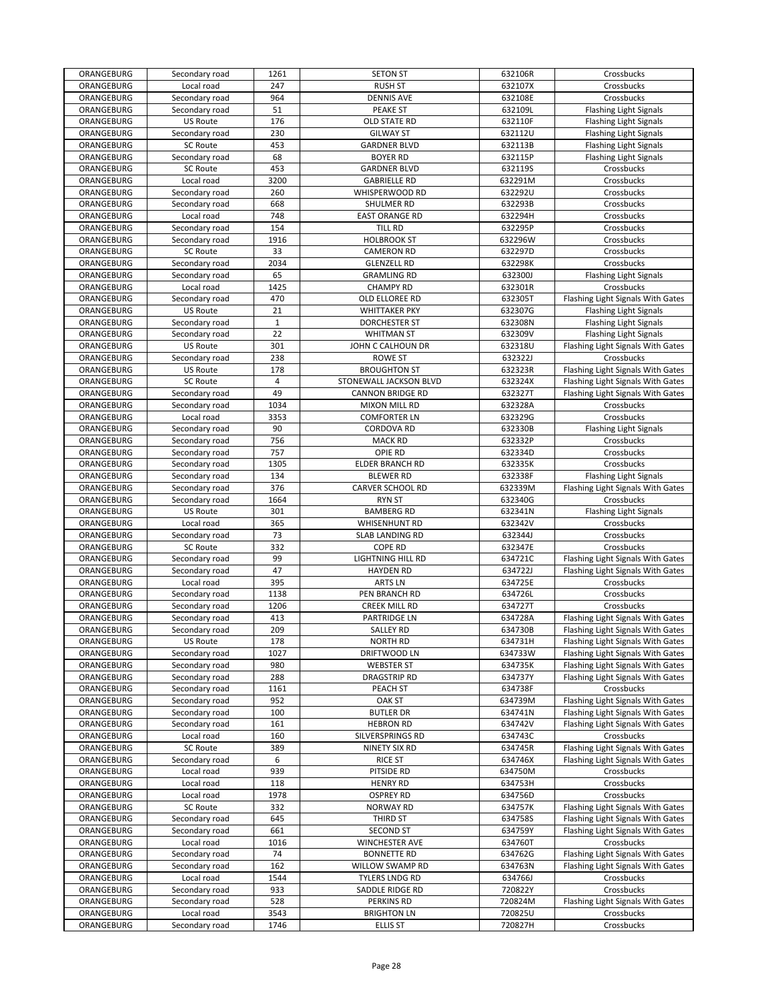| ORANGEBURG               | Secondary road               | 1261           | <b>SETON ST</b>                       | 632106R            | Crossbucks                        |
|--------------------------|------------------------------|----------------|---------------------------------------|--------------------|-----------------------------------|
| ORANGEBURG               | Local road                   | 247            | <b>RUSH ST</b>                        | 632107X            | Crossbucks                        |
| ORANGEBURG               | Secondary road               | 964            | <b>DENNIS AVE</b>                     | 632108E            | Crossbucks                        |
| ORANGEBURG               | Secondary road               | 51             | PEAKE ST                              | 632109L            | <b>Flashing Light Signals</b>     |
| ORANGEBURG               | <b>US Route</b>              | 176            | OLD STATE RD                          | 632110F            | <b>Flashing Light Signals</b>     |
| ORANGEBURG               | Secondary road               | 230            | <b>GILWAY ST</b>                      | 632112U            | <b>Flashing Light Signals</b>     |
| ORANGEBURG               | <b>SC Route</b>              | 453            | <b>GARDNER BLVD</b>                   | 632113B            | <b>Flashing Light Signals</b>     |
| ORANGEBURG               | Secondary road               | 68             | <b>BOYER RD</b>                       | 632115P            | <b>Flashing Light Signals</b>     |
| ORANGEBURG               | <b>SC Route</b>              | 453            | <b>GARDNER BLVD</b>                   | 632119S            | Crossbucks                        |
| ORANGEBURG               | Local road                   | 3200           | <b>GABRIELLE RD</b>                   | 632291M            | Crossbucks                        |
| ORANGEBURG               | Secondary road               | 260            | WHISPERWOOD RD                        | 632292U            | Crossbucks                        |
| ORANGEBURG               |                              | 668            | SHULMER RD                            | 632293B            | Crossbucks                        |
|                          | Secondary road<br>Local road |                |                                       |                    |                                   |
| ORANGEBURG               |                              | 748            | <b>EAST ORANGE RD</b>                 | 632294H            | Crossbucks                        |
| ORANGEBURG               | Secondary road               | 154            | TILL RD                               | 632295P            | Crossbucks                        |
| ORANGEBURG               | Secondary road               | 1916           | <b>HOLBROOK ST</b>                    | 632296W            | Crossbucks                        |
| ORANGEBURG               | <b>SC Route</b>              | 33             | <b>CAMERON RD</b>                     | 632297D            | Crossbucks                        |
| ORANGEBURG               | Secondary road               | 2034           | <b>GLENZELL RD</b>                    | 632298K            | Crossbucks                        |
| ORANGEBURG               | Secondary road               | 65             | <b>GRAMLING RD</b>                    | 632300J            | <b>Flashing Light Signals</b>     |
| ORANGEBURG               | Local road                   | 1425           | <b>CHAMPY RD</b>                      | 632301R            | Crossbucks                        |
| ORANGEBURG               | Secondary road               | 470            | OLD ELLOREE RD                        | 632305T            | Flashing Light Signals With Gates |
| ORANGEBURG               | <b>US Route</b>              | 21             | <b>WHITTAKER PKY</b>                  | 632307G            | <b>Flashing Light Signals</b>     |
| ORANGEBURG               | Secondary road               | $\mathbf 1$    | <b>DORCHESTER ST</b>                  | 632308N            | <b>Flashing Light Signals</b>     |
| ORANGEBURG               | Secondary road               | 22             | <b>WHITMAN ST</b>                     | 632309V            | <b>Flashing Light Signals</b>     |
| ORANGEBURG               | <b>US Route</b>              | 301            | JOHN C CALHOUN DR                     | 632318U            | Flashing Light Signals With Gates |
| ORANGEBURG               | Secondary road               | 238            | <b>ROWE ST</b>                        | 632322J            | Crossbucks                        |
| ORANGEBURG               | <b>US Route</b>              | 178            | <b>BROUGHTON ST</b>                   | 632323R            | Flashing Light Signals With Gates |
| ORANGEBURG               | <b>SC Route</b>              | $\overline{4}$ | STONEWALL JACKSON BLVD                | 632324X            | Flashing Light Signals With Gates |
| ORANGEBURG               | Secondary road               | 49             | <b>CANNON BRIDGE RD</b>               | 632327T            | Flashing Light Signals With Gates |
| ORANGEBURG               | Secondary road               | 1034           | <b>MIXON MILL RD</b>                  | 632328A            | Crossbucks                        |
| ORANGEBURG               | Local road                   | 3353           | <b>COMFORTER LN</b>                   | 632329G            | Crossbucks                        |
| ORANGEBURG               |                              | 90             | <b>CORDOVA RD</b>                     | 632330B            |                                   |
|                          | Secondary road               |                |                                       |                    | <b>Flashing Light Signals</b>     |
| ORANGEBURG               | Secondary road               | 756            | <b>MACK RD</b>                        | 632332P            | Crossbucks                        |
| ORANGEBURG               | Secondary road               | 757            | OPIE RD                               | 632334D            | Crossbucks                        |
| ORANGEBURG               | Secondary road               | 1305           | ELDER BRANCH RD                       | 632335K            | Crossbucks                        |
| ORANGEBURG               | Secondary road               | 134            | <b>BLEWER RD</b>                      | 632338F            | <b>Flashing Light Signals</b>     |
| ORANGEBURG               | Secondary road               | 376            | CARVER SCHOOL RD                      | 632339M            | Flashing Light Signals With Gates |
| ORANGEBURG               | Secondary road               | 1664           | <b>RYN ST</b>                         | 632340G            | Crossbucks                        |
| ORANGEBURG               | <b>US Route</b>              | 301            | <b>BAMBERG RD</b>                     | 632341N            | <b>Flashing Light Signals</b>     |
| ORANGEBURG               | Local road                   | 365            | <b>WHISENHUNT RD</b>                  | 632342V            | Crossbucks                        |
| ORANGEBURG               | Secondary road               | 73             | SLAB LANDING RD                       | 632344J            | Crossbucks                        |
|                          |                              |                |                                       |                    |                                   |
| ORANGEBURG               | <b>SC Route</b>              | 332            | <b>COPE RD</b>                        | 632347E            | Crossbucks                        |
| ORANGEBURG               | Secondary road               | 99             | LIGHTNING HILL RD                     | 634721C            | Flashing Light Signals With Gates |
| ORANGEBURG               | Secondary road               | 47             | <b>HAYDEN RD</b>                      | 634722J            | Flashing Light Signals With Gates |
| ORANGEBURG               | Local road                   | 395            | <b>ARTS LN</b>                        | 634725E            | Crossbucks                        |
| ORANGEBURG               | Secondary road               | 1138           | PEN BRANCH RD                         | 634726L            | Crossbucks                        |
| ORANGEBURG               | Secondary road               | 1206           | <b>CREEK MILL RD</b>                  |                    | Crossbucks                        |
|                          |                              |                |                                       | 634727T            |                                   |
| ORANGEBURG               | Secondary road               | 413            | PARTRIDGE LN                          | 634728A            | Flashing Light Signals With Gates |
| ORANGEBURG               | Secondary road               | 209            | <b>SALLEY RD</b>                      | 634730B            | Flashing Light Signals With Gates |
| ORANGEBURG               | US Route                     | 178            | <b>NORTH RD</b>                       | 634731H            | Flashing Light Signals With Gates |
| ORANGEBURG               | Secondary road               | 1027           | DRIFTWOOD LN                          | 634733W            | Flashing Light Signals With Gates |
| ORANGEBURG               | Secondary road               | 980            | <b>WEBSTER ST</b>                     | 634735K            | Flashing Light Signals With Gates |
| ORANGEBURG               | Secondary road               | 288            | <b>DRAGSTRIP RD</b>                   | 634737Y            | Flashing Light Signals With Gates |
| ORANGEBURG               | Secondary road               | 1161           | PEACH ST                              | 634738F            | Crossbucks                        |
| ORANGEBURG               | Secondary road               | 952            | <b>OAK ST</b>                         | 634739M            | Flashing Light Signals With Gates |
| ORANGEBURG               | Secondary road               | 100            | <b>BUTLER DR</b>                      | 634741N            | Flashing Light Signals With Gates |
| ORANGEBURG               | Secondary road               | 161            | <b>HEBRON RD</b>                      | 634742V            | Flashing Light Signals With Gates |
| ORANGEBURG               | Local road                   | 160            | SILVERSPRINGS RD                      | 634743C            | Crossbucks                        |
| ORANGEBURG               | <b>SC Route</b>              | 389            | NINETY SIX RD                         | 634745R            | Flashing Light Signals With Gates |
| ORANGEBURG               | Secondary road               | 6              | <b>RICE ST</b>                        | 634746X            | Flashing Light Signals With Gates |
| ORANGEBURG               | Local road                   | 939            | PITSIDE RD                            | 634750M            | Crossbucks                        |
| ORANGEBURG               | Local road                   | 118            | <b>HENRY RD</b>                       | 634753H            | Crossbucks                        |
| ORANGEBURG               | Local road                   | 1978           | <b>OSPREY RD</b>                      | 634756D            | Crossbucks                        |
| ORANGEBURG               | SC Route                     | 332            | <b>NORWAY RD</b>                      | 634757K            | Flashing Light Signals With Gates |
| ORANGEBURG               | Secondary road               | 645            | THIRD ST                              | 634758S            | Flashing Light Signals With Gates |
| ORANGEBURG               | Secondary road               | 661            | <b>SECOND ST</b>                      | 634759Y            | Flashing Light Signals With Gates |
|                          | Local road                   | 1016           |                                       | 634760T            | Crossbucks                        |
| ORANGEBURG               | Secondary road               | 74             | WINCHESTER AVE                        | 634762G            |                                   |
| ORANGEBURG               |                              |                | <b>BONNETTE RD</b>                    |                    | Flashing Light Signals With Gates |
| ORANGEBURG               | Secondary road               | 162            | WILLOW SWAMP RD                       | 634763N            | Flashing Light Signals With Gates |
| ORANGEBURG               | Local road                   | 1544           | TYLERS LNDG RD                        | 634766J            | Crossbucks                        |
| ORANGEBURG               | Secondary road               | 933            | SADDLE RIDGE RD                       | 720822Y            | Crossbucks                        |
| ORANGEBURG               | Secondary road               | 528            | PERKINS RD                            | 720824M            | Flashing Light Signals With Gates |
| ORANGEBURG<br>ORANGEBURG | Local road<br>Secondary road | 3543<br>1746   | <b>BRIGHTON LN</b><br><b>ELLIS ST</b> | 720825U<br>720827H | Crossbucks<br>Crossbucks          |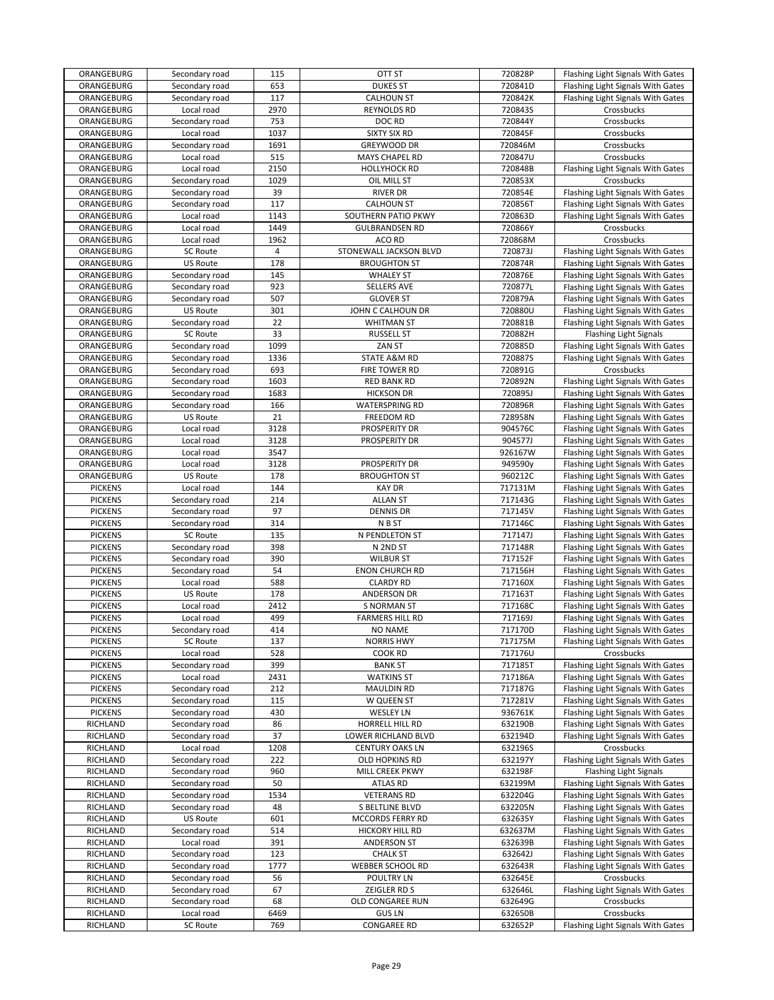| ORANGEBURG      | Secondary road  | 115            | OTT ST                          | 720828P | Flashing Light Signals With Gates |
|-----------------|-----------------|----------------|---------------------------------|---------|-----------------------------------|
| ORANGEBURG      | Secondary road  | 653            | <b>DUKES ST</b>                 | 720841D | Flashing Light Signals With Gates |
| ORANGEBURG      | Secondary road  | 117            | <b>CALHOUN ST</b>               | 720842K | Flashing Light Signals With Gates |
| ORANGEBURG      | Local road      | 2970           | <b>REYNOLDS RD</b>              | 720843S | Crossbucks                        |
| ORANGEBURG      | Secondary road  | 753            | DOC RD                          | 720844Y | Crossbucks                        |
| ORANGEBURG      | Local road      | 1037           | <b>SIXTY SIX RD</b>             | 720845F | Crossbucks                        |
| ORANGEBURG      | Secondary road  | 1691           | <b>GREYWOOD DR</b>              | 720846M | Crossbucks                        |
| ORANGEBURG      | Local road      | 515            | MAYS CHAPEL RD                  | 720847U | Crossbucks                        |
| ORANGEBURG      | Local road      | 2150           | <b>HOLLYHOCK RD</b>             | 720848B | Flashing Light Signals With Gates |
| ORANGEBURG      | Secondary road  | 1029           | OIL MILL ST                     | 720853X | Crossbucks                        |
| ORANGEBURG      | Secondary road  | 39             | <b>RIVER DR</b>                 | 720854E | Flashing Light Signals With Gates |
| ORANGEBURG      | Secondary road  | 117            | <b>CALHOUN ST</b>               | 720856T | Flashing Light Signals With Gates |
| ORANGEBURG      |                 | 1143           | SOUTHERN PATIO PKWY             | 720863D |                                   |
|                 | Local road      |                |                                 |         | Flashing Light Signals With Gates |
| ORANGEBURG      | Local road      | 1449           | <b>GULBRANDSEN RD</b><br>ACO RD | 720866Y | Crossbucks                        |
| ORANGEBURG      | Local road      | 1962           |                                 | 720868M | Crossbucks                        |
| ORANGEBURG      | SC Route        | $\overline{4}$ | STONEWALL JACKSON BLVD          | 720873J | Flashing Light Signals With Gates |
| ORANGEBURG      | US Route        | 178            | <b>BROUGHTON ST</b>             | 720874R | Flashing Light Signals With Gates |
| ORANGEBURG      | Secondary road  | 145            | <b>WHALEY ST</b>                | 720876E | Flashing Light Signals With Gates |
| ORANGEBURG      | Secondary road  | 923            | <b>SELLERS AVE</b>              | 720877L | Flashing Light Signals With Gates |
| ORANGEBURG      | Secondary road  | 507            | <b>GLOVER ST</b>                | 720879A | Flashing Light Signals With Gates |
| ORANGEBURG      | <b>US Route</b> | 301            | JOHN C CALHOUN DR               | 720880U | Flashing Light Signals With Gates |
| ORANGEBURG      | Secondary road  | 22             | WHITMAN ST                      | 720881B | Flashing Light Signals With Gates |
| ORANGEBURG      | <b>SC Route</b> | 33             | <b>RUSSELL ST</b>               | 720882H | <b>Flashing Light Signals</b>     |
| ORANGEBURG      | Secondary road  | 1099           | ZAN ST                          | 720885D | Flashing Light Signals With Gates |
| ORANGEBURG      | Secondary road  | 1336           | STATE A&M RD                    | 720887S | Flashing Light Signals With Gates |
| ORANGEBURG      | Secondary road  | 693            | FIRE TOWER RD                   | 720891G | Crossbucks                        |
| ORANGEBURG      | Secondary road  | 1603           | <b>RED BANK RD</b>              | 720892N | Flashing Light Signals With Gates |
| ORANGEBURG      | Secondary road  | 1683           | <b>HICKSON DR</b>               | 720895J | Flashing Light Signals With Gates |
| ORANGEBURG      | Secondary road  | 166            | <b>WATERSPRING RD</b>           | 720896R | Flashing Light Signals With Gates |
| ORANGEBURG      | <b>US Route</b> | 21             | <b>FREEDOM RD</b>               | 728958N | Flashing Light Signals With Gates |
| ORANGEBURG      | Local road      | 3128           | PROSPERITY DR                   | 904576C | Flashing Light Signals With Gates |
| ORANGEBURG      | Local road      | 3128           | PROSPERITY DR                   | 904577J | Flashing Light Signals With Gates |
| ORANGEBURG      | Local road      | 3547           |                                 | 926167W | Flashing Light Signals With Gates |
| ORANGEBURG      | Local road      | 3128           | PROSPERITY DR                   | 949590y | Flashing Light Signals With Gates |
|                 | <b>US Route</b> | 178            | <b>BROUGHTON ST</b>             | 960212C |                                   |
| ORANGEBURG      |                 | 144            |                                 |         | Flashing Light Signals With Gates |
| <b>PICKENS</b>  | Local road      |                | <b>KAY DR</b>                   | 717131M | Flashing Light Signals With Gates |
| <b>PICKENS</b>  | Secondary road  | 214            | <b>ALLAN ST</b>                 | 717143G | Flashing Light Signals With Gates |
| <b>PICKENS</b>  | Secondary road  | 97             | <b>DENNIS DR</b>                | 717145V | Flashing Light Signals With Gates |
| <b>PICKENS</b>  | Secondary road  | 314            | N B ST                          | 717146C | Flashing Light Signals With Gates |
| <b>PICKENS</b>  | SC Route        | 135            | N PENDLETON ST                  | 717147J | Flashing Light Signals With Gates |
| <b>PICKENS</b>  | Secondary road  | 398            | N 2ND ST                        | 717148R | Flashing Light Signals With Gates |
| <b>PICKENS</b>  | Secondary road  | 390            | <b>WILBUR ST</b>                | 717152F | Flashing Light Signals With Gates |
| <b>PICKENS</b>  | Secondary road  | 54             | <b>ENON CHURCH RD</b>           | 717156H | Flashing Light Signals With Gates |
| <b>PICKENS</b>  | Local road      | 588            | <b>CLARDY RD</b>                | 717160X | Flashing Light Signals With Gates |
| <b>PICKENS</b>  | <b>US Route</b> | 178            | ANDERSON DR                     | 717163T | Flashing Light Signals With Gates |
| <b>PICKENS</b>  | Local road      | 2412           | <b>S NORMAN ST</b>              | 717168C | Flashing Light Signals With Gates |
| <b>PICKENS</b>  | Local road      | 499            | <b>FARMERS HILL RD</b>          | 717169J | Flashing Light Signals With Gates |
| <b>PICKENS</b>  | Secondary road  | 414            | <b>NO NAME</b>                  | 717170D | Flashing Light Signals With Gates |
| <b>PICKENS</b>  | SC Route        | 137            | <b>NORRIS HWY</b>               | 717175M | Flashing Light Signals With Gates |
| <b>PICKENS</b>  | Local road      | 528            | COOK RD                         | 717176U | Crossbucks                        |
| <b>PICKENS</b>  | Secondary road  | 399            | <b>BANK ST</b>                  | 717185T | Flashing Light Signals With Gates |
| <b>PICKENS</b>  | Local road      | 2431           | <b>WATKINS ST</b>               | 717186A | Flashing Light Signals With Gates |
| <b>PICKENS</b>  | Secondary road  | 212            | <b>MAULDIN RD</b>               | 717187G | Flashing Light Signals With Gates |
| <b>PICKENS</b>  | Secondary road  | 115            | W QUEEN ST                      | 717281V | Flashing Light Signals With Gates |
| <b>PICKENS</b>  | Secondary road  | 430            | <b>WESLEY LN</b>                | 936761K | Flashing Light Signals With Gates |
| RICHLAND        | Secondary road  | 86             | HORRELL HILL RD                 | 632190B | Flashing Light Signals With Gates |
| <b>RICHLAND</b> | Secondary road  | 37             | LOWER RICHLAND BLVD             | 632194D | Flashing Light Signals With Gates |
| <b>RICHLAND</b> | Local road      | 1208           | <b>CENTURY OAKS LN</b>          | 632196S | Crossbucks                        |
| RICHLAND        | Secondary road  | 222            | OLD HOPKINS RD                  | 632197Y | Flashing Light Signals With Gates |
| RICHLAND        | Secondary road  | 960            | MILL CREEK PKWY                 | 632198F | <b>Flashing Light Signals</b>     |
| RICHLAND        | Secondary road  | 50             | ATLAS RD                        | 632199M | Flashing Light Signals With Gates |
| RICHLAND        | Secondary road  | 1534           | <b>VETERANS RD</b>              | 632204G | Flashing Light Signals With Gates |
| RICHLAND        | Secondary road  | 48             | S BELTLINE BLVD                 | 632205N | Flashing Light Signals With Gates |
| RICHLAND        | US Route        | 601            | MCCORDS FERRY RD                | 632635Y | Flashing Light Signals With Gates |
| RICHLAND        |                 | 514            | HICKORY HILL RD                 | 632637M |                                   |
|                 | Secondary road  |                |                                 |         | Flashing Light Signals With Gates |
| RICHLAND        | Local road      | 391            | ANDERSON ST                     | 632639B | Flashing Light Signals With Gates |
| RICHLAND        | Secondary road  | 123            | <b>CHALK ST</b>                 | 632642J | Flashing Light Signals With Gates |
| RICHLAND        | Secondary road  | 1777           | WEBBER SCHOOL RD                | 632643R | Flashing Light Signals With Gates |
| RICHLAND        | Secondary road  | 56             | POULTRY LN                      | 632645E | Crossbucks                        |
| RICHLAND        | Secondary road  | 67             | ZEIGLER RD S                    | 632646L | Flashing Light Signals With Gates |
| RICHLAND        | Secondary road  | 68             | OLD CONGAREE RUN                | 632649G | Crossbucks                        |
| RICHLAND        | Local road      | 6469           | <b>GUS LN</b>                   | 632650B | Crossbucks                        |
| RICHLAND        | SC Route        | 769            | <b>CONGAREE RD</b>              | 632652P | Flashing Light Signals With Gates |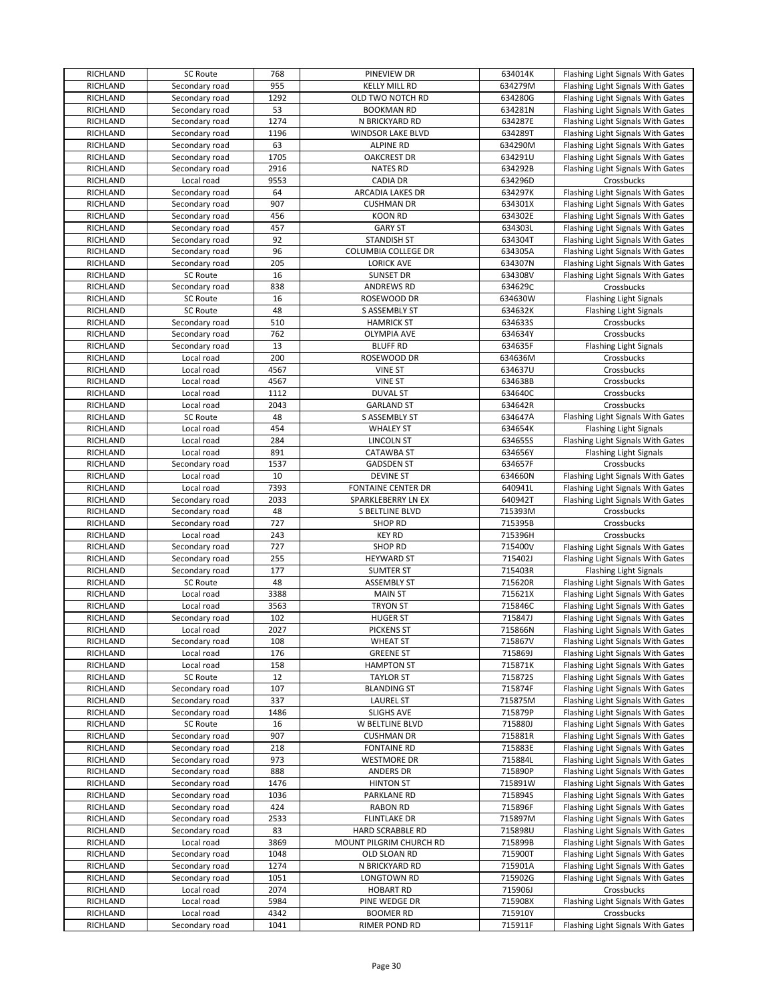| RICHLAND             | SC Route                         | 768          | PINEVIEW DR                           | 634014K            | Flashing Light Signals With Gates               |
|----------------------|----------------------------------|--------------|---------------------------------------|--------------------|-------------------------------------------------|
| RICHLAND             | Secondary road                   | 955          | <b>KELLY MILL RD</b>                  | 634279M            | Flashing Light Signals With Gates               |
| <b>RICHLAND</b>      | Secondary road                   | 1292         | OLD TWO NOTCH RD                      | 634280G            | Flashing Light Signals With Gates               |
| RICHLAND             | Secondary road                   | 53           | <b>BOOKMAN RD</b>                     | 634281N            | Flashing Light Signals With Gates               |
| RICHLAND             | Secondary road                   | 1274         | N BRICKYARD RD                        | 634287E            | Flashing Light Signals With Gates               |
| <b>RICHLAND</b>      | Secondary road                   | 1196         | WINDSOR LAKE BLVD                     | 634289T            | Flashing Light Signals With Gates               |
| RICHLAND             | Secondary road                   | 63           | <b>ALPINE RD</b>                      | 634290M            | Flashing Light Signals With Gates               |
| <b>RICHLAND</b>      | Secondary road                   | 1705         | <b>OAKCREST DR</b>                    | 634291U            | Flashing Light Signals With Gates               |
| <b>RICHLAND</b>      | Secondary road                   | 2916         | <b>NATES RD</b>                       | 634292B            | Flashing Light Signals With Gates               |
| <b>RICHLAND</b>      | Local road                       | 9553         | <b>CADIA DR</b>                       | 634296D            | Crossbucks                                      |
| RICHLAND             | Secondary road                   | 64           | <b>ARCADIA LAKES DR</b>               | 634297K            | Flashing Light Signals With Gates               |
| RICHLAND             | Secondary road                   | 907          | <b>CUSHMAN DR</b>                     | 634301X            | Flashing Light Signals With Gates               |
| RICHLAND             | Secondary road                   | 456          | <b>KOON RD</b>                        | 634302E            | Flashing Light Signals With Gates               |
| <b>RICHLAND</b>      | Secondary road                   | 457          | <b>GARY ST</b>                        | 634303L            | Flashing Light Signals With Gates               |
| <b>RICHLAND</b>      | Secondary road                   | 92           | <b>STANDISH ST</b>                    | 634304T            | Flashing Light Signals With Gates               |
| RICHLAND             | Secondary road                   | 96           | COLUMBIA COLLEGE DR                   | 634305A            | Flashing Light Signals With Gates               |
| <b>RICHLAND</b>      | Secondary road                   | 205          | <b>LORICK AVE</b>                     | 634307N            | Flashing Light Signals With Gates               |
| <b>RICHLAND</b>      | <b>SC Route</b>                  | 16           | <b>SUNSET DR</b>                      | 634308V            | Flashing Light Signals With Gates               |
| <b>RICHLAND</b>      | Secondary road                   | 838          | <b>ANDREWS RD</b>                     | 634629C            | Crossbucks                                      |
| RICHLAND             | <b>SC Route</b>                  | 16           | ROSEWOOD DR                           | 634630W            | <b>Flashing Light Signals</b>                   |
| RICHLAND             | SC Route                         | 48           | S ASSEMBLY ST                         | 634632K            | <b>Flashing Light Signals</b>                   |
| RICHLAND             | Secondary road                   | 510          | <b>HAMRICK ST</b>                     | 634633S            | Crossbucks                                      |
| RICHLAND             | Secondary road                   | 762          | <b>OLYMPIA AVE</b>                    | 634634Y            | Crossbucks                                      |
| <b>RICHLAND</b>      | Secondary road                   | 13           | <b>BLUFF RD</b>                       | 634635F            | Flashing Light Signals                          |
| <b>RICHLAND</b>      | Local road                       | 200          | ROSEWOOD DR                           | 634636M            | Crossbucks                                      |
| <b>RICHLAND</b>      | Local road                       | 4567         | <b>VINE ST</b>                        | 634637U            | Crossbucks                                      |
| <b>RICHLAND</b>      | Local road                       | 4567         | <b>VINE ST</b>                        | 634638B            | Crossbucks                                      |
| <b>RICHLAND</b>      | Local road                       | 1112         | <b>DUVAL ST</b>                       | 634640C            | Crossbucks                                      |
| RICHLAND             | Local road                       | 2043         | <b>GARLAND ST</b>                     | 634642R            | Crossbucks                                      |
| <b>RICHLAND</b>      | SC Route                         | 48           | S ASSEMBLY ST                         | 634647A            | Flashing Light Signals With Gates               |
| RICHLAND             | Local road                       | 454          | <b>WHALEY ST</b>                      | 634654K            | <b>Flashing Light Signals</b>                   |
| <b>RICHLAND</b>      | Local road                       | 284          | <b>LINCOLN ST</b>                     | 634655S            | Flashing Light Signals With Gates               |
| <b>RICHLAND</b>      | Local road                       | 891          | <b>CATAWBA ST</b>                     | 634656Y            | <b>Flashing Light Signals</b>                   |
| <b>RICHLAND</b>      | Secondary road                   | 1537         | <b>GADSDEN ST</b>                     | 634657F            | Crossbucks                                      |
| <b>RICHLAND</b>      | Local road                       | 10           | <b>DEVINE ST</b>                      | 634660N            | Flashing Light Signals With Gates               |
| RICHLAND             | Local road                       | 7393         | <b>FONTAINE CENTER DR</b>             | 640941L            | Flashing Light Signals With Gates               |
| RICHLAND             |                                  | 2033         |                                       | 640942T            |                                                 |
| RICHLAND             | Secondary road<br>Secondary road | 48           | SPARKLEBERRY LN EX<br>S BELTLINE BLVD | 715393M            | Flashing Light Signals With Gates<br>Crossbucks |
| <b>RICHLAND</b>      | Secondary road                   | 727          | <b>SHOP RD</b>                        | 715395B            | Crossbucks                                      |
|                      |                                  |              |                                       |                    |                                                 |
|                      |                                  |              |                                       |                    |                                                 |
| RICHLAND             | Local road                       | 243          | <b>KEY RD</b>                         | 715396H            | Crossbucks                                      |
| RICHLAND             | Secondary road                   | 727          | <b>SHOP RD</b>                        | 715400V            | Flashing Light Signals With Gates               |
| <b>RICHLAND</b>      | Secondary road                   | 255          | <b>HEYWARD ST</b>                     | 715402J            | Flashing Light Signals With Gates               |
| <b>RICHLAND</b>      | Secondary road                   | 177          | <b>SUMTER ST</b>                      | 715403R            | <b>Flashing Light Signals</b>                   |
| <b>RICHLAND</b>      | SC Route                         | 48           | <b>ASSEMBLY ST</b>                    | 715620R            | Flashing Light Signals With Gates               |
| RICHLAND             | Local road                       | 3388         | <b>MAIN ST</b>                        | 715621X            | Flashing Light Signals With Gates               |
| RICHLAND             | Local road                       | 3563         | <b>TRYON ST</b>                       | 715846C            | Flashing Light Signals With Gates               |
| RICHLAND             | Secondary road                   | 102          | <b>HUGER ST</b>                       | 715847J            | Flashing Light Signals With Gates               |
| <b>RICHLAND</b>      | Local road                       | 2027         | <b>PICKENS ST</b>                     | 715866N            | Flashing Light Signals With Gates               |
| RICHLAND             | Secondary road                   | 108          | <b>WHEAT ST</b>                       | 715867V            | Flashing Light Signals With Gates               |
| RICHLAND             | Local road                       | 176          | <b>GREENE ST</b>                      | 715869J            | Flashing Light Signals With Gates               |
| RICHLAND             | Local road                       | 158          | <b>HAMPTON ST</b>                     | 715871K            | Flashing Light Signals With Gates               |
| RICHLAND             | SC Route                         | 12           | <b>TAYLOR ST</b>                      | 715872S            | Flashing Light Signals With Gates               |
| RICHLAND             | Secondary road                   | 107          | <b>BLANDING ST</b>                    | 715874F            | Flashing Light Signals With Gates               |
| RICHLAND             | Secondary road                   | 337          | LAUREL ST                             | 715875M            | Flashing Light Signals With Gates               |
| RICHLAND             | Secondary road                   | 1486         | <b>SLIGHS AVE</b>                     | 715879P            | Flashing Light Signals With Gates               |
| RICHLAND             | <b>SC Route</b>                  | 16           | W BELTLINE BLVD                       | 715880J            | Flashing Light Signals With Gates               |
| RICHLAND             | Secondary road                   | 907          | <b>CUSHMAN DR</b>                     | 715881R            | Flashing Light Signals With Gates               |
| RICHLAND             | Secondary road                   | 218          | <b>FONTAINE RD</b>                    | 715883E            | Flashing Light Signals With Gates               |
| RICHLAND             | Secondary road                   | 973          | <b>WESTMORE DR</b>                    | 715884L            | Flashing Light Signals With Gates               |
| RICHLAND             | Secondary road                   | 888          | <b>ANDERS DR</b>                      | 715890P            | Flashing Light Signals With Gates               |
| RICHLAND             | Secondary road                   | 1476         | <b>HINTON ST</b>                      | 715891W            | Flashing Light Signals With Gates               |
| RICHLAND             | Secondary road                   | 1036         | PARKLANE RD                           | 715894S            | Flashing Light Signals With Gates               |
| RICHLAND             | Secondary road                   | 424          | <b>RABON RD</b>                       | 715896F            | Flashing Light Signals With Gates               |
| RICHLAND             | Secondary road                   | 2533         | <b>FLINTLAKE DR</b>                   | 715897M            | Flashing Light Signals With Gates               |
| RICHLAND             | Secondary road                   | 83           | HARD SCRABBLE RD                      | 715898U            | Flashing Light Signals With Gates               |
| RICHLAND             | Local road                       | 3869         | MOUNT PILGRIM CHURCH RD               | 715899B            | Flashing Light Signals With Gates               |
| RICHLAND             | Secondary road                   | 1048         | OLD SLOAN RD                          | 715900T            | Flashing Light Signals With Gates               |
| RICHLAND             | Secondary road                   | 1274         | N BRICKYARD RD                        | 715901A            | Flashing Light Signals With Gates               |
| RICHLAND             | Secondary road                   | 1051         | LONGTOWN RD                           | 715902G            | Flashing Light Signals With Gates               |
| RICHLAND             | Local road                       | 2074         | <b>HOBART RD</b>                      | 715906J            | Crossbucks                                      |
| RICHLAND             | Local road                       | 5984         | PINE WEDGE DR                         | 715908X            | Flashing Light Signals With Gates               |
| RICHLAND<br>RICHLAND | Local road<br>Secondary road     | 4342<br>1041 | <b>BOOMER RD</b><br>RIMER POND RD     | 715910Y<br>715911F | Crossbucks<br>Flashing Light Signals With Gates |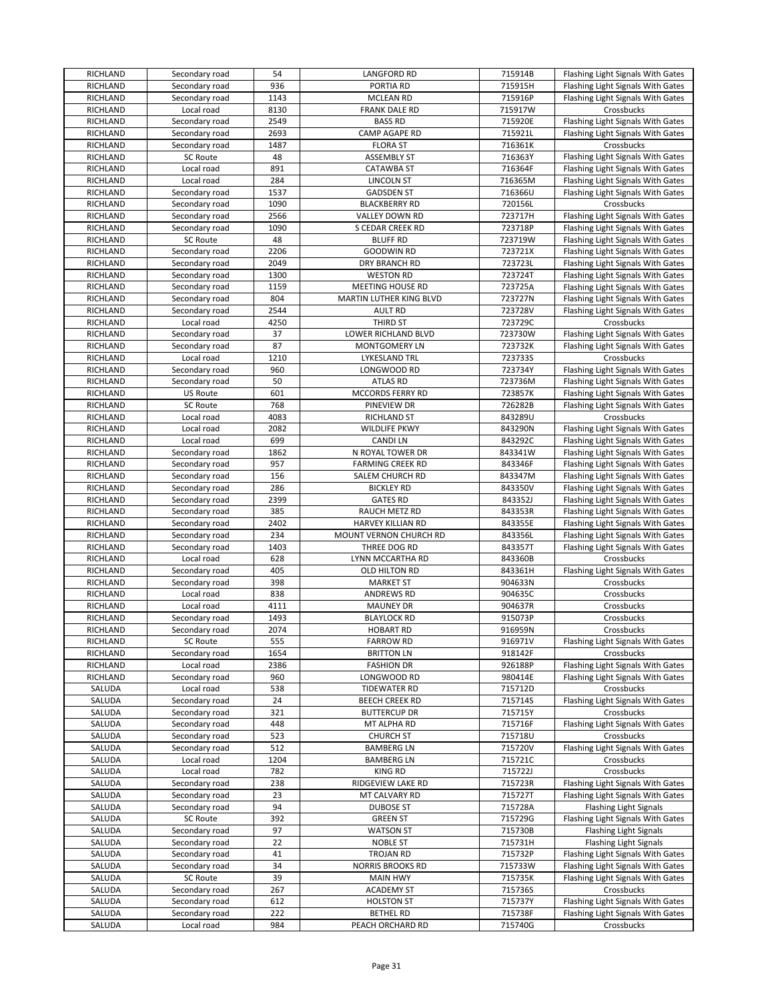| <b>RICHLAND</b> | Secondary road  | 54   | <b>LANGFORD RD</b>         | 715914B | Flashing Light Signals With Gates |
|-----------------|-----------------|------|----------------------------|---------|-----------------------------------|
| RICHLAND        | Secondary road  | 936  | PORTIA RD                  | 715915H | Flashing Light Signals With Gates |
| RICHLAND        | Secondary road  | 1143 | <b>MCLEAN RD</b>           | 715916P | Flashing Light Signals With Gates |
| RICHLAND        | Local road      | 8130 | FRANK DALE RD              | 715917W | Crossbucks                        |
|                 |                 | 2549 |                            |         |                                   |
| RICHLAND        | Secondary road  |      | <b>BASS RD</b>             | 715920E | Flashing Light Signals With Gates |
| <b>RICHLAND</b> | Secondary road  | 2693 | CAMP AGAPE RD              | 715921L | Flashing Light Signals With Gates |
| <b>RICHLAND</b> | Secondary road  | 1487 | <b>FLORA ST</b>            | 716361K | Crossbucks                        |
| <b>RICHLAND</b> | <b>SC Route</b> | 48   | <b>ASSEMBLY ST</b>         | 716363Y | Flashing Light Signals With Gates |
| RICHLAND        | Local road      | 891  | <b>CATAWBA ST</b>          | 716364F | Flashing Light Signals With Gates |
| <b>RICHLAND</b> | Local road      | 284  | <b>LINCOLN ST</b>          | 716365M | Flashing Light Signals With Gates |
| RICHLAND        | Secondary road  | 1537 | <b>GADSDEN ST</b>          | 716366U | Flashing Light Signals With Gates |
| RICHLAND        | Secondary road  | 1090 | <b>BLACKBERRY RD</b>       | 720156L | Crossbucks                        |
| RICHLAND        | Secondary road  | 2566 | VALLEY DOWN RD             | 723717H | Flashing Light Signals With Gates |
| RICHLAND        | Secondary road  | 1090 | S CEDAR CREEK RD           | 723718P | Flashing Light Signals With Gates |
|                 |                 |      |                            |         |                                   |
| <b>RICHLAND</b> | SC Route        | 48   | <b>BLUFF RD</b>            | 723719W | Flashing Light Signals With Gates |
| <b>RICHLAND</b> | Secondary road  | 2206 | <b>GOODWIN RD</b>          | 723721X | Flashing Light Signals With Gates |
| <b>RICHLAND</b> | Secondary road  | 2049 | DRY BRANCH RD              | 723723L | Flashing Light Signals With Gates |
| RICHLAND        | Secondary road  | 1300 | <b>WESTON RD</b>           | 723724T | Flashing Light Signals With Gates |
| RICHLAND        | Secondary road  | 1159 | MEETING HOUSE RD           | 723725A | Flashing Light Signals With Gates |
| RICHLAND        | Secondary road  | 804  | MARTIN LUTHER KING BLVD    | 723727N | Flashing Light Signals With Gates |
| <b>RICHLAND</b> | Secondary road  | 2544 | <b>AULT RD</b>             | 723728V | Flashing Light Signals With Gates |
| RICHLAND        | Local road      | 4250 | THIRD ST                   | 723729C | Crossbucks                        |
| RICHLAND        | Secondary road  | 37   | <b>LOWER RICHLAND BLVD</b> | 723730W | Flashing Light Signals With Gates |
| <b>RICHLAND</b> |                 | 87   | <b>MONTGOMERY LN</b>       | 723732K | Flashing Light Signals With Gates |
|                 | Secondary road  |      |                            |         |                                   |
| <b>RICHLAND</b> | Local road      | 1210 | LYKESLAND TRL              | 723733S | Crossbucks                        |
| <b>RICHLAND</b> | Secondary road  | 960  | LONGWOOD RD                | 723734Y | Flashing Light Signals With Gates |
| <b>RICHLAND</b> | Secondary road  | 50   | <b>ATLAS RD</b>            | 723736M | Flashing Light Signals With Gates |
| RICHLAND        | <b>US Route</b> | 601  | MCCORDS FERRY RD           | 723857K | Flashing Light Signals With Gates |
| RICHLAND        | SC Route        | 768  | PINEVIEW DR                | 726282B | Flashing Light Signals With Gates |
| RICHLAND        | Local road      | 4083 | <b>RICHLAND ST</b>         | 843289U | Crossbucks                        |
| <b>RICHLAND</b> | Local road      | 2082 | <b>WILDLIFE PKWY</b>       | 843290N | Flashing Light Signals With Gates |
| <b>RICHLAND</b> | Local road      | 699  | <b>CANDILN</b>             | 843292C | Flashing Light Signals With Gates |
| <b>RICHLAND</b> | Secondary road  | 1862 | N ROYAL TOWER DR           | 843341W | Flashing Light Signals With Gates |
|                 |                 |      |                            |         |                                   |
| <b>RICHLAND</b> | Secondary road  | 957  | <b>FARMING CREEK RD</b>    | 843346F | Flashing Light Signals With Gates |
| RICHLAND        | Secondary road  | 156  | SALEM CHURCH RD            | 843347M | Flashing Light Signals With Gates |
| RICHLAND        | Secondary road  | 286  | <b>BICKLEY RD</b>          | 843350V | Flashing Light Signals With Gates |
| <b>RICHLAND</b> | Secondary road  | 2399 | <b>GATES RD</b>            | 843352J | Flashing Light Signals With Gates |
| <b>RICHLAND</b> | Secondary road  | 385  | RAUCH METZ RD              | 843353R | Flashing Light Signals With Gates |
| RICHLAND        | Secondary road  | 2402 | <b>HARVEY KILLIAN RD</b>   | 843355E | Flashing Light Signals With Gates |
| <b>RICHLAND</b> | Secondary road  | 234  | MOUNT VERNON CHURCH RD     | 843356L | Flashing Light Signals With Gates |
| <b>RICHLAND</b> | Secondary road  | 1403 | THREE DOG RD               | 843357T | Flashing Light Signals With Gates |
| <b>RICHLAND</b> | Local road      | 628  | LYNN MCCARTHA RD           | 843360B | Crossbucks                        |
| RICHLAND        | Secondary road  | 405  | OLD HILTON RD              | 843361H | Flashing Light Signals With Gates |
| <b>RICHLAND</b> |                 | 398  |                            | 904633N |                                   |
|                 | Secondary road  |      | <b>MARKET ST</b>           |         | Crossbucks                        |
| RICHLAND        | Local road      | 838  | <b>ANDREWS RD</b>          | 904635C | Crossbucks                        |
| RICHLAND        | Local road      | 4111 | <b>MAUNEY DR</b>           | 904637R | Crossbucks                        |
| <b>RICHLAND</b> | Secondary road  | 1493 | <b>BLAYLOCK RD</b>         | 915073P | Crossbucks                        |
| RICHLAND        | Secondary road  | 2074 | <b>HOBART RD</b>           | 916959N | Crossbucks                        |
| <b>RICHLAND</b> | SC Route        | 555  | <b>FARROW RD</b>           | 916971V | Flashing Light Signals With Gates |
| RICHLAND        | Secondary road  | 1654 | <b>BRITTON LN</b>          | 918142F | Crossbucks                        |
| RICHLAND        | Local road      | 2386 | <b>FASHION DR</b>          | 926188P | Flashing Light Signals With Gates |
| RICHLAND        | Secondary road  | 960  | LONGWOOD RD                | 980414E | Flashing Light Signals With Gates |
| SALUDA          | Local road      | 538  | <b>TIDEWATER RD</b>        | 715712D | Crossbucks                        |
| SALUDA          | Secondary road  | 24   | <b>BEECH CREEK RD</b>      | 715714S | Flashing Light Signals With Gates |
| SALUDA          | Secondary road  | 321  | <b>BUTTERCUP DR</b>        | 715715Y | Crossbucks                        |
|                 |                 |      |                            |         |                                   |
| SALUDA          | Secondary road  | 448  | MT ALPHA RD                | 715716F | Flashing Light Signals With Gates |
| SALUDA          | Secondary road  | 523  | <b>CHURCH ST</b>           | 715718U | Crossbucks                        |
| SALUDA          | Secondary road  | 512  | <b>BAMBERG LN</b>          | 715720V | Flashing Light Signals With Gates |
| SALUDA          | Local road      | 1204 | <b>BAMBERG LN</b>          | 715721C | Crossbucks                        |
| SALUDA          | Local road      | 782  | KING RD                    | 715722J | Crossbucks                        |
| SALUDA          | Secondary road  | 238  | RIDGEVIEW LAKE RD          | 715723R | Flashing Light Signals With Gates |
| SALUDA          | Secondary road  | 23   | MT CALVARY RD              | 715727T | Flashing Light Signals With Gates |
| SALUDA          | Secondary road  | 94   | <b>DUBOSE ST</b>           | 715728A | Flashing Light Signals            |
| SALUDA          | <b>SC Route</b> | 392  | <b>GREEN ST</b>            | 715729G | Flashing Light Signals With Gates |
| SALUDA          | Secondary road  | 97   | <b>WATSON ST</b>           | 715730B | <b>Flashing Light Signals</b>     |
| SALUDA          | Secondary road  | 22   | <b>NOBLE ST</b>            | 715731H | <b>Flashing Light Signals</b>     |
|                 |                 |      |                            |         |                                   |
| SALUDA          | Secondary road  | 41   | TROJAN RD                  | 715732P | Flashing Light Signals With Gates |
| SALUDA          | Secondary road  | 34   | <b>NORRIS BROOKS RD</b>    | 715733W | Flashing Light Signals With Gates |
| SALUDA          | SC Route        | 39   | <b>MAIN HWY</b>            | 715735K | Flashing Light Signals With Gates |
| SALUDA          | Secondary road  | 267  | <b>ACADEMY ST</b>          | 715736S | Crossbucks                        |
| SALUDA          | Secondary road  | 612  | <b>HOLSTON ST</b>          | 715737Y | Flashing Light Signals With Gates |
| SALUDA          | Secondary road  | 222  | <b>BETHEL RD</b>           | 715738F | Flashing Light Signals With Gates |
| SALUDA          | Local road      | 984  | PEACH ORCHARD RD           | 715740G | Crossbucks                        |
|                 |                 |      |                            |         |                                   |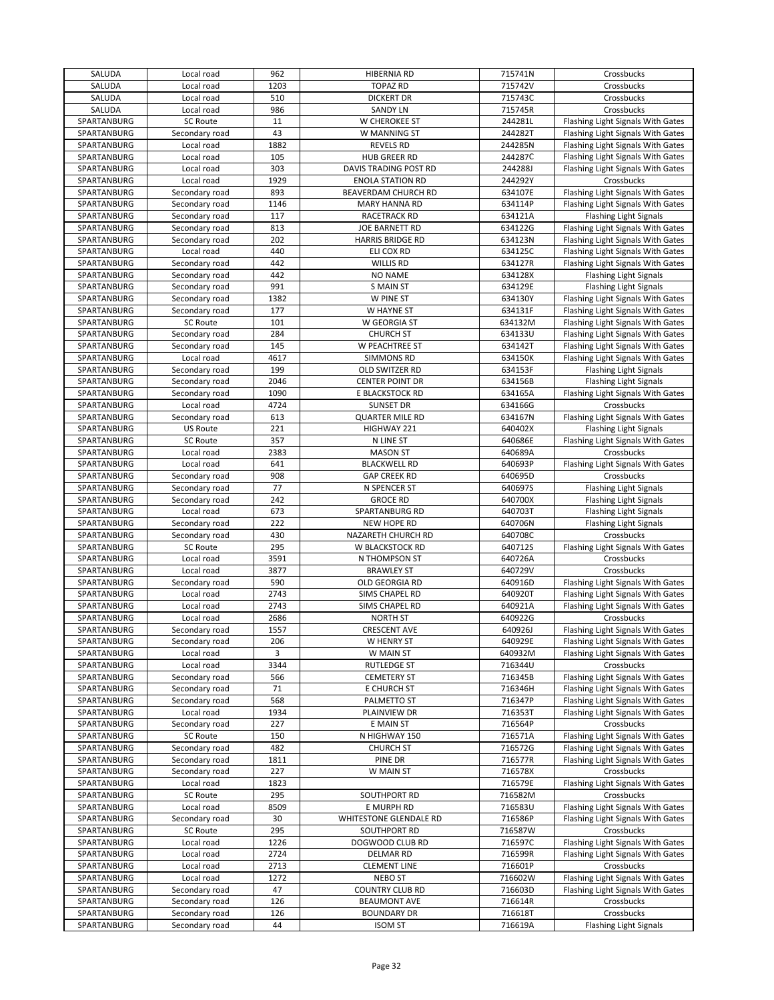| SALUDA      | Local road      | 962  | <b>HIBERNIA RD</b>      | 715741N | Crossbucks                        |
|-------------|-----------------|------|-------------------------|---------|-----------------------------------|
| SALUDA      | Local road      | 1203 | <b>TOPAZ RD</b>         | 715742V | Crossbucks                        |
| SALUDA      | Local road      | 510  | <b>DICKERT DR</b>       | 715743C | Crossbucks                        |
| SALUDA      | Local road      | 986  | <b>SANDY LN</b>         | 715745R | Crossbucks                        |
| SPARTANBURG | SC Route        | 11   | W CHEROKEE ST           | 244281L | Flashing Light Signals With Gates |
| SPARTANBURG | Secondary road  | 43   | W MANNING ST            | 244282T | Flashing Light Signals With Gates |
|             | Local road      |      |                         |         |                                   |
| SPARTANBURG |                 | 1882 | <b>REVELS RD</b>        | 244285N | Flashing Light Signals With Gates |
| SPARTANBURG | Local road      | 105  | <b>HUB GREER RD</b>     | 244287C | Flashing Light Signals With Gates |
| SPARTANBURG | Local road      | 303  | DAVIS TRADING POST RD   | 244288J | Flashing Light Signals With Gates |
| SPARTANBURG | Local road      | 1929 | <b>ENOLA STATION RD</b> | 244292Y | Crossbucks                        |
| SPARTANBURG | Secondary road  | 893  | BEAVERDAM CHURCH RD     | 634107E | Flashing Light Signals With Gates |
| SPARTANBURG | Secondary road  | 1146 | <b>MARY HANNA RD</b>    | 634114P | Flashing Light Signals With Gates |
| SPARTANBURG | Secondary road  | 117  | RACETRACK RD            | 634121A | <b>Flashing Light Signals</b>     |
| SPARTANBURG | Secondary road  | 813  | JOE BARNETT RD          | 634122G | Flashing Light Signals With Gates |
| SPARTANBURG | Secondary road  | 202  | <b>HARRIS BRIDGE RD</b> | 634123N | Flashing Light Signals With Gates |
| SPARTANBURG | Local road      | 440  | ELI COX RD              | 634125C | Flashing Light Signals With Gates |
| SPARTANBURG | Secondary road  | 442  | <b>WILLIS RD</b>        | 634127R | Flashing Light Signals With Gates |
|             |                 |      |                         |         |                                   |
| SPARTANBURG | Secondary road  | 442  | <b>NO NAME</b>          | 634128X | <b>Flashing Light Signals</b>     |
| SPARTANBURG | Secondary road  | 991  | <b>S MAIN ST</b>        | 634129E | <b>Flashing Light Signals</b>     |
| SPARTANBURG | Secondary road  | 1382 | W PINE ST               | 634130Y | Flashing Light Signals With Gates |
| SPARTANBURG | Secondary road  | 177  | W HAYNE ST              | 634131F | Flashing Light Signals With Gates |
| SPARTANBURG | <b>SC Route</b> | 101  | W GEORGIA ST            | 634132M | Flashing Light Signals With Gates |
| SPARTANBURG | Secondary road  | 284  | <b>CHURCH ST</b>        | 634133U | Flashing Light Signals With Gates |
| SPARTANBURG | Secondary road  | 145  | W PEACHTREE ST          | 634142T | Flashing Light Signals With Gates |
| SPARTANBURG | Local road      | 4617 | <b>SIMMONS RD</b>       | 634150K | Flashing Light Signals With Gates |
| SPARTANBURG | Secondary road  | 199  | OLD SWITZER RD          | 634153F | <b>Flashing Light Signals</b>     |
| SPARTANBURG | Secondary road  | 2046 | <b>CENTER POINT DR</b>  | 634156B | <b>Flashing Light Signals</b>     |
|             |                 | 1090 |                         |         |                                   |
| SPARTANBURG | Secondary road  |      | E BLACKSTOCK RD         | 634165A | Flashing Light Signals With Gates |
| SPARTANBURG | Local road      | 4724 | <b>SUNSET DR</b>        | 634166G | Crossbucks                        |
| SPARTANBURG | Secondary road  | 613  | <b>QUARTER MILE RD</b>  | 634167N | Flashing Light Signals With Gates |
| SPARTANBURG | <b>US Route</b> | 221  | HIGHWAY 221             | 640402X | <b>Flashing Light Signals</b>     |
| SPARTANBURG | SC Route        | 357  | N LINE ST               | 640686E | Flashing Light Signals With Gates |
| SPARTANBURG | Local road      | 2383 | <b>MASON ST</b>         | 640689A | Crossbucks                        |
| SPARTANBURG | Local road      | 641  | <b>BLACKWELL RD</b>     | 640693P | Flashing Light Signals With Gates |
| SPARTANBURG | Secondary road  | 908  | <b>GAP CREEK RD</b>     | 640695D | Crossbucks                        |
| SPARTANBURG | Secondary road  | 77   | N SPENCER ST            | 640697S | <b>Flashing Light Signals</b>     |
| SPARTANBURG | Secondary road  | 242  | <b>GROCE RD</b>         | 640700X | <b>Flashing Light Signals</b>     |
| SPARTANBURG | Local road      | 673  | SPARTANBURG RD          | 640703T |                                   |
|             |                 |      |                         |         | <b>Flashing Light Signals</b>     |
| SPARTANBURG | Secondary road  | 222  | NEW HOPE RD             | 640706N | <b>Flashing Light Signals</b>     |
| SPARTANBURG | Secondary road  | 430  | NAZARETH CHURCH RD      | 640708C | Crossbucks                        |
| SPARTANBURG | <b>SC Route</b> | 295  | W BLACKSTOCK RD         | 640712S | Flashing Light Signals With Gates |
| SPARTANBURG | Local road      | 3591 | N THOMPSON ST           | 640726A | Crossbucks                        |
| SPARTANBURG | Local road      | 3877 | <b>BRAWLEY ST</b>       | 640729V | Crossbucks                        |
| SPARTANBURG | Secondary road  | 590  | OLD GEORGIA RD          | 640916D | Flashing Light Signals With Gates |
| SPARTANBURG | Local road      | 2743 | SIMS CHAPEL RD          | 640920T | Flashing Light Signals With Gates |
| SPARTANBURG | Local road      | 2743 | SIMS CHAPEL RD          | 640921A | Flashing Light Signals With Gates |
| SPARTANBURG | Local road      | 2686 | <b>NORTH ST</b>         | 640922G | Crossbucks                        |
| SPARTANBURG | Secondary road  | 1557 | <b>CRESCENT AVE</b>     | 640926J | Flashing Light Signals With Gates |
| SPARTANBURG | Secondary road  | 206  | W HENRY ST              | 640929E | Flashing Light Signals With Gates |
| SPARTANBURG | Local road      | 3    | W MAIN ST               | 640932M | Flashing Light Signals With Gates |
| SPARTANBURG | Local road      | 3344 | <b>RUTLEDGE ST</b>      | 716344U | Crossbucks                        |
|             |                 |      | <b>CEMETERY ST</b>      |         | Flashing Light Signals With Gates |
| SPARTANBURG | Secondary road  | 566  |                         | 716345B |                                   |
| SPARTANBURG | Secondary road  | 71   | E CHURCH ST             | 716346H | Flashing Light Signals With Gates |
| SPARTANBURG | Secondary road  | 568  | PALMETTO ST             | 716347P | Flashing Light Signals With Gates |
| SPARTANBURG | Local road      | 1934 | PLAINVIEW DR            | 716353T | Flashing Light Signals With Gates |
| SPARTANBURG | Secondary road  | 227  | E MAIN ST               | 716564P | Crossbucks                        |
| SPARTANBURG | <b>SC Route</b> | 150  | N HIGHWAY 150           | 716571A | Flashing Light Signals With Gates |
| SPARTANBURG | Secondary road  | 482  | <b>CHURCH ST</b>        | 716572G | Flashing Light Signals With Gates |
| SPARTANBURG | Secondary road  | 1811 | PINE DR                 | 716577R | Flashing Light Signals With Gates |
| SPARTANBURG | Secondary road  | 227  | W MAIN ST               | 716578X | Crossbucks                        |
| SPARTANBURG | Local road      | 1823 |                         | 716579E | Flashing Light Signals With Gates |
| SPARTANBURG | SC Route        | 295  | SOUTHPORT RD            | 716582M | Crossbucks                        |
| SPARTANBURG | Local road      | 8509 | E MURPH RD              | 716583U | Flashing Light Signals With Gates |
|             |                 | 30   |                         |         |                                   |
| SPARTANBURG | Secondary road  |      | WHITESTONE GLENDALE RD  | 716586P | Flashing Light Signals With Gates |
| SPARTANBURG | SC Route        | 295  | SOUTHPORT RD            | 716587W | Crossbucks                        |
| SPARTANBURG | Local road      | 1226 | DOGWOOD CLUB RD         | 716597C | Flashing Light Signals With Gates |
| SPARTANBURG | Local road      | 2724 | <b>DELMAR RD</b>        | 716599R | Flashing Light Signals With Gates |
| SPARTANBURG | Local road      | 2713 | <b>CLEMENT LINE</b>     | 716601P | Crossbucks                        |
| SPARTANBURG | Local road      | 1272 | <b>NEBO ST</b>          | 716602W | Flashing Light Signals With Gates |
| SPARTANBURG | Secondary road  | 47   | <b>COUNTRY CLUB RD</b>  | 716603D | Flashing Light Signals With Gates |
| SPARTANBURG | Secondary road  | 126  | <b>BEAUMONT AVE</b>     | 716614R | Crossbucks                        |
| SPARTANBURG | Secondary road  | 126  | <b>BOUNDARY DR</b>      | 716618T | Crossbucks                        |
| SPARTANBURG | Secondary road  | 44   | <b>ISOM ST</b>          | 716619A | <b>Flashing Light Signals</b>     |
|             |                 |      |                         |         |                                   |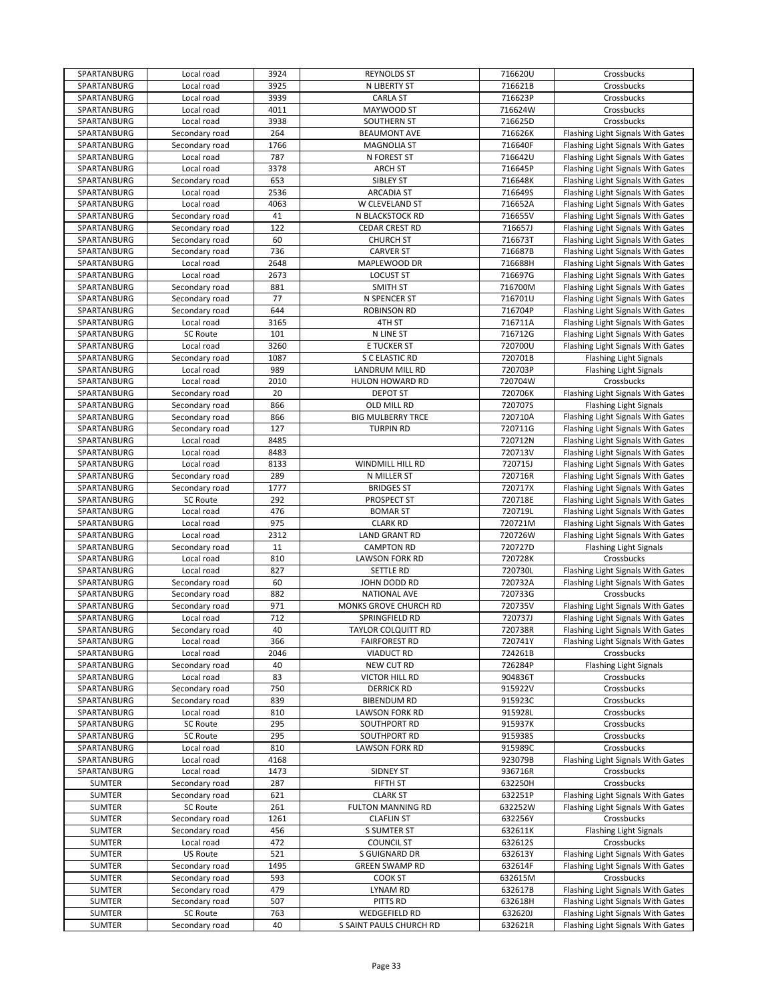| SPARTANBURG   | Local road      | 3924 | <b>REYNOLDS ST</b>        | 716620U | Crossbucks                        |
|---------------|-----------------|------|---------------------------|---------|-----------------------------------|
| SPARTANBURG   | Local road      | 3925 | N LIBERTY ST              | 716621B | Crossbucks                        |
| SPARTANBURG   | Local road      | 3939 | <b>CARLA ST</b>           | 716623P | Crossbucks                        |
| SPARTANBURG   | Local road      | 4011 | MAYWOOD ST                | 716624W | Crossbucks                        |
| SPARTANBURG   | Local road      | 3938 | SOUTHERN ST               | 716625D | Crossbucks                        |
| SPARTANBURG   | Secondary road  | 264  | <b>BEAUMONT AVE</b>       | 716626K | Flashing Light Signals With Gates |
| SPARTANBURG   | Secondary road  | 1766 | <b>MAGNOLIA ST</b>        | 716640F | Flashing Light Signals With Gates |
|               |                 |      |                           |         |                                   |
| SPARTANBURG   | Local road      | 787  | N FOREST ST               | 716642U | Flashing Light Signals With Gates |
| SPARTANBURG   | Local road      | 3378 | <b>ARCH ST</b>            | 716645P | Flashing Light Signals With Gates |
| SPARTANBURG   | Secondary road  | 653  | SIBLEY ST                 | 716648K | Flashing Light Signals With Gates |
| SPARTANBURG   | Local road      | 2536 | <b>ARCADIA ST</b>         | 716649S | Flashing Light Signals With Gates |
| SPARTANBURG   | Local road      | 4063 | W CLEVELAND ST            | 716652A | Flashing Light Signals With Gates |
| SPARTANBURG   | Secondary road  | 41   | N BLACKSTOCK RD           | 716655V | Flashing Light Signals With Gates |
| SPARTANBURG   | Secondary road  | 122  | <b>CEDAR CREST RD</b>     | 716657J | Flashing Light Signals With Gates |
| SPARTANBURG   | Secondary road  | 60   | <b>CHURCH ST</b>          | 716673T | Flashing Light Signals With Gates |
| SPARTANBURG   | Secondary road  | 736  | <b>CARVER ST</b>          | 716687B | Flashing Light Signals With Gates |
| SPARTANBURG   | Local road      | 2648 | MAPLEWOOD DR              | 716688H | Flashing Light Signals With Gates |
| SPARTANBURG   | Local road      | 2673 | <b>LOCUST ST</b>          | 716697G | Flashing Light Signals With Gates |
|               |                 | 881  |                           |         |                                   |
| SPARTANBURG   | Secondary road  |      | <b>SMITH ST</b>           | 716700M | Flashing Light Signals With Gates |
| SPARTANBURG   | Secondary road  | 77   | N SPENCER ST              | 716701U | Flashing Light Signals With Gates |
| SPARTANBURG   | Secondary road  | 644  | <b>ROBINSON RD</b>        | 716704P | Flashing Light Signals With Gates |
| SPARTANBURG   | Local road      | 3165 | 4TH ST                    | 716711A | Flashing Light Signals With Gates |
| SPARTANBURG   | SC Route        | 101  | N LINE ST                 | 716712G | Flashing Light Signals With Gates |
| SPARTANBURG   | Local road      | 3260 | E TUCKER ST               | 720700U | Flashing Light Signals With Gates |
| SPARTANBURG   | Secondary road  | 1087 | S C ELASTIC RD            | 720701B | <b>Flashing Light Signals</b>     |
| SPARTANBURG   | Local road      | 989  | <b>LANDRUM MILL RD</b>    | 720703P | <b>Flashing Light Signals</b>     |
| SPARTANBURG   | Local road      | 2010 | HULON HOWARD RD           | 720704W | Crossbucks                        |
| SPARTANBURG   | Secondary road  | 20   | <b>DEPOT ST</b>           | 720706K | Flashing Light Signals With Gates |
| SPARTANBURG   | Secondary road  | 866  | OLD MILL RD               | 720707S | <b>Flashing Light Signals</b>     |
|               |                 |      |                           |         | Flashing Light Signals With Gates |
| SPARTANBURG   | Secondary road  | 866  | <b>BIG MULBERRY TRCE</b>  | 720710A |                                   |
| SPARTANBURG   | Secondary road  | 127  | <b>TURPIN RD</b>          | 720711G | Flashing Light Signals With Gates |
| SPARTANBURG   | Local road      | 8485 |                           | 720712N | Flashing Light Signals With Gates |
| SPARTANBURG   | Local road      | 8483 |                           | 720713V | Flashing Light Signals With Gates |
| SPARTANBURG   | Local road      | 8133 | WINDMILL HILL RD          | 720715J | Flashing Light Signals With Gates |
| SPARTANBURG   | Secondary road  | 289  | N MILLER ST               | 720716R | Flashing Light Signals With Gates |
| SPARTANBURG   | Secondary road  | 1777 | <b>BRIDGES ST</b>         | 720717X | Flashing Light Signals With Gates |
| SPARTANBURG   | <b>SC Route</b> | 292  | PROSPECT ST               | 720718E | Flashing Light Signals With Gates |
| SPARTANBURG   | Local road      | 476  | <b>BOMAR ST</b>           | 720719L | Flashing Light Signals With Gates |
| SPARTANBURG   | Local road      | 975  | <b>CLARK RD</b>           | 720721M | Flashing Light Signals With Gates |
| SPARTANBURG   | Local road      | 2312 | LAND GRANT RD             | 720726W | Flashing Light Signals With Gates |
| SPARTANBURG   | Secondary road  | 11   | <b>CAMPTON RD</b>         | 720727D | <b>Flashing Light Signals</b>     |
| SPARTANBURG   | Local road      | 810  | <b>LAWSON FORK RD</b>     | 720728K | Crossbucks                        |
| SPARTANBURG   | Local road      | 827  | SETTLE RD                 | 720730L | Flashing Light Signals With Gates |
| SPARTANBURG   | Secondary road  | 60   | JOHN DODD RD              | 720732A | Flashing Light Signals With Gates |
| SPARTANBURG   | Secondary road  | 882  | <b>NATIONAL AVE</b>       | 720733G | Crossbucks                        |
| SPARTANBURG   |                 | 971  | MONKS GROVE CHURCH RD     | 720735V |                                   |
|               | Secondary road  |      |                           |         | Flashing Light Signals With Gates |
| SPARTANBURG   | Local road      | 712  | SPRINGFIELD RD            | 720737J | Flashing Light Signals With Gates |
| SPARTANBURG   | Secondary road  | 40   | <b>TAYLOR COLQUITT RD</b> | 720738R | Flashing Light Signals With Gates |
| SPARTANBURG   | Local road      | 366  | <b>FAIRFOREST RD</b>      | 720741Y | Flashing Light Signals With Gates |
| SPARTANBURG   | Local road      | 2046 | <b>VIADUCT RD</b>         | 724261B | Crossbucks                        |
| SPARTANBURG   | Secondary road  | 40   | NEW CUT RD                | 726284P | <b>Flashing Light Signals</b>     |
| SPARTANBURG   | Local road      | 83   | VICTOR HILL RD            | 904836T | Crossbucks                        |
| SPARTANBURG   | Secondary road  | 750  | <b>DERRICK RD</b>         | 915922V | Crossbucks                        |
| SPARTANBURG   | Secondary road  | 839  | <b>BIBENDUM RD</b>        | 915923C | Crossbucks                        |
| SPARTANBURG   | Local road      | 810  | <b>LAWSON FORK RD</b>     | 915928L | Crossbucks                        |
| SPARTANBURG   | SC Route        | 295  | SOUTHPORT RD              | 915937K | Crossbucks                        |
| SPARTANBURG   | SC Route        | 295  | SOUTHPORT RD              | 915938S | Crossbucks                        |
| SPARTANBURG   | Local road      | 810  | <b>LAWSON FORK RD</b>     | 915989C | Crossbucks                        |
| SPARTANBURG   | Local road      | 4168 |                           | 923079B | Flashing Light Signals With Gates |
| SPARTANBURG   |                 |      |                           |         |                                   |
|               | Local road      | 1473 | SIDNEY ST                 | 936716R | Crossbucks                        |
| SUMTER        | Secondary road  | 287  | FIFTH ST                  | 632250H | Crossbucks                        |
| <b>SUMTER</b> | Secondary road  | 621  | <b>CLARK ST</b>           | 632251P | Flashing Light Signals With Gates |
| <b>SUMTER</b> | <b>SC Route</b> | 261  | FULTON MANNING RD         | 632252W | Flashing Light Signals With Gates |
| <b>SUMTER</b> | Secondary road  | 1261 | <b>CLAFLIN ST</b>         | 632256Y | Crossbucks                        |
| <b>SUMTER</b> | Secondary road  | 456  | S SUMTER ST               | 632611K | Flashing Light Signals            |
| <b>SUMTER</b> | Local road      | 472  | <b>COUNCIL ST</b>         | 632612S | Crossbucks                        |
| <b>SUMTER</b> | US Route        | 521  | S GUIGNARD DR             | 632613Y | Flashing Light Signals With Gates |
| <b>SUMTER</b> | Secondary road  | 1495 | <b>GREEN SWAMP RD</b>     | 632614F | Flashing Light Signals With Gates |
| SUMTER        | Secondary road  | 593  | COOK ST                   | 632615M | Crossbucks                        |
| SUMTER        | Secondary road  | 479  | LYNAM RD                  | 632617B | Flashing Light Signals With Gates |
| <b>SUMTER</b> | Secondary road  | 507  | PITTS RD                  | 632618H | Flashing Light Signals With Gates |
| <b>SUMTER</b> | <b>SC Route</b> | 763  | <b>WEDGEFIELD RD</b>      | 632620J | Flashing Light Signals With Gates |
| SUMTER        | Secondary road  | 40   | S SAINT PAULS CHURCH RD   | 632621R | Flashing Light Signals With Gates |
|               |                 |      |                           |         |                                   |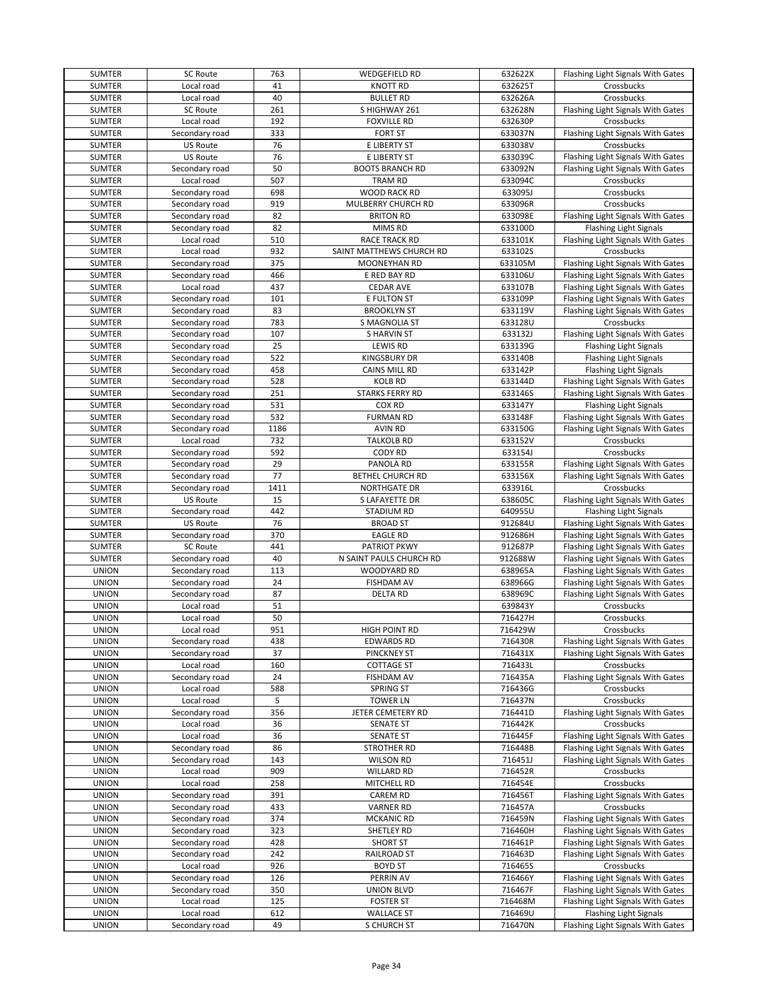| SUMTER        | <b>SC Route</b> | 763  | WEDGEFIELD RD            | 632622X | Flashing Light Signals With Gates |
|---------------|-----------------|------|--------------------------|---------|-----------------------------------|
| SUMTER        | Local road      | 41   | <b>KNOTT RD</b>          | 632625T | Crossbucks                        |
| SUMTER        | Local road      | 40   | <b>BULLET RD</b>         | 632626A | Crossbucks                        |
| SUMTER        | <b>SC Route</b> | 261  | S HIGHWAY 261            | 632628N | Flashing Light Signals With Gates |
| SUMTER        | Local road      | 192  | <b>FOXVILLE RD</b>       | 632630P | Crossbucks                        |
| <b>SUMTER</b> | Secondary road  | 333  | <b>FORT ST</b>           | 633037N | Flashing Light Signals With Gates |
| <b>SUMTER</b> | <b>US Route</b> | 76   | E LIBERTY ST             | 633038V | Crossbucks                        |
| SUMTER        | <b>US Route</b> | 76   | E LIBERTY ST             | 633039C | Flashing Light Signals With Gates |
| SUMTER        | Secondary road  | 50   | <b>BOOTS BRANCH RD</b>   | 633092N | Flashing Light Signals With Gates |
| SUMTER        | Local road      | 507  | TRAM RD                  | 633094C | Crossbucks                        |
| SUMTER        | Secondary road  | 698  | WOOD RACK RD             | 633095J | Crossbucks                        |
|               |                 | 919  |                          |         |                                   |
| SUMTER        | Secondary road  |      | MULBERRY CHURCH RD       | 633096R | Crossbucks                        |
| SUMTER        | Secondary road  | 82   | <b>BRITON RD</b>         | 633098E | Flashing Light Signals With Gates |
| SUMTER        | Secondary road  | 82   | MIMS RD                  | 633100D | <b>Flashing Light Signals</b>     |
| <b>SUMTER</b> | Local road      | 510  | <b>RACE TRACK RD</b>     | 633101K | Flashing Light Signals With Gates |
| SUMTER        | Local road      | 932  | SAINT MATTHEWS CHURCH RD | 633102S | Crossbucks                        |
| SUMTER        | Secondary road  | 375  | MOONEYHAN RD             | 633105M | Flashing Light Signals With Gates |
| SUMTER        | Secondary road  | 466  | E RED BAY RD             | 633106U | Flashing Light Signals With Gates |
| <b>SUMTER</b> | Local road      | 437  | <b>CEDAR AVE</b>         | 633107B | Flashing Light Signals With Gates |
| SUMTER        | Secondary road  | 101  | E FULTON ST              | 633109P | Flashing Light Signals With Gates |
| SUMTER        | Secondary road  | 83   | <b>BROOKLYN ST</b>       | 633119V | Flashing Light Signals With Gates |
| SUMTER        | Secondary road  | 783  | S MAGNOLIA ST            | 633128U | Crossbucks                        |
| <b>SUMTER</b> | Secondary road  | 107  | <b>SHARVIN ST</b>        | 633132J | Flashing Light Signals With Gates |
| <b>SUMTER</b> | Secondary road  | 25   | LEWIS RD                 | 633139G | <b>Flashing Light Signals</b>     |
| SUMTER        | Secondary road  | 522  | <b>KINGSBURY DR</b>      | 633140B | <b>Flashing Light Signals</b>     |
| SUMTER        | Secondary road  | 458  | CAINS MILL RD            | 633142P | <b>Flashing Light Signals</b>     |
| SUMTER        | Secondary road  | 528  | <b>KOLB RD</b>           | 633144D | Flashing Light Signals With Gates |
| <b>SUMTER</b> | Secondary road  | 251  | <b>STARKS FERRY RD</b>   | 633146S | Flashing Light Signals With Gates |
| <b>SUMTER</b> | Secondary road  | 531  | COX RD                   | 633147Y | <b>Flashing Light Signals</b>     |
| SUMTER        | Secondary road  | 532  | <b>FURMAN RD</b>         | 633148F | Flashing Light Signals With Gates |
| <b>SUMTER</b> | Secondary road  | 1186 | <b>AVIN RD</b>           | 633150G | Flashing Light Signals With Gates |
|               |                 |      | <b>TALKOLB RD</b>        |         |                                   |
| <b>SUMTER</b> | Local road      | 732  |                          | 633152V | Crossbucks                        |
| SUMTER        | Secondary road  | 592  | <b>CODY RD</b>           | 633154J | Crossbucks                        |
| SUMTER        | Secondary road  | 29   | PANOLA RD                | 633155R | Flashing Light Signals With Gates |
| SUMTER        | Secondary road  | 77   | <b>BETHEL CHURCH RD</b>  | 633156X | Flashing Light Signals With Gates |
| SUMTER        | Secondary road  | 1411 | <b>NORTHGATE DR</b>      | 633916L | Crossbucks                        |
| SUMTER        | <b>US Route</b> | 15   | S LAFAYETTE DR           | 638605C | Flashing Light Signals With Gates |
| <b>SUMTER</b> | Secondary road  | 442  | <b>STADIUM RD</b>        | 640955U | <b>Flashing Light Signals</b>     |
| <b>SUMTER</b> | <b>US Route</b> | 76   | <b>BROAD ST</b>          | 912684U | Flashing Light Signals With Gates |
| SUMTER        | Secondary road  | 370  | <b>EAGLE RD</b>          | 912686H | Flashing Light Signals With Gates |
| SUMTER        | <b>SC Route</b> | 441  | PATRIOT PKWY             | 912687P | Flashing Light Signals With Gates |
| SUMTER        | Secondary road  | 40   | N SAINT PAULS CHURCH RD  | 912688W | Flashing Light Signals With Gates |
| <b>UNION</b>  | Secondary road  | 113  | WOODYARD RD              | 638965A | Flashing Light Signals With Gates |
| <b>UNION</b>  | Secondary road  | 24   | <b>FISHDAM AV</b>        | 638966G | Flashing Light Signals With Gates |
| <b>UNION</b>  | Secondary road  | 87   | <b>DELTA RD</b>          | 638969C | Flashing Light Signals With Gates |
| <b>UNION</b>  | Local road      | 51   |                          | 639843Y | Crossbucks                        |
| <b>UNION</b>  | Local road      | 50   |                          | 716427H | Crossbucks                        |
| <b>UNION</b>  | Local road      | 951  | <b>HIGH POINT RD</b>     | 716429W | Crossbucks                        |
| <b>UNION</b>  | Secondary road  | 438  | <b>EDWARDS RD</b>        | 716430R | Flashing Light Signals With Gates |
| <b>UNION</b>  | Secondary road  | 37   | <b>PINCKNEY ST</b>       | 716431X | Flashing Light Signals With Gates |
| <b>UNION</b>  | Local road      | 160  | <b>COTTAGE ST</b>        | 716433L | Crossbucks                        |
| <b>UNION</b>  | Secondary road  | 24   | <b>FISHDAM AV</b>        | 716435A | Flashing Light Signals With Gates |
| <b>UNION</b>  | Local road      | 588  | SPRING ST                |         | Crossbucks                        |
|               |                 |      |                          | 716436G |                                   |
| <b>UNION</b>  | Local road      | 5    | <b>TOWER LN</b>          | 716437N | Crossbucks                        |
| <b>UNION</b>  | Secondary road  | 356  | JETER CEMETERY RD        | 716441D | Flashing Light Signals With Gates |
| <b>UNION</b>  | Local road      | 36   | <b>SENATE ST</b>         | 716442K | Crossbucks                        |
| <b>UNION</b>  | Local road      | 36   | <b>SENATE ST</b>         | 716445F | Flashing Light Signals With Gates |
| <b>UNION</b>  | Secondary road  | 86   | STROTHER RD              | 716448B | Flashing Light Signals With Gates |
| <b>UNION</b>  | Secondary road  | 143  | <b>WILSON RD</b>         | 716451J | Flashing Light Signals With Gates |
| <b>UNION</b>  | Local road      | 909  | WILLARD RD               | 716452R | Crossbucks                        |
| <b>UNION</b>  | Local road      | 258  | MITCHELL RD              | 716454E | Crossbucks                        |
| <b>UNION</b>  | Secondary road  | 391  | CAREM RD                 | 716456T | Flashing Light Signals With Gates |
| <b>UNION</b>  | Secondary road  | 433  | <b>VARNER RD</b>         | 716457A | Crossbucks                        |
| <b>UNION</b>  | Secondary road  | 374  | <b>MCKANIC RD</b>        | 716459N | Flashing Light Signals With Gates |
| <b>UNION</b>  | Secondary road  | 323  | SHETLEY RD               | 716460H | Flashing Light Signals With Gates |
| <b>UNION</b>  | Secondary road  | 428  | <b>SHORT ST</b>          | 716461P | Flashing Light Signals With Gates |
| <b>UNION</b>  | Secondary road  | 242  | RAILROAD ST              | 716463D | Flashing Light Signals With Gates |
| <b>UNION</b>  | Local road      | 926  | <b>BOYD ST</b>           | 716465S | Crossbucks                        |
| <b>UNION</b>  | Secondary road  | 126  | PERRIN AV                | 716466Y | Flashing Light Signals With Gates |
| <b>UNION</b>  | Secondary road  | 350  | <b>UNION BLVD</b>        | 716467F | Flashing Light Signals With Gates |
| <b>UNION</b>  | Local road      | 125  | <b>FOSTER ST</b>         | 716468M | Flashing Light Signals With Gates |
| <b>UNION</b>  | Local road      | 612  | <b>WALLACE ST</b>        | 716469U | <b>Flashing Light Signals</b>     |
| <b>UNION</b>  | Secondary road  | 49   | S CHURCH ST              | 716470N | Flashing Light Signals With Gates |
|               |                 |      |                          |         |                                   |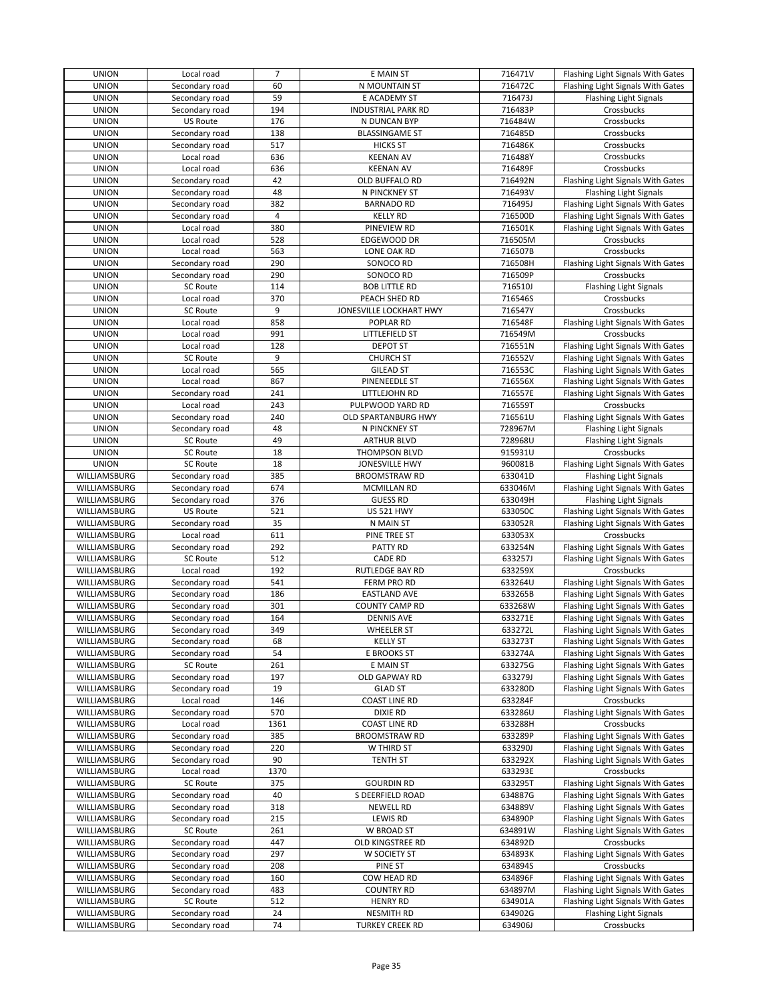| <b>UNION</b>        | Local road      | $\overline{7}$ | E MAIN ST                 | 716471V            | Flashing Light Signals With Gates |
|---------------------|-----------------|----------------|---------------------------|--------------------|-----------------------------------|
| <b>UNION</b>        | Secondary road  | 60             | N MOUNTAIN ST             | 716472C            | Flashing Light Signals With Gates |
| <b>UNION</b>        | Secondary road  | 59             | E ACADEMY ST              | 716473J            | <b>Flashing Light Signals</b>     |
| <b>UNION</b>        | Secondary road  | 194            | <b>INDUSTRIAL PARK RD</b> | 716483P            | Crossbucks                        |
| <b>UNION</b>        | <b>US Route</b> | 176            | N DUNCAN BYP              | 716484W            | Crossbucks                        |
| <b>UNION</b>        | Secondary road  | 138            | <b>BLASSINGAME ST</b>     | 716485D            | Crossbucks                        |
| <b>UNION</b>        | Secondary road  | 517            | <b>HICKS ST</b>           | 716486K            | Crossbucks                        |
| <b>UNION</b>        | Local road      | 636            | <b>KEENAN AV</b>          | 716488Y            | Crossbucks                        |
| <b>UNION</b>        | Local road      | 636            | <b>KEENAN AV</b>          | 716489F            | Crossbucks                        |
| <b>UNION</b>        | Secondary road  | 42             | OLD BUFFALO RD            | 716492N            | Flashing Light Signals With Gates |
| <b>UNION</b>        | Secondary road  | 48             |                           | 716493V            |                                   |
|                     |                 | 382            | N PINCKNEY ST             |                    | <b>Flashing Light Signals</b>     |
| <b>UNION</b>        | Secondary road  |                | <b>BARNADO RD</b>         | 716495J            | Flashing Light Signals With Gates |
| <b>UNION</b>        | Secondary road  | 4              | <b>KELLY RD</b>           | 716500D            | Flashing Light Signals With Gates |
| <b>UNION</b>        | Local road      | 380            | PINEVIEW RD               | 716501K            | Flashing Light Signals With Gates |
| <b>UNION</b>        | Local road      | 528            | EDGEWOOD DR               | 716505M            | Crossbucks                        |
| <b>UNION</b>        | Local road      | 563            | LONE OAK RD               | 716507B            | Crossbucks                        |
| <b>UNION</b>        | Secondary road  | 290            | SONOCO RD                 | 716508H            | Flashing Light Signals With Gates |
| <b>UNION</b>        | Secondary road  | 290            | SONOCO RD                 | 716509P            | Crossbucks                        |
| <b>UNION</b>        | <b>SC Route</b> | 114            | <b>BOB LITTLE RD</b>      | 716510J            | <b>Flashing Light Signals</b>     |
| <b>UNION</b>        | Local road      | 370            | PEACH SHED RD             | 716546S            | Crossbucks                        |
| <b>UNION</b>        | SC Route        | 9              | JONESVILLE LOCKHART HWY   | 716547Y            | Crossbucks                        |
| <b>UNION</b>        | Local road      | 858            | POPLAR RD                 | 716548F            | Flashing Light Signals With Gates |
| <b>UNION</b>        | Local road      | 991            | LITTLEFIELD ST            | 716549M            | Crossbucks                        |
| <b>UNION</b>        | Local road      | 128            | <b>DEPOT ST</b>           | 716551N            | Flashing Light Signals With Gates |
| <b>UNION</b>        | SC Route        | 9              | <b>CHURCH ST</b>          | 716552V            | Flashing Light Signals With Gates |
| <b>UNION</b>        | Local road      | 565            | <b>GILEAD ST</b>          | 716553C            | Flashing Light Signals With Gates |
| <b>UNION</b>        | Local road      | 867            | PINENEEDLE ST             | 716556X            | Flashing Light Signals With Gates |
| <b>UNION</b>        | Secondary road  | 241            | LITTLEJOHN RD             | 716557E            | Flashing Light Signals With Gates |
| <b>UNION</b>        | Local road      | 243            | PULPWOOD YARD RD          | 716559T            | Crossbucks                        |
| <b>UNION</b>        | Secondary road  | 240            | OLD SPARTANBURG HWY       | 716561U            | Flashing Light Signals With Gates |
| <b>UNION</b>        |                 | 48             |                           |                    |                                   |
|                     | Secondary road  |                | N PINCKNEY ST             | 728967M            | <b>Flashing Light Signals</b>     |
| <b>UNION</b>        | <b>SC Route</b> | 49             | <b>ARTHUR BLVD</b>        | 728968U            | <b>Flashing Light Signals</b>     |
| <b>UNION</b>        | <b>SC Route</b> | 18             | THOMPSON BLVD             | 915931U            | Crossbucks                        |
| <b>UNION</b>        | <b>SC Route</b> | 18             | JONESVILLE HWY            | 960081B            | Flashing Light Signals With Gates |
| WILLIAMSBURG        | Secondary road  | 385            | <b>BROOMSTRAW RD</b>      | 633041D            | <b>Flashing Light Signals</b>     |
| WILLIAMSBURG        | Secondary road  | 674            | <b>MCMILLAN RD</b>        | 633046M            | Flashing Light Signals With Gates |
| WILLIAMSBURG        | Secondary road  | 376            | <b>GUESS RD</b>           | 633049H            | <b>Flashing Light Signals</b>     |
| WILLIAMSBURG        | <b>US Route</b> | 521            | <b>US 521 HWY</b>         | 633050C            | Flashing Light Signals With Gates |
| WILLIAMSBURG        | Secondary road  | 35             | N MAIN ST                 | 633052R            | Flashing Light Signals With Gates |
| WILLIAMSBURG        | Local road      | 611            | PINE TREE ST              | 633053X            | Crossbucks                        |
| WILLIAMSBURG        | Secondary road  | 292            | PATTY RD                  | 633254N            | Flashing Light Signals With Gates |
| <b>WILLIAMSBURG</b> | <b>SC Route</b> | 512            | <b>CADE RD</b>            | 633257J            | Flashing Light Signals With Gates |
| WILLIAMSBURG        | Local road      | 192            | RUTLEDGE BAY RD           | 633259X            | Crossbucks                        |
| WILLIAMSBURG        | Secondary road  | 541            | FERM PRO RD               | 633264U            | Flashing Light Signals With Gates |
| WILLIAMSBURG        | Secondary road  | 186            | <b>EASTLAND AVE</b>       | 633265B            | Flashing Light Signals With Gates |
| WILLIAMSBURG        | Secondary road  | 301            | <b>COUNTY CAMP RD</b>     | 633268W            | Flashing Light Signals With Gates |
| WILLIAMSBURG        | Secondary road  | 164            | <b>DENNIS AVE</b>         | 633271E            | Flashing Light Signals With Gates |
| WILLIAMSBURG        | Secondary road  | 349            | <b>WHEELER ST</b>         | 633272L            | Flashing Light Signals With Gates |
| WILLIAMSBURG        | Secondary road  | 68             | <b>KELLY ST</b>           | 633273T            | Flashing Light Signals With Gates |
| WILLIAMSBURG        | Secondary road  | 54             | E BROOKS ST               | 633274A            | Flashing Light Signals With Gates |
| WILLIAMSBURG        | <b>SC Route</b> | 261            | E MAIN ST                 |                    | Flashing Light Signals With Gates |
| WILLIAMSBURG        | Secondary road  | 197            | OLD GAPWAY RD             | 633275G<br>633279J | Flashing Light Signals With Gates |
|                     |                 |                |                           |                    |                                   |
| WILLIAMSBURG        | Secondary road  | 19             | <b>GLAD ST</b>            | 633280D            | Flashing Light Signals With Gates |
| WILLIAMSBURG        | Local road      | 146            | <b>COAST LINE RD</b>      | 633284F            | Crossbucks                        |
| WILLIAMSBURG        | Secondary road  | 570            | DIXIE RD                  | 633286U            | Flashing Light Signals With Gates |
| WILLIAMSBURG        | Local road      | 1361           | <b>COAST LINE RD</b>      | 633288H            | Crossbucks                        |
| WILLIAMSBURG        | Secondary road  | 385            | <b>BROOMSTRAW RD</b>      | 633289P            | Flashing Light Signals With Gates |
| WILLIAMSBURG        | Secondary road  | 220            | W THIRD ST                | 633290J            | Flashing Light Signals With Gates |
| WILLIAMSBURG        | Secondary road  | 90             | <b>TENTH ST</b>           | 633292X            | Flashing Light Signals With Gates |
| WILLIAMSBURG        | Local road      | 1370           |                           | 633293E            | Crossbucks                        |
| WILLIAMSBURG        | <b>SC Route</b> | 375            | <b>GOURDIN RD</b>         | 633295T            | Flashing Light Signals With Gates |
| WILLIAMSBURG        | Secondary road  | 40             | S DEERFIELD ROAD          | 634887G            | Flashing Light Signals With Gates |
| WILLIAMSBURG        | Secondary road  | 318            | <b>NEWELL RD</b>          | 634889V            | Flashing Light Signals With Gates |
| WILLIAMSBURG        | Secondary road  | 215            | LEWIS RD                  | 634890P            | Flashing Light Signals With Gates |
| WILLIAMSBURG        | SC Route        | 261            | W BROAD ST                | 634891W            | Flashing Light Signals With Gates |
| WILLIAMSBURG        | Secondary road  | 447            | OLD KINGSTREE RD          | 634892D            | Crossbucks                        |
| WILLIAMSBURG        | Secondary road  | 297            | W SOCIETY ST              | 634893K            | Flashing Light Signals With Gates |
| WILLIAMSBURG        | Secondary road  | 208            | PINE ST                   | 634894S            | Crossbucks                        |
| WILLIAMSBURG        | Secondary road  | 160            | COW HEAD RD               | 634896F            | Flashing Light Signals With Gates |
| WILLIAMSBURG        | Secondary road  | 483            | <b>COUNTRY RD</b>         | 634897M            | Flashing Light Signals With Gates |
| WILLIAMSBURG        | <b>SC Route</b> | 512            | <b>HENRY RD</b>           | 634901A            | Flashing Light Signals With Gates |
| WILLIAMSBURG        | Secondary road  | 24             | <b>NESMITH RD</b>         | 634902G            | <b>Flashing Light Signals</b>     |
| WILLIAMSBURG        |                 | 74             |                           |                    |                                   |
|                     | Secondary road  |                | <b>TURKEY CREEK RD</b>    | 634906J            | Crossbucks                        |